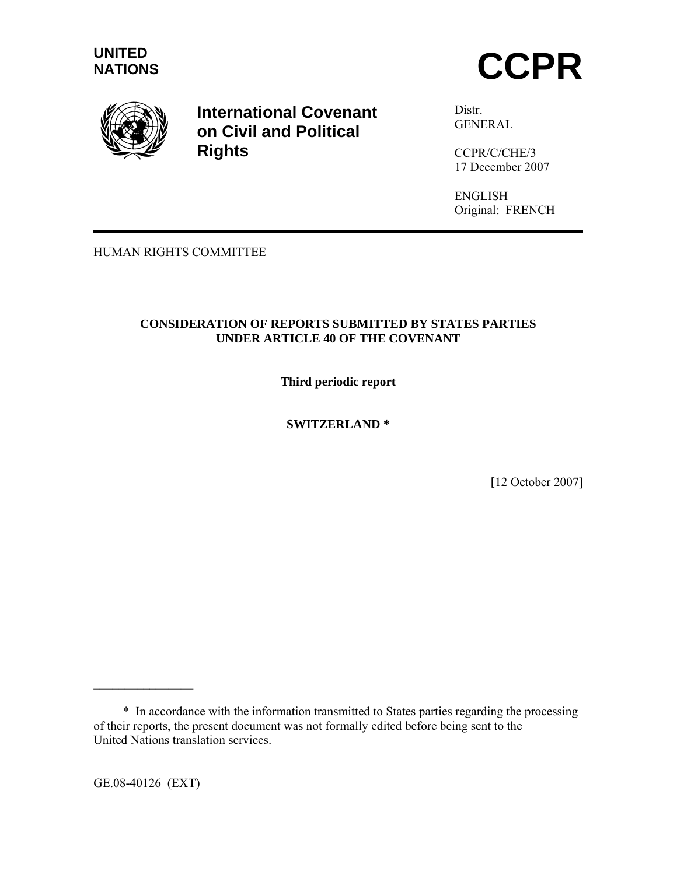



**International Covenant on Civil and Political Rights**

Distr. GENERAL

CCPR/C/CHE/3 17 December 2007

ENGLISH Original: FRENCH

HUMAN RIGHTS COMMITTEE

## **CONSIDERATION OF REPORTS SUBMITTED BY STATES PARTIES UNDER ARTICLE 40 OF THE COVENANT**

**Third periodic report** 

**SWITZERLAND \*** 

**[**12 October 2007]

GE.08-40126 (EXT)

 $\mathcal{L}_\text{max}$ 

 <sup>\*</sup> In accordance with the information transmitted to States parties regarding the processing of their reports, the present document was not formally edited before being sent to the United Nations translation services.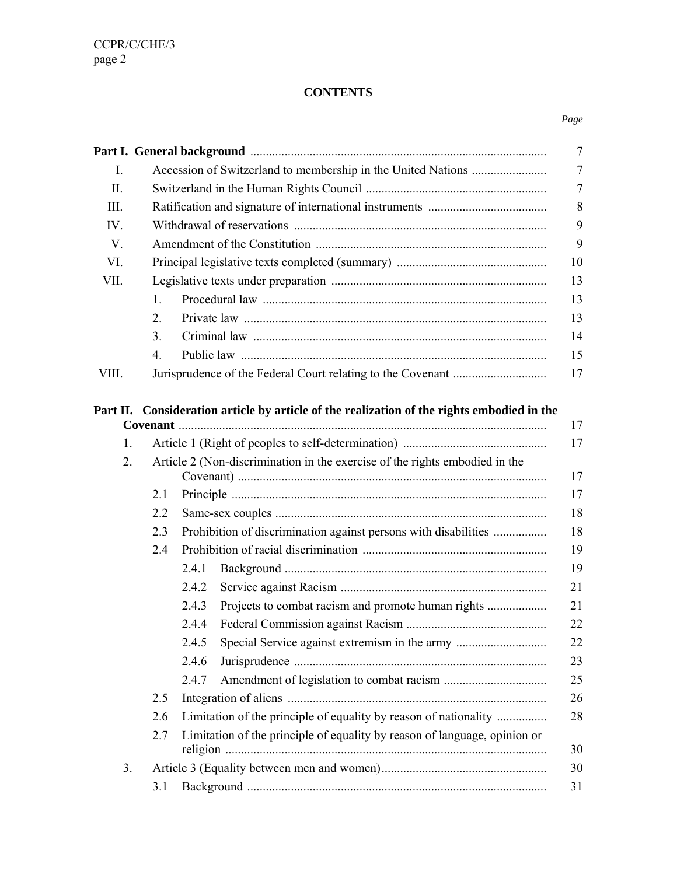# **CONTENTS**

|                |                      |                                                                                            | $\overline{7}$ |
|----------------|----------------------|--------------------------------------------------------------------------------------------|----------------|
| Ι.             |                      |                                                                                            | $\tau$         |
| II.            |                      |                                                                                            | 7              |
| Ш.             |                      |                                                                                            | $8\,$          |
| IV.            |                      |                                                                                            | 9              |
| V.             |                      |                                                                                            | 9              |
| VI.            |                      |                                                                                            | 10             |
| VII.           |                      |                                                                                            | 13             |
|                | $\mathbf{1}_{\cdot}$ |                                                                                            | 13             |
|                | $\overline{2}$ .     |                                                                                            | 13             |
|                | 3 <sub>1</sub>       |                                                                                            | 14             |
|                | $\overline{4}$ .     |                                                                                            | 15             |
| VIII.          |                      |                                                                                            | 17             |
| $\mathbf{1}$ . |                      | Part II. Consideration article by article of the realization of the rights embodied in the | 17<br>17       |
| 2.             |                      | Article 2 (Non-discrimination in the exercise of the rights embodied in the                |                |
|                |                      |                                                                                            | 17             |
|                | 2.1                  |                                                                                            | 17             |
|                | 2.2                  |                                                                                            | 18             |
|                | 2.3                  | Prohibition of discrimination against persons with disabilities                            | 18             |
|                | 2.4                  |                                                                                            | 19             |
|                |                      | 2.4.1                                                                                      | 19             |
|                |                      | 2.4.2                                                                                      | 21             |
|                |                      | Projects to combat racism and promote human rights<br>2.4.3                                | 21             |
|                |                      | 2.4.4                                                                                      | 22             |
|                |                      | Special Service against extremism in the army<br>2.4.5                                     | 22             |
|                |                      | 2.4.6                                                                                      | 23             |
|                |                      | 2.4.7                                                                                      | 25             |
|                | 2.5                  |                                                                                            | 26             |
|                | 2.6                  | Limitation of the principle of equality by reason of nationality                           | 28             |
|                | 2.7                  | Limitation of the principle of equality by reason of language, opinion or                  | 30             |
| 3.             |                      |                                                                                            | 30             |
|                | 3.1                  |                                                                                            | 31             |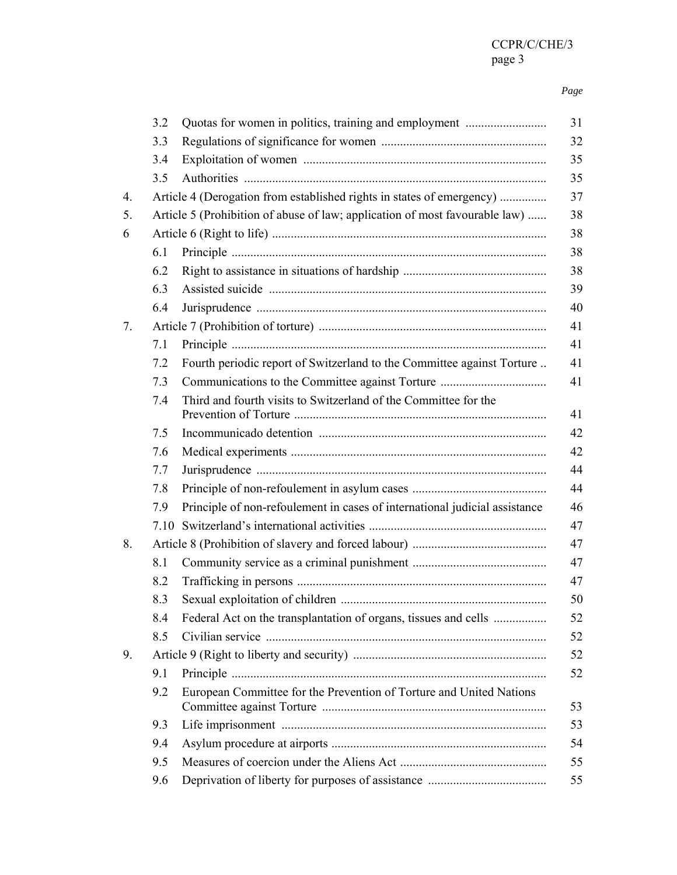#### *Page*

|    | 3.2                                                                         | Quotas for women in politics, training and employment                      |  |
|----|-----------------------------------------------------------------------------|----------------------------------------------------------------------------|--|
|    | 3.3                                                                         |                                                                            |  |
|    | 3.4                                                                         |                                                                            |  |
|    | 3.5                                                                         |                                                                            |  |
| 4. |                                                                             | Article 4 (Derogation from established rights in states of emergency)      |  |
| 5. | Article 5 (Prohibition of abuse of law; application of most favourable law) |                                                                            |  |
| 6  |                                                                             |                                                                            |  |
|    | 6.1                                                                         |                                                                            |  |
|    | 6.2                                                                         |                                                                            |  |
|    | 6.3                                                                         |                                                                            |  |
|    | 6.4                                                                         |                                                                            |  |
| 7. |                                                                             |                                                                            |  |
|    | 7.1                                                                         |                                                                            |  |
|    | 7.2                                                                         | Fourth periodic report of Switzerland to the Committee against Torture     |  |
|    | 7.3                                                                         |                                                                            |  |
|    | 7.4                                                                         | Third and fourth visits to Switzerland of the Committee for the            |  |
|    | 7.5                                                                         |                                                                            |  |
|    | 7.6                                                                         |                                                                            |  |
|    | 7.7                                                                         |                                                                            |  |
|    | 7.8                                                                         |                                                                            |  |
|    | 7.9                                                                         | Principle of non-refoulement in cases of international judicial assistance |  |
|    | 7.10                                                                        |                                                                            |  |
| 8. |                                                                             |                                                                            |  |
|    | 8.1                                                                         |                                                                            |  |
|    | 8.2                                                                         |                                                                            |  |
|    | 8.3                                                                         |                                                                            |  |
|    | 8.4                                                                         | Federal Act on the transplantation of organs, tissues and cells            |  |
|    | 8.5                                                                         |                                                                            |  |
| 9. |                                                                             |                                                                            |  |
|    | 9.1                                                                         |                                                                            |  |
|    | 9.2                                                                         | European Committee for the Prevention of Torture and United Nations        |  |
|    | 9.3                                                                         |                                                                            |  |
|    | 9.4                                                                         |                                                                            |  |
|    | 9.5                                                                         |                                                                            |  |
|    | 9.6                                                                         |                                                                            |  |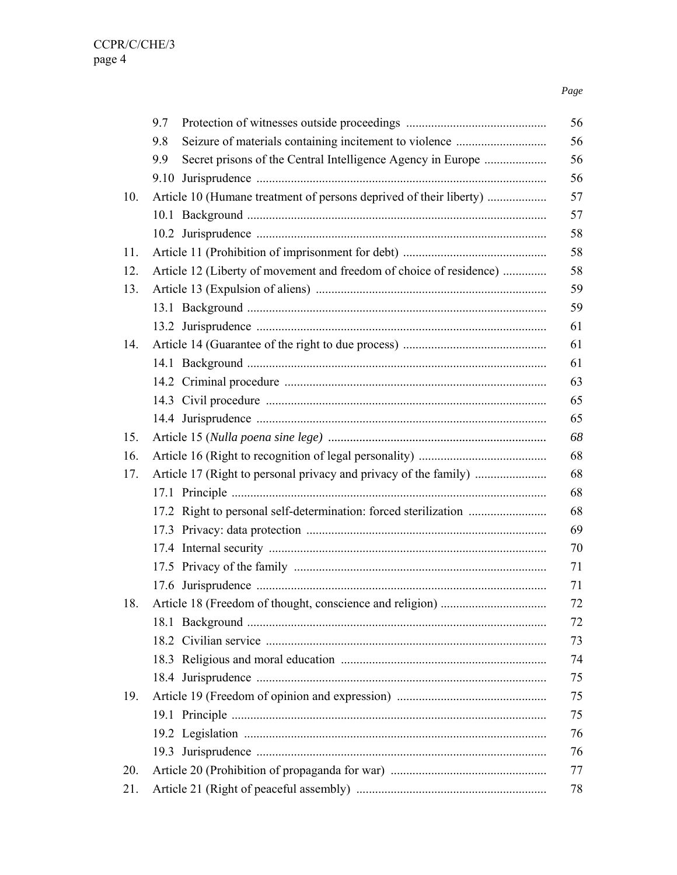### *Page*

|     | 9.7                                                                 |
|-----|---------------------------------------------------------------------|
|     | 9.8                                                                 |
|     | Secret prisons of the Central Intelligence Agency in Europe<br>9.9  |
|     |                                                                     |
| 10. | Article 10 (Humane treatment of persons deprived of their liberty)  |
|     |                                                                     |
|     |                                                                     |
| 11. |                                                                     |
| 12. | Article 12 (Liberty of movement and freedom of choice of residence) |
| 13. |                                                                     |
|     |                                                                     |
|     |                                                                     |
| 14. |                                                                     |
|     |                                                                     |
|     |                                                                     |
|     |                                                                     |
|     |                                                                     |
| 15. |                                                                     |
| 16. |                                                                     |
| 17. |                                                                     |
|     |                                                                     |
|     |                                                                     |
|     |                                                                     |
|     |                                                                     |
|     |                                                                     |
|     |                                                                     |
| 18. |                                                                     |
|     |                                                                     |
|     |                                                                     |
|     |                                                                     |
|     |                                                                     |
| 19. |                                                                     |
|     |                                                                     |
|     |                                                                     |
|     |                                                                     |
| 20. |                                                                     |
| 21. |                                                                     |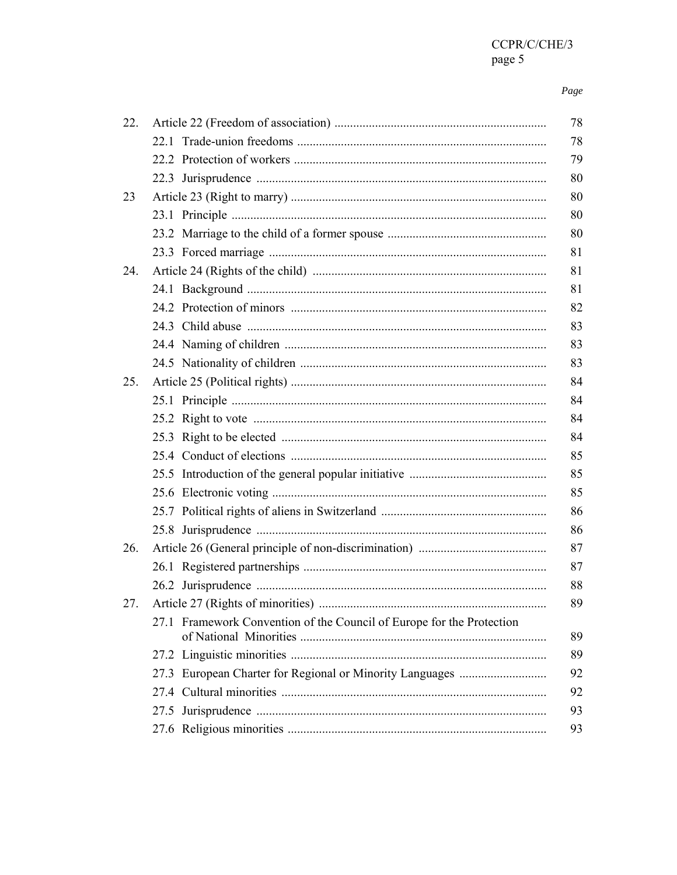#### Page

| 22. |                                                                       | 78 |
|-----|-----------------------------------------------------------------------|----|
|     |                                                                       | 78 |
|     |                                                                       | 79 |
|     |                                                                       | 80 |
| 23  |                                                                       | 80 |
|     |                                                                       | 80 |
|     |                                                                       | 80 |
|     |                                                                       | 81 |
| 24. |                                                                       | 81 |
|     |                                                                       | 81 |
|     |                                                                       | 82 |
|     |                                                                       | 83 |
|     |                                                                       | 83 |
|     |                                                                       | 83 |
| 25. |                                                                       | 84 |
|     |                                                                       | 84 |
|     |                                                                       | 84 |
|     |                                                                       | 84 |
|     |                                                                       | 85 |
|     |                                                                       | 85 |
|     |                                                                       | 85 |
|     |                                                                       | 86 |
|     |                                                                       | 86 |
| 26. |                                                                       | 87 |
|     |                                                                       | 87 |
|     |                                                                       | 88 |
| 27. | Article 27 (Rights of minorities).                                    | 89 |
|     | 27.1 Framework Convention of the Council of Europe for the Protection | 89 |
|     |                                                                       | 89 |
|     |                                                                       | 92 |
|     |                                                                       | 92 |
|     |                                                                       | 93 |
|     |                                                                       | 93 |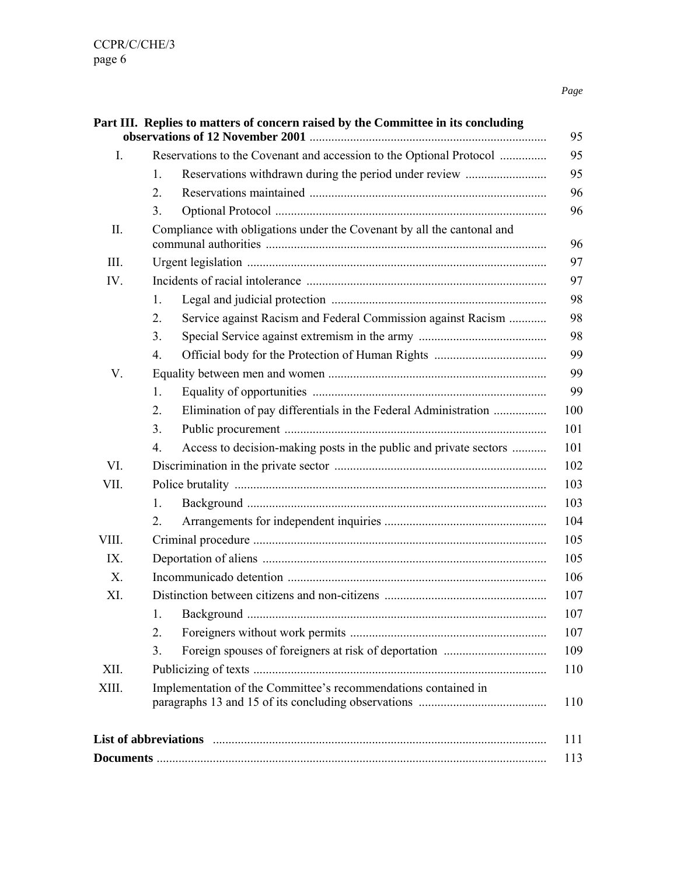| $I_{\cdot}$ | Reservations to the Covenant and accession to the Optional Protocol    |                                                                   |  |
|-------------|------------------------------------------------------------------------|-------------------------------------------------------------------|--|
|             | $1_{-}$                                                                | Reservations withdrawn during the period under review             |  |
|             | 2.                                                                     |                                                                   |  |
|             | 3.                                                                     |                                                                   |  |
| П.          | Compliance with obligations under the Covenant by all the cantonal and |                                                                   |  |
| Ш.          |                                                                        |                                                                   |  |
| IV.         |                                                                        |                                                                   |  |
|             | 1.                                                                     |                                                                   |  |
|             | 2.                                                                     | Service against Racism and Federal Commission against Racism      |  |
|             | 3 <sub>1</sub>                                                         |                                                                   |  |
|             | $\overline{4}$ .                                                       |                                                                   |  |
| V.          |                                                                        |                                                                   |  |
|             | 1.                                                                     |                                                                   |  |
|             | 2.                                                                     | Elimination of pay differentials in the Federal Administration    |  |
|             | 3 <sub>1</sub>                                                         |                                                                   |  |
|             | 4.                                                                     | Access to decision-making posts in the public and private sectors |  |
| VI.         |                                                                        |                                                                   |  |
| VII.        |                                                                        |                                                                   |  |
|             | $\mathbf{1}$                                                           |                                                                   |  |
|             | 2.                                                                     |                                                                   |  |
| VIII.       |                                                                        |                                                                   |  |
| IX.         |                                                                        |                                                                   |  |
| $X_{\cdot}$ |                                                                        |                                                                   |  |
| XI.         |                                                                        |                                                                   |  |
|             | 1.                                                                     |                                                                   |  |
|             | 2.                                                                     |                                                                   |  |
|             | 3.                                                                     |                                                                   |  |
| XII.        |                                                                        |                                                                   |  |
| XIII.       | Implementation of the Committee's recommendations contained in         |                                                                   |  |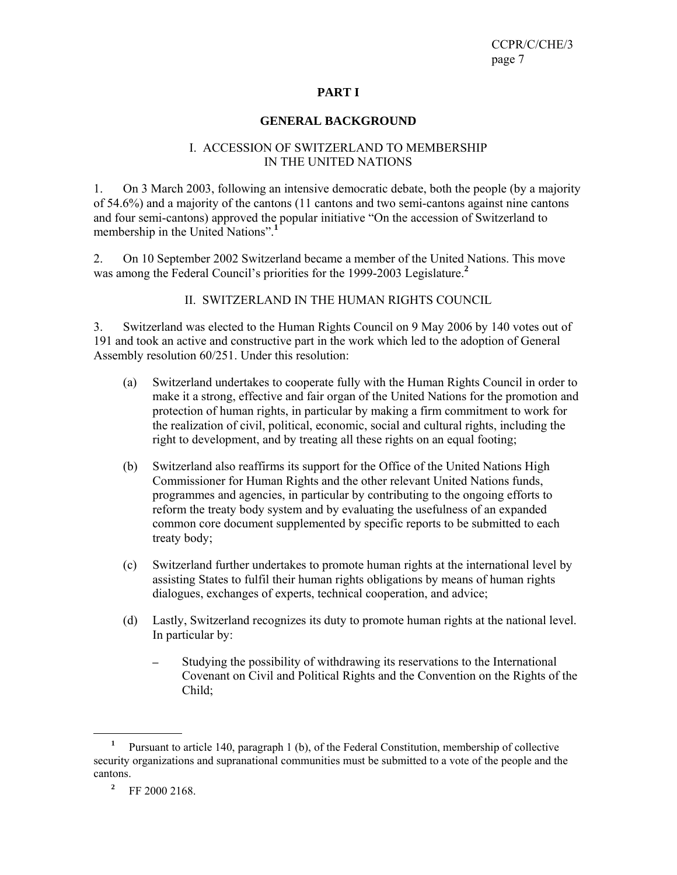### **PART I**

#### **GENERAL BACKGROUND**

#### I. ACCESSION OF SWITZERLAND TO MEMBERSHIP IN THE UNITED NATIONS

1. On 3 March 2003, following an intensive democratic debate, both the people (by a majority of 54.6%) and a majority of the cantons (11 cantons and two semi-cantons against nine cantons and four semi-cantons) approved the popular initiative "On the accession of Switzerland to membership in the United Nations".<sup>1</sup>

2. On 10 September 2002 Switzerland became a member of the United Nations. This move was among the Federal Council's priorities for the 1999-2003 Legislature.**<sup>2</sup>**

II. SWITZERLAND IN THE HUMAN RIGHTS COUNCIL

3. Switzerland was elected to the Human Rights Council on 9 May 2006 by 140 votes out of 191 and took an active and constructive part in the work which led to the adoption of General Assembly resolution 60/251. Under this resolution:

- (a) Switzerland undertakes to cooperate fully with the Human Rights Council in order to make it a strong, effective and fair organ of the United Nations for the promotion and protection of human rights, in particular by making a firm commitment to work for the realization of civil, political, economic, social and cultural rights, including the right to development, and by treating all these rights on an equal footing;
- (b) Switzerland also reaffirms its support for the Office of the United Nations High Commissioner for Human Rights and the other relevant United Nations funds, programmes and agencies, in particular by contributing to the ongoing efforts to reform the treaty body system and by evaluating the usefulness of an expanded common core document supplemented by specific reports to be submitted to each treaty body;
- (c) Switzerland further undertakes to promote human rights at the international level by assisting States to fulfil their human rights obligations by means of human rights dialogues, exchanges of experts, technical cooperation, and advice;
- (d) Lastly, Switzerland recognizes its duty to promote human rights at the national level. In particular by:
	- Studying the possibility of withdrawing its reservations to the International Covenant on Civil and Political Rights and the Convention on the Rights of the Child;

**<sup>1</sup>** Pursuant to article 140, paragraph 1 (b), of the Federal Constitution, membership of collective security organizations and supranational communities must be submitted to a vote of the people and the cantons.

**<sup>2</sup>** FF 2000 2168.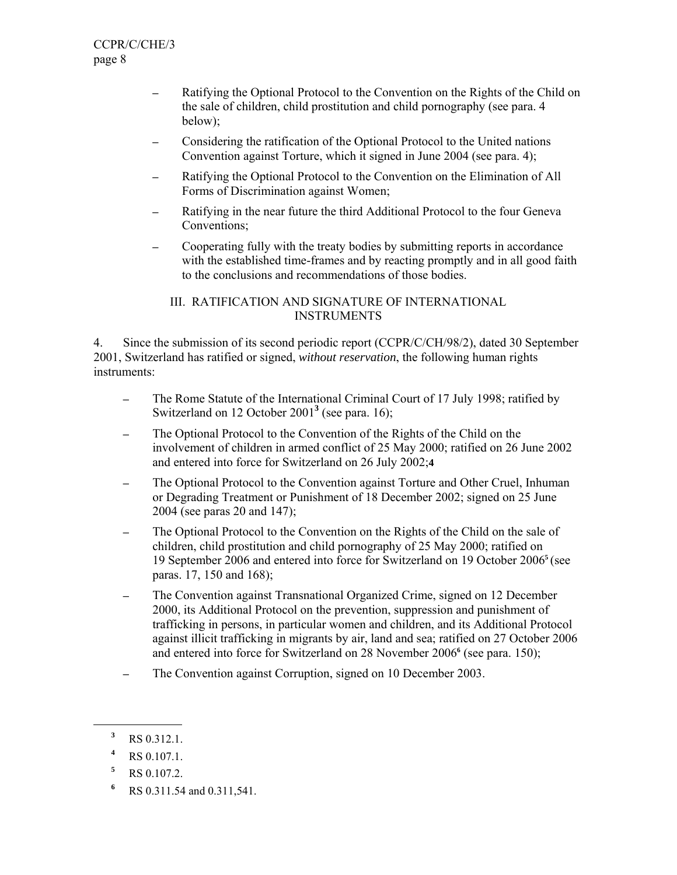- Ratifying the Optional Protocol to the Convention on the Rights of the Child on the sale of children, child prostitution and child pornography (see para. 4 below);
- Considering the ratification of the Optional Protocol to the United nations Convention against Torture, which it signed in June 2004 (see para. 4);
- Ratifying the Optional Protocol to the Convention on the Elimination of All Forms of Discrimination against Women;
- ─ Ratifying in the near future the third Additional Protocol to the four Geneva Conventions;
- ─ Cooperating fully with the treaty bodies by submitting reports in accordance with the established time-frames and by reacting promptly and in all good faith to the conclusions and recommendations of those bodies.

## III. RATIFICATION AND SIGNATURE OF INTERNATIONAL INSTRUMENTS

4. Since the submission of its second periodic report (CCPR/C/CH/98/2), dated 30 September 2001, Switzerland has ratified or signed, *without reservation*, the following human rights instruments:

- The Rome Statute of the International Criminal Court of 17 July 1998; ratified by Switzerland on 12 October 2001<sup>3</sup> (see para. 16);
- ─ The Optional Protocol to the Convention of the Rights of the Child on the involvement of children in armed conflict of 25 May 2000; ratified on 26 June 2002 and entered into force for Switzerland on 26 July 2002;**4**
- The Optional Protocol to the Convention against Torture and Other Cruel, Inhuman or Degrading Treatment or Punishment of 18 December 2002; signed on 25 June 2004 (see paras 20 and 147);
- The Optional Protocol to the Convention on the Rights of the Child on the sale of children, child prostitution and child pornography of 25 May 2000; ratified on 19 September 2006 and entered into force for Switzerland on 19 October 2006**<sup>5</sup>** (see paras. 17, 150 and 168);
- The Convention against Transnational Organized Crime, signed on 12 December 2000, its Additional Protocol on the prevention, suppression and punishment of trafficking in persons, in particular women and children, and its Additional Protocol against illicit trafficking in migrants by air, land and sea; ratified on 27 October 2006 and entered into force for Switzerland on 28 November 2006**<sup>6</sup>** (see para. 150);
- ─ The Convention against Corruption, signed on 10 December 2003.

**<sup>3</sup>** RS 0.312.1.

**<sup>4</sup>** RS 0.107.1.

**<sup>5</sup>** RS 0.107.2.

**<sup>6</sup>** RS 0.311.54 and 0.311,541.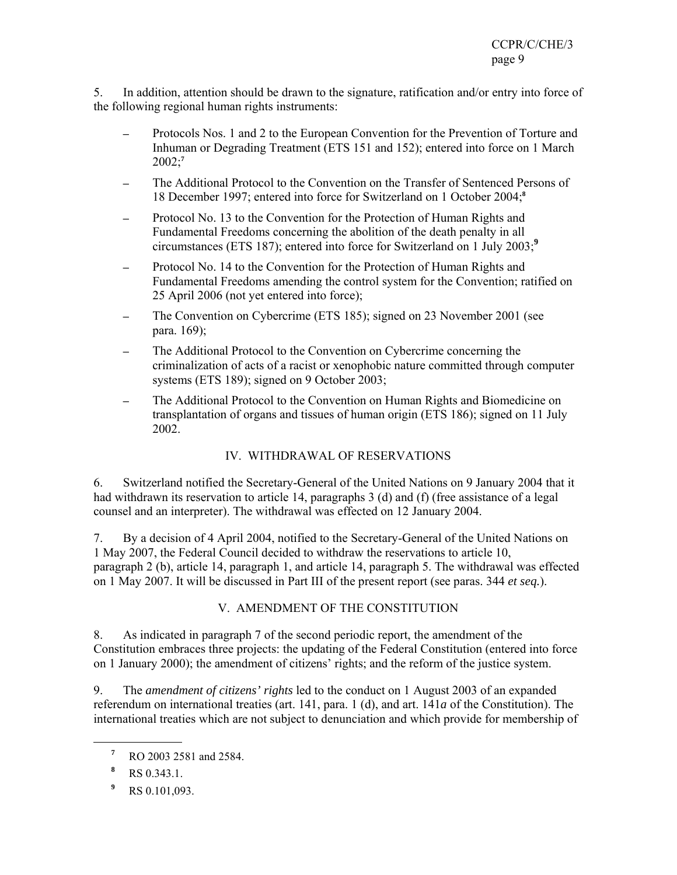5. In addition, attention should be drawn to the signature, ratification and/or entry into force of the following regional human rights instruments:

- Protocols Nos. 1 and 2 to the European Convention for the Prevention of Torture and Inhuman or Degrading Treatment (ETS 151 and 152); entered into force on 1 March 2002;**<sup>7</sup>**
- The Additional Protocol to the Convention on the Transfer of Sentenced Persons of 18 December 1997; entered into force for Switzerland on 1 October 2004;**<sup>8</sup>**
- Protocol No. 13 to the Convention for the Protection of Human Rights and Fundamental Freedoms concerning the abolition of the death penalty in all circumstances (ETS 187); entered into force for Switzerland on 1 July 2003;**<sup>9</sup>**
- Protocol No. 14 to the Convention for the Protection of Human Rights and Fundamental Freedoms amending the control system for the Convention; ratified on 25 April 2006 (not yet entered into force);
- The Convention on Cybercrime (ETS 185); signed on 23 November 2001 (see para. 169);
- The Additional Protocol to the Convention on Cybercrime concerning the criminalization of acts of a racist or xenophobic nature committed through computer systems (ETS 189); signed on 9 October 2003;
- The Additional Protocol to the Convention on Human Rights and Biomedicine on transplantation of organs and tissues of human origin (ETS 186); signed on 11 July 2002.

## IV. WITHDRAWAL OF RESERVATIONS

6. Switzerland notified the Secretary-General of the United Nations on 9 January 2004 that it had withdrawn its reservation to article 14, paragraphs 3 (d) and (f) (free assistance of a legal counsel and an interpreter). The withdrawal was effected on 12 January 2004.

7. By a decision of 4 April 2004, notified to the Secretary-General of the United Nations on 1 May 2007, the Federal Council decided to withdraw the reservations to article 10, paragraph 2 (b), article 14, paragraph 1, and article 14, paragraph 5. The withdrawal was effected on 1 May 2007. It will be discussed in Part III of the present report (see paras. 344 *et seq.*).

## V. AMENDMENT OF THE CONSTITUTION

8. As indicated in paragraph 7 of the second periodic report, the amendment of the Constitution embraces three projects: the updating of the Federal Constitution (entered into force on 1 January 2000); the amendment of citizens' rights; and the reform of the justice system.

9. The *amendment of citizens' rights* led to the conduct on 1 August 2003 of an expanded referendum on international treaties (art. 141, para. 1 (d), and art. 141*a* of the Constitution). The international treaties which are not subject to denunciation and which provide for membership of

**<sup>7</sup>** RO 2003 2581 and 2584.

**<sup>8</sup>** RS 0.343.1.

**<sup>9</sup>** RS 0.101,093.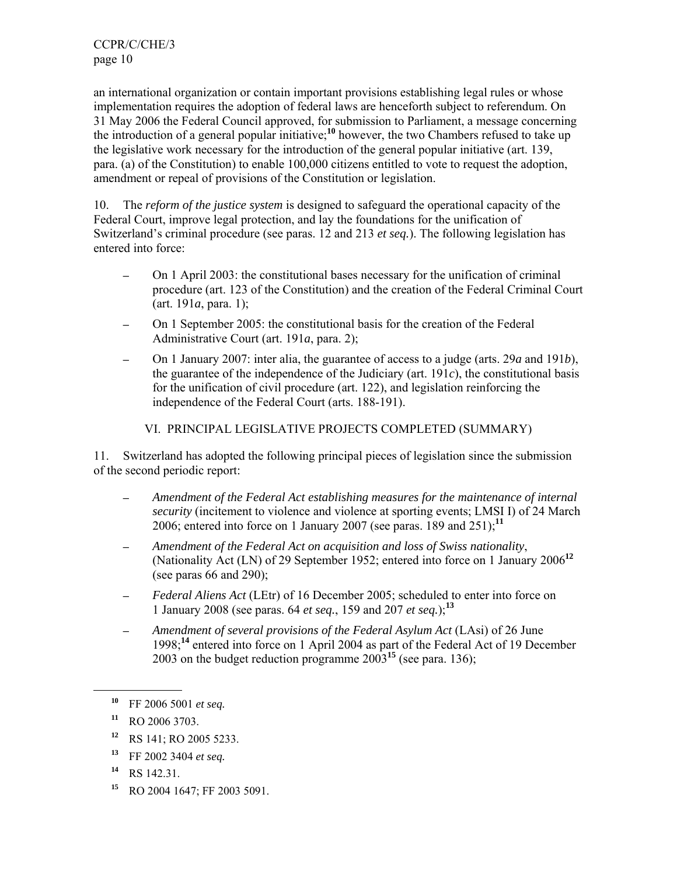an international organization or contain important provisions establishing legal rules or whose implementation requires the adoption of federal laws are henceforth subject to referendum. On 31 May 2006 the Federal Council approved, for submission to Parliament, a message concerning the introduction of a general popular initiative;**<sup>10</sup>** however, the two Chambers refused to take up the legislative work necessary for the introduction of the general popular initiative (art. 139, para. (a) of the Constitution) to enable 100,000 citizens entitled to vote to request the adoption, amendment or repeal of provisions of the Constitution or legislation.

10. The *reform of the justice system* is designed to safeguard the operational capacity of the Federal Court, improve legal protection, and lay the foundations for the unification of Switzerland's criminal procedure (see paras. 12 and 213 *et seq.*). The following legislation has entered into force:

- ─ On 1 April 2003: the constitutional bases necessary for the unification of criminal procedure (art. 123 of the Constitution) and the creation of the Federal Criminal Court (art. 191*a*, para. 1);
- On 1 September 2005: the constitutional basis for the creation of the Federal Administrative Court (art. 191*a*, para. 2);
- ─ On 1 January 2007: inter alia, the guarantee of access to a judge (arts. 29*a* and 191*b*), the guarantee of the independence of the Judiciary (art.  $191c$ ), the constitutional basis for the unification of civil procedure (art. 122), and legislation reinforcing the independence of the Federal Court (arts. 188-191).

## VI. PRINCIPAL LEGISLATIVE PROJECTS COMPLETED (SUMMARY)

11. Switzerland has adopted the following principal pieces of legislation since the submission of the second periodic report:

- ─ *Amendment of the Federal Act establishing measures for the maintenance of internal security* (incitement to violence and violence at sporting events; LMSI I) of 24 March 2006; entered into force on 1 January 2007 (see paras. 189 and 251);**<sup>11</sup>**
- ─ *Amendment of the Federal Act on acquisition and loss of Swiss nationality*, (Nationality Act (LN) of 29 September 1952; entered into force on 1 January 2006**<sup>12</sup>** (see paras 66 and 290);
- Federal Aliens Act (LEtr) of 16 December 2005; scheduled to enter into force on 1 January 2008 (see paras. 64 *et seq.*, 159 and 207 *et seq.*);**<sup>13</sup>**
- ─ *Amendment of several provisions of the Federal Asylum Act* (LAsi) of 26 June 1998;**<sup>14</sup>** entered into force on 1 April 2004 as part of the Federal Act of 19 December 2003 on the budget reduction programme 2003**<sup>15</sup>** (see para. 136);

- **<sup>12</sup>** RS 141; RO 2005 5233.
- **<sup>13</sup>** FF 2002 3404 *et seq.*
- **<sup>14</sup>** RS 142.31.
- **<sup>15</sup>** RO 2004 1647; FF 2003 5091.

**<sup>10</sup>** FF 2006 5001 *et seq.* 

**<sup>11</sup>** RO 2006 3703.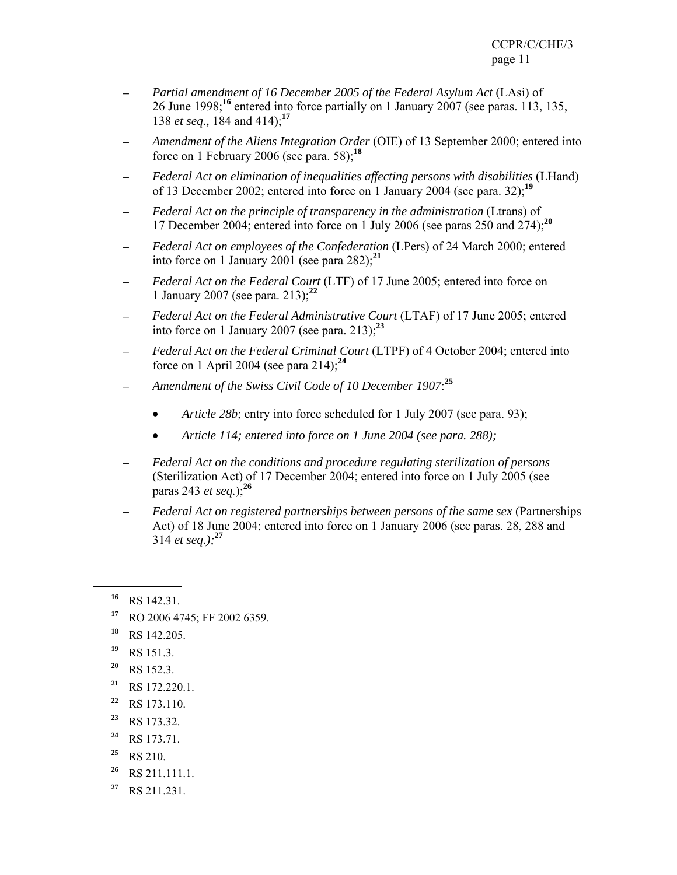- ─ *Partial amendment of 16 December 2005 of the Federal Asylum Act* (LAsi) of 26 June 1998;**<sup>16</sup>** entered into force partially on 1 January 2007 (see paras. 113, 135, 138 *et seq.,* 184 and 414);**<sup>17</sup>**
- Amendment of the Aliens Integration Order (OIE) of 13 September 2000; entered into force on 1 February 2006 (see para. 58);**<sup>18</sup>**
- ─ *Federal Act on elimination of inequalities affecting persons with disabilities* (LHand) of 13 December 2002; entered into force on 1 January 2004 (see para. 32);**<sup>19</sup>**
- ─ *Federal Act on the principle of transparency in the administration* (Ltrans) of 17 December 2004; entered into force on 1 July 2006 (see paras 250 and 274);**<sup>20</sup>**
- ─ *Federal Act on employees of the Confederation* (LPers) of 24 March 2000; entered into force on 1 January 2001 (see para  $282$ );<sup>21</sup>
- ─ *Federal Act on the Federal Court* (LTF) of 17 June 2005; entered into force on 1 January 2007 (see para. 213);**<sup>22</sup>**
- ─ *Federal Act on the Federal Administrative Court* (LTAF) of 17 June 2005; entered into force on 1 January 2007 (see para. 213); $^{23}$
- ─ *Federal Act on the Federal Criminal Court* (LTPF) of 4 October 2004; entered into force on 1 April 2004 (see para 214);**<sup>24</sup>**
- ─ *Amendment of the Swiss Civil Code of 10 December 1907*: **25**
	- *Article 28b*; entry into force scheduled for 1 July 2007 (see para. 93);
	- *Article 114; entered into force on 1 June 2004 (see para. 288);*
- ─ *Federal Act on the conditions and procedure regulating sterilization of persons* (Sterilization Act) of 17 December 2004; entered into force on 1 July 2005 (see paras 243 *et seq.*);**<sup>26</sup>**
- ─ *Federal Act on registered partnerships between persons of the same sex* (Partnerships Act) of 18 June 2004; entered into force on 1 January 2006 (see paras. 28, 288 and 314 *et seq.);***<sup>27</sup>**

- **<sup>17</sup>** RO 2006 4745; FF 2002 6359.
- **<sup>18</sup>** RS 142.205.
- **<sup>19</sup>** RS 151.3.
- **<sup>20</sup>** RS 152.3.
- **<sup>21</sup>** RS 172.220.1.
- **<sup>22</sup>** RS 173.110.
- **<sup>23</sup>** RS 173.32.
- **<sup>24</sup>** RS 173.71.
- **<sup>25</sup>** RS 210.
- **<sup>26</sup>** RS 211.111.1.
- **<sup>27</sup>** RS 211.231.

**<sup>16</sup>** RS 142.31.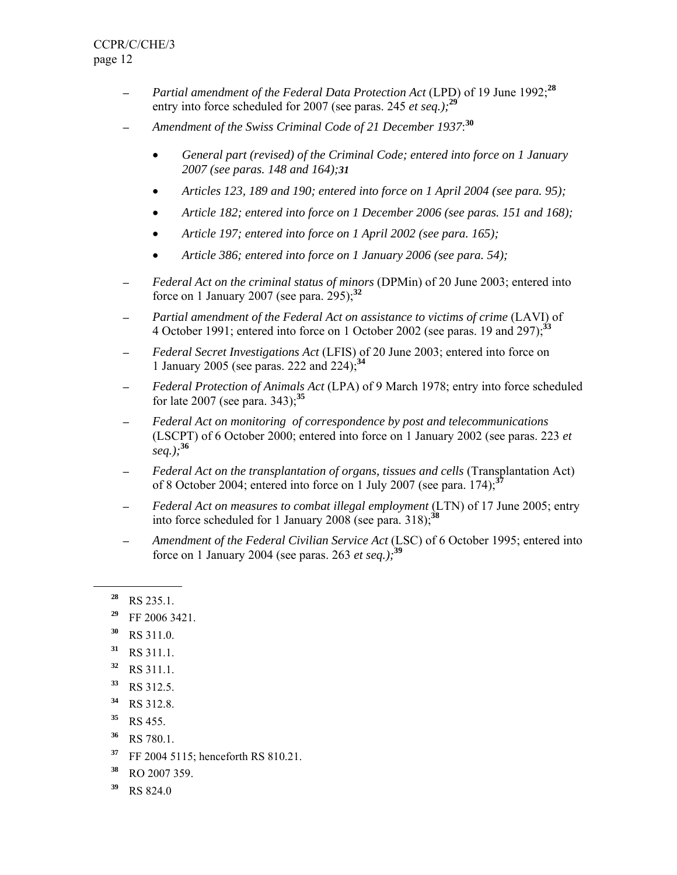- ─ *Partial amendment of the Federal Data Protection Act* (LPD) of 19 June 1992;**<sup>28</sup>** entry into force scheduled for 2007 (see paras. 245 *et seq.);***<sup>29</sup>**
- ─ *Amendment of the Swiss Criminal Code of 21 December 1937*: **30**
	- *General part (revised) of the Criminal Code; entered into force on 1 January 2007 (see paras. 148 and 164);31*
	- *Articles 123, 189 and 190; entered into force on 1 April 2004 (see para. 95);*
	- *Article 182; entered into force on 1 December 2006 (see paras. 151 and 168);*
	- *Article 197; entered into force on 1 April 2002 (see para. 165);*
	- *Article 386; entered into force on 1 January 2006 (see para. 54);*
- ─ *Federal Act on the criminal status of minors* (DPMin) of 20 June 2003; entered into force on 1 January 2007 (see para. 295);**<sup>32</sup>**
- ─ *Partial amendment of the Federal Act on assistance to victims of crime* (LAVI) of 4 October 1991; entered into force on 1 October 2002 (see paras. 19 and 297);**<sup>33</sup>**
- ─ *Federal Secret Investigations Act* (LFIS) of 20 June 2003; entered into force on 1 January 2005 (see paras. 222 and 224);**<sup>34</sup>**
- ─ *Federal Protection of Animals Act* (LPA) of 9 March 1978; entry into force scheduled for late 2007 (see para. 343);**<sup>35</sup>**
- ─ *Federal Act on monitoring of correspondence by post and telecommunications* (LSCPT) of 6 October 2000; entered into force on 1 January 2002 (see paras. 223 *et seq.);***<sup>36</sup>**
- ─ *Federal Act on the transplantation of organs, tissues and cells* (Transplantation Act) of 8 October 2004; entered into force on 1 July 2007 (see para. 174);**<sup>37</sup>**
- ─ *Federal Act on measures to combat illegal employment* (LTN) of 17 June 2005; entry into force scheduled for 1 January 2008 (see para. 318);**<sup>38</sup>**
- Amendment of the Federal Civilian Service Act (LSC) of 6 October 1995; entered into force on 1 January 2004 (see paras. 263 *et seq.);***<sup>39</sup>**

- **<sup>29</sup>** FF 2006 3421.
- **<sup>30</sup>** RS 311.0.
- **<sup>31</sup>** RS 311.1.
- **<sup>32</sup>** RS 311.1.
- **<sup>33</sup>** RS 312.5.
- **<sup>34</sup>** RS 312.8.
- **<sup>35</sup>** RS 455.
- **<sup>36</sup>** RS 780.1.
- **<sup>37</sup>** FF 2004 5115; henceforth RS 810.21.
- **<sup>38</sup>** RO 2007 359.
- **<sup>39</sup>** RS 824.0

**<sup>28</sup>** RS 235.1.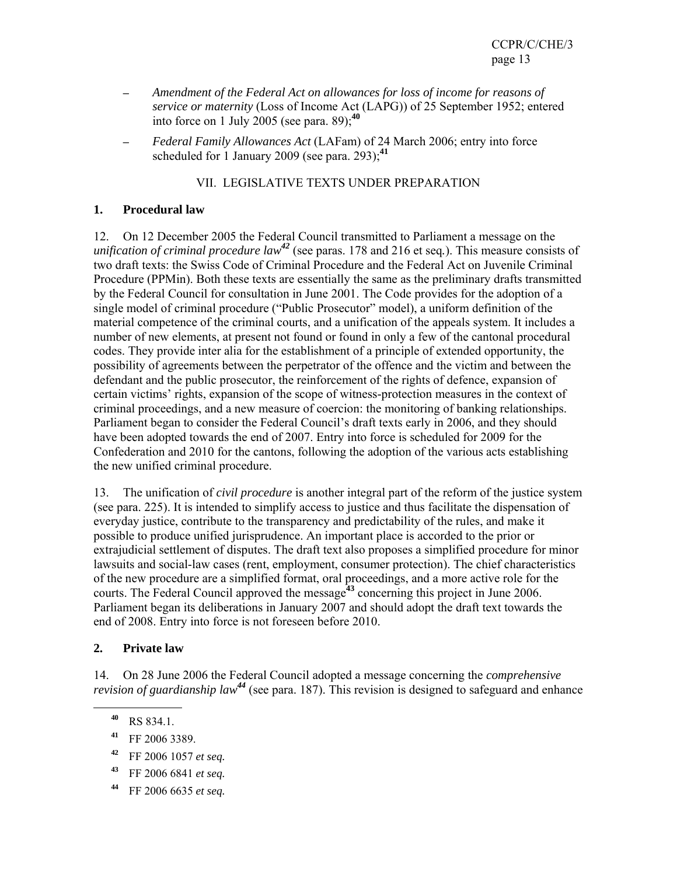- ─ *Amendment of the Federal Act on allowances for loss of income for reasons of service or maternity* (Loss of Income Act (LAPG)) of 25 September 1952; entered into force on 1 July 2005 (see para. 89);**<sup>40</sup>**
- ─ *Federal Family Allowances Act* (LAFam) of 24 March 2006; entry into force scheduled for 1 January 2009 (see para. 293);<sup>41</sup>

# VII. LEGISLATIVE TEXTS UNDER PREPARATION

## **1. Procedural law**

12. On 12 December 2005 the Federal Council transmitted to Parliament a message on the *unification of criminal procedure law<sup>42</sup>* (see paras. 178 and 216 et seq*.*). This measure consists of two draft texts: the Swiss Code of Criminal Procedure and the Federal Act on Juvenile Criminal Procedure (PPMin). Both these texts are essentially the same as the preliminary drafts transmitted by the Federal Council for consultation in June 2001. The Code provides for the adoption of a single model of criminal procedure ("Public Prosecutor" model), a uniform definition of the material competence of the criminal courts, and a unification of the appeals system. It includes a number of new elements, at present not found or found in only a few of the cantonal procedural codes. They provide inter alia for the establishment of a principle of extended opportunity, the possibility of agreements between the perpetrator of the offence and the victim and between the defendant and the public prosecutor, the reinforcement of the rights of defence, expansion of certain victims' rights, expansion of the scope of witness-protection measures in the context of criminal proceedings, and a new measure of coercion: the monitoring of banking relationships. Parliament began to consider the Federal Council's draft texts early in 2006, and they should have been adopted towards the end of 2007. Entry into force is scheduled for 2009 for the Confederation and 2010 for the cantons, following the adoption of the various acts establishing the new unified criminal procedure.

13. The unification of *civil procedure* is another integral part of the reform of the justice system (see para. 225). It is intended to simplify access to justice and thus facilitate the dispensation of everyday justice, contribute to the transparency and predictability of the rules, and make it possible to produce unified jurisprudence. An important place is accorded to the prior or extrajudicial settlement of disputes. The draft text also proposes a simplified procedure for minor lawsuits and social-law cases (rent, employment, consumer protection). The chief characteristics of the new procedure are a simplified format, oral proceedings, and a more active role for the courts. The Federal Council approved the message**<sup>43</sup>** concerning this project in June 2006. Parliament began its deliberations in January 2007 and should adopt the draft text towards the end of 2008. Entry into force is not foreseen before 2010.

## **2. Private law**

14. On 28 June 2006 the Federal Council adopted a message concerning the *comprehensive revision of guardianship law<sup>44</sup>* (see para. 187). This revision is designed to safeguard and enhance

- **<sup>43</sup>** FF 2006 6841 *et seq.*
- **<sup>44</sup>** FF 2006 6635 *et seq.*

**<sup>40</sup>** RS 834.1.

**<sup>41</sup>** FF 2006 3389.

**<sup>42</sup>** FF 2006 1057 *et seq.*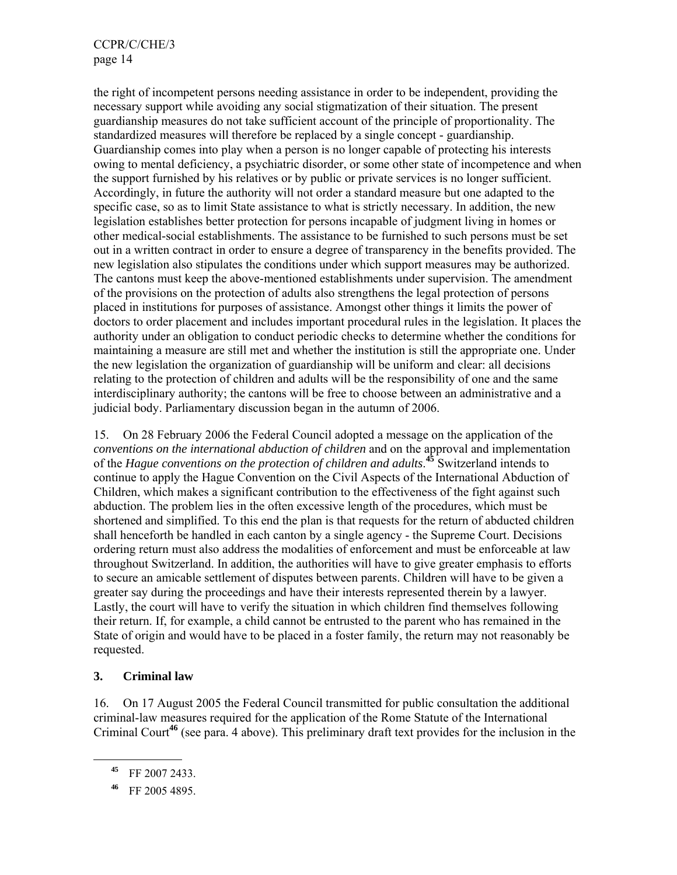CCPR/C/CHE/3 page 14

the right of incompetent persons needing assistance in order to be independent, providing the necessary support while avoiding any social stigmatization of their situation. The present guardianship measures do not take sufficient account of the principle of proportionality. The standardized measures will therefore be replaced by a single concept - guardianship. Guardianship comes into play when a person is no longer capable of protecting his interests owing to mental deficiency, a psychiatric disorder, or some other state of incompetence and when the support furnished by his relatives or by public or private services is no longer sufficient. Accordingly, in future the authority will not order a standard measure but one adapted to the specific case, so as to limit State assistance to what is strictly necessary. In addition, the new legislation establishes better protection for persons incapable of judgment living in homes or other medical-social establishments. The assistance to be furnished to such persons must be set out in a written contract in order to ensure a degree of transparency in the benefits provided. The new legislation also stipulates the conditions under which support measures may be authorized. The cantons must keep the above-mentioned establishments under supervision. The amendment of the provisions on the protection of adults also strengthens the legal protection of persons placed in institutions for purposes of assistance. Amongst other things it limits the power of doctors to order placement and includes important procedural rules in the legislation. It places the authority under an obligation to conduct periodic checks to determine whether the conditions for maintaining a measure are still met and whether the institution is still the appropriate one. Under the new legislation the organization of guardianship will be uniform and clear: all decisions relating to the protection of children and adults will be the responsibility of one and the same interdisciplinary authority; the cantons will be free to choose between an administrative and a judicial body. Parliamentary discussion began in the autumn of 2006.

15. On 28 February 2006 the Federal Council adopted a message on the application of the *conventions on the international abduction of children* and on the approval and implementation of the *Hague conventions on the protection of children and adults*. **<sup>45</sup>** Switzerland intends to continue to apply the Hague Convention on the Civil Aspects of the International Abduction of Children, which makes a significant contribution to the effectiveness of the fight against such abduction. The problem lies in the often excessive length of the procedures, which must be shortened and simplified. To this end the plan is that requests for the return of abducted children shall henceforth be handled in each canton by a single agency - the Supreme Court. Decisions ordering return must also address the modalities of enforcement and must be enforceable at law throughout Switzerland. In addition, the authorities will have to give greater emphasis to efforts to secure an amicable settlement of disputes between parents. Children will have to be given a greater say during the proceedings and have their interests represented therein by a lawyer. Lastly, the court will have to verify the situation in which children find themselves following their return. If, for example, a child cannot be entrusted to the parent who has remained in the State of origin and would have to be placed in a foster family, the return may not reasonably be requested.

#### **3. Criminal law**

16. On 17 August 2005 the Federal Council transmitted for public consultation the additional criminal-law measures required for the application of the Rome Statute of the International Criminal Court**<sup>46</sup>** (see para. 4 above). This preliminary draft text provides for the inclusion in the

**<sup>45</sup>** FF 2007 2433.

**<sup>46</sup>** FF 2005 4895.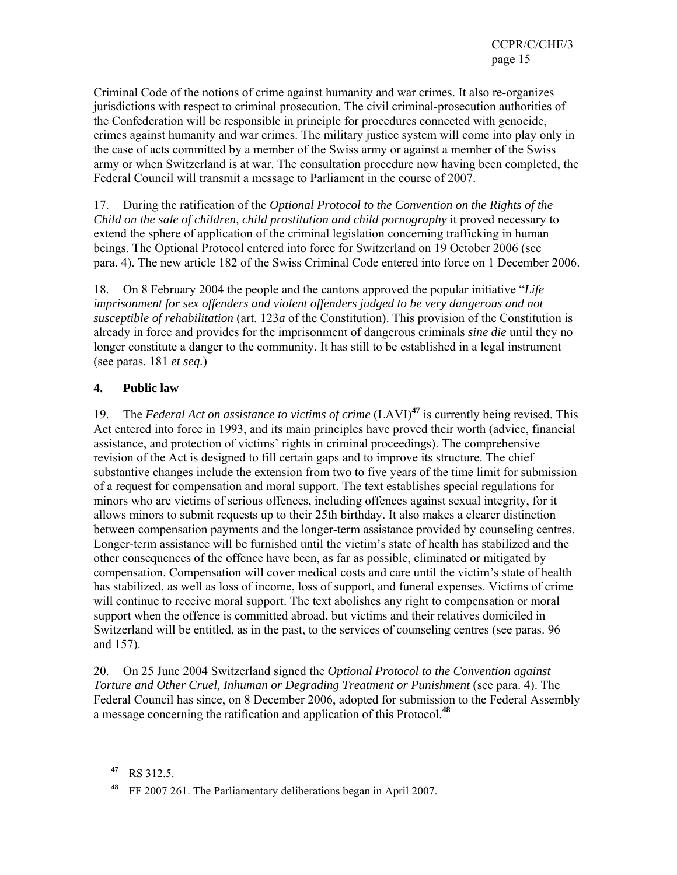Criminal Code of the notions of crime against humanity and war crimes. It also re-organizes jurisdictions with respect to criminal prosecution. The civil criminal-prosecution authorities of the Confederation will be responsible in principle for procedures connected with genocide, crimes against humanity and war crimes. The military justice system will come into play only in the case of acts committed by a member of the Swiss army or against a member of the Swiss army or when Switzerland is at war. The consultation procedure now having been completed, the Federal Council will transmit a message to Parliament in the course of 2007.

17. During the ratification of the *Optional Protocol to the Convention on the Rights of the Child on the sale of children, child prostitution and child pornography* it proved necessary to extend the sphere of application of the criminal legislation concerning trafficking in human beings. The Optional Protocol entered into force for Switzerland on 19 October 2006 (see para. 4). The new article 182 of the Swiss Criminal Code entered into force on 1 December 2006.

18. On 8 February 2004 the people and the cantons approved the popular initiative "*Life imprisonment for sex offenders and violent offenders judged to be very dangerous and not susceptible of rehabilitation* (art. 123*a* of the Constitution). This provision of the Constitution is already in force and provides for the imprisonment of dangerous criminals *sine die* until they no longer constitute a danger to the community. It has still to be established in a legal instrument (see paras. 181 *et seq.*)

## **4. Public law**

19. The *Federal Act on assistance to victims of crime* (LAVI)**<sup>47</sup>** is currently being revised. This Act entered into force in 1993, and its main principles have proved their worth (advice, financial assistance, and protection of victims' rights in criminal proceedings). The comprehensive revision of the Act is designed to fill certain gaps and to improve its structure. The chief substantive changes include the extension from two to five years of the time limit for submission of a request for compensation and moral support. The text establishes special regulations for minors who are victims of serious offences, including offences against sexual integrity, for it allows minors to submit requests up to their 25th birthday. It also makes a clearer distinction between compensation payments and the longer-term assistance provided by counseling centres. Longer-term assistance will be furnished until the victim's state of health has stabilized and the other consequences of the offence have been, as far as possible, eliminated or mitigated by compensation. Compensation will cover medical costs and care until the victim's state of health has stabilized, as well as loss of income, loss of support, and funeral expenses. Victims of crime will continue to receive moral support. The text abolishes any right to compensation or moral support when the offence is committed abroad, but victims and their relatives domiciled in Switzerland will be entitled, as in the past, to the services of counseling centres (see paras. 96 and 157).

20. On 25 June 2004 Switzerland signed the *Optional Protocol to the Convention against Torture and Other Cruel, Inhuman or Degrading Treatment or Punishment* (see para. 4). The Federal Council has since, on 8 December 2006, adopted for submission to the Federal Assembly a message concerning the ratification and application of this Protocol.**<sup>48</sup>**

**<sup>47</sup>** RS 312.5.

**<sup>48</sup>** FF 2007 261. The Parliamentary deliberations began in April 2007.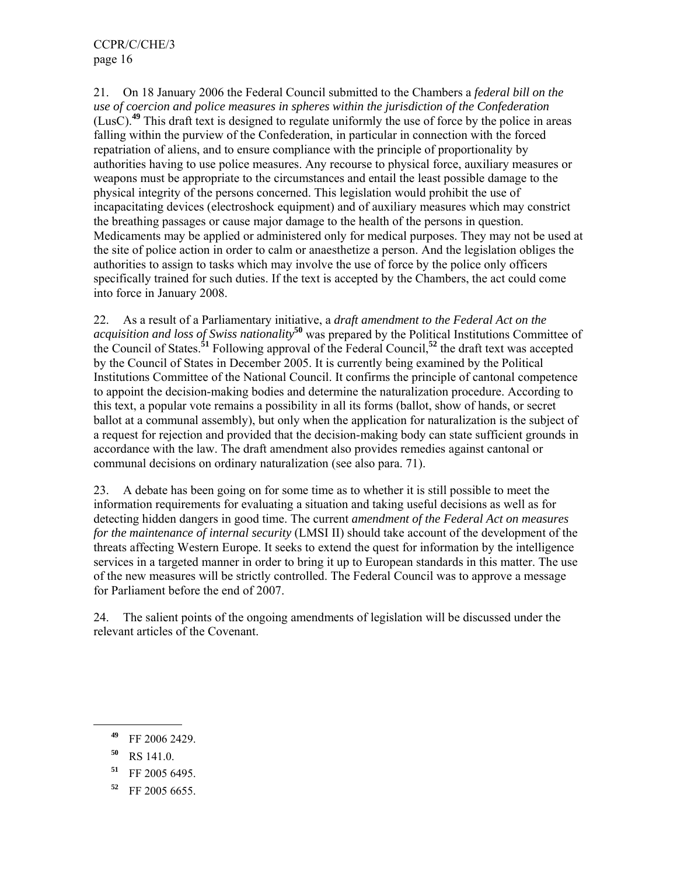21. On 18 January 2006 the Federal Council submitted to the Chambers a *federal bill on the use of coercion and police measures in spheres within the jurisdiction of the Confederation* (LusC).**<sup>49</sup>** This draft text is designed to regulate uniformly the use of force by the police in areas falling within the purview of the Confederation, in particular in connection with the forced repatriation of aliens, and to ensure compliance with the principle of proportionality by authorities having to use police measures. Any recourse to physical force, auxiliary measures or weapons must be appropriate to the circumstances and entail the least possible damage to the physical integrity of the persons concerned. This legislation would prohibit the use of incapacitating devices (electroshock equipment) and of auxiliary measures which may constrict the breathing passages or cause major damage to the health of the persons in question. Medicaments may be applied or administered only for medical purposes. They may not be used at the site of police action in order to calm or anaesthetize a person. And the legislation obliges the authorities to assign to tasks which may involve the use of force by the police only officers specifically trained for such duties. If the text is accepted by the Chambers, the act could come into force in January 2008.

22. As a result of a Parliamentary initiative, a *draft amendment to the Federal Act on the acquisition and loss of Swiss nationality***<sup>50</sup>** was prepared by the Political Institutions Committee of the Council of States.**<sup>51</sup>** Following approval of the Federal Council,**<sup>52</sup>** the draft text was accepted by the Council of States in December 2005. It is currently being examined by the Political Institutions Committee of the National Council. It confirms the principle of cantonal competence to appoint the decision-making bodies and determine the naturalization procedure. According to this text, a popular vote remains a possibility in all its forms (ballot, show of hands, or secret ballot at a communal assembly), but only when the application for naturalization is the subject of a request for rejection and provided that the decision-making body can state sufficient grounds in accordance with the law. The draft amendment also provides remedies against cantonal or communal decisions on ordinary naturalization (see also para. 71).

23. A debate has been going on for some time as to whether it is still possible to meet the information requirements for evaluating a situation and taking useful decisions as well as for detecting hidden dangers in good time. The current *amendment of the Federal Act on measures for the maintenance of internal security* (LMSI II) should take account of the development of the threats affecting Western Europe. It seeks to extend the quest for information by the intelligence services in a targeted manner in order to bring it up to European standards in this matter. The use of the new measures will be strictly controlled. The Federal Council was to approve a message for Parliament before the end of 2007.

24. The salient points of the ongoing amendments of legislation will be discussed under the relevant articles of the Covenant.

**<sup>49</sup>** FF 2006 2429.

**<sup>50</sup>** RS 141.0.

**<sup>51</sup>** FF 2005 6495.

**<sup>52</sup>** FF 2005 6655.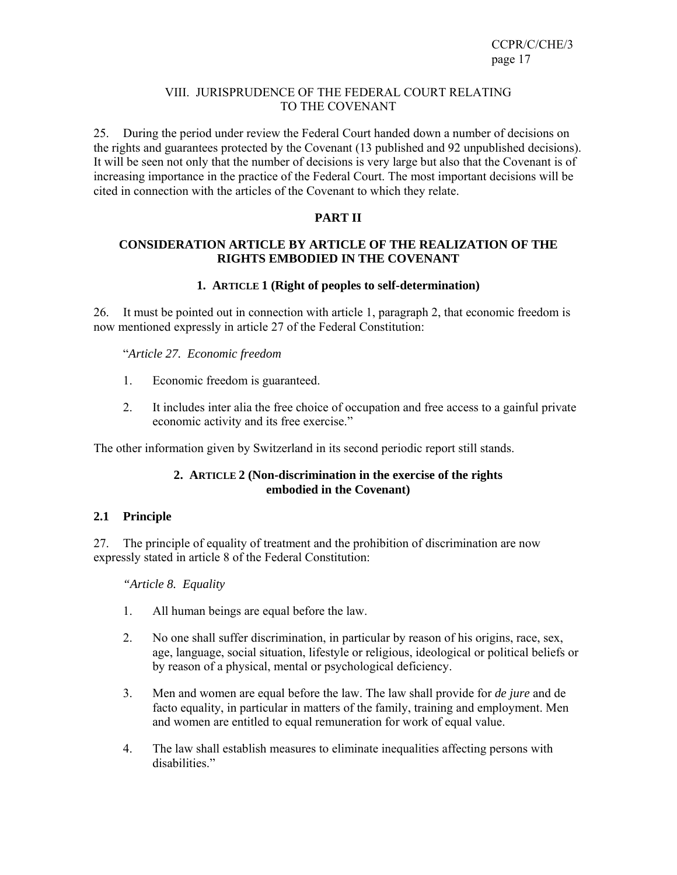### VIII. JURISPRUDENCE OF THE FEDERAL COURT RELATING TO THE COVENANT

25. During the period under review the Federal Court handed down a number of decisions on the rights and guarantees protected by the Covenant (13 published and 92 unpublished decisions). It will be seen not only that the number of decisions is very large but also that the Covenant is of increasing importance in the practice of the Federal Court. The most important decisions will be cited in connection with the articles of the Covenant to which they relate.

## **PART II**

#### **CONSIDERATION ARTICLE BY ARTICLE OF THE REALIZATION OF THE RIGHTS EMBODIED IN THE COVENANT**

### **1. ARTICLE 1 (Right of peoples to self-determination)**

26. It must be pointed out in connection with article 1, paragraph 2, that economic freedom is now mentioned expressly in article 27 of the Federal Constitution:

"*Article 27. Economic freedom*

- 1. Economic freedom is guaranteed.
- 2. It includes inter alia the free choice of occupation and free access to a gainful private economic activity and its free exercise."

The other information given by Switzerland in its second periodic report still stands.

## **2. ARTICLE 2 (Non-discrimination in the exercise of the rights embodied in the Covenant)**

## **2.1 Principle**

27. The principle of equality of treatment and the prohibition of discrimination are now expressly stated in article 8 of the Federal Constitution:

 *"Article 8. Equality* 

- 1. All human beings are equal before the law.
- 2. No one shall suffer discrimination, in particular by reason of his origins, race, sex, age, language, social situation, lifestyle or religious, ideological or political beliefs or by reason of a physical, mental or psychological deficiency.
- 3. Men and women are equal before the law. The law shall provide for *de jure* and de facto equality, in particular in matters of the family, training and employment. Men and women are entitled to equal remuneration for work of equal value.
- 4. The law shall establish measures to eliminate inequalities affecting persons with disabilities."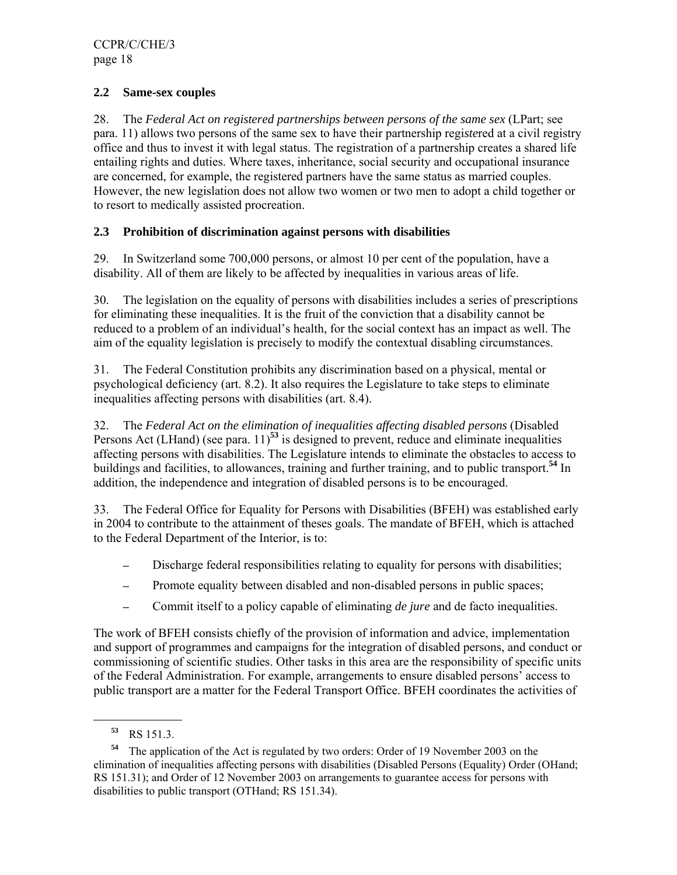## **2.2 Same-sex couples**

28. The *Federal Act on registered partnerships between persons of the same sex* (LPart; see para. 11) allows two persons of the same sex to have their partnership regi*ste*red at a civil registry office and thus to invest it with legal status. The registration of a partnership creates a shared life entailing rights and duties. Where taxes, inheritance, social security and occupational insurance are concerned, for example, the registered partners have the same status as married couples. However, the new legislation does not allow two women or two men to adopt a child together or to resort to medically assisted procreation.

### **2.3 Prohibition of discrimination against persons with disabilities**

29. In Switzerland some 700,000 persons, or almost 10 per cent of the population, have a disability. All of them are likely to be affected by inequalities in various areas of life.

30. The legislation on the equality of persons with disabilities includes a series of prescriptions for eliminating these inequalities. It is the fruit of the conviction that a disability cannot be reduced to a problem of an individual's health, for the social context has an impact as well. The aim of the equality legislation is precisely to modify the contextual disabling circumstances.

31. The Federal Constitution prohibits any discrimination based on a physical, mental or psychological deficiency (art. 8.2). It also requires the Legislature to take steps to eliminate inequalities affecting persons with disabilities (art. 8.4).

32. The *Federal Act on the elimination of inequalities affecting disabled persons* (Disabled Persons Act (LHand) (see para. 11)**<sup>53</sup>** is designed to prevent, reduce and eliminate inequalities affecting persons with disabilities. The Legislature intends to eliminate the obstacles to access to buildings and facilities, to allowances, training and further training, and to public transport.**<sup>54</sup>** In addition, the independence and integration of disabled persons is to be encouraged.

33. The Federal Office for Equality for Persons with Disabilities (BFEH) was established early in 2004 to contribute to the attainment of theses goals. The mandate of BFEH, which is attached to the Federal Department of the Interior, is to:

- Discharge federal responsibilities relating to equality for persons with disabilities;
- Promote equality between disabled and non-disabled persons in public spaces;
- ─ Commit itself to a policy capable of eliminating *de jure* and de facto inequalities.

The work of BFEH consists chiefly of the provision of information and advice, implementation and support of programmes and campaigns for the integration of disabled persons, and conduct or commissioning of scientific studies. Other tasks in this area are the responsibility of specific units of the Federal Administration. For example, arrangements to ensure disabled persons' access to public transport are a matter for the Federal Transport Office. BFEH coordinates the activities of

**<sup>53</sup>** RS 151.3.

**<sup>54</sup>** The application of the Act is regulated by two orders: Order of 19 November 2003 on the elimination of inequalities affecting persons with disabilities (Disabled Persons (Equality) Order (OHand; RS 151.31); and Order of 12 November 2003 on arrangements to guarantee access for persons with disabilities to public transport (OTHand; RS 151.34).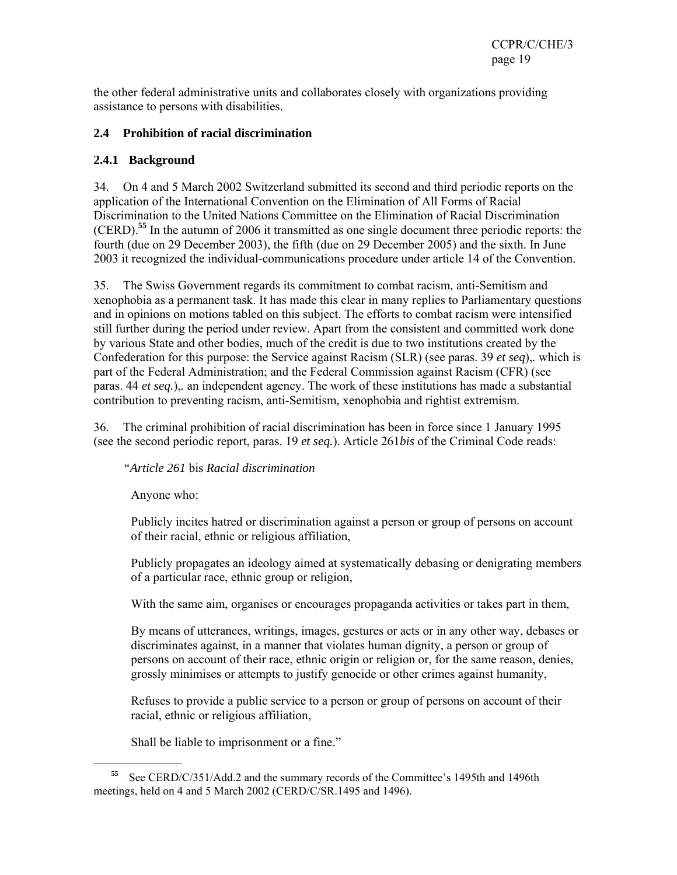the other federal administrative units and collaborates closely with organizations providing assistance to persons with disabilities.

## **2.4 Prohibition of racial discrimination**

## **2.4.1 Background**

34. On 4 and 5 March 2002 Switzerland submitted its second and third periodic reports on the application of the International Convention on the Elimination of All Forms of Racial Discrimination to the United Nations Committee on the Elimination of Racial Discrimination (CERD).**<sup>55</sup>** In the autumn of 2006 it transmitted as one single document three periodic reports: the fourth (due on 29 December 2003), the fifth (due on 29 December 2005) and the sixth. In June 2003 it recognized the individual-communications procedure under article 14 of the Convention.

35. The Swiss Government regards its commitment to combat racism, anti-Semitism and xenophobia as a permanent task. It has made this clear in many replies to Parliamentary questions and in opinions on motions tabled on this subject. The efforts to combat racism were intensified still further during the period under review. Apart from the consistent and committed work done by various State and other bodies, much of the credit is due to two institutions created by the Confederation for this purpose: the Service against Racism (SLR) (see paras. 39 *et seq*),*.* which is part of the Federal Administration; and the Federal Commission against Racism (CFR) (see paras. 44 *et seq.*),*.* an independent agency. The work of these institutions has made a substantial contribution to preventing racism, anti-Semitism, xenophobia and rightist extremism.

36. The criminal prohibition of racial discrimination has been in force since 1 January 1995 (see the second periodic report, paras. 19 *et seq.*). Article 261*bis* of the Criminal Code reads:

*"Article 261* bis *Racial discrimination* 

Anyone who:

 $\overline{a}$ 

Publicly incites hatred or discrimination against a person or group of persons on account of their racial, ethnic or religious affiliation,

Publicly propagates an ideology aimed at systematically debasing or denigrating members of a particular race, ethnic group or religion,

With the same aim, organises or encourages propaganda activities or takes part in them,

By means of utterances, writings, images, gestures or acts or in any other way, debases or discriminates against, in a manner that violates human dignity, a person or group of persons on account of their race, ethnic origin or religion or, for the same reason, denies, grossly minimises or attempts to justify genocide or other crimes against humanity,

Refuses to provide a public service to a person or group of persons on account of their racial, ethnic or religious affiliation,

Shall be liable to imprisonment or a fine."

**<sup>55</sup>** See CERD/C/351/Add.2 and the summary records of the Committee's 1495th and 1496th meetings, held on 4 and 5 March 2002 (CERD/C/SR.1495 and 1496).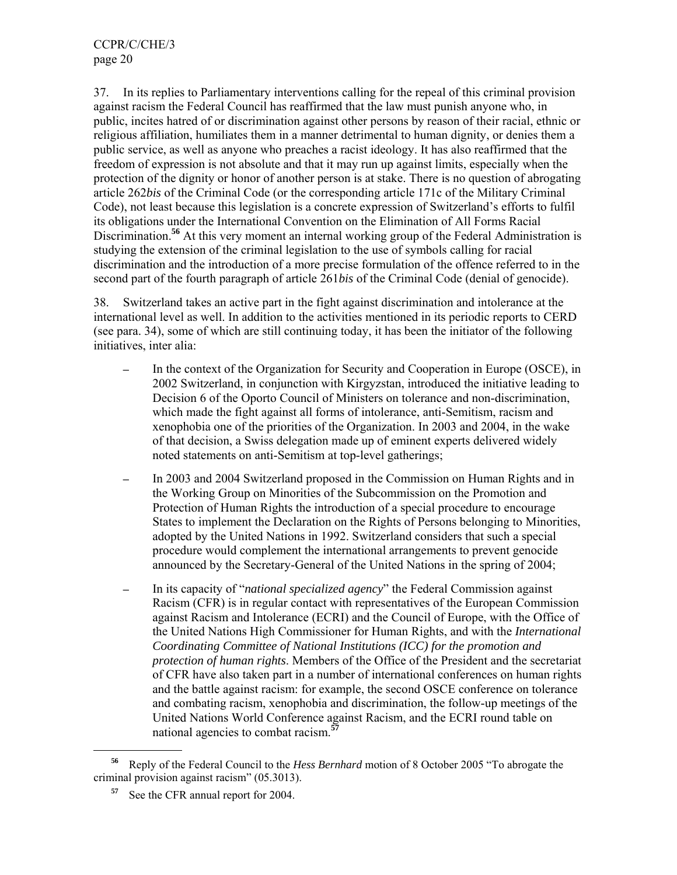37. In its replies to Parliamentary interventions calling for the repeal of this criminal provision against racism the Federal Council has reaffirmed that the law must punish anyone who, in public, incites hatred of or discrimination against other persons by reason of their racial, ethnic or religious affiliation, humiliates them in a manner detrimental to human dignity, or denies them a public service, as well as anyone who preaches a racist ideology. It has also reaffirmed that the freedom of expression is not absolute and that it may run up against limits, especially when the protection of the dignity or honor of another person is at stake. There is no question of abrogating article 262*bis* of the Criminal Code (or the corresponding article 171c of the Military Criminal Code), not least because this legislation is a concrete expression of Switzerland's efforts to fulfil its obligations under the International Convention on the Elimination of All Forms Racial Discrimination.<sup>56</sup> At this very moment an internal working group of the Federal Administration is studying the extension of the criminal legislation to the use of symbols calling for racial discrimination and the introduction of a more precise formulation of the offence referred to in the second part of the fourth paragraph of article 261*bis* of the Criminal Code (denial of genocide).

38. Switzerland takes an active part in the fight against discrimination and intolerance at the international level as well. In addition to the activities mentioned in its periodic reports to CERD (see para. 34), some of which are still continuing today, it has been the initiator of the following initiatives, inter alia:

- In the context of the Organization for Security and Cooperation in Europe (OSCE), in 2002 Switzerland, in conjunction with Kirgyzstan, introduced the initiative leading to Decision 6 of the Oporto Council of Ministers on tolerance and non-discrimination, which made the fight against all forms of intolerance, anti-Semitism, racism and xenophobia one of the priorities of the Organization. In 2003 and 2004, in the wake of that decision, a Swiss delegation made up of eminent experts delivered widely noted statements on anti-Semitism at top-level gatherings;
- In 2003 and 2004 Switzerland proposed in the Commission on Human Rights and in the Working Group on Minorities of the Subcommission on the Promotion and Protection of Human Rights the introduction of a special procedure to encourage States to implement the Declaration on the Rights of Persons belonging to Minorities, adopted by the United Nations in 1992. Switzerland considers that such a special procedure would complement the international arrangements to prevent genocide announced by the Secretary-General of the United Nations in the spring of 2004;
- ─ In its capacity of "*national specialized agency*" the Federal Commission against Racism (CFR) is in regular contact with representatives of the European Commission against Racism and Intolerance (ECRI) and the Council of Europe, with the Office of the United Nations High Commissioner for Human Rights, and with the *International Coordinating Committee of National Institutions (ICC) for the promotion and protection of human rights*. Members of the Office of the President and the secretariat of CFR have also taken part in a number of international conferences on human rights and the battle against racism: for example, the second OSCE conference on tolerance and combating racism, xenophobia and discrimination, the follow-up meetings of the United Nations World Conference against Racism, and the ECRI round table on national agencies to combat racism.**<sup>57</sup>**

**<sup>56</sup>** Reply of the Federal Council to the *Hess Bernhard* motion of 8 October 2005 "To abrogate the criminal provision against racism" (05.3013).

See the CFR annual report for 2004.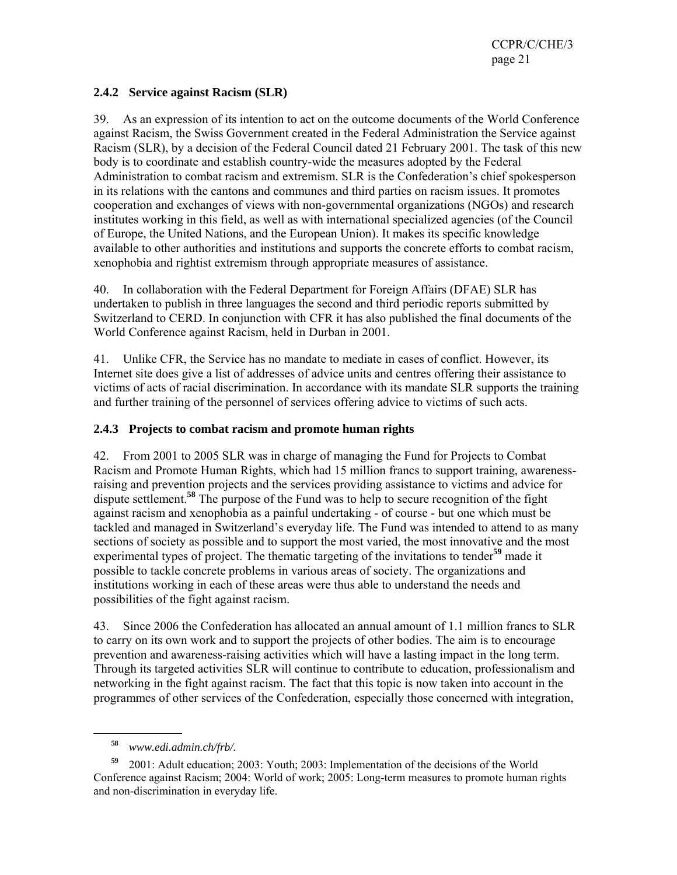CCPR/C/CHE/3 page 21

### **2.4.2 Service against Racism (SLR)**

39. As an expression of its intention to act on the outcome documents of the World Conference against Racism, the Swiss Government created in the Federal Administration the Service against Racism (SLR), by a decision of the Federal Council dated 21 February 2001. The task of this new body is to coordinate and establish country-wide the measures adopted by the Federal Administration to combat racism and extremism. SLR is the Confederation's chief spokesperson in its relations with the cantons and communes and third parties on racism issues. It promotes cooperation and exchanges of views with non-governmental organizations (NGOs) and research institutes working in this field, as well as with international specialized agencies (of the Council of Europe, the United Nations, and the European Union). It makes its specific knowledge available to other authorities and institutions and supports the concrete efforts to combat racism, xenophobia and rightist extremism through appropriate measures of assistance.

40. In collaboration with the Federal Department for Foreign Affairs (DFAE) SLR has undertaken to publish in three languages the second and third periodic reports submitted by Switzerland to CERD. In conjunction with CFR it has also published the final documents of the World Conference against Racism, held in Durban in 2001.

41. Unlike CFR, the Service has no mandate to mediate in cases of conflict. However, its Internet site does give a list of addresses of advice units and centres offering their assistance to victims of acts of racial discrimination. In accordance with its mandate SLR supports the training and further training of the personnel of services offering advice to victims of such acts.

### **2.4.3 Projects to combat racism and promote human rights**

42. From 2001 to 2005 SLR was in charge of managing the Fund for Projects to Combat Racism and Promote Human Rights, which had 15 million francs to support training, awarenessraising and prevention projects and the services providing assistance to victims and advice for dispute settlement.**<sup>58</sup>** The purpose of the Fund was to help to secure recognition of the fight against racism and xenophobia as a painful undertaking - of course - but one which must be tackled and managed in Switzerland's everyday life. The Fund was intended to attend to as many sections of society as possible and to support the most varied, the most innovative and the most experimental types of project. The thematic targeting of the invitations to tender**<sup>59</sup>** made it possible to tackle concrete problems in various areas of society. The organizations and institutions working in each of these areas were thus able to understand the needs and possibilities of the fight against racism.

43. Since 2006 the Confederation has allocated an annual amount of 1.1 million francs to SLR to carry on its own work and to support the projects of other bodies. The aim is to encourage prevention and awareness-raising activities which will have a lasting impact in the long term. Through its targeted activities SLR will continue to contribute to education, professionalism and networking in the fight against racism. The fact that this topic is now taken into account in the programmes of other services of the Confederation, especially those concerned with integration,

**<sup>58</sup>** *www.edi.admin.ch/frb/.* 

**<sup>59</sup>** 2001: Adult education; 2003: Youth; 2003: Implementation of the decisions of the World Conference against Racism; 2004: World of work; 2005: Long-term measures to promote human rights and non-discrimination in everyday life.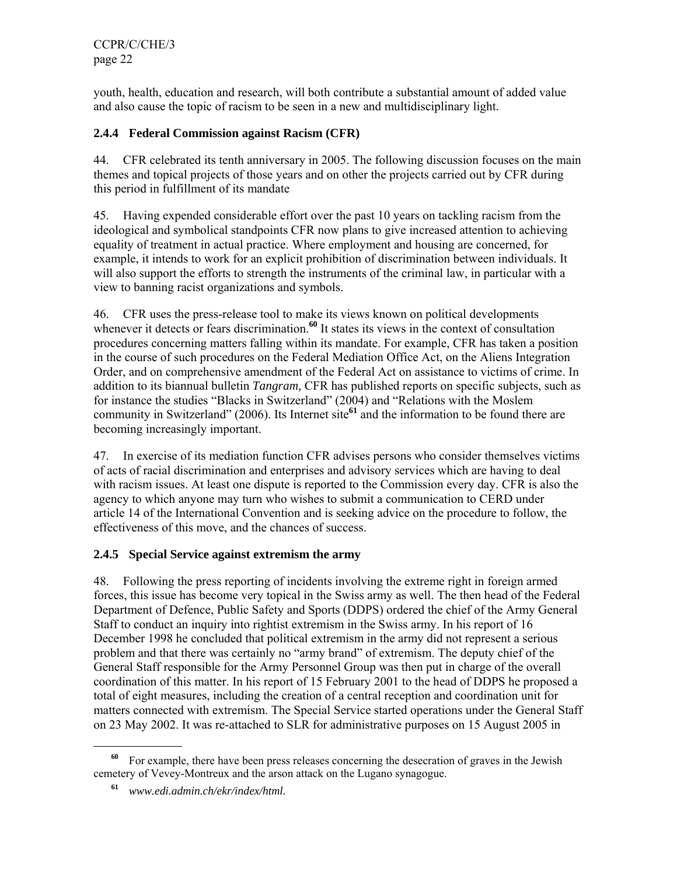CCPR/C/CHE/3 page 22

youth, health, education and research, will both contribute a substantial amount of added value and also cause the topic of racism to be seen in a new and multidisciplinary light.

## **2.4.4 Federal Commission against Racism (CFR)**

44. CFR celebrated its tenth anniversary in 2005. The following discussion focuses on the main themes and topical projects of those years and on other the projects carried out by CFR during this period in fulfillment of its mandate

45. Having expended considerable effort over the past 10 years on tackling racism from the ideological and symbolical standpoints CFR now plans to give increased attention to achieving equality of treatment in actual practice. Where employment and housing are concerned, for example, it intends to work for an explicit prohibition of discrimination between individuals. It will also support the efforts to strength the instruments of the criminal law, in particular with a view to banning racist organizations and symbols.

46. CFR uses the press-release tool to make its views known on political developments whenever it detects or fears discrimination.<sup>60</sup> It states its views in the context of consultation procedures concerning matters falling within its mandate. For example, CFR has taken a position in the course of such procedures on the Federal Mediation Office Act, on the Aliens Integration Order, and on comprehensive amendment of the Federal Act on assistance to victims of crime. In addition to its biannual bulletin *Tangram,* CFR has published reports on specific subjects, such as for instance the studies "Blacks in Switzerland" (2004) and "Relations with the Moslem community in Switzerland" (2006). Its Internet site**<sup>61</sup>** and the information to be found there are becoming increasingly important.

47. In exercise of its mediation function CFR advises persons who consider themselves victims of acts of racial discrimination and enterprises and advisory services which are having to deal with racism issues. At least one dispute is reported to the Commission every day. CFR is also the agency to which anyone may turn who wishes to submit a communication to CERD under article 14 of the International Convention and is seeking advice on the procedure to follow, the effectiveness of this move, and the chances of success.

## **2.4.5 Special Service against extremism the army**

48. Following the press reporting of incidents involving the extreme right in foreign armed forces, this issue has become very topical in the Swiss army as well. The then head of the Federal Department of Defence, Public Safety and Sports (DDPS) ordered the chief of the Army General Staff to conduct an inquiry into rightist extremism in the Swiss army. In his report of 16 December 1998 he concluded that political extremism in the army did not represent a serious problem and that there was certainly no "army brand" of extremism. The deputy chief of the General Staff responsible for the Army Personnel Group was then put in charge of the overall coordination of this matter. In his report of 15 February 2001 to the head of DDPS he proposed a total of eight measures, including the creation of a central reception and coordination unit for matters connected with extremism. The Special Service started operations under the General Staff on 23 May 2002. It was re-attached to SLR for administrative purposes on 15 August 2005 in

**<sup>60</sup>** For example, there have been press releases concerning the desecration of graves in the Jewish cemetery of Vevey-Montreux and the arson attack on the Lugano synagogue.

**<sup>61</sup>** *www.edi.admin.ch/ekr/index/html.*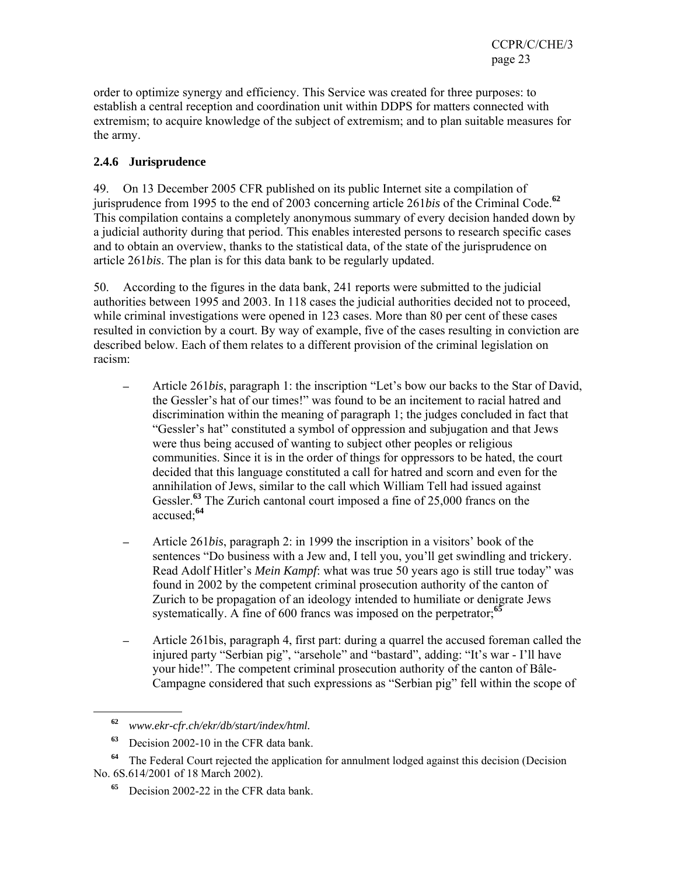order to optimize synergy and efficiency. This Service was created for three purposes: to establish a central reception and coordination unit within DDPS for matters connected with extremism; to acquire knowledge of the subject of extremism; and to plan suitable measures for the army.

# **2.4.6 Jurisprudence**

49. On 13 December 2005 CFR published on its public Internet site a compilation of jurisprudence from 1995 to the end of 2003 concerning article 261*bis* of the Criminal Code.**<sup>62</sup>** This compilation contains a completely anonymous summary of every decision handed down by a judicial authority during that period. This enables interested persons to research specific cases and to obtain an overview, thanks to the statistical data, of the state of the jurisprudence on article 261*bis*. The plan is for this data bank to be regularly updated.

50. According to the figures in the data bank, 241 reports were submitted to the judicial authorities between 1995 and 2003. In 118 cases the judicial authorities decided not to proceed, while criminal investigations were opened in 123 cases. More than 80 per cent of these cases resulted in conviction by a court. By way of example, five of the cases resulting in conviction are described below. Each of them relates to a different provision of the criminal legislation on racism:

- ─ Article 261*bis*, paragraph 1: the inscription "Let's bow our backs to the Star of David, the Gessler's hat of our times!" was found to be an incitement to racial hatred and discrimination within the meaning of paragraph 1; the judges concluded in fact that "Gessler's hat" constituted a symbol of oppression and subjugation and that Jews were thus being accused of wanting to subject other peoples or religious communities. Since it is in the order of things for oppressors to be hated, the court decided that this language constituted a call for hatred and scorn and even for the annihilation of Jews, similar to the call which William Tell had issued against Gessler.**<sup>63</sup>** The Zurich cantonal court imposed a fine of 25,000 francs on the accused;**<sup>64</sup>**
- ─ Article 261*bis*, paragraph 2: in 1999 the inscription in a visitors' book of the sentences "Do business with a Jew and, I tell you, you'll get swindling and trickery. Read Adolf Hitler's *Mein Kampf*: what was true 50 years ago is still true today" was found in 2002 by the competent criminal prosecution authority of the canton of Zurich to be propagation of an ideology intended to humiliate or denigrate Jews systematically. A fine of 600 francs was imposed on the perpetrator;**<sup>65</sup>**
- ─ Article 261bis, paragraph 4, first part: during a quarrel the accused foreman called the injured party "Serbian pig", "arsehole" and "bastard", adding: "It's war - I'll have your hide!". The competent criminal prosecution authority of the canton of Bâle-Campagne considered that such expressions as "Serbian pig" fell within the scope of

**<sup>62</sup>** *www.ekr-cfr.ch/ekr/db/start/index/html.*

**<sup>63</sup>** Decision 2002-10 in the CFR data bank.

**<sup>64</sup>** The Federal Court rejected the application for annulment lodged against this decision (Decision No. 6S.614/2001 of 18 March 2002).

**<sup>65</sup>** Decision 2002-22 in the CFR data bank.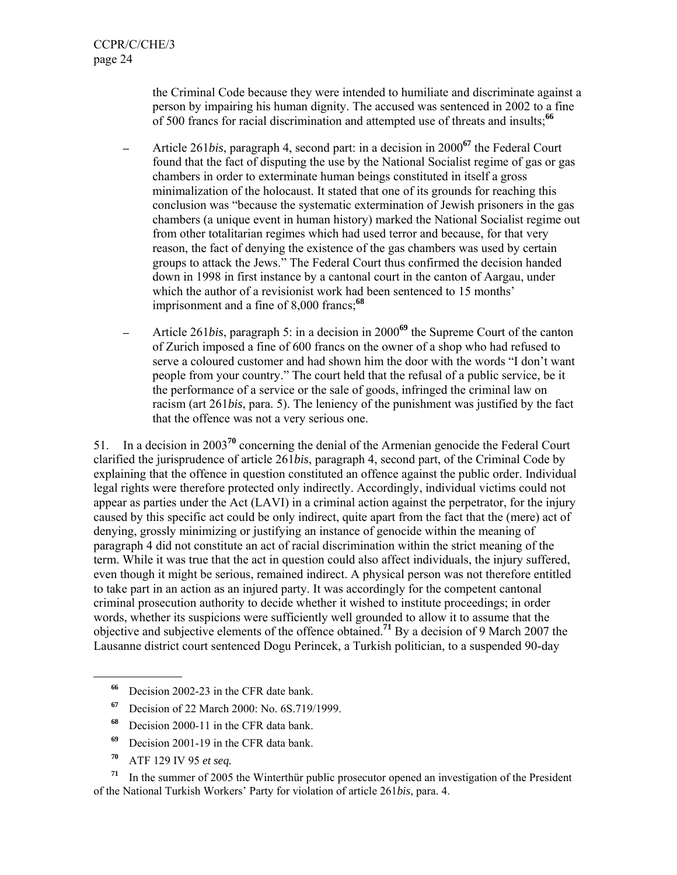the Criminal Code because they were intended to humiliate and discriminate against a person by impairing his human dignity. The accused was sentenced in 2002 to a fine of 500 francs for racial discrimination and attempted use of threats and insults;**<sup>66</sup>**

- ─ Article 261*bis*, paragraph 4, second part: in a decision in 2000**<sup>67</sup>** the Federal Court found that the fact of disputing the use by the National Socialist regime of gas or gas chambers in order to exterminate human beings constituted in itself a gross minimalization of the holocaust. It stated that one of its grounds for reaching this conclusion was "because the systematic extermination of Jewish prisoners in the gas chambers (a unique event in human history) marked the National Socialist regime out from other totalitarian regimes which had used terror and because, for that very reason, the fact of denying the existence of the gas chambers was used by certain groups to attack the Jews." The Federal Court thus confirmed the decision handed down in 1998 in first instance by a cantonal court in the canton of Aargau, under which the author of a revisionist work had been sentenced to 15 months' imprisonment and a fine of 8,000 francs;**<sup>68</sup>**
- Article 261*bis*, paragraph 5: in a decision in 2000<sup>69</sup> the Supreme Court of the canton of Zurich imposed a fine of 600 francs on the owner of a shop who had refused to serve a coloured customer and had shown him the door with the words "I don't want people from your country." The court held that the refusal of a public service, be it the performance of a service or the sale of goods, infringed the criminal law on racism (art 261*bis*, para. 5). The leniency of the punishment was justified by the fact that the offence was not a very serious one.

51. In a decision in 2003**<sup>70</sup>** concerning the denial of the Armenian genocide the Federal Court clarified the jurisprudence of article 261*bis*, paragraph 4, second part, of the Criminal Code by explaining that the offence in question constituted an offence against the public order. Individual legal rights were therefore protected only indirectly. Accordingly, individual victims could not appear as parties under the Act (LAVI) in a criminal action against the perpetrator, for the injury caused by this specific act could be only indirect, quite apart from the fact that the (mere) act of denying, grossly minimizing or justifying an instance of genocide within the meaning of paragraph 4 did not constitute an act of racial discrimination within the strict meaning of the term. While it was true that the act in question could also affect individuals, the injury suffered, even though it might be serious, remained indirect. A physical person was not therefore entitled to take part in an action as an injured party. It was accordingly for the competent cantonal criminal prosecution authority to decide whether it wished to institute proceedings; in order words, whether its suspicions were sufficiently well grounded to allow it to assume that the objective and subjective elements of the offence obtained.**<sup>71</sup>** By a decision of 9 March 2007 the Lausanne district court sentenced Dogu Perincek, a Turkish politician, to a suspended 90-day

- **<sup>66</sup>** Decision 2002-23 in the CFR date bank.
- **<sup>67</sup>** Decision of 22 March 2000: No. 6S.719/1999.
- **<sup>68</sup>** Decision 2000-11 in the CFR data bank.
- **<sup>69</sup>** Decision 2001-19 in the CFR data bank.
- **<sup>70</sup>** ATF 129 IV 95 *et seq.*

l

**<sup>71</sup>** In the summer of 2005 the Winterthür public prosecutor opened an investigation of the President of the National Turkish Workers' Party for violation of article 261*bis*, para. 4.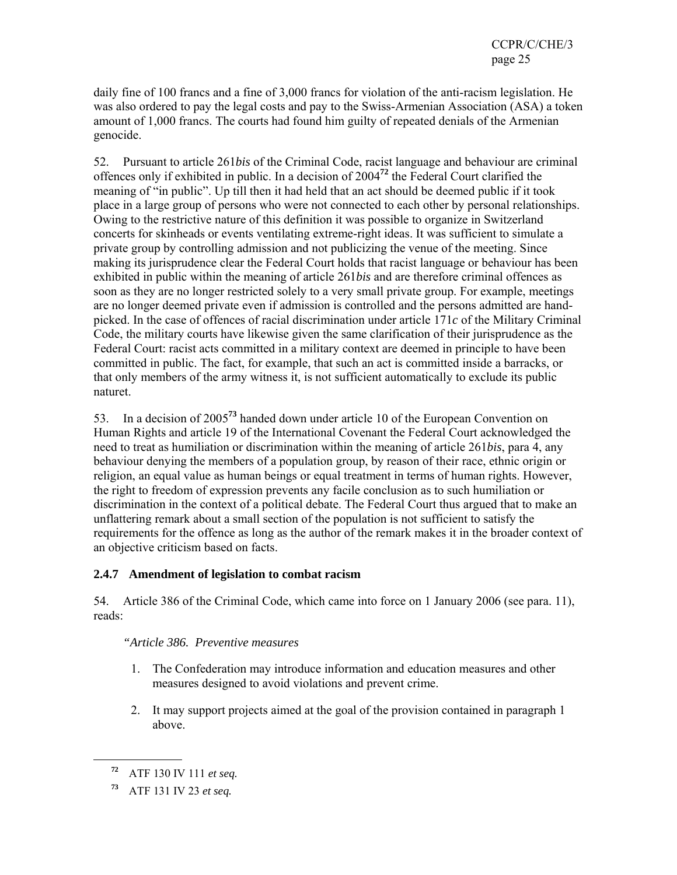daily fine of 100 francs and a fine of 3,000 francs for violation of the anti-racism legislation. He was also ordered to pay the legal costs and pay to the Swiss-Armenian Association (ASA) a token amount of 1,000 francs. The courts had found him guilty of repeated denials of the Armenian genocide.

52. Pursuant to article 261*bis* of the Criminal Code, racist language and behaviour are criminal offences only if exhibited in public. In a decision of 2004**<sup>72</sup>** the Federal Court clarified the meaning of "in public". Up till then it had held that an act should be deemed public if it took place in a large group of persons who were not connected to each other by personal relationships. Owing to the restrictive nature of this definition it was possible to organize in Switzerland concerts for skinheads or events ventilating extreme-right ideas. It was sufficient to simulate a private group by controlling admission and not publicizing the venue of the meeting. Since making its jurisprudence clear the Federal Court holds that racist language or behaviour has been exhibited in public within the meaning of article 261*bis* and are therefore criminal offences as soon as they are no longer restricted solely to a very small private group. For example, meetings are no longer deemed private even if admission is controlled and the persons admitted are handpicked. In the case of offences of racial discrimination under article 171*c* of the Military Criminal Code, the military courts have likewise given the same clarification of their jurisprudence as the Federal Court: racist acts committed in a military context are deemed in principle to have been committed in public. The fact, for example, that such an act is committed inside a barracks, or that only members of the army witness it, is not sufficient automatically to exclude its public naturet.

53. In a decision of 2005**<sup>73</sup>** handed down under article 10 of the European Convention on Human Rights and article 19 of the International Covenant the Federal Court acknowledged the need to treat as humiliation or discrimination within the meaning of article 261*bis*, para 4, any behaviour denying the members of a population group, by reason of their race, ethnic origin or religion, an equal value as human beings or equal treatment in terms of human rights. However, the right to freedom of expression prevents any facile conclusion as to such humiliation or discrimination in the context of a political debate. The Federal Court thus argued that to make an unflattering remark about a small section of the population is not sufficient to satisfy the requirements for the offence as long as the author of the remark makes it in the broader context of an objective criticism based on facts.

## **2.4.7 Amendment of legislation to combat racism**

54. Article 386 of the Criminal Code, which came into force on 1 January 2006 (see para. 11), reads:

## *"Article 386. Preventive measures*

- 1. The Confederation may introduce information and education measures and other measures designed to avoid violations and prevent crime.
- 2. It may support projects aimed at the goal of the provision contained in paragraph 1 above.

**<sup>72</sup>** ATF 130 IV 111 *et seq.*

**<sup>73</sup>** ATF 131 IV 23 *et seq.*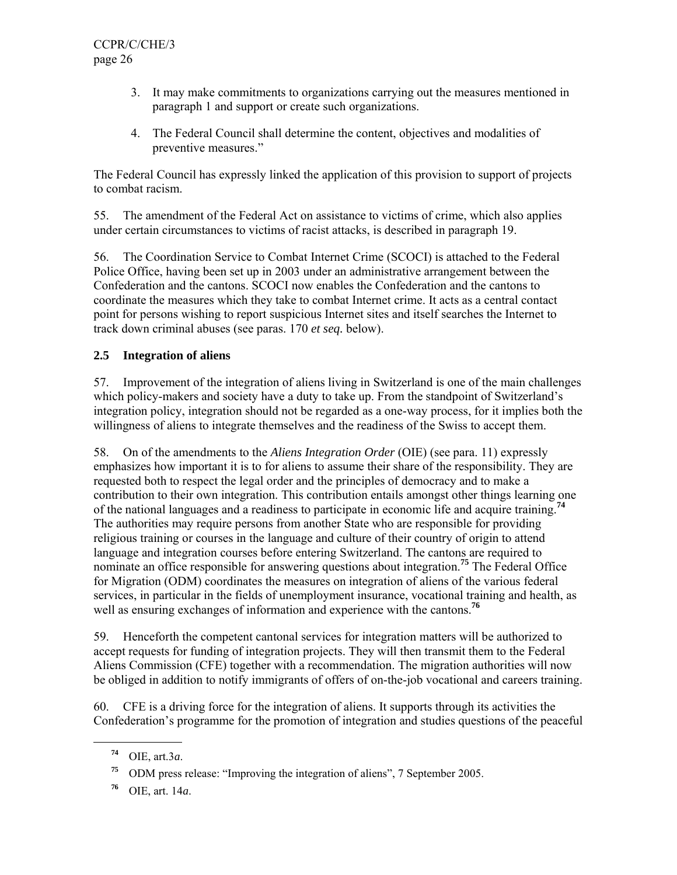- 3. It may make commitments to organizations carrying out the measures mentioned in paragraph 1 and support or create such organizations.
- 4. The Federal Council shall determine the content, objectives and modalities of preventive measures."

The Federal Council has expressly linked the application of this provision to support of projects to combat racism.

55. The amendment of the Federal Act on assistance to victims of crime, which also applies under certain circumstances to victims of racist attacks, is described in paragraph 19.

56. The Coordination Service to Combat Internet Crime (SCOCI) is attached to the Federal Police Office, having been set up in 2003 under an administrative arrangement between the Confederation and the cantons. SCOCI now enables the Confederation and the cantons to coordinate the measures which they take to combat Internet crime. It acts as a central contact point for persons wishing to report suspicious Internet sites and itself searches the Internet to track down criminal abuses (see paras. 170 *et seq.* below).

## **2.5 Integration of aliens**

57. Improvement of the integration of aliens living in Switzerland is one of the main challenges which policy-makers and society have a duty to take up. From the standpoint of Switzerland's integration policy, integration should not be regarded as a one-way process, for it implies both the willingness of aliens to integrate themselves and the readiness of the Swiss to accept them.

58. On of the amendments to the *Aliens Integration Order* (OIE) (see para. 11) expressly emphasizes how important it is to for aliens to assume their share of the responsibility. They are requested both to respect the legal order and the principles of democracy and to make a contribution to their own integration. This contribution entails amongst other things learning one of the national languages and a readiness to participate in economic life and acquire training.**<sup>74</sup>** The authorities may require persons from another State who are responsible for providing religious training or courses in the language and culture of their country of origin to attend language and integration courses before entering Switzerland. The cantons are required to nominate an office responsible for answering questions about integration.**<sup>75</sup>** The Federal Office for Migration (ODM) coordinates the measures on integration of aliens of the various federal services, in particular in the fields of unemployment insurance, vocational training and health, as well as ensuring exchanges of information and experience with the cantons.<sup>76</sup>

59. Henceforth the competent cantonal services for integration matters will be authorized to accept requests for funding of integration projects. They will then transmit them to the Federal Aliens Commission (CFE) together with a recommendation. The migration authorities will now be obliged in addition to notify immigrants of offers of on-the-job vocational and careers training.

60. CFE is a driving force for the integration of aliens. It supports through its activities the Confederation's programme for the promotion of integration and studies questions of the peaceful

**<sup>74</sup>** OIE, art.3*a*.

**<sup>75</sup>** ODM press release: "Improving the integration of aliens", 7 September 2005.

**<sup>76</sup>** OIE, art. 14*a*.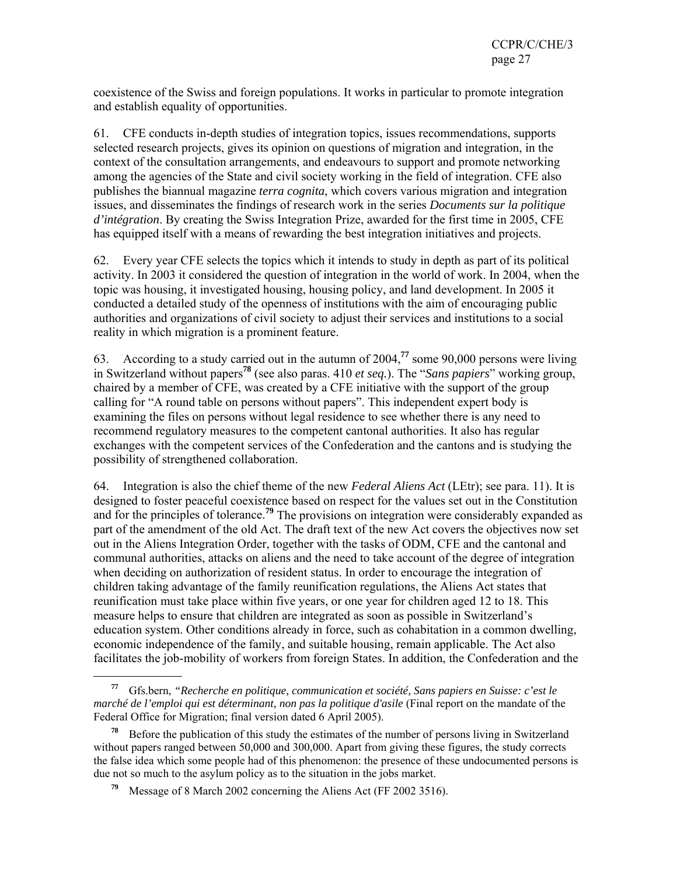coexistence of the Swiss and foreign populations. It works in particular to promote integration and establish equality of opportunities.

61. CFE conducts in-depth studies of integration topics, issues recommendations, supports selected research projects, gives its opinion on questions of migration and integration, in the context of the consultation arrangements, and endeavours to support and promote networking among the agencies of the State and civil society working in the field of integration. CFE also publishes the biannual magazine *terra cognita*, which covers various migration and integration issues, and disseminates the findings of research work in the series *Documents sur la politique d'intégration*. By creating the Swiss Integration Prize, awarded for the first time in 2005, CFE has equipped itself with a means of rewarding the best integration initiatives and projects.

62. Every year CFE selects the topics which it intends to study in depth as part of its political activity. In 2003 it considered the question of integration in the world of work. In 2004, when the topic was housing, it investigated housing, housing policy, and land development. In 2005 it conducted a detailed study of the openness of institutions with the aim of encouraging public authorities and organizations of civil society to adjust their services and institutions to a social reality in which migration is a prominent feature.

63. According to a study carried out in the autumn of 2004,**<sup>77</sup>** some 90,000 persons were living in Switzerland without papers**<sup>78</sup>** (see also paras. 410 *et seq.*). The "*Sans papiers*" working group, chaired by a member of CFE, was created by a CFE initiative with the support of the group calling for "A round table on persons without papers". This independent expert body is examining the files on persons without legal residence to see whether there is any need to recommend regulatory measures to the competent cantonal authorities. It also has regular exchanges with the competent services of the Confederation and the cantons and is studying the possibility of strengthened collaboration.

64. Integration is also the chief theme of the new *Federal Aliens Act* (LEtr); see para. 11). It is designed to foster peaceful coexi*ste*nce based on respect for the values set out in the Constitution and for the principles of tolerance.**<sup>79</sup>** The provisions on integration were considerably expanded as part of the amendment of the old Act. The draft text of the new Act covers the objectives now set out in the Aliens Integration Order, together with the tasks of ODM, CFE and the cantonal and communal authorities, attacks on aliens and the need to take account of the degree of integration when deciding on authorization of resident status. In order to encourage the integration of children taking advantage of the family reunification regulations, the Aliens Act states that reunification must take place within five years, or one year for children aged 12 to 18. This measure helps to ensure that children are integrated as soon as possible in Switzerland's education system. Other conditions already in force, such as cohabitation in a common dwelling, economic independence of the family, and suitable housing, remain applicable. The Act also facilitates the job-mobility of workers from foreign States. In addition, the Confederation and the

**<sup>77</sup>** Gfs.bern, *"Recherche en politique, communication et société, Sans papiers en Suisse: c'est le marché de l'emploi qui est déterminant, non pas la politique d'asile* (Final report on the mandate of the Federal Office for Migration; final version dated 6 April 2005).

**<sup>78</sup>** Before the publication of this study the estimates of the number of persons living in Switzerland without papers ranged between 50,000 and 300,000. Apart from giving these figures, the study corrects the false idea which some people had of this phenomenon: the presence of these undocumented persons is due not so much to the asylum policy as to the situation in the jobs market.

**<sup>79</sup>** Message of 8 March 2002 concerning the Aliens Act (FF 2002 3516).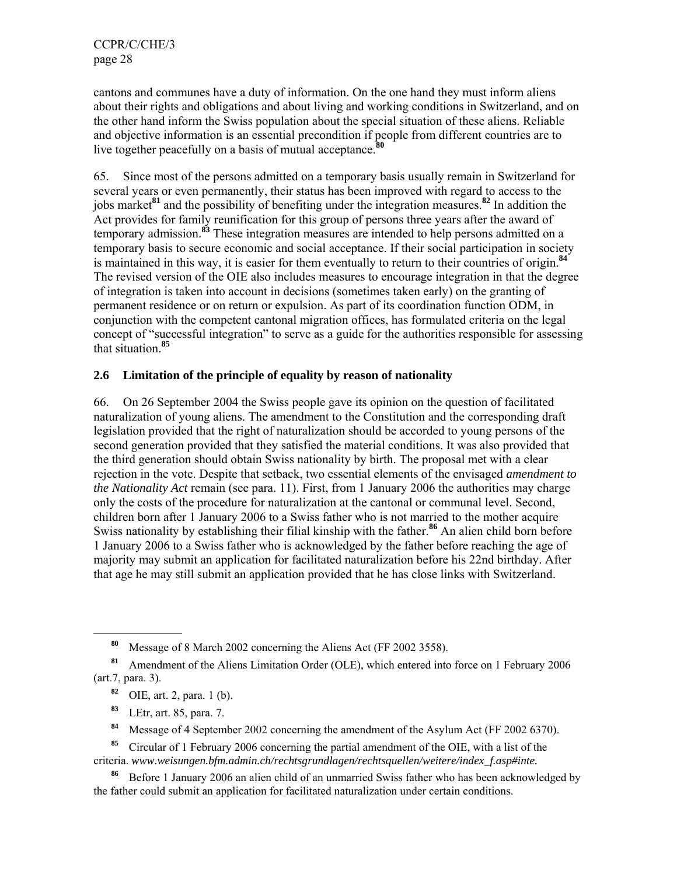cantons and communes have a duty of information. On the one hand they must inform aliens about their rights and obligations and about living and working conditions in Switzerland, and on the other hand inform the Swiss population about the special situation of these aliens. Reliable and objective information is an essential precondition if people from different countries are to live together peacefully on a basis of mutual acceptance.**<sup>80</sup>**

65. Since most of the persons admitted on a temporary basis usually remain in Switzerland for several years or even permanently, their status has been improved with regard to access to the jobs market**<sup>81</sup>** and the possibility of benefiting under the integration measures.**<sup>82</sup>** In addition the Act provides for family reunification for this group of persons three years after the award of temporary admission.**<sup>83</sup>** These integration measures are intended to help persons admitted on a temporary basis to secure economic and social acceptance. If their social participation in society is maintained in this way, it is easier for them eventually to return to their countries of origin.**<sup>84</sup>** The revised version of the OIE also includes measures to encourage integration in that the degree of integration is taken into account in decisions (sometimes taken early) on the granting of permanent residence or on return or expulsion. As part of its coordination function ODM, in conjunction with the competent cantonal migration offices, has formulated criteria on the legal concept of "successful integration" to serve as a guide for the authorities responsible for assessing that situation.**<sup>85</sup>**

### **2.6 Limitation of the principle of equality by reason of nationality**

66. On 26 September 2004 the Swiss people gave its opinion on the question of facilitated naturalization of young aliens. The amendment to the Constitution and the corresponding draft legislation provided that the right of naturalization should be accorded to young persons of the second generation provided that they satisfied the material conditions. It was also provided that the third generation should obtain Swiss nationality by birth. The proposal met with a clear rejection in the vote. Despite that setback, two essential elements of the envisaged *amendment to the Nationality Act* remain (see para. 11). First, from 1 January 2006 the authorities may charge only the costs of the procedure for naturalization at the cantonal or communal level. Second, children born after 1 January 2006 to a Swiss father who is not married to the mother acquire Swiss nationality by establishing their filial kinship with the father.<sup>86</sup> An alien child born before 1 January 2006 to a Swiss father who is acknowledged by the father before reaching the age of majority may submit an application for facilitated naturalization before his 22nd birthday. After that age he may still submit an application provided that he has close links with Switzerland.

**<sup>83</sup>** LEtr, art. 85, para. 7.

- **<sup>84</sup>** Message of 4 September 2002 concerning the amendment of the Asylum Act (FF 2002 6370).
- **<sup>85</sup>** Circular of 1 February 2006 concerning the partial amendment of the OIE, with a list of the criteria. *www.weisungen.bfm.admin.ch/rechtsgrundlagen/rechtsquellen/weitere/index\_f.asp#inte.*
- **<sup>86</sup>** Before 1 January 2006 an alien child of an unmarried Swiss father who has been acknowledged by the father could submit an application for facilitated naturalization under certain conditions.

**<sup>80</sup>** Message of 8 March 2002 concerning the Aliens Act (FF 2002 3558).

**<sup>81</sup>** Amendment of the Aliens Limitation Order (OLE), which entered into force on 1 February 2006 (art.7, para. 3).

**<sup>82</sup>** OIE, art. 2, para. 1 (b).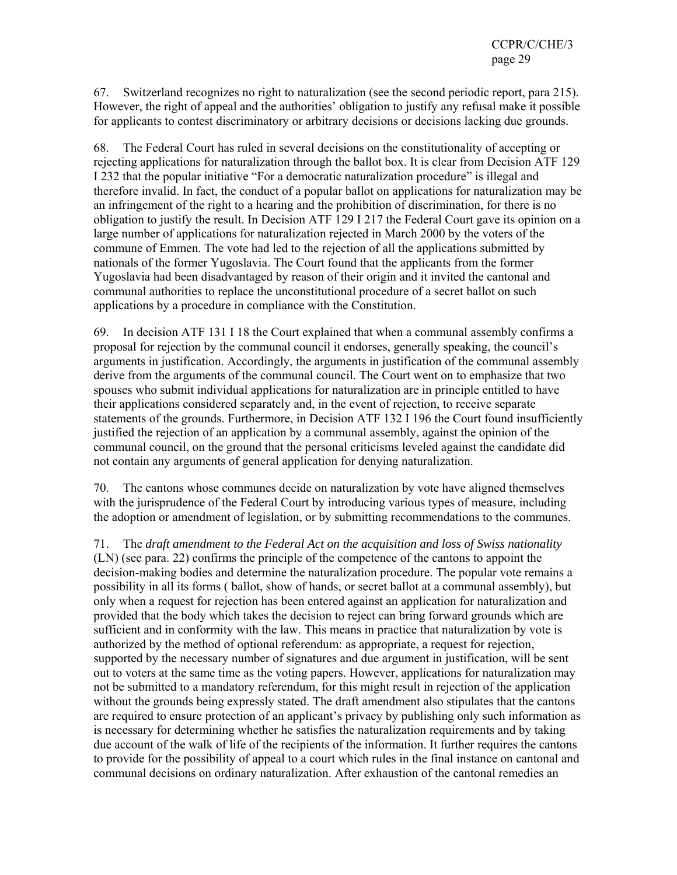67. Switzerland recognizes no right to naturalization (see the second periodic report, para 215). However, the right of appeal and the authorities' obligation to justify any refusal make it possible for applicants to contest discriminatory or arbitrary decisions or decisions lacking due grounds.

68. The Federal Court has ruled in several decisions on the constitutionality of accepting or rejecting applications for naturalization through the ballot box. It is clear from Decision ATF 129 I 232 that the popular initiative "For a democratic naturalization procedure" is illegal and therefore invalid. In fact, the conduct of a popular ballot on applications for naturalization may be an infringement of the right to a hearing and the prohibition of discrimination, for there is no obligation to justify the result. In Decision ATF 129 I 217 the Federal Court gave its opinion on a large number of applications for naturalization rejected in March 2000 by the voters of the commune of Emmen. The vote had led to the rejection of all the applications submitted by nationals of the former Yugoslavia. The Court found that the applicants from the former Yugoslavia had been disadvantaged by reason of their origin and it invited the cantonal and communal authorities to replace the unconstitutional procedure of a secret ballot on such applications by a procedure in compliance with the Constitution.

69. In decision ATF 131 I 18 the Court explained that when a communal assembly confirms a proposal for rejection by the communal council it endorses, generally speaking, the council's arguments in justification. Accordingly, the arguments in justification of the communal assembly derive from the arguments of the communal council. The Court went on to emphasize that two spouses who submit individual applications for naturalization are in principle entitled to have their applications considered separately and, in the event of rejection, to receive separate statements of the grounds. Furthermore, in Decision ATF 132 I 196 the Court found insufficiently justified the rejection of an application by a communal assembly, against the opinion of the communal council, on the ground that the personal criticisms leveled against the candidate did not contain any arguments of general application for denying naturalization.

70. The cantons whose communes decide on naturalization by vote have aligned themselves with the jurisprudence of the Federal Court by introducing various types of measure, including the adoption or amendment of legislation, or by submitting recommendations to the communes.

71. The *draft amendment to the Federal Act on the acquisition and loss of Swiss nationality* (LN) (see para. 22) confirms the principle of the competence of the cantons to appoint the decision-making bodies and determine the naturalization procedure. The popular vote remains a possibility in all its forms ( ballot, show of hands, or secret ballot at a communal assembly), but only when a request for rejection has been entered against an application for naturalization and provided that the body which takes the decision to reject can bring forward grounds which are sufficient and in conformity with the law. This means in practice that naturalization by vote is authorized by the method of optional referendum: as appropriate, a request for rejection, supported by the necessary number of signatures and due argument in justification, will be sent out to voters at the same time as the voting papers. However, applications for naturalization may not be submitted to a mandatory referendum, for this might result in rejection of the application without the grounds being expressly stated. The draft amendment also stipulates that the cantons are required to ensure protection of an applicant's privacy by publishing only such information as is necessary for determining whether he satisfies the naturalization requirements and by taking due account of the walk of life of the recipients of the information. It further requires the cantons to provide for the possibility of appeal to a court which rules in the final instance on cantonal and communal decisions on ordinary naturalization. After exhaustion of the cantonal remedies an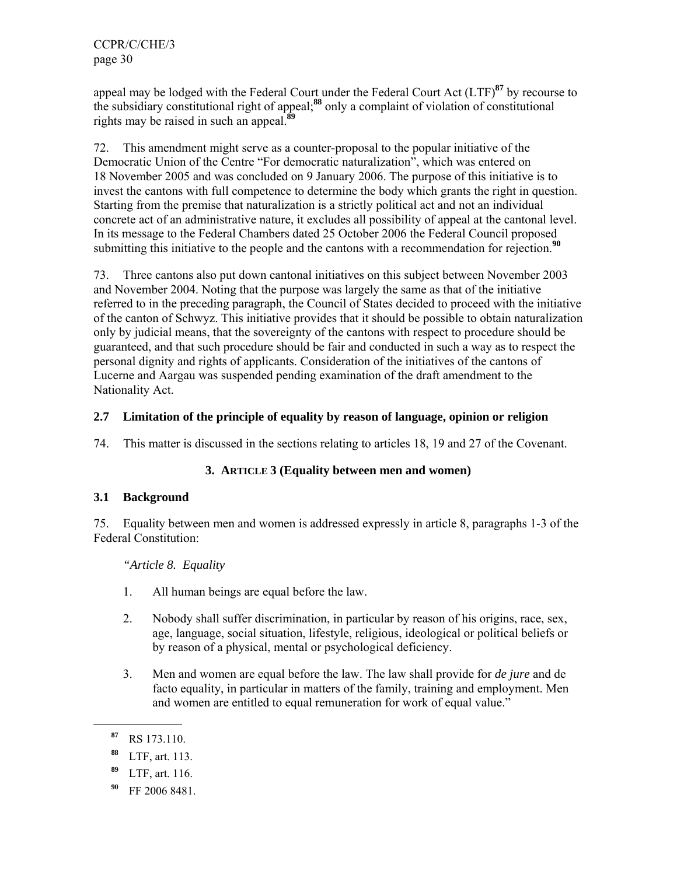appeal may be lodged with the Federal Court under the Federal Court Act (LTF)**<sup>87</sup>** by recourse to the subsidiary constitutional right of appeal;**<sup>88</sup>** only a complaint of violation of constitutional rights may be raised in such an appeal.**<sup>89</sup>**

72. This amendment might serve as a counter-proposal to the popular initiative of the Democratic Union of the Centre "For democratic naturalization", which was entered on 18 November 2005 and was concluded on 9 January 2006. The purpose of this initiative is to invest the cantons with full competence to determine the body which grants the right in question. Starting from the premise that naturalization is a strictly political act and not an individual concrete act of an administrative nature, it excludes all possibility of appeal at the cantonal level. In its message to the Federal Chambers dated 25 October 2006 the Federal Council proposed submitting this initiative to the people and the cantons with a recommendation for rejection.<sup>90</sup>

73. Three cantons also put down cantonal initiatives on this subject between November 2003 and November 2004. Noting that the purpose was largely the same as that of the initiative referred to in the preceding paragraph, the Council of States decided to proceed with the initiative of the canton of Schwyz. This initiative provides that it should be possible to obtain naturalization only by judicial means, that the sovereignty of the cantons with respect to procedure should be guaranteed, and that such procedure should be fair and conducted in such a way as to respect the personal dignity and rights of applicants. Consideration of the initiatives of the cantons of Lucerne and Aargau was suspended pending examination of the draft amendment to the Nationality Act.

## **2.7 Limitation of the principle of equality by reason of language, opinion or religion**

74. This matter is discussed in the sections relating to articles 18, 19 and 27 of the Covenant.

## **3. ARTICLE 3 (Equality between men and women)**

## **3.1 Background**

75. Equality between men and women is addressed expressly in article 8, paragraphs 1-3 of the Federal Constitution:

 *"Article 8. Equality* 

- 1. All human beings are equal before the law.
- 2. Nobody shall suffer discrimination, in particular by reason of his origins, race, sex, age, language, social situation, lifestyle, religious, ideological or political beliefs or by reason of a physical, mental or psychological deficiency.
- 3. Men and women are equal before the law. The law shall provide for *de jure* and de facto equality, in particular in matters of the family, training and employment. Men and women are entitled to equal remuneration for work of equal value."

**<sup>87</sup>** RS 173.110.

**<sup>88</sup>** LTF, art. 113.

**<sup>89</sup>** LTF, art. 116.

**<sup>90</sup>** FF 2006 8481.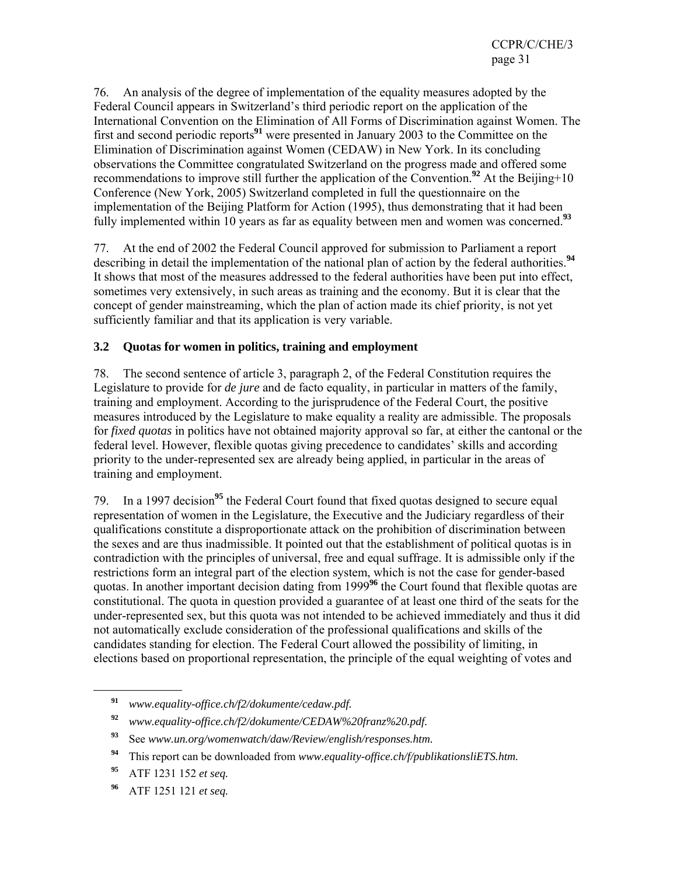76. An analysis of the degree of implementation of the equality measures adopted by the Federal Council appears in Switzerland's third periodic report on the application of the International Convention on the Elimination of All Forms of Discrimination against Women. The first and second periodic reports**<sup>91</sup>** were presented in January 2003 to the Committee on the Elimination of Discrimination against Women (CEDAW) in New York. In its concluding observations the Committee congratulated Switzerland on the progress made and offered some recommendations to improve still further the application of the Convention.**<sup>92</sup>** At the Beijing+10 Conference (New York, 2005) Switzerland completed in full the questionnaire on the implementation of the Beijing Platform for Action (1995), thus demonstrating that it had been fully implemented within 10 years as far as equality between men and women was concerned.**<sup>93</sup>**

77. At the end of 2002 the Federal Council approved for submission to Parliament a report describing in detail the implementation of the national plan of action by the federal authorities.**<sup>94</sup>** It shows that most of the measures addressed to the federal authorities have been put into effect, sometimes very extensively, in such areas as training and the economy. But it is clear that the concept of gender mainstreaming, which the plan of action made its chief priority, is not yet sufficiently familiar and that its application is very variable.

## **3.2 Quotas for women in politics, training and employment**

78. The second sentence of article 3, paragraph 2, of the Federal Constitution requires the Legislature to provide for *de jure* and de facto equality, in particular in matters of the family, training and employment. According to the jurisprudence of the Federal Court, the positive measures introduced by the Legislature to make equality a reality are admissible. The proposals for *fixed quotas* in politics have not obtained majority approval so far, at either the cantonal or the federal level. However, flexible quotas giving precedence to candidates' skills and according priority to the under-represented sex are already being applied, in particular in the areas of training and employment.

79. In a 1997 decision**<sup>95</sup>** the Federal Court found that fixed quotas designed to secure equal representation of women in the Legislature, the Executive and the Judiciary regardless of their qualifications constitute a disproportionate attack on the prohibition of discrimination between the sexes and are thus inadmissible. It pointed out that the establishment of political quotas is in contradiction with the principles of universal, free and equal suffrage. It is admissible only if the restrictions form an integral part of the election system, which is not the case for gender-based quotas. In another important decision dating from 1999**<sup>96</sup>** the Court found that flexible quotas are constitutional. The quota in question provided a guarantee of at least one third of the seats for the under-represented sex, but this quota was not intended to be achieved immediately and thus it did not automatically exclude consideration of the professional qualifications and skills of the candidates standing for election. The Federal Court allowed the possibility of limiting, in elections based on proportional representation, the principle of the equal weighting of votes and

**<sup>91</sup>** *www.equality-office.ch/f2/dokumente/cedaw.pdf.*

**<sup>92</sup>** *www.equality-office.ch/f2/dokumente/CEDAW%20franz%20.pdf.*

**<sup>93</sup>** See *www.un.org/womenwatch/daw/Review/english/responses.htm.*

**<sup>94</sup>** This report can be downloaded from *www.equality-office.ch/f/publikationsliETS.htm.*

**<sup>95</sup>** ATF 1231 152 *et seq.*

**<sup>96</sup>** ATF 1251 121 *et seq.*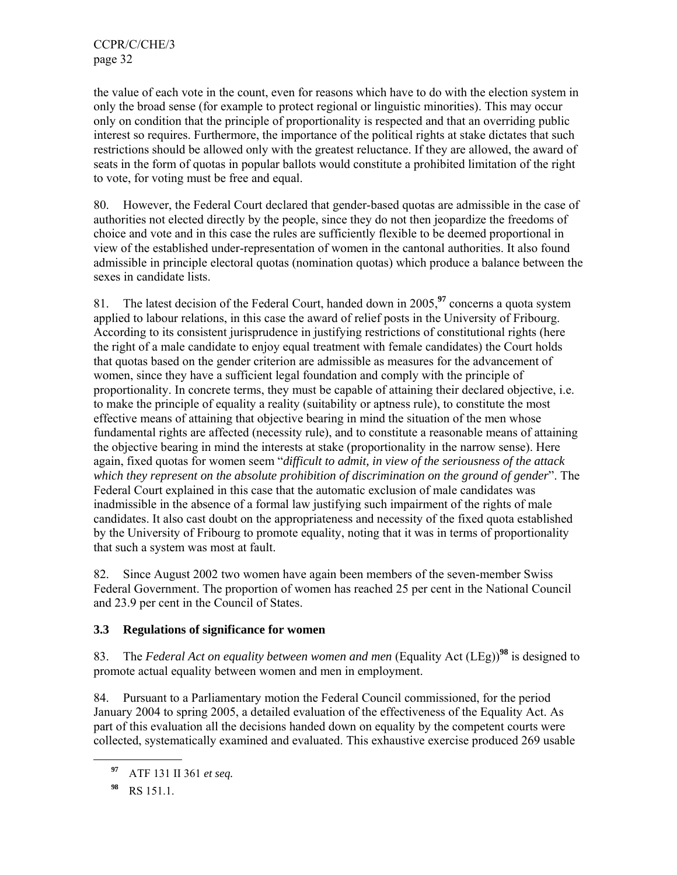the value of each vote in the count, even for reasons which have to do with the election system in only the broad sense (for example to protect regional or linguistic minorities). This may occur only on condition that the principle of proportionality is respected and that an overriding public interest so requires. Furthermore, the importance of the political rights at stake dictates that such restrictions should be allowed only with the greatest reluctance. If they are allowed, the award of seats in the form of quotas in popular ballots would constitute a prohibited limitation of the right to vote, for voting must be free and equal.

80. However, the Federal Court declared that gender-based quotas are admissible in the case of authorities not elected directly by the people, since they do not then jeopardize the freedoms of choice and vote and in this case the rules are sufficiently flexible to be deemed proportional in view of the established under-representation of women in the cantonal authorities. It also found admissible in principle electoral quotas (nomination quotas) which produce a balance between the sexes in candidate lists.

81. The latest decision of the Federal Court, handed down in 2005,**<sup>97</sup>** concerns a quota system applied to labour relations, in this case the award of relief posts in the University of Fribourg. According to its consistent jurisprudence in justifying restrictions of constitutional rights (here the right of a male candidate to enjoy equal treatment with female candidates) the Court holds that quotas based on the gender criterion are admissible as measures for the advancement of women, since they have a sufficient legal foundation and comply with the principle of proportionality. In concrete terms, they must be capable of attaining their declared objective, i.e. to make the principle of equality a reality (suitability or aptness rule), to constitute the most effective means of attaining that objective bearing in mind the situation of the men whose fundamental rights are affected (necessity rule), and to constitute a reasonable means of attaining the objective bearing in mind the interests at stake (proportionality in the narrow sense). Here again, fixed quotas for women seem "*difficult to admit, in view of the seriousness of the attack which they represent on the absolute prohibition of discrimination on the ground of gender*". The Federal Court explained in this case that the automatic exclusion of male candidates was inadmissible in the absence of a formal law justifying such impairment of the rights of male candidates. It also cast doubt on the appropriateness and necessity of the fixed quota established by the University of Fribourg to promote equality, noting that it was in terms of proportionality that such a system was most at fault.

82. Since August 2002 two women have again been members of the seven-member Swiss Federal Government. The proportion of women has reached 25 per cent in the National Council and 23.9 per cent in the Council of States.

## **3.3 Regulations of significance for women**

83. The *Federal Act on equality between women and men* (Equality Act (LEg))**<sup>98</sup>** is designed to promote actual equality between women and men in employment.

84. Pursuant to a Parliamentary motion the Federal Council commissioned, for the period January 2004 to spring 2005, a detailed evaluation of the effectiveness of the Equality Act. As part of this evaluation all the decisions handed down on equality by the competent courts were collected, systematically examined and evaluated. This exhaustive exercise produced 269 usable

**<sup>97</sup>** ATF 131 II 361 *et seq.*

**<sup>98</sup>** RS 151.1.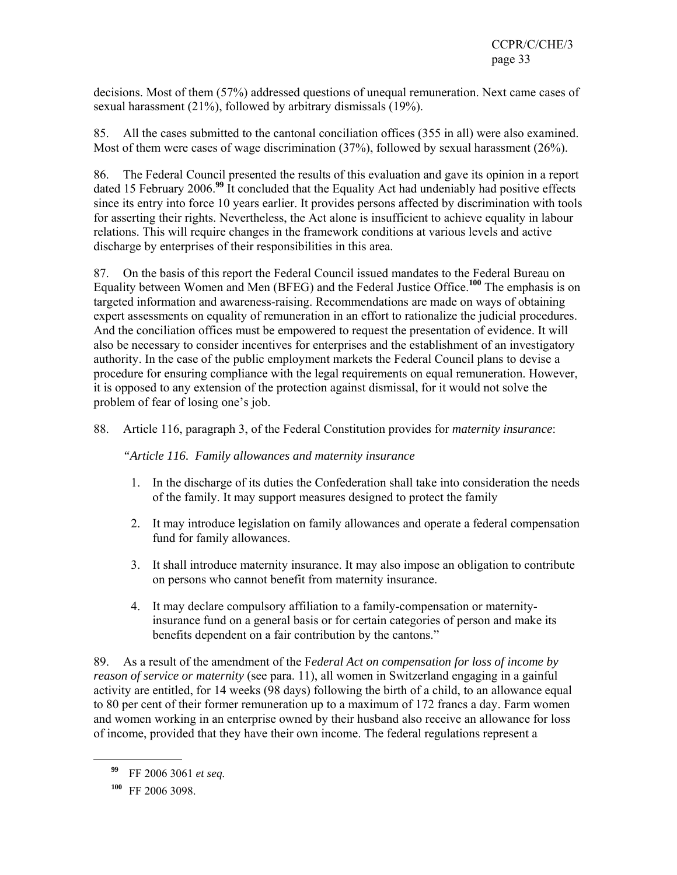decisions. Most of them (57%) addressed questions of unequal remuneration. Next came cases of sexual harassment (21%), followed by arbitrary dismissals (19%).

85. All the cases submitted to the cantonal conciliation offices (355 in all) were also examined. Most of them were cases of wage discrimination (37%), followed by sexual harassment (26%).

86. The Federal Council presented the results of this evaluation and gave its opinion in a report dated 15 February 2006.**<sup>99</sup>** It concluded that the Equality Act had undeniably had positive effects since its entry into force 10 years earlier. It provides persons affected by discrimination with tools for asserting their rights. Nevertheless, the Act alone is insufficient to achieve equality in labour relations. This will require changes in the framework conditions at various levels and active discharge by enterprises of their responsibilities in this area.

87. On the basis of this report the Federal Council issued mandates to the Federal Bureau on Equality between Women and Men (BFEG) and the Federal Justice Office.**<sup>100</sup>** The emphasis is on targeted information and awareness-raising. Recommendations are made on ways of obtaining expert assessments on equality of remuneration in an effort to rationalize the judicial procedures. And the conciliation offices must be empowered to request the presentation of evidence. It will also be necessary to consider incentives for enterprises and the establishment of an investigatory authority. In the case of the public employment markets the Federal Council plans to devise a procedure for ensuring compliance with the legal requirements on equal remuneration. However, it is opposed to any extension of the protection against dismissal, for it would not solve the problem of fear of losing one's job.

88. Article 116, paragraph 3, of the Federal Constitution provides for *maternity insurance*:

*"Article 116. Family allowances and maternity insurance* 

- 1. In the discharge of its duties the Confederation shall take into consideration the needs of the family. It may support measures designed to protect the family
- 2. It may introduce legislation on family allowances and operate a federal compensation fund for family allowances.
- 3. It shall introduce maternity insurance. It may also impose an obligation to contribute on persons who cannot benefit from maternity insurance.
- 4. It may declare compulsory affiliation to a family-compensation or maternityinsurance fund on a general basis or for certain categories of person and make its benefits dependent on a fair contribution by the cantons."

89. As a result of the amendment of the F*ederal Act on compensation for loss of income by reason of service or maternity* (see para. 11), all women in Switzerland engaging in a gainful activity are entitled, for 14 weeks (98 days) following the birth of a child, to an allowance equal to 80 per cent of their former remuneration up to a maximum of 172 francs a day. Farm women and women working in an enterprise owned by their husband also receive an allowance for loss of income, provided that they have their own income. The federal regulations represent a

**<sup>99</sup>** FF 2006 3061 *et seq.*

**<sup>100</sup>** FF 2006 3098.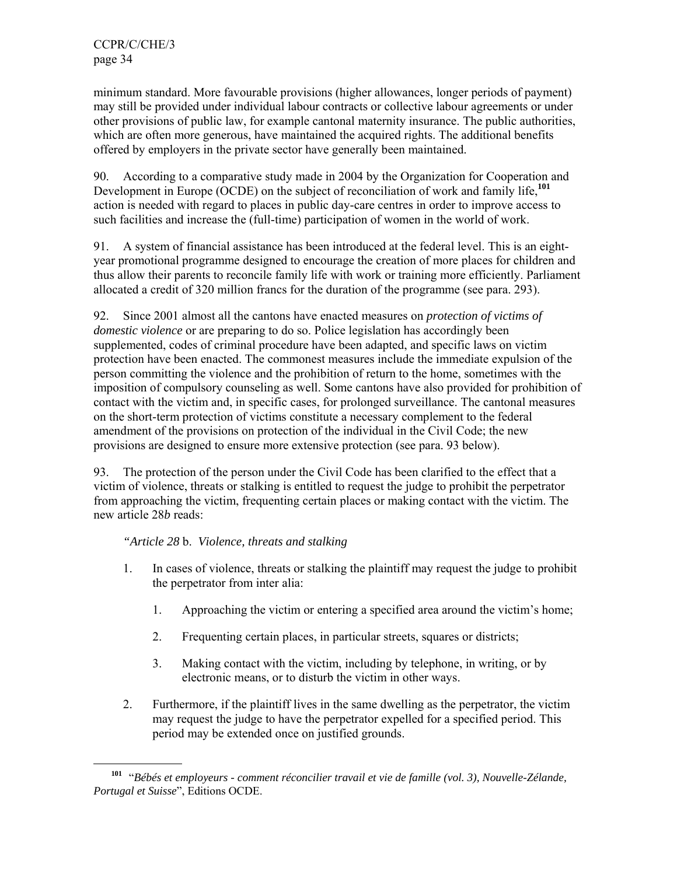l

minimum standard. More favourable provisions (higher allowances, longer periods of payment) may still be provided under individual labour contracts or collective labour agreements or under other provisions of public law, for example cantonal maternity insurance. The public authorities, which are often more generous, have maintained the acquired rights. The additional benefits offered by employers in the private sector have generally been maintained.

90. According to a comparative study made in 2004 by the Organization for Cooperation and Development in Europe (OCDE) on the subject of reconciliation of work and family life,**<sup>101</sup>** action is needed with regard to places in public day-care centres in order to improve access to such facilities and increase the (full-time) participation of women in the world of work.

91. A system of financial assistance has been introduced at the federal level. This is an eightyear promotional programme designed to encourage the creation of more places for children and thus allow their parents to reconcile family life with work or training more efficiently. Parliament allocated a credit of 320 million francs for the duration of the programme (see para. 293).

92. Since 2001 almost all the cantons have enacted measures on *protection of victims of domestic violence* or are preparing to do so. Police legislation has accordingly been supplemented, codes of criminal procedure have been adapted, and specific laws on victim protection have been enacted. The commonest measures include the immediate expulsion of the person committing the violence and the prohibition of return to the home, sometimes with the imposition of compulsory counseling as well. Some cantons have also provided for prohibition of contact with the victim and, in specific cases, for prolonged surveillance. The cantonal measures on the short-term protection of victims constitute a necessary complement to the federal amendment of the provisions on protection of the individual in the Civil Code; the new provisions are designed to ensure more extensive protection (see para. 93 below).

93. The protection of the person under the Civil Code has been clarified to the effect that a victim of violence, threats or stalking is entitled to request the judge to prohibit the perpetrator from approaching the victim, frequenting certain places or making contact with the victim. The new article 28*b* reads:

## *"Article 28* b. *Violence, threats and stalking*

- 1. In cases of violence, threats or stalking the plaintiff may request the judge to prohibit the perpetrator from inter alia:
	- 1. Approaching the victim or entering a specified area around the victim's home;
	- 2. Frequenting certain places, in particular streets, squares or districts;
	- 3. Making contact with the victim, including by telephone, in writing, or by electronic means, or to disturb the victim in other ways.
- 2. Furthermore, if the plaintiff lives in the same dwelling as the perpetrator, the victim may request the judge to have the perpetrator expelled for a specified period. This period may be extended once on justified grounds.

**<sup>101</sup>** "*Bébés et employeurs - comment réconcilier travail et vie de famille (vol. 3), Nouvelle-Zélande, Portugal et Suisse*", Editions OCDE.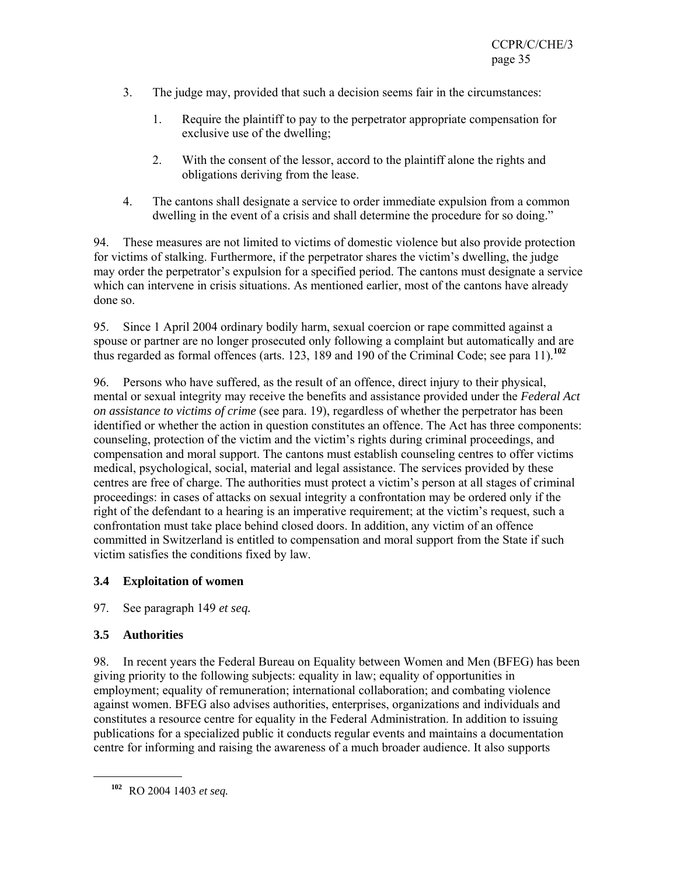- 3. The judge may, provided that such a decision seems fair in the circumstances:
	- 1. Require the plaintiff to pay to the perpetrator appropriate compensation for exclusive use of the dwelling;
	- 2. With the consent of the lessor, accord to the plaintiff alone the rights and obligations deriving from the lease.
- 4. The cantons shall designate a service to order immediate expulsion from a common dwelling in the event of a crisis and shall determine the procedure for so doing."

94. These measures are not limited to victims of domestic violence but also provide protection for victims of stalking. Furthermore, if the perpetrator shares the victim's dwelling, the judge may order the perpetrator's expulsion for a specified period. The cantons must designate a service which can intervene in crisis situations. As mentioned earlier, most of the cantons have already done so.

95. Since 1 April 2004 ordinary bodily harm, sexual coercion or rape committed against a spouse or partner are no longer prosecuted only following a complaint but automatically and are thus regarded as formal offences (arts. 123, 189 and 190 of the Criminal Code; see para 11).**<sup>102</sup>**

96. Persons who have suffered, as the result of an offence, direct injury to their physical, mental or sexual integrity may receive the benefits and assistance provided under the *Federal Act on assistance to victims of crime* (see para. 19), regardless of whether the perpetrator has been identified or whether the action in question constitutes an offence. The Act has three components: counseling, protection of the victim and the victim's rights during criminal proceedings, and compensation and moral support. The cantons must establish counseling centres to offer victims medical, psychological, social, material and legal assistance. The services provided by these centres are free of charge. The authorities must protect a victim's person at all stages of criminal proceedings: in cases of attacks on sexual integrity a confrontation may be ordered only if the right of the defendant to a hearing is an imperative requirement; at the victim's request, such a confrontation must take place behind closed doors. In addition, any victim of an offence committed in Switzerland is entitled to compensation and moral support from the State if such victim satisfies the conditions fixed by law.

## **3.4 Exploitation of women**

97. See paragraph 149 *et seq.*

## **3.5 Authorities**

l

98. In recent years the Federal Bureau on Equality between Women and Men (BFEG) has been giving priority to the following subjects: equality in law; equality of opportunities in employment; equality of remuneration; international collaboration; and combating violence against women. BFEG also advises authorities, enterprises, organizations and individuals and constitutes a resource centre for equality in the Federal Administration. In addition to issuing publications for a specialized public it conducts regular events and maintains a documentation centre for informing and raising the awareness of a much broader audience. It also supports

**<sup>102</sup>** RO 2004 1403 *et seq.*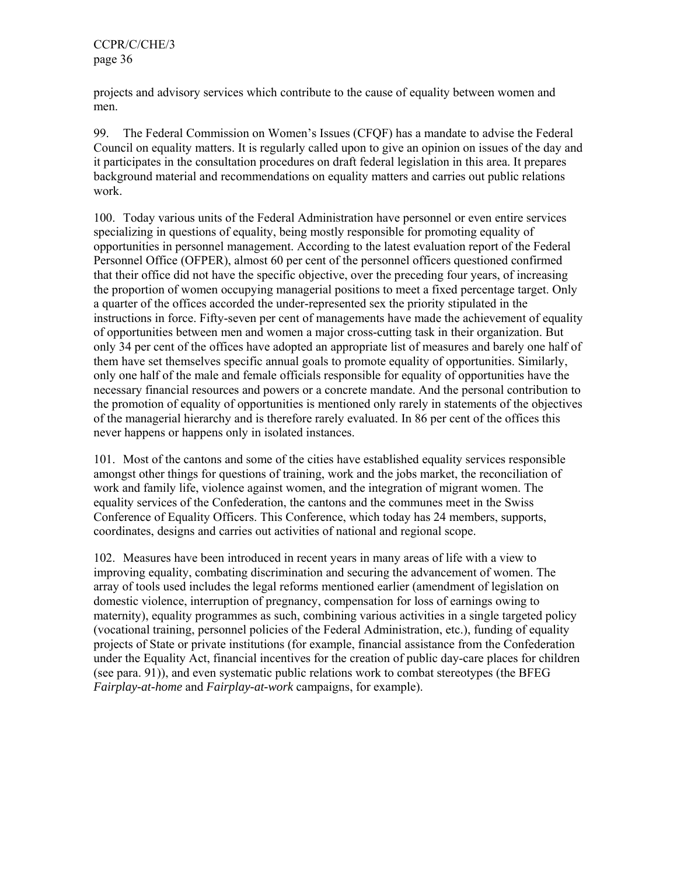projects and advisory services which contribute to the cause of equality between women and men.

99. The Federal Commission on Women's Issues (CFQF) has a mandate to advise the Federal Council on equality matters. It is regularly called upon to give an opinion on issues of the day and it participates in the consultation procedures on draft federal legislation in this area. It prepares background material and recommendations on equality matters and carries out public relations work.

100. Today various units of the Federal Administration have personnel or even entire services specializing in questions of equality, being mostly responsible for promoting equality of opportunities in personnel management. According to the latest evaluation report of the Federal Personnel Office (OFPER), almost 60 per cent of the personnel officers questioned confirmed that their office did not have the specific objective, over the preceding four years, of increasing the proportion of women occupying managerial positions to meet a fixed percentage target. Only a quarter of the offices accorded the under-represented sex the priority stipulated in the instructions in force. Fifty-seven per cent of managements have made the achievement of equality of opportunities between men and women a major cross-cutting task in their organization. But only 34 per cent of the offices have adopted an appropriate list of measures and barely one half of them have set themselves specific annual goals to promote equality of opportunities. Similarly, only one half of the male and female officials responsible for equality of opportunities have the necessary financial resources and powers or a concrete mandate. And the personal contribution to the promotion of equality of opportunities is mentioned only rarely in statements of the objectives of the managerial hierarchy and is therefore rarely evaluated. In 86 per cent of the offices this never happens or happens only in isolated instances.

101. Most of the cantons and some of the cities have established equality services responsible amongst other things for questions of training, work and the jobs market, the reconciliation of work and family life, violence against women, and the integration of migrant women. The equality services of the Confederation, the cantons and the communes meet in the Swiss Conference of Equality Officers. This Conference, which today has 24 members, supports, coordinates, designs and carries out activities of national and regional scope.

102. Measures have been introduced in recent years in many areas of life with a view to improving equality, combating discrimination and securing the advancement of women. The array of tools used includes the legal reforms mentioned earlier (amendment of legislation on domestic violence, interruption of pregnancy, compensation for loss of earnings owing to maternity), equality programmes as such, combining various activities in a single targeted policy (vocational training, personnel policies of the Federal Administration, etc.), funding of equality projects of State or private institutions (for example, financial assistance from the Confederation under the Equality Act, financial incentives for the creation of public day-care places for children (see para. 91)), and even systematic public relations work to combat stereotypes (the BFEG *Fairplay-at-home* and *Fairplay-at-work* campaigns, for example).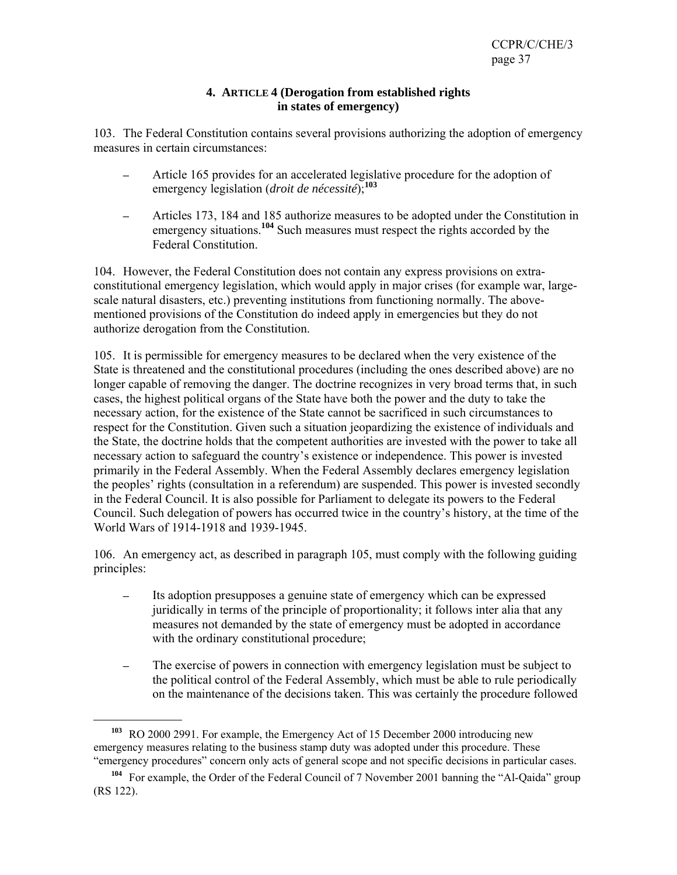#### **4. ARTICLE 4 (Derogation from established rights in states of emergency)**

103. The Federal Constitution contains several provisions authorizing the adoption of emergency measures in certain circumstances:

- Article 165 provides for an accelerated legislative procedure for the adoption of emergency legislation (*droit de nécessité*);**<sup>103</sup>**
- Articles 173, 184 and 185 authorize measures to be adopted under the Constitution in emergency situations.**<sup>104</sup>** Such measures must respect the rights accorded by the Federal Constitution.

104. However, the Federal Constitution does not contain any express provisions on extraconstitutional emergency legislation, which would apply in major crises (for example war, largescale natural disasters, etc.) preventing institutions from functioning normally. The abovementioned provisions of the Constitution do indeed apply in emergencies but they do not authorize derogation from the Constitution.

105. It is permissible for emergency measures to be declared when the very existence of the State is threatened and the constitutional procedures (including the ones described above) are no longer capable of removing the danger. The doctrine recognizes in very broad terms that, in such cases, the highest political organs of the State have both the power and the duty to take the necessary action, for the existence of the State cannot be sacrificed in such circumstances to respect for the Constitution. Given such a situation jeopardizing the existence of individuals and the State, the doctrine holds that the competent authorities are invested with the power to take all necessary action to safeguard the country's existence or independence. This power is invested primarily in the Federal Assembly. When the Federal Assembly declares emergency legislation the peoples' rights (consultation in a referendum) are suspended. This power is invested secondly in the Federal Council. It is also possible for Parliament to delegate its powers to the Federal Council. Such delegation of powers has occurred twice in the country's history, at the time of the World Wars of 1914-1918 and 1939-1945.

106. An emergency act, as described in paragraph 105, must comply with the following guiding principles:

- Its adoption presupposes a genuine state of emergency which can be expressed juridically in terms of the principle of proportionality; it follows inter alia that any measures not demanded by the state of emergency must be adopted in accordance with the ordinary constitutional procedure;
- The exercise of powers in connection with emergency legislation must be subject to the political control of the Federal Assembly, which must be able to rule periodically on the maintenance of the decisions taken. This was certainly the procedure followed

**<sup>103</sup>** RO 2000 2991. For example, the Emergency Act of 15 December 2000 introducing new emergency measures relating to the business stamp duty was adopted under this procedure. These "emergency procedures" concern only acts of general scope and not specific decisions in particular cases.

**<sup>104</sup>** For example, the Order of the Federal Council of 7 November 2001 banning the "Al-Qaida" group (RS 122).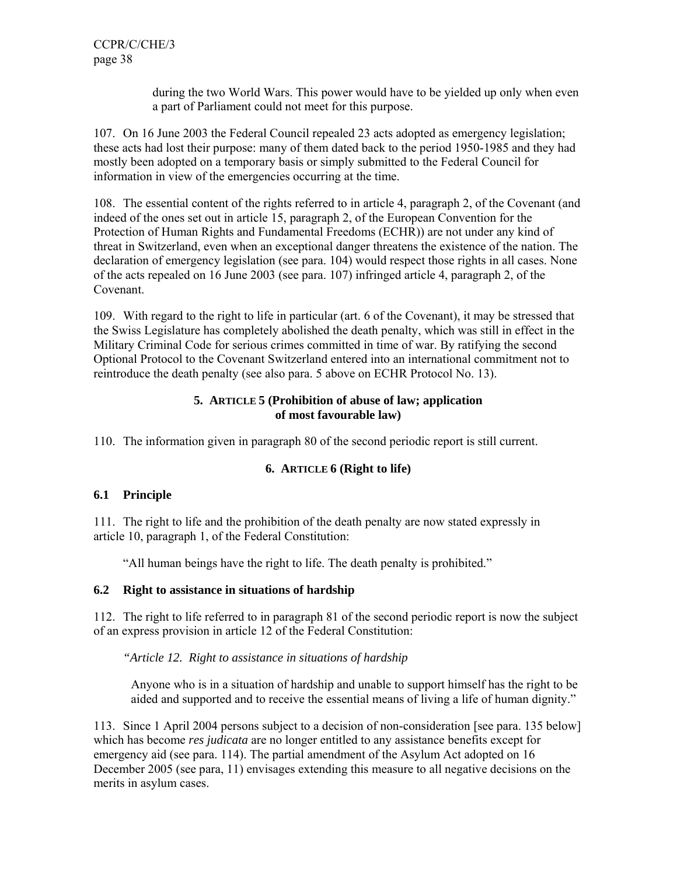> during the two World Wars. This power would have to be yielded up only when even a part of Parliament could not meet for this purpose.

107. On 16 June 2003 the Federal Council repealed 23 acts adopted as emergency legislation; these acts had lost their purpose: many of them dated back to the period 1950-1985 and they had mostly been adopted on a temporary basis or simply submitted to the Federal Council for information in view of the emergencies occurring at the time.

108. The essential content of the rights referred to in article 4, paragraph 2, of the Covenant (and indeed of the ones set out in article 15, paragraph 2, of the European Convention for the Protection of Human Rights and Fundamental Freedoms (ECHR)) are not under any kind of threat in Switzerland, even when an exceptional danger threatens the existence of the nation. The declaration of emergency legislation (see para. 104) would respect those rights in all cases. None of the acts repealed on 16 June 2003 (see para. 107) infringed article 4, paragraph 2, of the Covenant.

109. With regard to the right to life in particular (art. 6 of the Covenant), it may be stressed that the Swiss Legislature has completely abolished the death penalty, which was still in effect in the Military Criminal Code for serious crimes committed in time of war. By ratifying the second Optional Protocol to the Covenant Switzerland entered into an international commitment not to reintroduce the death penalty (see also para. 5 above on ECHR Protocol No. 13).

#### **5. ARTICLE 5 (Prohibition of abuse of law; application of most favourable law)**

110. The information given in paragraph 80 of the second periodic report is still current.

### **6. ARTICLE 6 (Right to life)**

### **6.1 Principle**

111. The right to life and the prohibition of the death penalty are now stated expressly in article 10, paragraph 1, of the Federal Constitution:

"All human beings have the right to life. The death penalty is prohibited."

### **6.2 Right to assistance in situations of hardship**

112. The right to life referred to in paragraph 81 of the second periodic report is now the subject of an express provision in article 12 of the Federal Constitution:

### *"Article 12. Right to assistance in situations of hardship*

Anyone who is in a situation of hardship and unable to support himself has the right to be aided and supported and to receive the essential means of living a life of human dignity."

113. Since 1 April 2004 persons subject to a decision of non-consideration [see para. 135 below] which has become *res judicata* are no longer entitled to any assistance benefits except for emergency aid (see para. 114). The partial amendment of the Asylum Act adopted on 16 December 2005 (see para, 11) envisages extending this measure to all negative decisions on the merits in asylum cases.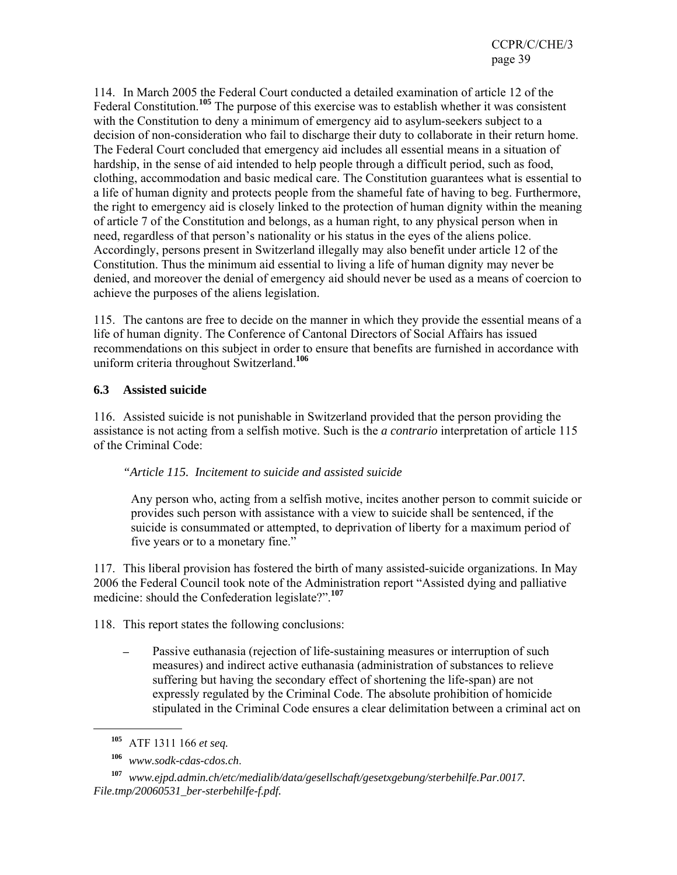114. In March 2005 the Federal Court conducted a detailed examination of article 12 of the Federal Constitution.**<sup>105</sup>** The purpose of this exercise was to establish whether it was consistent with the Constitution to deny a minimum of emergency aid to asylum-seekers subject to a decision of non-consideration who fail to discharge their duty to collaborate in their return home. The Federal Court concluded that emergency aid includes all essential means in a situation of hardship, in the sense of aid intended to help people through a difficult period, such as food, clothing, accommodation and basic medical care. The Constitution guarantees what is essential to a life of human dignity and protects people from the shameful fate of having to beg. Furthermore, the right to emergency aid is closely linked to the protection of human dignity within the meaning of article 7 of the Constitution and belongs, as a human right, to any physical person when in need, regardless of that person's nationality or his status in the eyes of the aliens police. Accordingly, persons present in Switzerland illegally may also benefit under article 12 of the Constitution. Thus the minimum aid essential to living a life of human dignity may never be denied, and moreover the denial of emergency aid should never be used as a means of coercion to achieve the purposes of the aliens legislation.

115. The cantons are free to decide on the manner in which they provide the essential means of a life of human dignity. The Conference of Cantonal Directors of Social Affairs has issued recommendations on this subject in order to ensure that benefits are furnished in accordance with uniform criteria throughout Switzerland.**<sup>106</sup>**

### **6.3 Assisted suicide**

116. Assisted suicide is not punishable in Switzerland provided that the person providing the assistance is not acting from a selfish motive. Such is the *a contrario* interpretation of article 115 of the Criminal Code:

#### *"Article 115. Incitement to suicide and assisted suicide*

Any person who, acting from a selfish motive, incites another person to commit suicide or provides such person with assistance with a view to suicide shall be sentenced, if the suicide is consummated or attempted, to deprivation of liberty for a maximum period of five years or to a monetary fine."

117. This liberal provision has fostered the birth of many assisted-suicide organizations. In May 2006 the Federal Council took note of the Administration report "Assisted dying and palliative medicine: should the Confederation legislate?".**<sup>107</sup>**

118. This report states the following conclusions:

Passive euthanasia (rejection of life-sustaining measures or interruption of such measures) and indirect active euthanasia (administration of substances to relieve suffering but having the secondary effect of shortening the life-span) are not expressly regulated by the Criminal Code. The absolute prohibition of homicide stipulated in the Criminal Code ensures a clear delimitation between a criminal act on

**<sup>105</sup>** ATF 1311 166 *et seq.*

**<sup>106</sup>** *www.sodk-cdas-cdos.ch*.

**<sup>107</sup>** *www.ejpd.admin.ch/etc/medialib/data/gesellschaft/gesetxgebung/sterbehilfe.Par.0017. File.tmp/20060531\_ber-sterbehilfe-f.pdf.*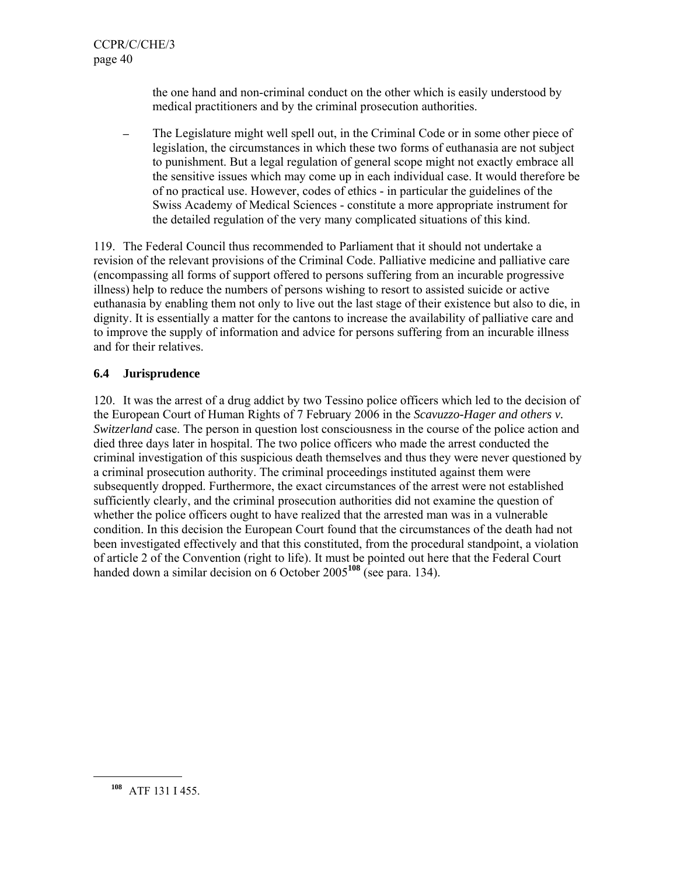the one hand and non-criminal conduct on the other which is easily understood by medical practitioners and by the criminal prosecution authorities.

The Legislature might well spell out, in the Criminal Code or in some other piece of legislation, the circumstances in which these two forms of euthanasia are not subject to punishment. But a legal regulation of general scope might not exactly embrace all the sensitive issues which may come up in each individual case. It would therefore be of no practical use. However, codes of ethics - in particular the guidelines of the Swiss Academy of Medical Sciences - constitute a more appropriate instrument for the detailed regulation of the very many complicated situations of this kind.

119. The Federal Council thus recommended to Parliament that it should not undertake a revision of the relevant provisions of the Criminal Code. Palliative medicine and palliative care (encompassing all forms of support offered to persons suffering from an incurable progressive illness) help to reduce the numbers of persons wishing to resort to assisted suicide or active euthanasia by enabling them not only to live out the last stage of their existence but also to die, in dignity. It is essentially a matter for the cantons to increase the availability of palliative care and to improve the supply of information and advice for persons suffering from an incurable illness and for their relatives.

### **6.4 Jurisprudence**

120. It was the arrest of a drug addict by two Tessino police officers which led to the decision of the European Court of Human Rights of 7 February 2006 in the *Scavuzzo-Hager and others v. Switzerland* case. The person in question lost consciousness in the course of the police action and died three days later in hospital. The two police officers who made the arrest conducted the criminal investigation of this suspicious death themselves and thus they were never questioned by a criminal prosecution authority. The criminal proceedings instituted against them were subsequently dropped. Furthermore, the exact circumstances of the arrest were not established sufficiently clearly, and the criminal prosecution authorities did not examine the question of whether the police officers ought to have realized that the arrested man was in a vulnerable condition. In this decision the European Court found that the circumstances of the death had not been investigated effectively and that this constituted, from the procedural standpoint, a violation of article 2 of the Convention (right to life). It must be pointed out here that the Federal Court handed down a similar decision on 6 October 2005<sup>108</sup> (see para. 134).

**<sup>108</sup>** ATF 131 I 455.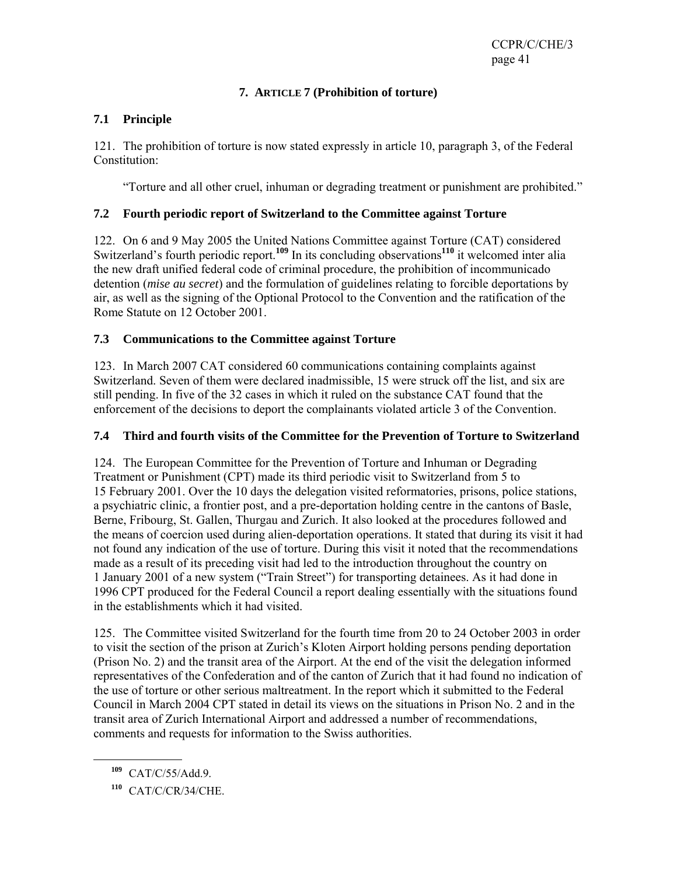# **7. ARTICLE 7 (Prohibition of torture)**

# **7.1 Principle**

121. The prohibition of torture is now stated expressly in article 10, paragraph 3, of the Federal Constitution:

"Torture and all other cruel, inhuman or degrading treatment or punishment are prohibited."

#### **7.2 Fourth periodic report of Switzerland to the Committee against Torture**

122. On 6 and 9 May 2005 the United Nations Committee against Torture (CAT) considered Switzerland's fourth periodic report.<sup>109</sup> In its concluding observations<sup>110</sup> it welcomed inter alia the new draft unified federal code of criminal procedure, the prohibition of incommunicado detention (*mise au secret*) and the formulation of guidelines relating to forcible deportations by air, as well as the signing of the Optional Protocol to the Convention and the ratification of the Rome Statute on 12 October 2001.

#### **7.3 Communications to the Committee against Torture**

123. In March 2007 CAT considered 60 communications containing complaints against Switzerland. Seven of them were declared inadmissible, 15 were struck off the list, and six are still pending. In five of the 32 cases in which it ruled on the substance CAT found that the enforcement of the decisions to deport the complainants violated article 3 of the Convention.

#### **7.4 Third and fourth visits of the Committee for the Prevention of Torture to Switzerland**

124. The European Committee for the Prevention of Torture and Inhuman or Degrading Treatment or Punishment (CPT) made its third periodic visit to Switzerland from 5 to 15 February 2001. Over the 10 days the delegation visited reformatories, prisons, police stations, a psychiatric clinic, a frontier post, and a pre-deportation holding centre in the cantons of Basle, Berne, Fribourg, St. Gallen, Thurgau and Zurich. It also looked at the procedures followed and the means of coercion used during alien-deportation operations. It stated that during its visit it had not found any indication of the use of torture. During this visit it noted that the recommendations made as a result of its preceding visit had led to the introduction throughout the country on 1 January 2001 of a new system ("Train Street") for transporting detainees. As it had done in 1996 CPT produced for the Federal Council a report dealing essentially with the situations found in the establishments which it had visited.

125. The Committee visited Switzerland for the fourth time from 20 to 24 October 2003 in order to visit the section of the prison at Zurich's Kloten Airport holding persons pending deportation (Prison No. 2) and the transit area of the Airport. At the end of the visit the delegation informed representatives of the Confederation and of the canton of Zurich that it had found no indication of the use of torture or other serious maltreatment. In the report which it submitted to the Federal Council in March 2004 CPT stated in detail its views on the situations in Prison No. 2 and in the transit area of Zurich International Airport and addressed a number of recommendations, comments and requests for information to the Swiss authorities.

**<sup>109</sup>** CAT/C/55/Add.9.

**<sup>110</sup>** CAT/C/CR/34/CHE.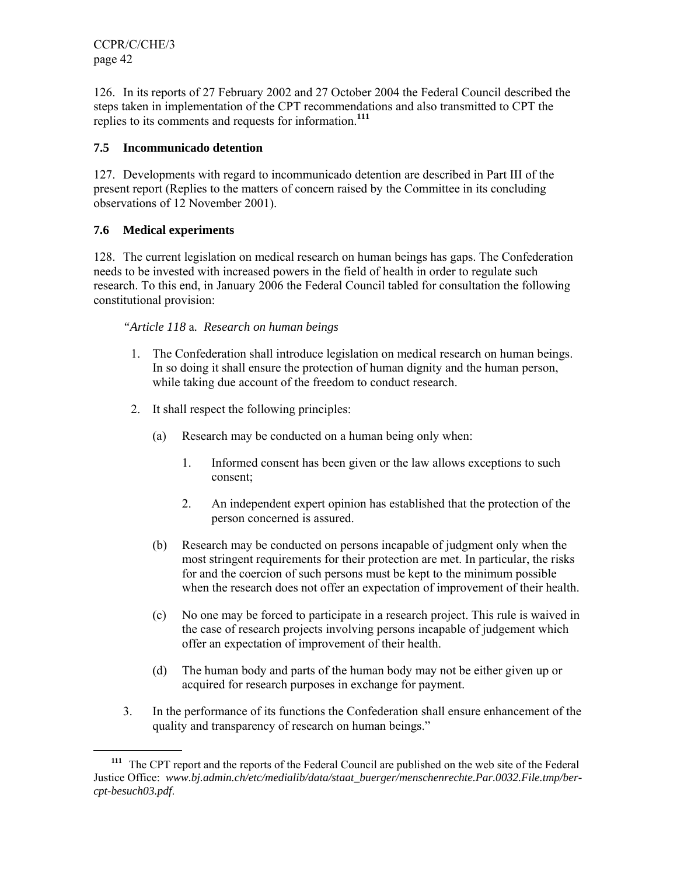126. In its reports of 27 February 2002 and 27 October 2004 the Federal Council described the steps taken in implementation of the CPT recommendations and also transmitted to CPT the replies to its comments and requests for information.**<sup>111</sup>**

#### **7.5 Incommunicado detention**

127. Developments with regard to incommunicado detention are described in Part III of the present report (Replies to the matters of concern raised by the Committee in its concluding observations of 12 November 2001).

### **7.6 Medical experiments**

128. The current legislation on medical research on human beings has gaps. The Confederation needs to be invested with increased powers in the field of health in order to regulate such research. To this end, in January 2006 the Federal Council tabled for consultation the following constitutional provision:

### *"Article 118* a*. Research on human beings*

- 1. The Confederation shall introduce legislation on medical research on human beings. In so doing it shall ensure the protection of human dignity and the human person, while taking due account of the freedom to conduct research.
- 2. It shall respect the following principles:
	- (a) Research may be conducted on a human being only when:
		- 1. Informed consent has been given or the law allows exceptions to such consent;
		- 2. An independent expert opinion has established that the protection of the person concerned is assured.
	- (b) Research may be conducted on persons incapable of judgment only when the most stringent requirements for their protection are met. In particular, the risks for and the coercion of such persons must be kept to the minimum possible when the research does not offer an expectation of improvement of their health.
	- (c) No one may be forced to participate in a research project. This rule is waived in the case of research projects involving persons incapable of judgement which offer an expectation of improvement of their health.
	- (d) The human body and parts of the human body may not be either given up or acquired for research purposes in exchange for payment.
- 3. In the performance of its functions the Confederation shall ensure enhancement of the quality and transparency of research on human beings."

**<sup>111</sup>** The CPT report and the reports of the Federal Council are published on the web site of the Federal Justice Office: *www.bj.admin.ch/etc/medialib/data/staat\_buerger/menschenrechte.Par.0032.File.tmp/bercpt-besuch03.pdf*.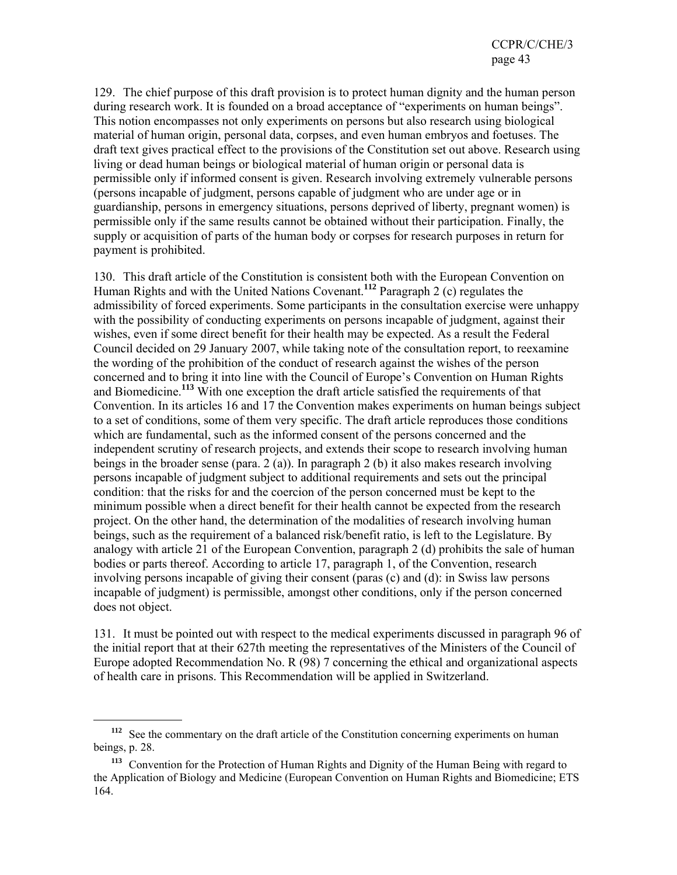129. The chief purpose of this draft provision is to protect human dignity and the human person during research work. It is founded on a broad acceptance of "experiments on human beings". This notion encompasses not only experiments on persons but also research using biological material of human origin, personal data, corpses, and even human embryos and foetuses. The draft text gives practical effect to the provisions of the Constitution set out above. Research using living or dead human beings or biological material of human origin or personal data is permissible only if informed consent is given. Research involving extremely vulnerable persons (persons incapable of judgment, persons capable of judgment who are under age or in guardianship, persons in emergency situations, persons deprived of liberty, pregnant women) is permissible only if the same results cannot be obtained without their participation. Finally, the supply or acquisition of parts of the human body or corpses for research purposes in return for payment is prohibited.

130. This draft article of the Constitution is consistent both with the European Convention on Human Rights and with the United Nations Covenant.**<sup>112</sup>** Paragraph 2 (c) regulates the admissibility of forced experiments. Some participants in the consultation exercise were unhappy with the possibility of conducting experiments on persons incapable of judgment, against their wishes, even if some direct benefit for their health may be expected. As a result the Federal Council decided on 29 January 2007, while taking note of the consultation report, to reexamine the wording of the prohibition of the conduct of research against the wishes of the person concerned and to bring it into line with the Council of Europe's Convention on Human Rights and Biomedicine.**<sup>113</sup>** With one exception the draft article satisfied the requirements of that Convention. In its articles 16 and 17 the Convention makes experiments on human beings subject to a set of conditions, some of them very specific. The draft article reproduces those conditions which are fundamental, such as the informed consent of the persons concerned and the independent scrutiny of research projects, and extends their scope to research involving human beings in the broader sense (para. 2 (a)). In paragraph 2 (b) it also makes research involving persons incapable of judgment subject to additional requirements and sets out the principal condition: that the risks for and the coercion of the person concerned must be kept to the minimum possible when a direct benefit for their health cannot be expected from the research project. On the other hand, the determination of the modalities of research involving human beings, such as the requirement of a balanced risk/benefit ratio, is left to the Legislature. By analogy with article 21 of the European Convention, paragraph 2 (d) prohibits the sale of human bodies or parts thereof. According to article 17, paragraph 1, of the Convention, research involving persons incapable of giving their consent (paras (c) and (d): in Swiss law persons incapable of judgment) is permissible, amongst other conditions, only if the person concerned does not object.

131. It must be pointed out with respect to the medical experiments discussed in paragraph 96 of the initial report that at their 627th meeting the representatives of the Ministers of the Council of Europe adopted Recommendation No. R (98) 7 concerning the ethical and organizational aspects of health care in prisons. This Recommendation will be applied in Switzerland.

**<sup>112</sup>** See the commentary on the draft article of the Constitution concerning experiments on human beings, p. 28.

**<sup>113</sup>** Convention for the Protection of Human Rights and Dignity of the Human Being with regard to the Application of Biology and Medicine (European Convention on Human Rights and Biomedicine; ETS 164.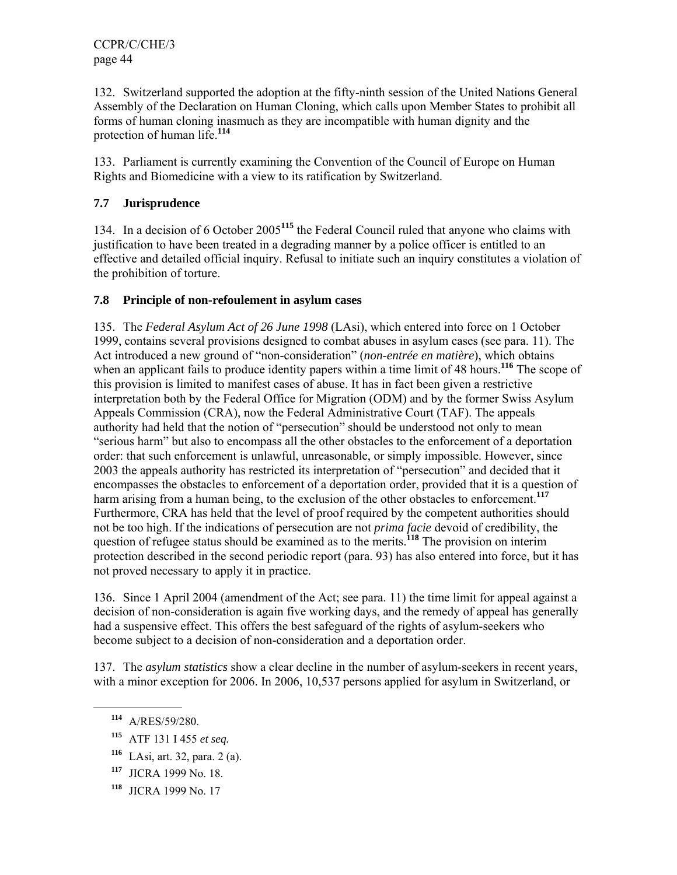132. Switzerland supported the adoption at the fifty-ninth session of the United Nations General Assembly of the Declaration on Human Cloning, which calls upon Member States to prohibit all forms of human cloning inasmuch as they are incompatible with human dignity and the protection of human life.**<sup>114</sup>**

133. Parliament is currently examining the Convention of the Council of Europe on Human Rights and Biomedicine with a view to its ratification by Switzerland.

# **7.7 Jurisprudence**

134. In a decision of 6 October 2005**<sup>115</sup>** the Federal Council ruled that anyone who claims with justification to have been treated in a degrading manner by a police officer is entitled to an effective and detailed official inquiry. Refusal to initiate such an inquiry constitutes a violation of the prohibition of torture.

### **7.8 Principle of non-refoulement in asylum cases**

135. The *Federal Asylum Act of 26 June 1998* (LAsi), which entered into force on 1 October 1999, contains several provisions designed to combat abuses in asylum cases (see para. 11). The Act introduced a new ground of "non-consideration" (*non-entrée en matière*), which obtains when an applicant fails to produce identity papers within a time limit of 48 hours.<sup>116</sup> The scope of this provision is limited to manifest cases of abuse. It has in fact been given a restrictive interpretation both by the Federal Office for Migration (ODM) and by the former Swiss Asylum Appeals Commission (CRA), now the Federal Administrative Court (TAF). The appeals authority had held that the notion of "persecution" should be understood not only to mean "serious harm" but also to encompass all the other obstacles to the enforcement of a deportation order: that such enforcement is unlawful, unreasonable, or simply impossible. However, since 2003 the appeals authority has restricted its interpretation of "persecution" and decided that it encompasses the obstacles to enforcement of a deportation order, provided that it is a question of harm arising from a human being, to the exclusion of the other obstacles to enforcement.**<sup>117</sup>** Furthermore, CRA has held that the level of proof required by the competent authorities should not be too high. If the indications of persecution are not *prima facie* devoid of credibility, the question of refugee status should be examined as to the merits.**<sup>118</sup>** The provision on interim protection described in the second periodic report (para. 93) has also entered into force, but it has not proved necessary to apply it in practice.

136. Since 1 April 2004 (amendment of the Act; see para. 11) the time limit for appeal against a decision of non-consideration is again five working days, and the remedy of appeal has generally had a suspensive effect. This offers the best safeguard of the rights of asylum-seekers who become subject to a decision of non-consideration and a deportation order.

137. The *asylum statistics* show a clear decline in the number of asylum-seekers in recent years, with a minor exception for 2006. In 2006, 10,537 persons applied for asylum in Switzerland, or

- **<sup>117</sup>** JICRA 1999 No. 18.
- **<sup>118</sup>** JICRA 1999 No. 17

**<sup>114</sup>** A/RES/59/280.

**<sup>115</sup>** ATF 131 I 455 *et seq.*

**<sup>116</sup>** LAsi, art. 32, para. 2 (a).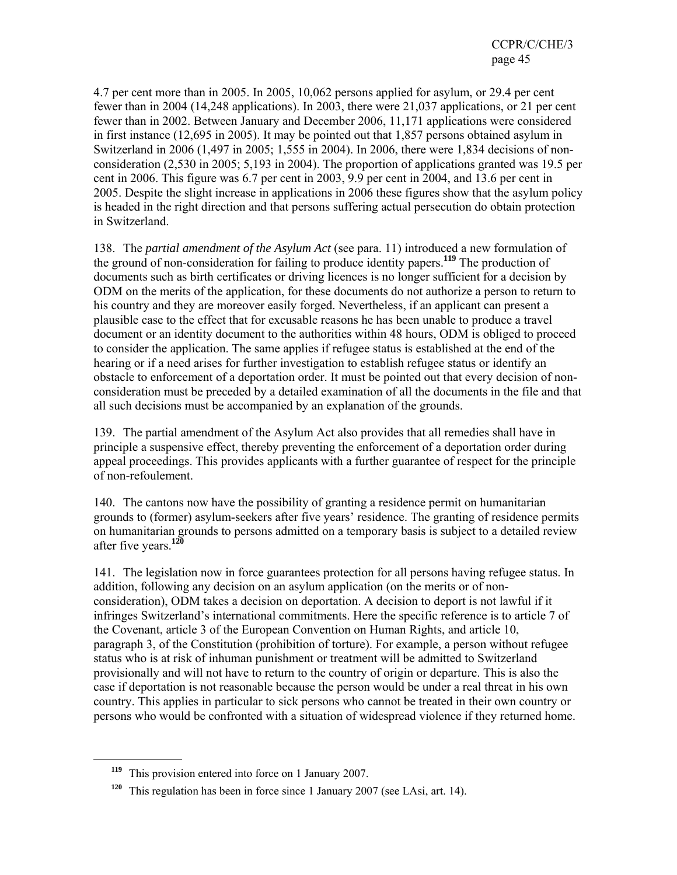4.7 per cent more than in 2005. In 2005, 10,062 persons applied for asylum, or 29.4 per cent fewer than in 2004 (14,248 applications). In 2003, there were 21,037 applications, or 21 per cent fewer than in 2002. Between January and December 2006, 11,171 applications were considered in first instance (12,695 in 2005). It may be pointed out that 1,857 persons obtained asylum in Switzerland in 2006 (1,497 in 2005; 1,555 in 2004). In 2006, there were 1,834 decisions of nonconsideration (2,530 in 2005; 5,193 in 2004). The proportion of applications granted was 19.5 per cent in 2006. This figure was 6.7 per cent in 2003, 9.9 per cent in 2004, and 13.6 per cent in 2005. Despite the slight increase in applications in 2006 these figures show that the asylum policy is headed in the right direction and that persons suffering actual persecution do obtain protection in Switzerland.

138. The *partial amendment of the Asylum Act* (see para. 11) introduced a new formulation of the ground of non-consideration for failing to produce identity papers.**<sup>119</sup>** The production of documents such as birth certificates or driving licences is no longer sufficient for a decision by ODM on the merits of the application, for these documents do not authorize a person to return to his country and they are moreover easily forged. Nevertheless, if an applicant can present a plausible case to the effect that for excusable reasons he has been unable to produce a travel document or an identity document to the authorities within 48 hours, ODM is obliged to proceed to consider the application. The same applies if refugee status is established at the end of the hearing or if a need arises for further investigation to establish refugee status or identify an obstacle to enforcement of a deportation order. It must be pointed out that every decision of nonconsideration must be preceded by a detailed examination of all the documents in the file and that all such decisions must be accompanied by an explanation of the grounds.

139. The partial amendment of the Asylum Act also provides that all remedies shall have in principle a suspensive effect, thereby preventing the enforcement of a deportation order during appeal proceedings. This provides applicants with a further guarantee of respect for the principle of non-refoulement.

140. The cantons now have the possibility of granting a residence permit on humanitarian grounds to (former) asylum-seekers after five years' residence. The granting of residence permits on humanitarian grounds to persons admitted on a temporary basis is subject to a detailed review after five years.**<sup>120</sup>**

141. The legislation now in force guarantees protection for all persons having refugee status. In addition, following any decision on an asylum application (on the merits or of nonconsideration), ODM takes a decision on deportation. A decision to deport is not lawful if it infringes Switzerland's international commitments. Here the specific reference is to article 7 of the Covenant, article 3 of the European Convention on Human Rights, and article 10, paragraph 3, of the Constitution (prohibition of torture). For example, a person without refugee status who is at risk of inhuman punishment or treatment will be admitted to Switzerland provisionally and will not have to return to the country of origin or departure. This is also the case if deportation is not reasonable because the person would be under a real threat in his own country. This applies in particular to sick persons who cannot be treated in their own country or persons who would be confronted with a situation of widespread violence if they returned home.

**<sup>119</sup>** This provision entered into force on 1 January 2007.

**<sup>120</sup>** This regulation has been in force since 1 January 2007 (see LAsi, art. 14).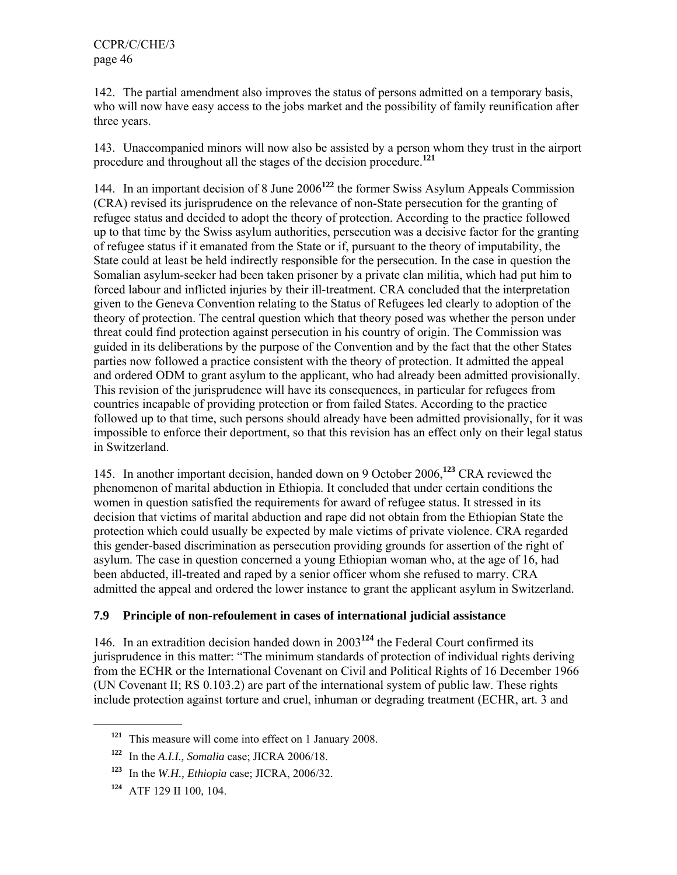142. The partial amendment also improves the status of persons admitted on a temporary basis, who will now have easy access to the jobs market and the possibility of family reunification after three years.

143. Unaccompanied minors will now also be assisted by a person whom they trust in the airport procedure and throughout all the stages of the decision procedure.**<sup>121</sup>**

144. In an important decision of 8 June 2006**<sup>122</sup>** the former Swiss Asylum Appeals Commission (CRA) revised its jurisprudence on the relevance of non-State persecution for the granting of refugee status and decided to adopt the theory of protection. According to the practice followed up to that time by the Swiss asylum authorities, persecution was a decisive factor for the granting of refugee status if it emanated from the State or if, pursuant to the theory of imputability, the State could at least be held indirectly responsible for the persecution. In the case in question the Somalian asylum-seeker had been taken prisoner by a private clan militia, which had put him to forced labour and inflicted injuries by their ill-treatment. CRA concluded that the interpretation given to the Geneva Convention relating to the Status of Refugees led clearly to adoption of the theory of protection. The central question which that theory posed was whether the person under threat could find protection against persecution in his country of origin. The Commission was guided in its deliberations by the purpose of the Convention and by the fact that the other States parties now followed a practice consistent with the theory of protection. It admitted the appeal and ordered ODM to grant asylum to the applicant, who had already been admitted provisionally. This revision of the jurisprudence will have its consequences, in particular for refugees from countries incapable of providing protection or from failed States. According to the practice followed up to that time, such persons should already have been admitted provisionally, for it was impossible to enforce their deportment, so that this revision has an effect only on their legal status in Switzerland.

145. In another important decision, handed down on 9 October 2006,**<sup>123</sup>** CRA reviewed the phenomenon of marital abduction in Ethiopia. It concluded that under certain conditions the women in question satisfied the requirements for award of refugee status. It stressed in its decision that victims of marital abduction and rape did not obtain from the Ethiopian State the protection which could usually be expected by male victims of private violence. CRA regarded this gender-based discrimination as persecution providing grounds for assertion of the right of asylum. The case in question concerned a young Ethiopian woman who, at the age of 16, had been abducted, ill-treated and raped by a senior officer whom she refused to marry. CRA admitted the appeal and ordered the lower instance to grant the applicant asylum in Switzerland.

### **7.9 Principle of non-refoulement in cases of international judicial assistance**

146. In an extradition decision handed down in 2003**<sup>124</sup>** the Federal Court confirmed its jurisprudence in this matter: "The minimum standards of protection of individual rights deriving from the ECHR or the International Covenant on Civil and Political Rights of 16 December 1966 (UN Covenant II; RS 0.103.2) are part of the international system of public law. These rights include protection against torture and cruel, inhuman or degrading treatment (ECHR, art. 3 and

**<sup>121</sup>** This measure will come into effect on 1 January 2008.

**<sup>122</sup>** In the *A.I.I., Somalia* case; JICRA 2006/18.

**<sup>123</sup>** In the *W.H., Ethiopia* case; JICRA, 2006/32.

**<sup>124</sup>** ATF 129 II 100, 104.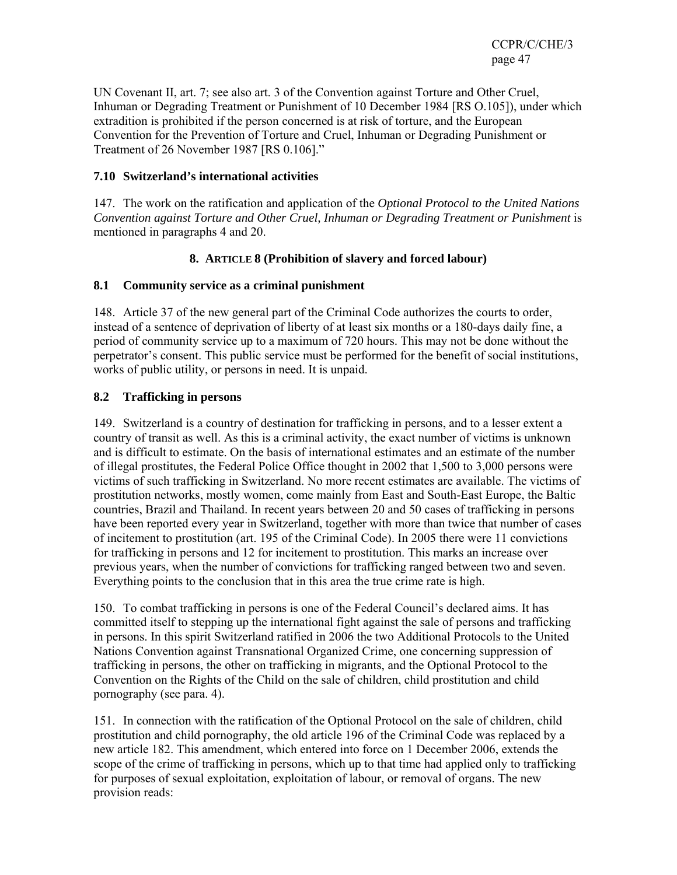UN Covenant II, art. 7; see also art. 3 of the Convention against Torture and Other Cruel, Inhuman or Degrading Treatment or Punishment of 10 December 1984 [RS O.105]), under which extradition is prohibited if the person concerned is at risk of torture, and the European Convention for the Prevention of Torture and Cruel, Inhuman or Degrading Punishment or Treatment of 26 November 1987 [RS 0.106]."

### **7.10 Switzerland's international activities**

147. The work on the ratification and application of the *Optional Protocol to the United Nations Convention against Torture and Other Cruel, Inhuman or Degrading Treatment or Punishment* is mentioned in paragraphs 4 and 20.

### **8. ARTICLE 8 (Prohibition of slavery and forced labour)**

#### **8.1 Community service as a criminal punishment**

148. Article 37 of the new general part of the Criminal Code authorizes the courts to order, instead of a sentence of deprivation of liberty of at least six months or a 180-days daily fine, a period of community service up to a maximum of 720 hours. This may not be done without the perpetrator's consent. This public service must be performed for the benefit of social institutions, works of public utility, or persons in need. It is unpaid.

#### **8.2 Trafficking in persons**

149. Switzerland is a country of destination for trafficking in persons, and to a lesser extent a country of transit as well. As this is a criminal activity, the exact number of victims is unknown and is difficult to estimate. On the basis of international estimates and an estimate of the number of illegal prostitutes, the Federal Police Office thought in 2002 that 1,500 to 3,000 persons were victims of such trafficking in Switzerland. No more recent estimates are available. The victims of prostitution networks, mostly women, come mainly from East and South-East Europe, the Baltic countries, Brazil and Thailand. In recent years between 20 and 50 cases of trafficking in persons have been reported every year in Switzerland, together with more than twice that number of cases of incitement to prostitution (art. 195 of the Criminal Code). In 2005 there were 11 convictions for trafficking in persons and 12 for incitement to prostitution. This marks an increase over previous years, when the number of convictions for trafficking ranged between two and seven. Everything points to the conclusion that in this area the true crime rate is high.

150. To combat trafficking in persons is one of the Federal Council's declared aims. It has committed itself to stepping up the international fight against the sale of persons and trafficking in persons. In this spirit Switzerland ratified in 2006 the two Additional Protocols to the United Nations Convention against Transnational Organized Crime, one concerning suppression of trafficking in persons, the other on trafficking in migrants, and the Optional Protocol to the Convention on the Rights of the Child on the sale of children, child prostitution and child pornography (see para. 4).

151. In connection with the ratification of the Optional Protocol on the sale of children, child prostitution and child pornography, the old article 196 of the Criminal Code was replaced by a new article 182. This amendment, which entered into force on 1 December 2006, extends the scope of the crime of trafficking in persons, which up to that time had applied only to trafficking for purposes of sexual exploitation, exploitation of labour, or removal of organs. The new provision reads: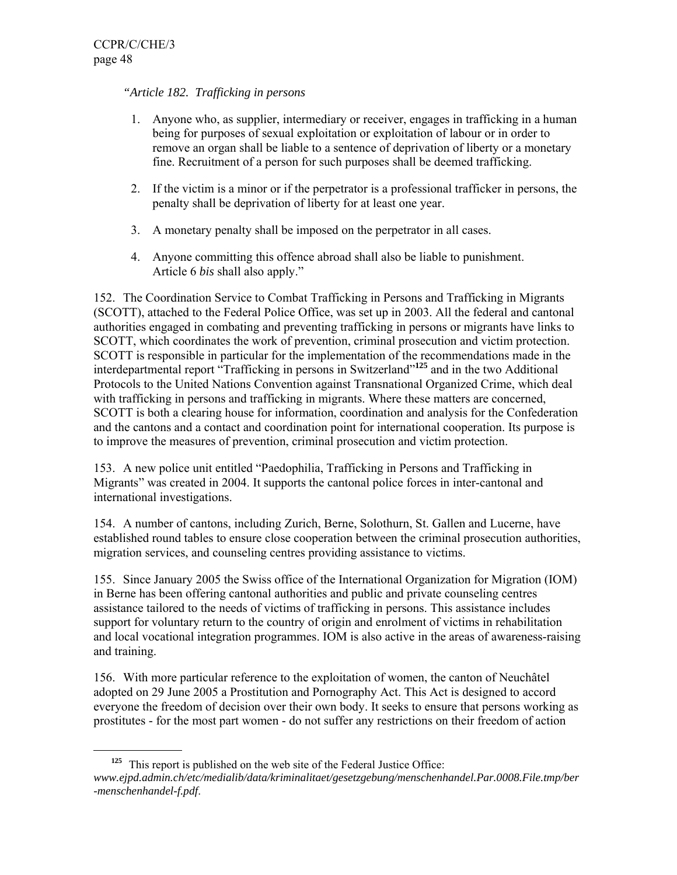### *"Article 182. Trafficking in persons*

- 1. Anyone who, as supplier, intermediary or receiver, engages in trafficking in a human being for purposes of sexual exploitation or exploitation of labour or in order to remove an organ shall be liable to a sentence of deprivation of liberty or a monetary fine. Recruitment of a person for such purposes shall be deemed trafficking.
- 2. If the victim is a minor or if the perpetrator is a professional trafficker in persons, the penalty shall be deprivation of liberty for at least one year.
- 3. A monetary penalty shall be imposed on the perpetrator in all cases.
- 4. Anyone committing this offence abroad shall also be liable to punishment. Article 6 *bis* shall also apply."

152. The Coordination Service to Combat Trafficking in Persons and Trafficking in Migrants (SCOTT), attached to the Federal Police Office, was set up in 2003. All the federal and cantonal authorities engaged in combating and preventing trafficking in persons or migrants have links to SCOTT, which coordinates the work of prevention, criminal prosecution and victim protection. SCOTT is responsible in particular for the implementation of the recommendations made in the interdepartmental report "Trafficking in persons in Switzerland"**<sup>125</sup>** and in the two Additional Protocols to the United Nations Convention against Transnational Organized Crime, which deal with trafficking in persons and trafficking in migrants. Where these matters are concerned, SCOTT is both a clearing house for information, coordination and analysis for the Confederation and the cantons and a contact and coordination point for international cooperation. Its purpose is to improve the measures of prevention, criminal prosecution and victim protection.

153. A new police unit entitled "Paedophilia, Trafficking in Persons and Trafficking in Migrants" was created in 2004. It supports the cantonal police forces in inter-cantonal and international investigations.

154. A number of cantons, including Zurich, Berne, Solothurn, St. Gallen and Lucerne, have established round tables to ensure close cooperation between the criminal prosecution authorities, migration services, and counseling centres providing assistance to victims.

155. Since January 2005 the Swiss office of the International Organization for Migration (IOM) in Berne has been offering cantonal authorities and public and private counseling centres assistance tailored to the needs of victims of trafficking in persons. This assistance includes support for voluntary return to the country of origin and enrolment of victims in rehabilitation and local vocational integration programmes. IOM is also active in the areas of awareness-raising and training.

156. With more particular reference to the exploitation of women, the canton of Neuchâtel adopted on 29 June 2005 a Prostitution and Pornography Act. This Act is designed to accord everyone the freedom of decision over their own body. It seeks to ensure that persons working as prostitutes - for the most part women - do not suffer any restrictions on their freedom of action

**<sup>125</sup>** This report is published on the web site of the Federal Justice Office: *www.ejpd.admin.ch/etc/medialib/data/kriminalitaet/gesetzgebung/menschenhandel.Par.0008.File.tmp/ber -menschenhandel-f.pdf*.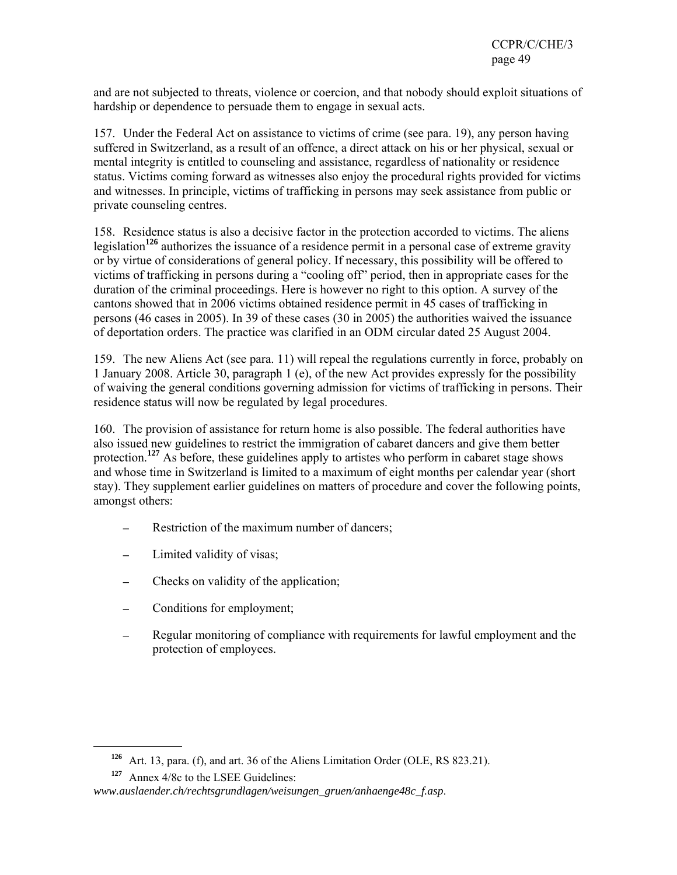and are not subjected to threats, violence or coercion, and that nobody should exploit situations of hardship or dependence to persuade them to engage in sexual acts.

157. Under the Federal Act on assistance to victims of crime (see para. 19), any person having suffered in Switzerland, as a result of an offence, a direct attack on his or her physical, sexual or mental integrity is entitled to counseling and assistance, regardless of nationality or residence status. Victims coming forward as witnesses also enjoy the procedural rights provided for victims and witnesses. In principle, victims of trafficking in persons may seek assistance from public or private counseling centres.

158. Residence status is also a decisive factor in the protection accorded to victims. The aliens legislation**<sup>126</sup>** authorizes the issuance of a residence permit in a personal case of extreme gravity or by virtue of considerations of general policy. If necessary, this possibility will be offered to victims of trafficking in persons during a "cooling off" period, then in appropriate cases for the duration of the criminal proceedings. Here is however no right to this option. A survey of the cantons showed that in 2006 victims obtained residence permit in 45 cases of trafficking in persons (46 cases in 2005). In 39 of these cases (30 in 2005) the authorities waived the issuance of deportation orders. The practice was clarified in an ODM circular dated 25 August 2004.

159. The new Aliens Act (see para. 11) will repeal the regulations currently in force, probably on 1 January 2008. Article 30, paragraph 1 (e), of the new Act provides expressly for the possibility of waiving the general conditions governing admission for victims of trafficking in persons. Their residence status will now be regulated by legal procedures.

160. The provision of assistance for return home is also possible. The federal authorities have also issued new guidelines to restrict the immigration of cabaret dancers and give them better protection.<sup>127</sup> As before, these guidelines apply to artistes who perform in cabaret stage shows and whose time in Switzerland is limited to a maximum of eight months per calendar year (short stay). They supplement earlier guidelines on matters of procedure and cover the following points, amongst others:

- Restriction of the maximum number of dancers;
- Limited validity of visas;
- Checks on validity of the application;
- Conditions for employment;
- Regular monitoring of compliance with requirements for lawful employment and the protection of employees.

**<sup>126</sup>** Art. 13, para. (f), and art. 36 of the Aliens Limitation Order (OLE, RS 823.21).

**<sup>127</sup>** Annex 4/8c to the LSEE Guidelines:

*www.auslaender.ch/rechtsgrundlagen/weisungen\_gruen/anhaenge48c\_f.asp*.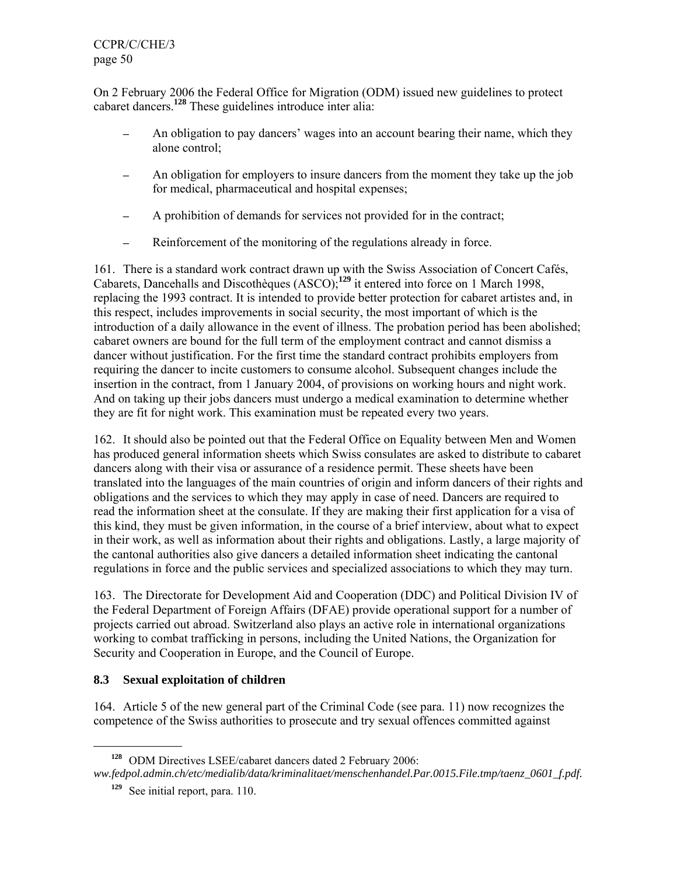On 2 February 2006 the Federal Office for Migration (ODM) issued new guidelines to protect cabaret dancers.**<sup>128</sup>** These guidelines introduce inter alia:

- An obligation to pay dancers' wages into an account bearing their name, which they alone control;
- An obligation for employers to insure dancers from the moment they take up the job for medical, pharmaceutical and hospital expenses;
- ─ A prohibition of demands for services not provided for in the contract;
- ─ Reinforcement of the monitoring of the regulations already in force.

161. There is a standard work contract drawn up with the Swiss Association of Concert Cafés, Cabarets, Dancehalls and Discothèques (ASCO);**<sup>129</sup>** it entered into force on 1 March 1998, replacing the 1993 contract. It is intended to provide better protection for cabaret artistes and, in this respect, includes improvements in social security, the most important of which is the introduction of a daily allowance in the event of illness. The probation period has been abolished; cabaret owners are bound for the full term of the employment contract and cannot dismiss a dancer without justification. For the first time the standard contract prohibits employers from requiring the dancer to incite customers to consume alcohol. Subsequent changes include the insertion in the contract, from 1 January 2004, of provisions on working hours and night work. And on taking up their jobs dancers must undergo a medical examination to determine whether they are fit for night work. This examination must be repeated every two years.

162. It should also be pointed out that the Federal Office on Equality between Men and Women has produced general information sheets which Swiss consulates are asked to distribute to cabaret dancers along with their visa or assurance of a residence permit. These sheets have been translated into the languages of the main countries of origin and inform dancers of their rights and obligations and the services to which they may apply in case of need. Dancers are required to read the information sheet at the consulate. If they are making their first application for a visa of this kind, they must be given information, in the course of a brief interview, about what to expect in their work, as well as information about their rights and obligations. Lastly, a large majority of the cantonal authorities also give dancers a detailed information sheet indicating the cantonal regulations in force and the public services and specialized associations to which they may turn.

163. The Directorate for Development Aid and Cooperation (DDC) and Political Division IV of the Federal Department of Foreign Affairs (DFAE) provide operational support for a number of projects carried out abroad. Switzerland also plays an active role in international organizations working to combat trafficking in persons, including the United Nations, the Organization for Security and Cooperation in Europe, and the Council of Europe.

### **8.3 Sexual exploitation of children**

164. Article 5 of the new general part of the Criminal Code (see para. 11) now recognizes the competence of the Swiss authorities to prosecute and try sexual offences committed against

**<sup>128</sup>** ODM Directives LSEE/cabaret dancers dated 2 February 2006:

*ww.fedpol.admin.ch/etc/medialib/data/kriminalitaet/menschenhandel.Par.0015.File.tmp/taenz\_0601\_f.pdf.*

**<sup>129</sup>** See initial report, para. 110.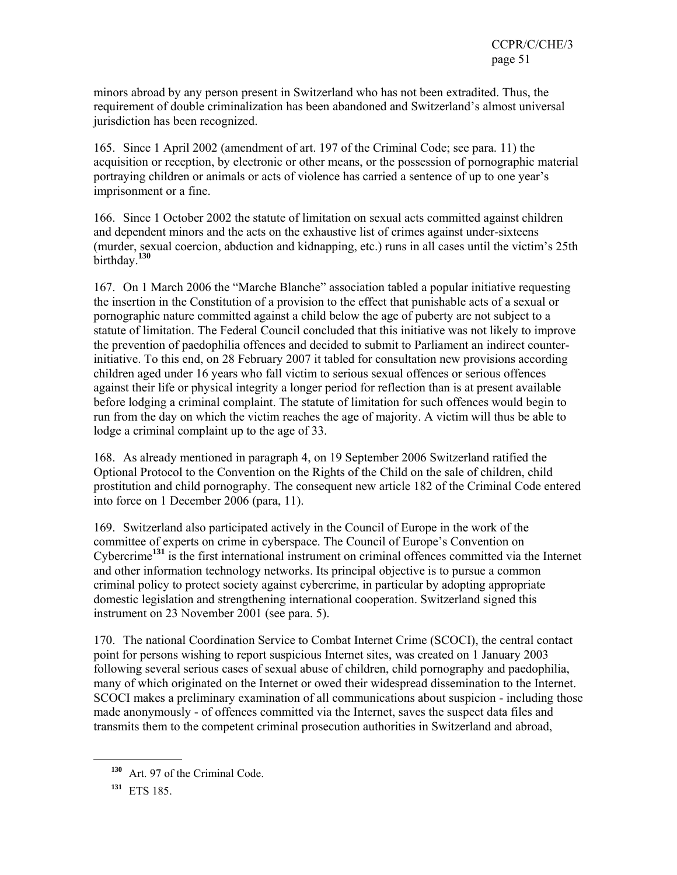minors abroad by any person present in Switzerland who has not been extradited. Thus, the requirement of double criminalization has been abandoned and Switzerland's almost universal jurisdiction has been recognized.

165. Since 1 April 2002 (amendment of art. 197 of the Criminal Code; see para. 11) the acquisition or reception, by electronic or other means, or the possession of pornographic material portraying children or animals or acts of violence has carried a sentence of up to one year's imprisonment or a fine.

166. Since 1 October 2002 the statute of limitation on sexual acts committed against children and dependent minors and the acts on the exhaustive list of crimes against under-sixteens (murder, sexual coercion, abduction and kidnapping, etc.) runs in all cases until the victim's 25th birthday.**<sup>130</sup>**

167. On 1 March 2006 the "Marche Blanche" association tabled a popular initiative requesting the insertion in the Constitution of a provision to the effect that punishable acts of a sexual or pornographic nature committed against a child below the age of puberty are not subject to a statute of limitation. The Federal Council concluded that this initiative was not likely to improve the prevention of paedophilia offences and decided to submit to Parliament an indirect counterinitiative. To this end, on 28 February 2007 it tabled for consultation new provisions according children aged under 16 years who fall victim to serious sexual offences or serious offences against their life or physical integrity a longer period for reflection than is at present available before lodging a criminal complaint. The statute of limitation for such offences would begin to run from the day on which the victim reaches the age of majority. A victim will thus be able to lodge a criminal complaint up to the age of 33.

168. As already mentioned in paragraph 4, on 19 September 2006 Switzerland ratified the Optional Protocol to the Convention on the Rights of the Child on the sale of children, child prostitution and child pornography. The consequent new article 182 of the Criminal Code entered into force on 1 December 2006 (para, 11).

169. Switzerland also participated actively in the Council of Europe in the work of the committee of experts on crime in cyberspace. The Council of Europe's Convention on Cybercrime**<sup>131</sup>** is the first international instrument on criminal offences committed via the Internet and other information technology networks. Its principal objective is to pursue a common criminal policy to protect society against cybercrime, in particular by adopting appropriate domestic legislation and strengthening international cooperation. Switzerland signed this instrument on 23 November 2001 (see para. 5).

170. The national Coordination Service to Combat Internet Crime (SCOCI), the central contact point for persons wishing to report suspicious Internet sites, was created on 1 January 2003 following several serious cases of sexual abuse of children, child pornography and paedophilia, many of which originated on the Internet or owed their widespread dissemination to the Internet. SCOCI makes a preliminary examination of all communications about suspicion - including those made anonymously - of offences committed via the Internet, saves the suspect data files and transmits them to the competent criminal prosecution authorities in Switzerland and abroad,

**<sup>130</sup>** Art. 97 of the Criminal Code.

**<sup>131</sup>** ETS 185.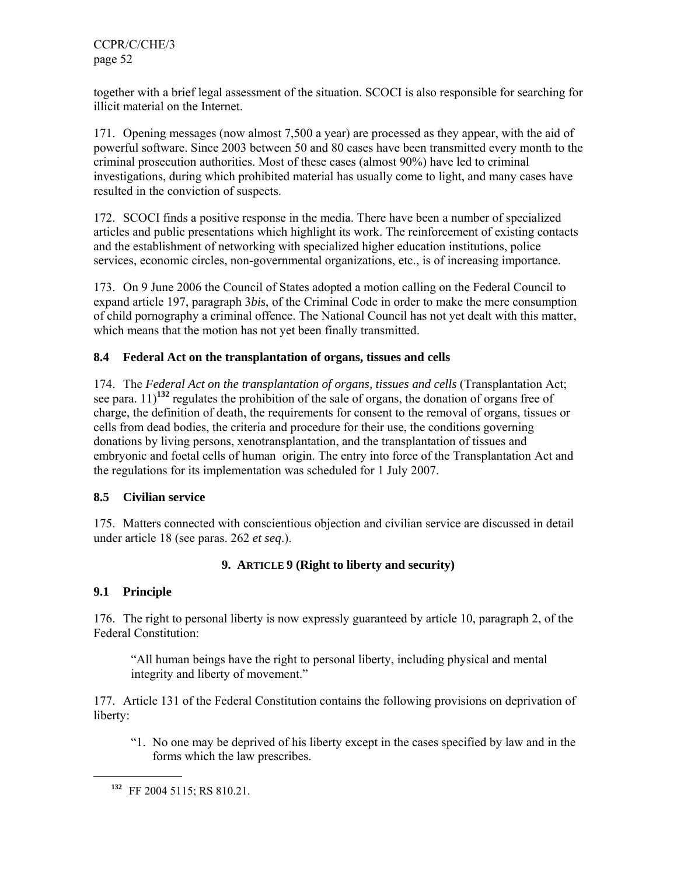together with a brief legal assessment of the situation. SCOCI is also responsible for searching for illicit material on the Internet.

171. Opening messages (now almost 7,500 a year) are processed as they appear, with the aid of powerful software. Since 2003 between 50 and 80 cases have been transmitted every month to the criminal prosecution authorities. Most of these cases (almost 90%) have led to criminal investigations, during which prohibited material has usually come to light, and many cases have resulted in the conviction of suspects.

172. SCOCI finds a positive response in the media. There have been a number of specialized articles and public presentations which highlight its work. The reinforcement of existing contacts and the establishment of networking with specialized higher education institutions, police services, economic circles, non-governmental organizations, etc., is of increasing importance.

173. On 9 June 2006 the Council of States adopted a motion calling on the Federal Council to expand article 197, paragraph 3*bis*, of the Criminal Code in order to make the mere consumption of child pornography a criminal offence. The National Council has not yet dealt with this matter, which means that the motion has not yet been finally transmitted.

# **8.4 Federal Act on the transplantation of organs, tissues and cells**

174. The *Federal Act on the transplantation of organs, tissues and cells* (Transplantation Act; see para. 11)**<sup>132</sup>** regulates the prohibition of the sale of organs, the donation of organs free of charge, the definition of death, the requirements for consent to the removal of organs, tissues or cells from dead bodies, the criteria and procedure for their use, the conditions governing donations by living persons, xenotransplantation, and the transplantation of tissues and embryonic and foetal cells of human origin. The entry into force of the Transplantation Act and the regulations for its implementation was scheduled for 1 July 2007.

### **8.5 Civilian service**

175. Matters connected with conscientious objection and civilian service are discussed in detail under article 18 (see paras. 262 *et seq*.).

# **9. ARTICLE 9 (Right to liberty and security)**

### **9.1 Principle**

 $\overline{a}$ 

176. The right to personal liberty is now expressly guaranteed by article 10, paragraph 2, of the Federal Constitution:

"All human beings have the right to personal liberty, including physical and mental integrity and liberty of movement."

177. Article 131 of the Federal Constitution contains the following provisions on deprivation of liberty:

"1. No one may be deprived of his liberty except in the cases specified by law and in the forms which the law prescribes.

**<sup>132</sup>** FF 2004 5115; RS 810.21.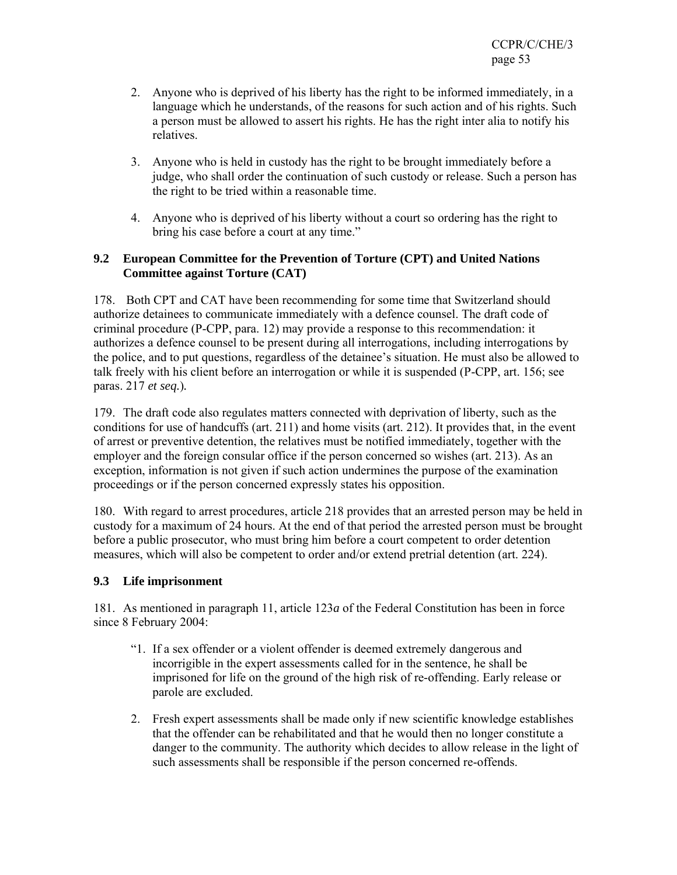- 2. Anyone who is deprived of his liberty has the right to be informed immediately, in a language which he understands, of the reasons for such action and of his rights. Such a person must be allowed to assert his rights. He has the right inter alia to notify his relatives.
- 3. Anyone who is held in custody has the right to be brought immediately before a judge, who shall order the continuation of such custody or release. Such a person has the right to be tried within a reasonable time.
- 4. Anyone who is deprived of his liberty without a court so ordering has the right to bring his case before a court at any time."

### **9.2 European Committee for the Prevention of Torture (CPT) and United Nations Committee against Torture (CAT)**

178. Both CPT and CAT have been recommending for some time that Switzerland should authorize detainees to communicate immediately with a defence counsel. The draft code of criminal procedure (P-CPP, para. 12) may provide a response to this recommendation: it authorizes a defence counsel to be present during all interrogations, including interrogations by the police, and to put questions, regardless of the detainee's situation. He must also be allowed to talk freely with his client before an interrogation or while it is suspended (P-CPP, art. 156; see paras. 217 *et seq.*)*.*

179. The draft code also regulates matters connected with deprivation of liberty, such as the conditions for use of handcuffs (art. 211) and home visits (art. 212). It provides that, in the event of arrest or preventive detention, the relatives must be notified immediately, together with the employer and the foreign consular office if the person concerned so wishes (art. 213). As an exception, information is not given if such action undermines the purpose of the examination proceedings or if the person concerned expressly states his opposition.

180. With regard to arrest procedures, article 218 provides that an arrested person may be held in custody for a maximum of 24 hours. At the end of that period the arrested person must be brought before a public prosecutor, who must bring him before a court competent to order detention measures, which will also be competent to order and/or extend pretrial detention (art. 224).

### **9.3 Life imprisonment**

181. As mentioned in paragraph 11, article 123*a* of the Federal Constitution has been in force since 8 February 2004:

- "1. If a sex offender or a violent offender is deemed extremely dangerous and incorrigible in the expert assessments called for in the sentence, he shall be imprisoned for life on the ground of the high risk of re-offending. Early release or parole are excluded.
- 2. Fresh expert assessments shall be made only if new scientific knowledge establishes that the offender can be rehabilitated and that he would then no longer constitute a danger to the community. The authority which decides to allow release in the light of such assessments shall be responsible if the person concerned re-offends.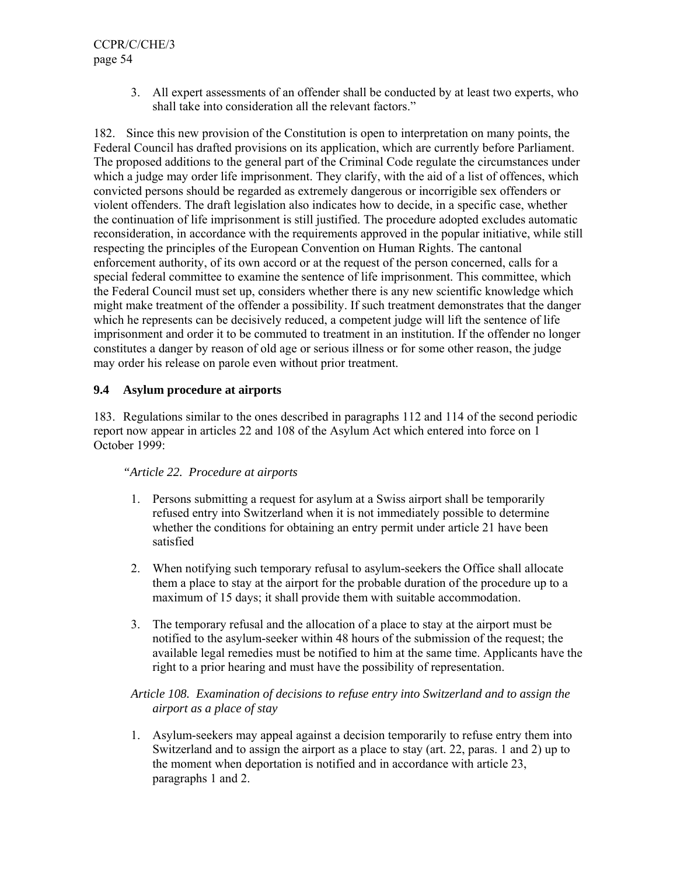3. All expert assessments of an offender shall be conducted by at least two experts, who shall take into consideration all the relevant factors."

182. Since this new provision of the Constitution is open to interpretation on many points, the Federal Council has drafted provisions on its application, which are currently before Parliament. The proposed additions to the general part of the Criminal Code regulate the circumstances under which a judge may order life imprisonment. They clarify, with the aid of a list of offences, which convicted persons should be regarded as extremely dangerous or incorrigible sex offenders or violent offenders. The draft legislation also indicates how to decide, in a specific case, whether the continuation of life imprisonment is still justified. The procedure adopted excludes automatic reconsideration, in accordance with the requirements approved in the popular initiative, while still respecting the principles of the European Convention on Human Rights. The cantonal enforcement authority, of its own accord or at the request of the person concerned, calls for a special federal committee to examine the sentence of life imprisonment. This committee, which the Federal Council must set up, considers whether there is any new scientific knowledge which might make treatment of the offender a possibility. If such treatment demonstrates that the danger which he represents can be decisively reduced, a competent judge will lift the sentence of life imprisonment and order it to be commuted to treatment in an institution. If the offender no longer constitutes a danger by reason of old age or serious illness or for some other reason, the judge may order his release on parole even without prior treatment.

### **9.4 Asylum procedure at airports**

183. Regulations similar to the ones described in paragraphs 112 and 114 of the second periodic report now appear in articles 22 and 108 of the Asylum Act which entered into force on 1 October 1999:

#### *"Article 22. Procedure at airports*

- 1. Persons submitting a request for asylum at a Swiss airport shall be temporarily refused entry into Switzerland when it is not immediately possible to determine whether the conditions for obtaining an entry permit under article 21 have been satisfied
- 2. When notifying such temporary refusal to asylum-seekers the Office shall allocate them a place to stay at the airport for the probable duration of the procedure up to a maximum of 15 days; it shall provide them with suitable accommodation.
- 3. The temporary refusal and the allocation of a place to stay at the airport must be notified to the asylum-seeker within 48 hours of the submission of the request; the available legal remedies must be notified to him at the same time. Applicants have the right to a prior hearing and must have the possibility of representation.

### *Article 108. Examination of decisions to refuse entry into Switzerland and to assign the airport as a place of stay*

1. Asylum-seekers may appeal against a decision temporarily to refuse entry them into Switzerland and to assign the airport as a place to stay (art. 22, paras. 1 and 2) up to the moment when deportation is notified and in accordance with article 23, paragraphs 1 and 2.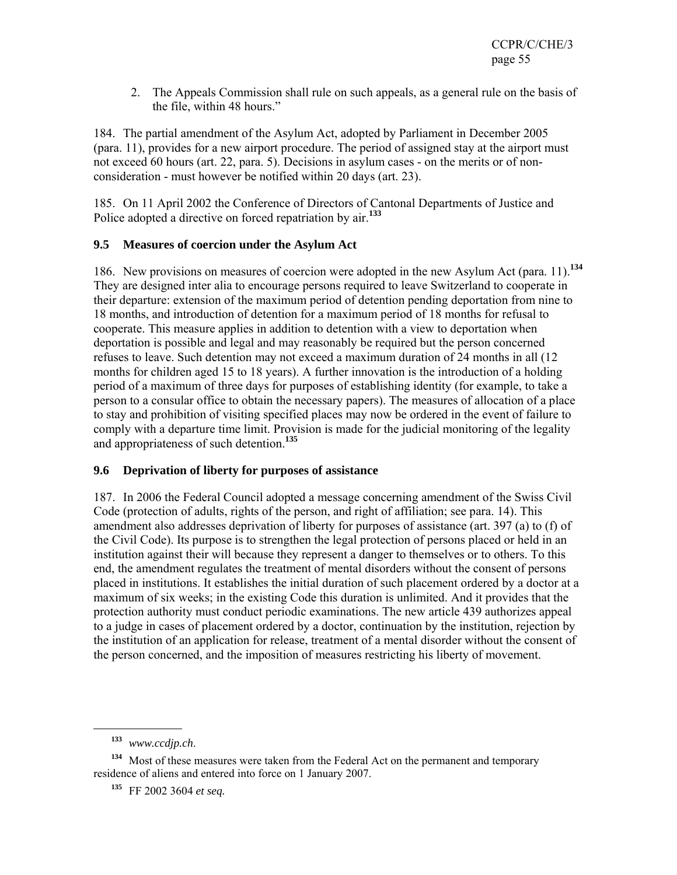2. The Appeals Commission shall rule on such appeals, as a general rule on the basis of the file, within 48 hours."

184. The partial amendment of the Asylum Act, adopted by Parliament in December 2005 (para. 11), provides for a new airport procedure. The period of assigned stay at the airport must not exceed 60 hours (art. 22, para. 5). Decisions in asylum cases - on the merits or of nonconsideration - must however be notified within 20 days (art. 23).

185. On 11 April 2002 the Conference of Directors of Cantonal Departments of Justice and Police adopted a directive on forced repatriation by air.**<sup>133</sup>**

### **9.5 Measures of coercion under the Asylum Act**

186. New provisions on measures of coercion were adopted in the new Asylum Act (para. 11).**<sup>134</sup>** They are designed inter alia to encourage persons required to leave Switzerland to cooperate in their departure: extension of the maximum period of detention pending deportation from nine to 18 months, and introduction of detention for a maximum period of 18 months for refusal to cooperate. This measure applies in addition to detention with a view to deportation when deportation is possible and legal and may reasonably be required but the person concerned refuses to leave. Such detention may not exceed a maximum duration of 24 months in all (12 months for children aged 15 to 18 years). A further innovation is the introduction of a holding period of a maximum of three days for purposes of establishing identity (for example, to take a person to a consular office to obtain the necessary papers). The measures of allocation of a place to stay and prohibition of visiting specified places may now be ordered in the event of failure to comply with a departure time limit. Provision is made for the judicial monitoring of the legality and appropriateness of such detention.**<sup>135</sup>**

### **9.6 Deprivation of liberty for purposes of assistance**

187. In 2006 the Federal Council adopted a message concerning amendment of the Swiss Civil Code (protection of adults, rights of the person, and right of affiliation; see para. 14). This amendment also addresses deprivation of liberty for purposes of assistance (art. 397 (a) to (f) of the Civil Code). Its purpose is to strengthen the legal protection of persons placed or held in an institution against their will because they represent a danger to themselves or to others. To this end, the amendment regulates the treatment of mental disorders without the consent of persons placed in institutions. It establishes the initial duration of such placement ordered by a doctor at a maximum of six weeks; in the existing Code this duration is unlimited. And it provides that the protection authority must conduct periodic examinations. The new article 439 authorizes appeal to a judge in cases of placement ordered by a doctor, continuation by the institution, rejection by the institution of an application for release, treatment of a mental disorder without the consent of the person concerned, and the imposition of measures restricting his liberty of movement.

**<sup>133</sup>** *www.ccdjp.ch*.

**<sup>134</sup>** Most of these measures were taken from the Federal Act on the permanent and temporary residence of aliens and entered into force on 1 January 2007.

**<sup>135</sup>** FF 2002 3604 *et seq.*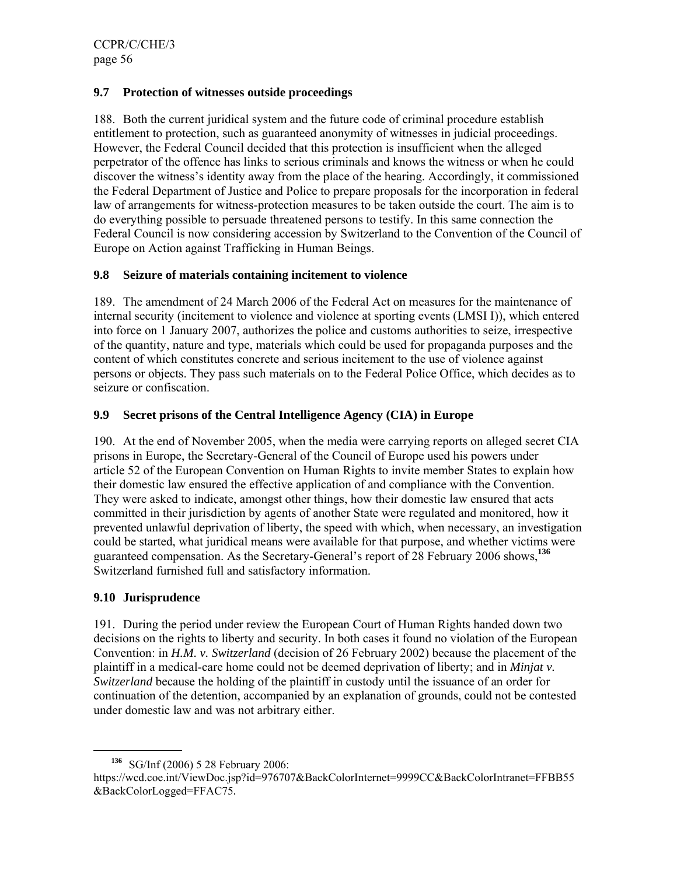### **9.7 Protection of witnesses outside proceedings**

188. Both the current juridical system and the future code of criminal procedure establish entitlement to protection, such as guaranteed anonymity of witnesses in judicial proceedings. However, the Federal Council decided that this protection is insufficient when the alleged perpetrator of the offence has links to serious criminals and knows the witness or when he could discover the witness's identity away from the place of the hearing. Accordingly, it commissioned the Federal Department of Justice and Police to prepare proposals for the incorporation in federal law of arrangements for witness-protection measures to be taken outside the court. The aim is to do everything possible to persuade threatened persons to testify. In this same connection the Federal Council is now considering accession by Switzerland to the Convention of the Council of Europe on Action against Trafficking in Human Beings.

#### **9.8 Seizure of materials containing incitement to violence**

189. The amendment of 24 March 2006 of the Federal Act on measures for the maintenance of internal security (incitement to violence and violence at sporting events (LMSI I)), which entered into force on 1 January 2007, authorizes the police and customs authorities to seize, irrespective of the quantity, nature and type, materials which could be used for propaganda purposes and the content of which constitutes concrete and serious incitement to the use of violence against persons or objects. They pass such materials on to the Federal Police Office, which decides as to seizure or confiscation.

#### **9.9 Secret prisons of the Central Intelligence Agency (CIA) in Europe**

190. At the end of November 2005, when the media were carrying reports on alleged secret CIA prisons in Europe, the Secretary-General of the Council of Europe used his powers under article 52 of the European Convention on Human Rights to invite member States to explain how their domestic law ensured the effective application of and compliance with the Convention. They were asked to indicate, amongst other things, how their domestic law ensured that acts committed in their jurisdiction by agents of another State were regulated and monitored, how it prevented unlawful deprivation of liberty, the speed with which, when necessary, an investigation could be started, what juridical means were available for that purpose, and whether victims were guaranteed compensation. As the Secretary-General's report of 28 February 2006 shows,**<sup>136</sup>** Switzerland furnished full and satisfactory information.

### **9.10 Jurisprudence**

191. During the period under review the European Court of Human Rights handed down two decisions on the rights to liberty and security. In both cases it found no violation of the European Convention: in *H.M. v. Switzerland* (decision of 26 February 2002) because the placement of the plaintiff in a medical-care home could not be deemed deprivation of liberty; and in *Minjat v. Switzerland* because the holding of the plaintiff in custody until the issuance of an order for continuation of the detention, accompanied by an explanation of grounds, could not be contested under domestic law and was not arbitrary either.

**<sup>136</sup>** SG/Inf (2006) 5 28 February 2006:

https://wcd.coe.int/ViewDoc.jsp?id=976707&BackColorInternet=9999CC&BackColorIntranet=FFBB55 &BackColorLogged=FFAC75*.*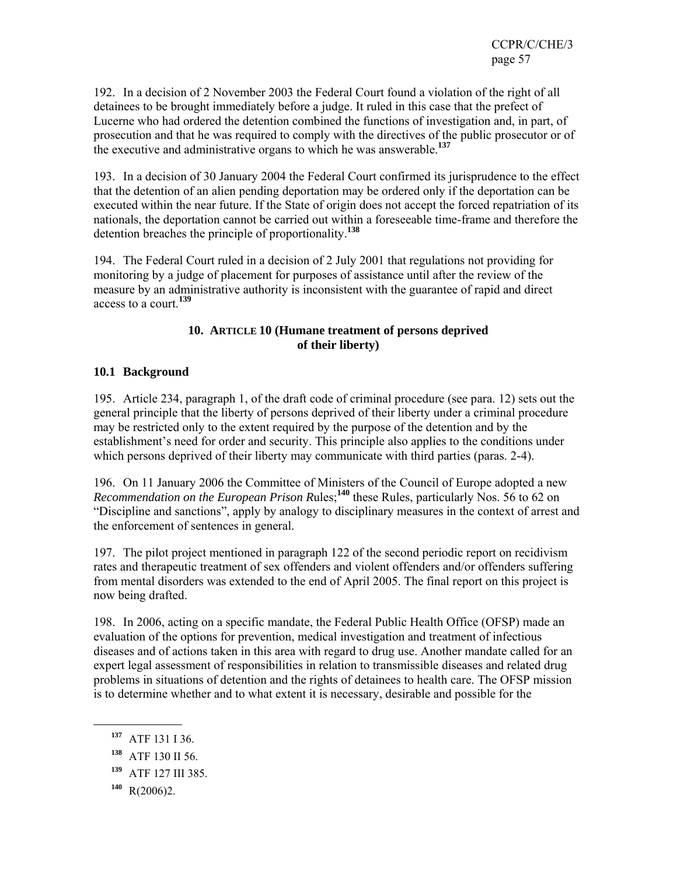192. In a decision of 2 November 2003 the Federal Court found a violation of the right of all detainees to be brought immediately before a judge. It ruled in this case that the prefect of Lucerne who had ordered the detention combined the functions of investigation and, in part, of prosecution and that he was required to comply with the directives of the public prosecutor or of the executive and administrative organs to which he was answerable.**<sup>137</sup>**

193. In a decision of 30 January 2004 the Federal Court confirmed its jurisprudence to the effect that the detention of an alien pending deportation may be ordered only if the deportation can be executed within the near future. If the State of origin does not accept the forced repatriation of its nationals, the deportation cannot be carried out within a foreseeable time-frame and therefore the detention breaches the principle of proportionality.**<sup>138</sup>**

194. The Federal Court ruled in a decision of 2 July 2001 that regulations not providing for monitoring by a judge of placement for purposes of assistance until after the review of the measure by an administrative authority is inconsistent with the guarantee of rapid and direct access to a court.**<sup>139</sup>**

#### **10. ARTICLE 10 (Humane treatment of persons deprived of their liberty)**

### **10.1 Background**

195. Article 234, paragraph 1, of the draft code of criminal procedure (see para. 12) sets out the general principle that the liberty of persons deprived of their liberty under a criminal procedure may be restricted only to the extent required by the purpose of the detention and by the establishment's need for order and security. This principle also applies to the conditions under which persons deprived of their liberty may communicate with third parties (paras. 2-4).

196. On 11 January 2006 the Committee of Ministers of the Council of Europe adopted a new *Recommendation on the European Prison R*ules;**<sup>140</sup>** these Rules, particularly Nos. 56 to 62 on "Discipline and sanctions", apply by analogy to disciplinary measures in the context of arrest and the enforcement of sentences in general.

197. The pilot project mentioned in paragraph 122 of the second periodic report on recidivism rates and therapeutic treatment of sex offenders and violent offenders and/or offenders suffering from mental disorders was extended to the end of April 2005. The final report on this project is now being drafted.

198. In 2006, acting on a specific mandate, the Federal Public Health Office (OFSP) made an evaluation of the options for prevention, medical investigation and treatment of infectious diseases and of actions taken in this area with regard to drug use. Another mandate called for an expert legal assessment of responsibilities in relation to transmissible diseases and related drug problems in situations of detention and the rights of detainees to health care. The OFSP mission is to determine whether and to what extent it is necessary, desirable and possible for the

**<sup>137</sup>** ATF 131 I 36.

**<sup>138</sup>** ATF 130 II 56.

**<sup>139</sup>** ATF 127 III 385.

**<sup>140</sup>** R(2006)2.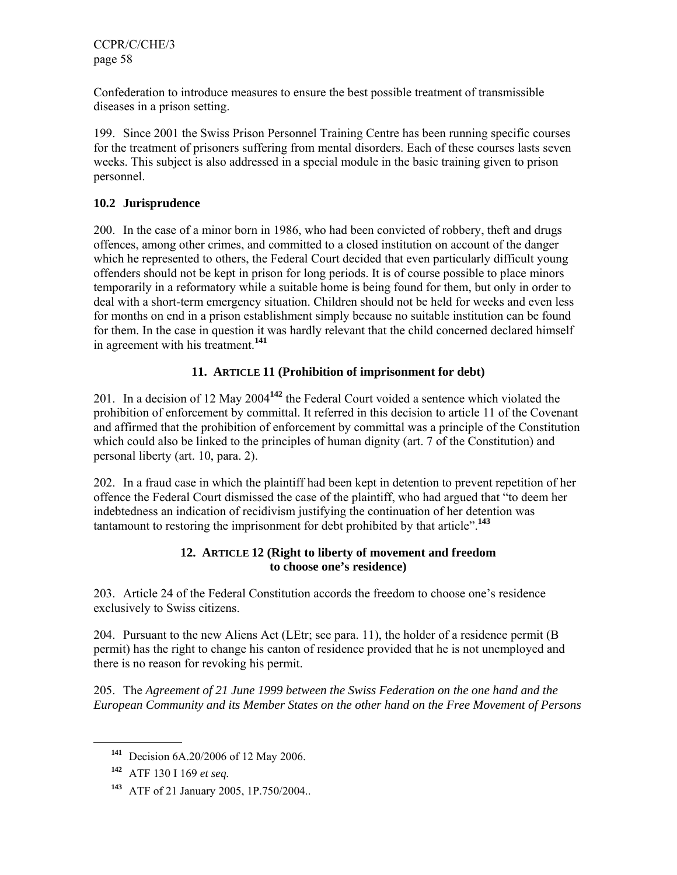Confederation to introduce measures to ensure the best possible treatment of transmissible diseases in a prison setting.

199. Since 2001 the Swiss Prison Personnel Training Centre has been running specific courses for the treatment of prisoners suffering from mental disorders. Each of these courses lasts seven weeks. This subject is also addressed in a special module in the basic training given to prison personnel.

#### **10.2 Jurisprudence**

200. In the case of a minor born in 1986, who had been convicted of robbery, theft and drugs offences, among other crimes, and committed to a closed institution on account of the danger which he represented to others, the Federal Court decided that even particularly difficult young offenders should not be kept in prison for long periods. It is of course possible to place minors temporarily in a reformatory while a suitable home is being found for them, but only in order to deal with a short-term emergency situation. Children should not be held for weeks and even less for months on end in a prison establishment simply because no suitable institution can be found for them. In the case in question it was hardly relevant that the child concerned declared himself in agreement with his treatment.**<sup>141</sup>**

### **11. ARTICLE 11 (Prohibition of imprisonment for debt)**

201. In a decision of 12 May 2004**<sup>142</sup>** the Federal Court voided a sentence which violated the prohibition of enforcement by committal. It referred in this decision to article 11 of the Covenant and affirmed that the prohibition of enforcement by committal was a principle of the Constitution which could also be linked to the principles of human dignity (art. 7 of the Constitution) and personal liberty (art. 10, para. 2).

202. In a fraud case in which the plaintiff had been kept in detention to prevent repetition of her offence the Federal Court dismissed the case of the plaintiff, who had argued that "to deem her indebtedness an indication of recidivism justifying the continuation of her detention was tantamount to restoring the imprisonment for debt prohibited by that article".**<sup>143</sup>**

#### **12. ARTICLE 12 (Right to liberty of movement and freedom to choose one's residence)**

203. Article 24 of the Federal Constitution accords the freedom to choose one's residence exclusively to Swiss citizens.

204. Pursuant to the new Aliens Act (LEtr; see para. 11), the holder of a residence permit (B permit) has the right to change his canton of residence provided that he is not unemployed and there is no reason for revoking his permit.

205. The *Agreement of 21 June 1999 between the Swiss Federation on the one hand and the European Community and its Member States on the other hand on the Free Movement of Persons*

**<sup>141</sup>** Decision 6A.20/2006 of 12 May 2006.

**<sup>142</sup>** ATF 130 I 169 *et seq.*

**<sup>143</sup>** ATF of 21 January 2005, 1P.750/2004..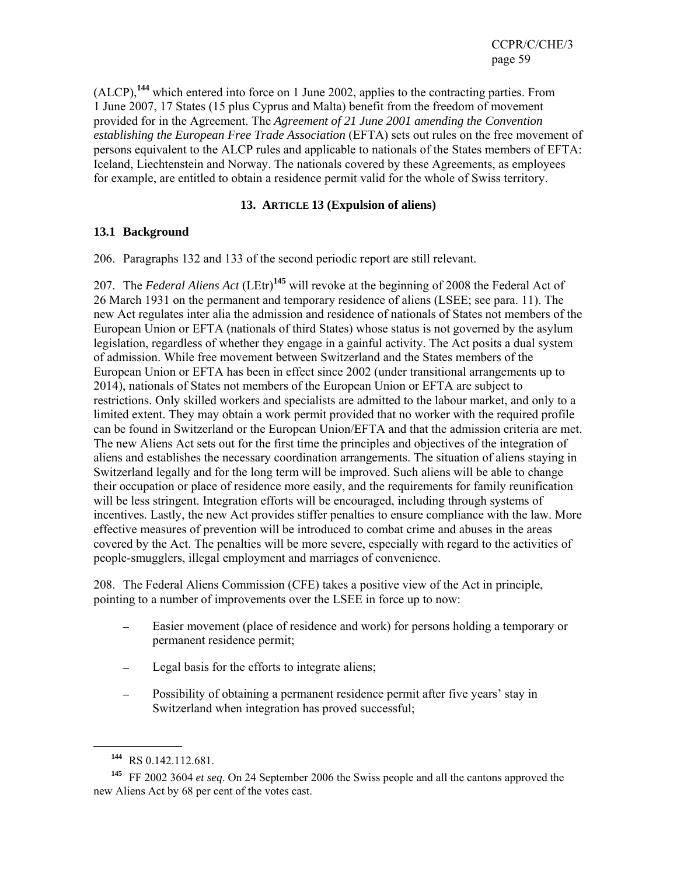(ALCP),**<sup>144</sup>** which entered into force on 1 June 2002, applies to the contracting parties. From 1 June 2007, 17 States (15 plus Cyprus and Malta) benefit from the freedom of movement provided for in the Agreement. The *Agreement of 21 June 2001 amending the Convention establishing the European Free Trade Association* (EFTA) sets out rules on the free movement of persons equivalent to the ALCP rules and applicable to nationals of the States members of EFTA: Iceland, Liechtenstein and Norway. The nationals covered by these Agreements, as employees for example, are entitled to obtain a residence permit valid for the whole of Swiss territory.

#### **13. ARTICLE 13 (Expulsion of aliens)**

#### **13.1 Background**

206. Paragraphs 132 and 133 of the second periodic report are still relevant.

207. The *Federal Aliens Act* (LEtr)**<sup>145</sup>** will revoke at the beginning of 2008 the Federal Act of 26 March 1931 on the permanent and temporary residence of aliens (LSEE; see para. 11). The new Act regulates inter alia the admission and residence of nationals of States not members of the European Union or EFTA (nationals of third States) whose status is not governed by the asylum legislation, regardless of whether they engage in a gainful activity. The Act posits a dual system of admission. While free movement between Switzerland and the States members of the European Union or EFTA has been in effect since 2002 (under transitional arrangements up to 2014), nationals of States not members of the European Union or EFTA are subject to restrictions. Only skilled workers and specialists are admitted to the labour market, and only to a limited extent. They may obtain a work permit provided that no worker with the required profile can be found in Switzerland or the European Union/EFTA and that the admission criteria are met. The new Aliens Act sets out for the first time the principles and objectives of the integration of aliens and establishes the necessary coordination arrangements. The situation of aliens staying in Switzerland legally and for the long term will be improved. Such aliens will be able to change their occupation or place of residence more easily, and the requirements for family reunification will be less stringent. Integration efforts will be encouraged, including through systems of incentives. Lastly, the new Act provides stiffer penalties to ensure compliance with the law. More effective measures of prevention will be introduced to combat crime and abuses in the areas covered by the Act. The penalties will be more severe, especially with regard to the activities of people-smugglers, illegal employment and marriages of convenience.

208. The Federal Aliens Commission (CFE) takes a positive view of the Act in principle, pointing to a number of improvements over the LSEE in force up to now:

- Easier movement (place of residence and work) for persons holding a temporary or permanent residence permit;
- Legal basis for the efforts to integrate aliens;
- Possibility of obtaining a permanent residence permit after five years' stay in Switzerland when integration has proved successful;

**<sup>144</sup>** RS 0.142.112.681.

**<sup>145</sup>** FF 2002 3604 *et seq*. On 24 September 2006 the Swiss people and all the cantons approved the new Aliens Act by 68 per cent of the votes cast.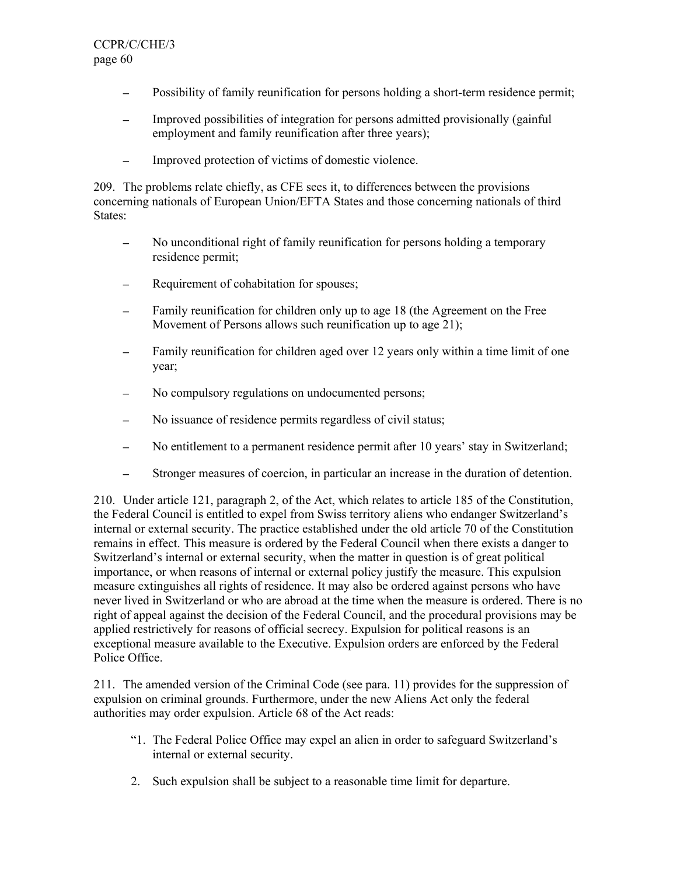- Possibility of family reunification for persons holding a short-term residence permit;
- ─ Improved possibilities of integration for persons admitted provisionally (gainful employment and family reunification after three years);
- ─ Improved protection of victims of domestic violence.

209. The problems relate chiefly, as CFE sees it, to differences between the provisions concerning nationals of European Union/EFTA States and those concerning nationals of third States:

- No unconditional right of family reunification for persons holding a temporary residence permit;
- Requirement of cohabitation for spouses;
- Family reunification for children only up to age 18 (the Agreement on the Free Movement of Persons allows such reunification up to age 21);
- Family reunification for children aged over 12 years only within a time limit of one year;
- ─ No compulsory regulations on undocumented persons;
- No issuance of residence permits regardless of civil status;
- No entitlement to a permanent residence permit after 10 years' stay in Switzerland;
- ─ Stronger measures of coercion, in particular an increase in the duration of detention.

210. Under article 121, paragraph 2, of the Act, which relates to article 185 of the Constitution, the Federal Council is entitled to expel from Swiss territory aliens who endanger Switzerland's internal or external security. The practice established under the old article 70 of the Constitution remains in effect. This measure is ordered by the Federal Council when there exists a danger to Switzerland's internal or external security, when the matter in question is of great political importance, or when reasons of internal or external policy justify the measure. This expulsion measure extinguishes all rights of residence. It may also be ordered against persons who have never lived in Switzerland or who are abroad at the time when the measure is ordered. There is no right of appeal against the decision of the Federal Council, and the procedural provisions may be applied restrictively for reasons of official secrecy. Expulsion for political reasons is an exceptional measure available to the Executive. Expulsion orders are enforced by the Federal Police Office.

211. The amended version of the Criminal Code (see para. 11) provides for the suppression of expulsion on criminal grounds. Furthermore, under the new Aliens Act only the federal authorities may order expulsion. Article 68 of the Act reads:

- "1. The Federal Police Office may expel an alien in order to safeguard Switzerland's internal or external security.
- 2. Such expulsion shall be subject to a reasonable time limit for departure.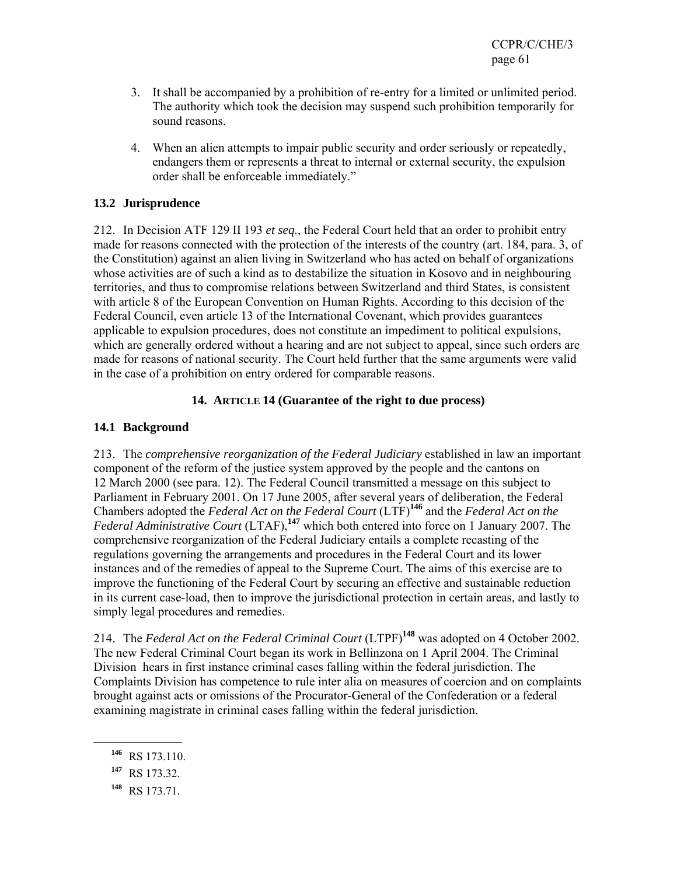- 3. It shall be accompanied by a prohibition of re-entry for a limited or unlimited period. The authority which took the decision may suspend such prohibition temporarily for sound reasons.
- 4. When an alien attempts to impair public security and order seriously or repeatedly, endangers them or represents a threat to internal or external security, the expulsion order shall be enforceable immediately."

#### **13.2 Jurisprudence**

212. In Decision ATF 129 II 193 *et seq.*, the Federal Court held that an order to prohibit entry made for reasons connected with the protection of the interests of the country (art. 184, para. 3, of the Constitution) against an alien living in Switzerland who has acted on behalf of organizations whose activities are of such a kind as to destabilize the situation in Kosovo and in neighbouring territories, and thus to compromise relations between Switzerland and third States, is consistent with article 8 of the European Convention on Human Rights. According to this decision of the Federal Council, even article 13 of the International Covenant, which provides guarantees applicable to expulsion procedures, does not constitute an impediment to political expulsions, which are generally ordered without a hearing and are not subject to appeal, since such orders are made for reasons of national security. The Court held further that the same arguments were valid in the case of a prohibition on entry ordered for comparable reasons.

### **14. ARTICLE 14 (Guarantee of the right to due process)**

#### **14.1 Background**

213. The *comprehensive reorganization of the Federal Judiciary* established in law an important component of the reform of the justice system approved by the people and the cantons on 12 March 2000 (see para. 12). The Federal Council transmitted a message on this subject to Parliament in February 2001. On 17 June 2005, after several years of deliberation, the Federal Chambers adopted the *Federal Act on the Federal Court* (LTF)**<sup>146</sup>** and the *Federal Act on the Federal Administrative Court* (LTAF),**<sup>147</sup>** which both entered into force on 1 January 2007. The comprehensive reorganization of the Federal Judiciary entails a complete recasting of the regulations governing the arrangements and procedures in the Federal Court and its lower instances and of the remedies of appeal to the Supreme Court. The aims of this exercise are to improve the functioning of the Federal Court by securing an effective and sustainable reduction in its current case-load, then to improve the jurisdictional protection in certain areas, and lastly to simply legal procedures and remedies.

214. The *Federal Act on the Federal Criminal Court* (LTPF)**<sup>148</sup>** was adopted on 4 October 2002. The new Federal Criminal Court began its work in Bellinzona on 1 April 2004. The Criminal Division hears in first instance criminal cases falling within the federal jurisdiction. The Complaints Division has competence to rule inter alia on measures of coercion and on complaints brought against acts or omissions of the Procurator-General of the Confederation or a federal examining magistrate in criminal cases falling within the federal jurisdiction.

**<sup>147</sup>** RS 173.32.

**<sup>148</sup>** RS 173.71.

**<sup>146</sup>** RS 173.110.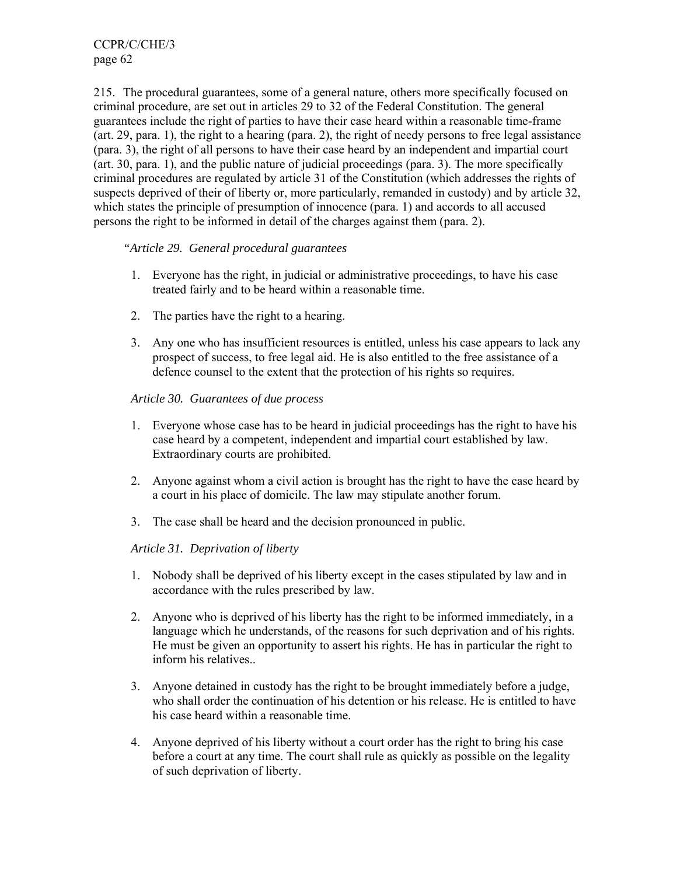215. The procedural guarantees, some of a general nature, others more specifically focused on criminal procedure, are set out in articles 29 to 32 of the Federal Constitution. The general guarantees include the right of parties to have their case heard within a reasonable time-frame (art. 29, para. 1), the right to a hearing (para. 2), the right of needy persons to free legal assistance (para. 3), the right of all persons to have their case heard by an independent and impartial court (art. 30, para. 1), and the public nature of judicial proceedings (para. 3). The more specifically criminal procedures are regulated by article 31 of the Constitution (which addresses the rights of suspects deprived of their of liberty or, more particularly, remanded in custody) and by article 32, which states the principle of presumption of innocence (para. 1) and accords to all accused persons the right to be informed in detail of the charges against them (para. 2).

#### *"Article 29. General procedural guarantees*

- 1. Everyone has the right, in judicial or administrative proceedings, to have his case treated fairly and to be heard within a reasonable time.
- 2. The parties have the right to a hearing.
- 3. Any one who has insufficient resources is entitled, unless his case appears to lack any prospect of success, to free legal aid. He is also entitled to the free assistance of a defence counsel to the extent that the protection of his rights so requires.

#### *Article 30. Guarantees of due process*

- 1. Everyone whose case has to be heard in judicial proceedings has the right to have his case heard by a competent, independent and impartial court established by law. Extraordinary courts are prohibited.
- 2. Anyone against whom a civil action is brought has the right to have the case heard by a court in his place of domicile. The law may stipulate another forum.
- 3. The case shall be heard and the decision pronounced in public.

#### *Article 31. Deprivation of liberty*

- 1. Nobody shall be deprived of his liberty except in the cases stipulated by law and in accordance with the rules prescribed by law.
- 2. Anyone who is deprived of his liberty has the right to be informed immediately, in a language which he understands, of the reasons for such deprivation and of his rights. He must be given an opportunity to assert his rights. He has in particular the right to inform his relatives..
- 3. Anyone detained in custody has the right to be brought immediately before a judge, who shall order the continuation of his detention or his release. He is entitled to have his case heard within a reasonable time.
- 4. Anyone deprived of his liberty without a court order has the right to bring his case before a court at any time. The court shall rule as quickly as possible on the legality of such deprivation of liberty.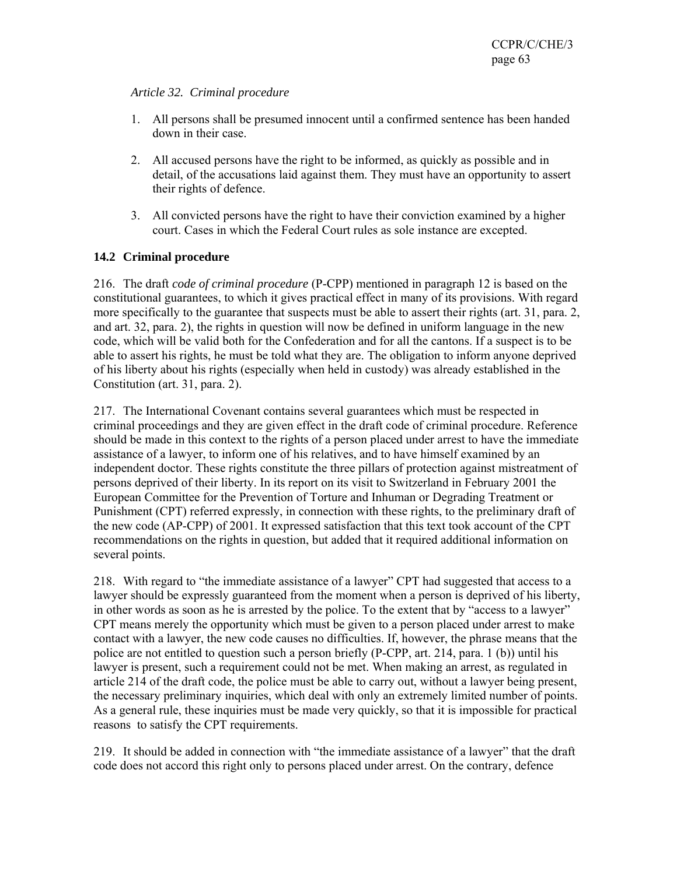#### *Article 32. Criminal procedure*

- 1. All persons shall be presumed innocent until a confirmed sentence has been handed down in their case.
- 2. All accused persons have the right to be informed, as quickly as possible and in detail, of the accusations laid against them. They must have an opportunity to assert their rights of defence.
- 3. All convicted persons have the right to have their conviction examined by a higher court. Cases in which the Federal Court rules as sole instance are excepted.

### **14.2 Criminal procedure**

216. The draft *code of criminal procedure* (P-CPP) mentioned in paragraph 12 is based on the constitutional guarantees, to which it gives practical effect in many of its provisions. With regard more specifically to the guarantee that suspects must be able to assert their rights (art. 31, para. 2, and art. 32, para. 2), the rights in question will now be defined in uniform language in the new code, which will be valid both for the Confederation and for all the cantons. If a suspect is to be able to assert his rights, he must be told what they are. The obligation to inform anyone deprived of his liberty about his rights (especially when held in custody) was already established in the Constitution (art. 31, para. 2).

217. The International Covenant contains several guarantees which must be respected in criminal proceedings and they are given effect in the draft code of criminal procedure. Reference should be made in this context to the rights of a person placed under arrest to have the immediate assistance of a lawyer, to inform one of his relatives, and to have himself examined by an independent doctor. These rights constitute the three pillars of protection against mistreatment of persons deprived of their liberty. In its report on its visit to Switzerland in February 2001 the European Committee for the Prevention of Torture and Inhuman or Degrading Treatment or Punishment (CPT) referred expressly, in connection with these rights, to the preliminary draft of the new code (AP-CPP) of 2001. It expressed satisfaction that this text took account of the CPT recommendations on the rights in question, but added that it required additional information on several points.

218. With regard to "the immediate assistance of a lawyer" CPT had suggested that access to a lawyer should be expressly guaranteed from the moment when a person is deprived of his liberty, in other words as soon as he is arrested by the police. To the extent that by "access to a lawyer" CPT means merely the opportunity which must be given to a person placed under arrest to make contact with a lawyer, the new code causes no difficulties. If, however, the phrase means that the police are not entitled to question such a person briefly (P-CPP, art. 214, para. 1 (b)) until his lawyer is present, such a requirement could not be met. When making an arrest, as regulated in article 214 of the draft code, the police must be able to carry out, without a lawyer being present, the necessary preliminary inquiries, which deal with only an extremely limited number of points. As a general rule, these inquiries must be made very quickly, so that it is impossible for practical reasons to satisfy the CPT requirements.

219. It should be added in connection with "the immediate assistance of a lawyer" that the draft code does not accord this right only to persons placed under arrest. On the contrary, defence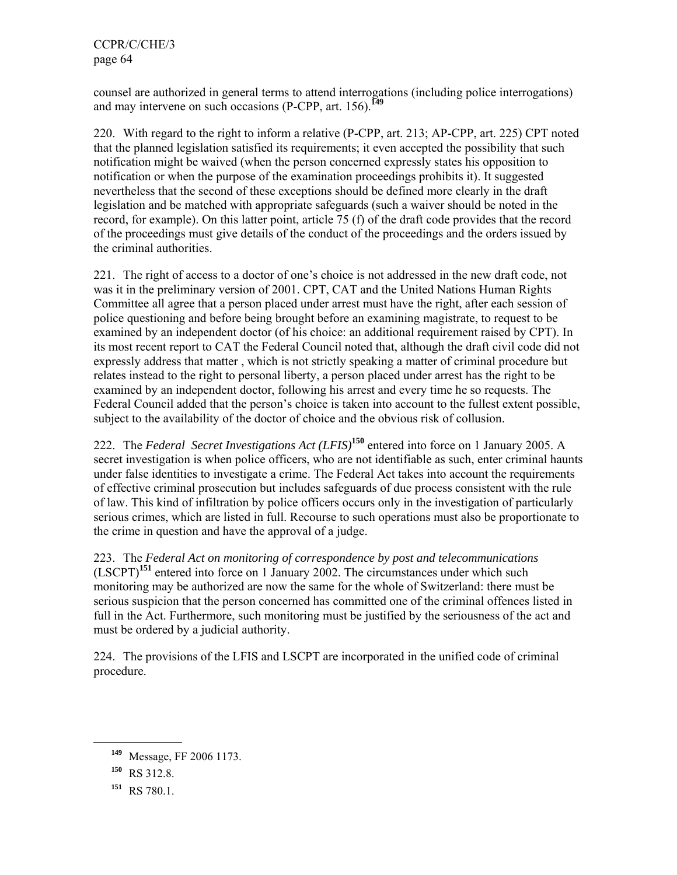counsel are authorized in general terms to attend interrogations (including police interrogations) and may intervene on such occasions (P-CPP, art. 156).**<sup>149</sup>**

220. With regard to the right to inform a relative (P-CPP, art. 213; AP-CPP, art. 225) CPT noted that the planned legislation satisfied its requirements; it even accepted the possibility that such notification might be waived (when the person concerned expressly states his opposition to notification or when the purpose of the examination proceedings prohibits it). It suggested nevertheless that the second of these exceptions should be defined more clearly in the draft legislation and be matched with appropriate safeguards (such a waiver should be noted in the record, for example). On this latter point, article 75 (f) of the draft code provides that the record of the proceedings must give details of the conduct of the proceedings and the orders issued by the criminal authorities.

221. The right of access to a doctor of one's choice is not addressed in the new draft code, not was it in the preliminary version of 2001. CPT, CAT and the United Nations Human Rights Committee all agree that a person placed under arrest must have the right, after each session of police questioning and before being brought before an examining magistrate, to request to be examined by an independent doctor (of his choice: an additional requirement raised by CPT). In its most recent report to CAT the Federal Council noted that, although the draft civil code did not expressly address that matter , which is not strictly speaking a matter of criminal procedure but relates instead to the right to personal liberty, a person placed under arrest has the right to be examined by an independent doctor, following his arrest and every time he so requests. The Federal Council added that the person's choice is taken into account to the fullest extent possible, subject to the availability of the doctor of choice and the obvious risk of collusion.

222. The *Federal Secret Investigations Act (LFIS)***<sup>150</sup>** entered into force on 1 January 2005. A secret investigation is when police officers, who are not identifiable as such, enter criminal haunts under false identities to investigate a crime. The Federal Act takes into account the requirements of effective criminal prosecution but includes safeguards of due process consistent with the rule of law. This kind of infiltration by police officers occurs only in the investigation of particularly serious crimes, which are listed in full. Recourse to such operations must also be proportionate to the crime in question and have the approval of a judge.

223. The *Federal Act on monitoring of correspondence by post and telecommunications* (LSCPT)**<sup>151</sup>** entered into force on 1 January 2002. The circumstances under which such monitoring may be authorized are now the same for the whole of Switzerland: there must be serious suspicion that the person concerned has committed one of the criminal offences listed in full in the Act. Furthermore, such monitoring must be justified by the seriousness of the act and must be ordered by a judicial authority.

224. The provisions of the LFIS and LSCPT are incorporated in the unified code of criminal procedure.

**<sup>149</sup>** Message, FF 2006 1173.

**<sup>150</sup>** RS 312.8.

**<sup>151</sup>** RS 780.1.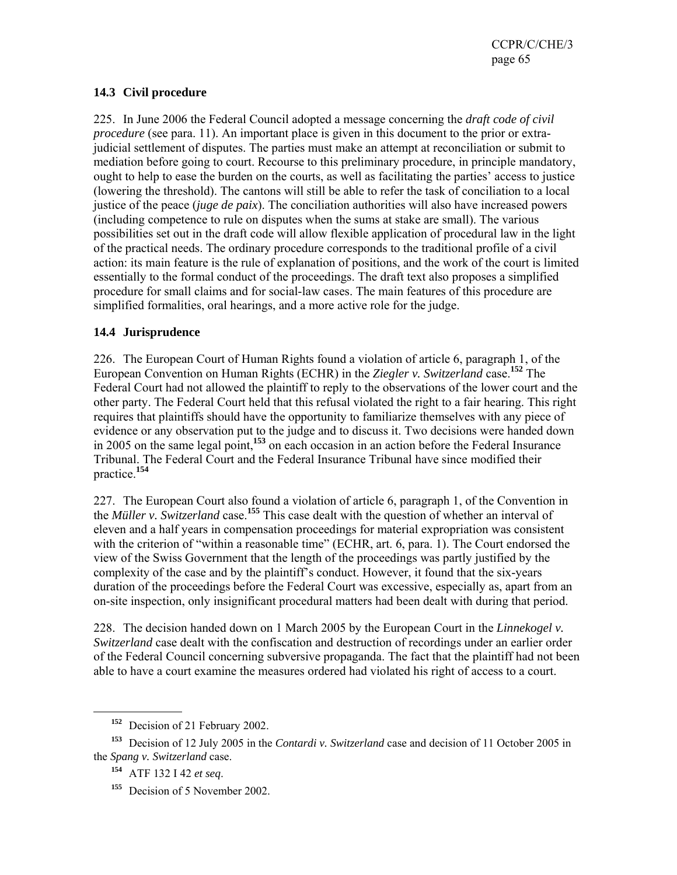#### **14.3 Civil procedure**

225. In June 2006 the Federal Council adopted a message concerning the *draft code of civil procedure* (see para. 11). An important place is given in this document to the prior or extrajudicial settlement of disputes. The parties must make an attempt at reconciliation or submit to mediation before going to court. Recourse to this preliminary procedure, in principle mandatory, ought to help to ease the burden on the courts, as well as facilitating the parties' access to justice (lowering the threshold). The cantons will still be able to refer the task of conciliation to a local justice of the peace (*juge de paix*). The conciliation authorities will also have increased powers (including competence to rule on disputes when the sums at stake are small). The various possibilities set out in the draft code will allow flexible application of procedural law in the light of the practical needs. The ordinary procedure corresponds to the traditional profile of a civil action: its main feature is the rule of explanation of positions, and the work of the court is limited essentially to the formal conduct of the proceedings. The draft text also proposes a simplified procedure for small claims and for social-law cases. The main features of this procedure are simplified formalities, oral hearings, and a more active role for the judge.

#### **14.4 Jurisprudence**

226. The European Court of Human Rights found a violation of article 6, paragraph 1, of the European Convention on Human Rights (ECHR) in the *Ziegler v. Switzerland* case.**<sup>152</sup>** The Federal Court had not allowed the plaintiff to reply to the observations of the lower court and the other party. The Federal Court held that this refusal violated the right to a fair hearing. This right requires that plaintiffs should have the opportunity to familiarize themselves with any piece of evidence or any observation put to the judge and to discuss it. Two decisions were handed down in 2005 on the same legal point,**<sup>153</sup>** on each occasion in an action before the Federal Insurance Tribunal. The Federal Court and the Federal Insurance Tribunal have since modified their practice.**<sup>154</sup>**

227. The European Court also found a violation of article 6, paragraph 1, of the Convention in the *Müller v. Switzerland* case.**<sup>155</sup>** This case dealt with the question of whether an interval of eleven and a half years in compensation proceedings for material expropriation was consistent with the criterion of "within a reasonable time" (ECHR, art. 6, para. 1). The Court endorsed the view of the Swiss Government that the length of the proceedings was partly justified by the complexity of the case and by the plaintiff's conduct. However, it found that the six-years duration of the proceedings before the Federal Court was excessive, especially as, apart from an on-site inspection, only insignificant procedural matters had been dealt with during that period.

228. The decision handed down on 1 March 2005 by the European Court in the *Linnekogel v. Switzerland* case dealt with the confiscation and destruction of recordings under an earlier order of the Federal Council concerning subversive propaganda. The fact that the plaintiff had not been able to have a court examine the measures ordered had violated his right of access to a court.

**<sup>152</sup>** Decision of 21 February 2002.

**<sup>153</sup>** Decision of 12 July 2005 in the *Contardi v. Switzerland* case and decision of 11 October 2005 in the *Spang v. Switzerland* case.

**<sup>154</sup>** ATF 132 I 42 *et seq*.

**<sup>155</sup>** Decision of 5 November 2002.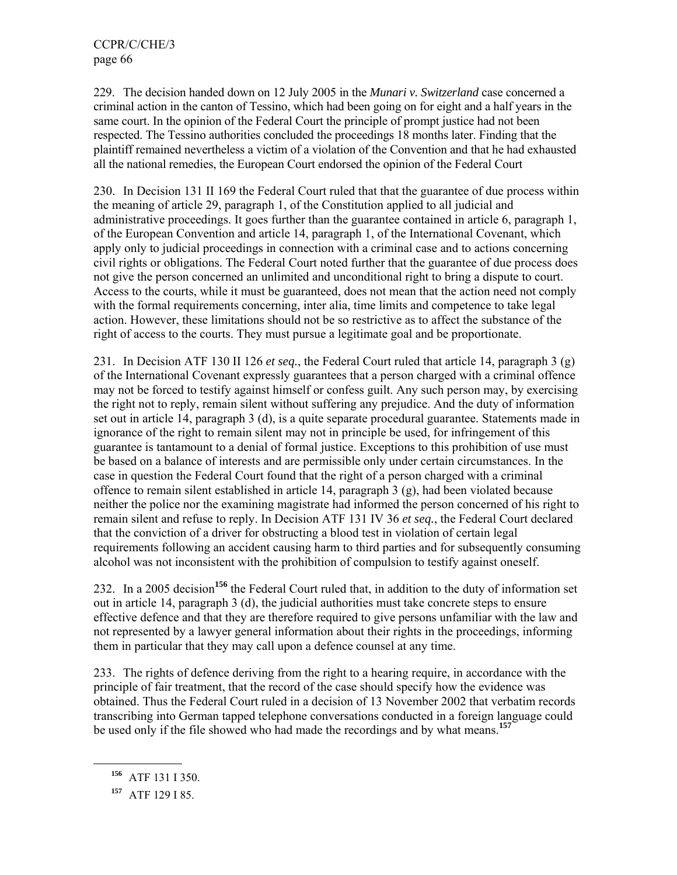229. The decision handed down on 12 July 2005 in the *Munari v. Switzerland* case concerned a criminal action in the canton of Tessino, which had been going on for eight and a half years in the same court. In the opinion of the Federal Court the principle of prompt justice had not been respected. The Tessino authorities concluded the proceedings 18 months later. Finding that the plaintiff remained nevertheless a victim of a violation of the Convention and that he had exhausted all the national remedies, the European Court endorsed the opinion of the Federal Court

230. In Decision 131 II 169 the Federal Court ruled that that the guarantee of due process within the meaning of article 29, paragraph 1, of the Constitution applied to all judicial and administrative proceedings. It goes further than the guarantee contained in article 6, paragraph 1, of the European Convention and article 14, paragraph 1, of the International Covenant, which apply only to judicial proceedings in connection with a criminal case and to actions concerning civil rights or obligations. The Federal Court noted further that the guarantee of due process does not give the person concerned an unlimited and unconditional right to bring a dispute to court. Access to the courts, while it must be guaranteed, does not mean that the action need not comply with the formal requirements concerning, inter alia, time limits and competence to take legal action. However, these limitations should not be so restrictive as to affect the substance of the right of access to the courts. They must pursue a legitimate goal and be proportionate.

231. In Decision ATF 130 II 126 *et seq.*, the Federal Court ruled that article 14, paragraph 3 (g) of the International Covenant expressly guarantees that a person charged with a criminal offence may not be forced to testify against himself or confess guilt. Any such person may, by exercising the right not to reply, remain silent without suffering any prejudice. And the duty of information set out in article 14, paragraph 3 (d), is a quite separate procedural guarantee. Statements made in ignorance of the right to remain silent may not in principle be used, for infringement of this guarantee is tantamount to a denial of formal justice. Exceptions to this prohibition of use must be based on a balance of interests and are permissible only under certain circumstances. In the case in question the Federal Court found that the right of a person charged with a criminal offence to remain silent established in article 14, paragraph 3 (g), had been violated because neither the police nor the examining magistrate had informed the person concerned of his right to remain silent and refuse to reply. In Decision ATF 131 IV 36 *et seq.*, the Federal Court declared that the conviction of a driver for obstructing a blood test in violation of certain legal requirements following an accident causing harm to third parties and for subsequently consuming alcohol was not inconsistent with the prohibition of compulsion to testify against oneself.

232. In a 2005 decision**<sup>156</sup>** the Federal Court ruled that, in addition to the duty of information set out in article 14, paragraph 3 (d), the judicial authorities must take concrete steps to ensure effective defence and that they are therefore required to give persons unfamiliar with the law and not represented by a lawyer general information about their rights in the proceedings, informing them in particular that they may call upon a defence counsel at any time.

233. The rights of defence deriving from the right to a hearing require, in accordance with the principle of fair treatment, that the record of the case should specify how the evidence was obtained. Thus the Federal Court ruled in a decision of 13 November 2002 that verbatim records transcribing into German tapped telephone conversations conducted in a foreign language could be used only if the file showed who had made the recordings and by what means.**<sup>157</sup>**

**<sup>156</sup>** ATF 131 I 350.

**<sup>157</sup>** ATF 129 I 85.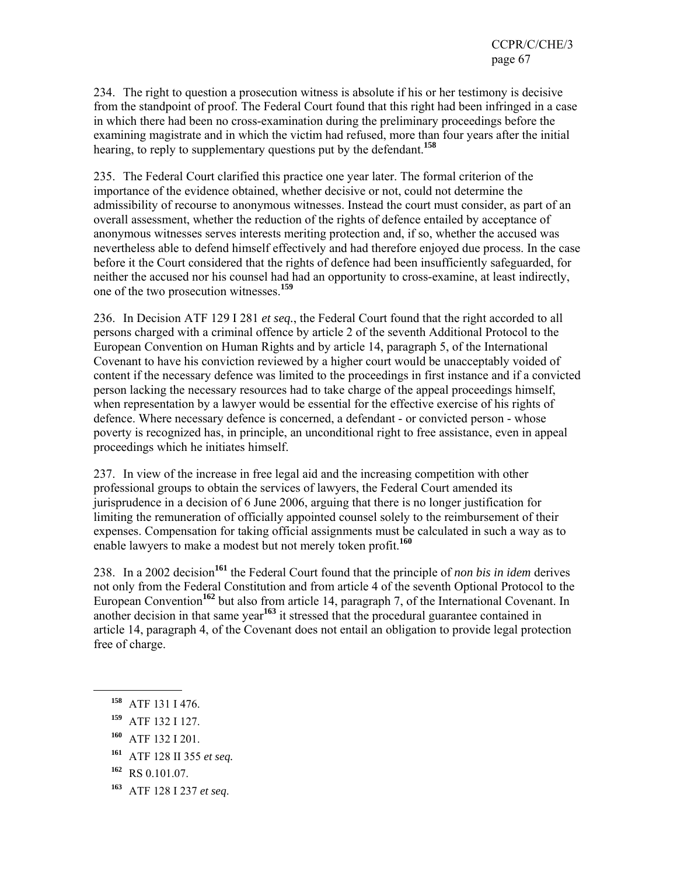234. The right to question a prosecution witness is absolute if his or her testimony is decisive from the standpoint of proof. The Federal Court found that this right had been infringed in a case in which there had been no cross-examination during the preliminary proceedings before the examining magistrate and in which the victim had refused, more than four years after the initial hearing, to reply to supplementary questions put by the defendant.**<sup>158</sup>**

235. The Federal Court clarified this practice one year later. The formal criterion of the importance of the evidence obtained, whether decisive or not, could not determine the admissibility of recourse to anonymous witnesses. Instead the court must consider, as part of an overall assessment, whether the reduction of the rights of defence entailed by acceptance of anonymous witnesses serves interests meriting protection and, if so, whether the accused was nevertheless able to defend himself effectively and had therefore enjoyed due process. In the case before it the Court considered that the rights of defence had been insufficiently safeguarded, for neither the accused nor his counsel had had an opportunity to cross-examine, at least indirectly, one of the two prosecution witnesses.**<sup>159</sup>**

236. In Decision ATF 129 I 281 *et seq.*, the Federal Court found that the right accorded to all persons charged with a criminal offence by article 2 of the seventh Additional Protocol to the European Convention on Human Rights and by article 14, paragraph 5, of the International Covenant to have his conviction reviewed by a higher court would be unacceptably voided of content if the necessary defence was limited to the proceedings in first instance and if a convicted person lacking the necessary resources had to take charge of the appeal proceedings himself, when representation by a lawyer would be essential for the effective exercise of his rights of defence. Where necessary defence is concerned, a defendant - or convicted person - whose poverty is recognized has, in principle, an unconditional right to free assistance, even in appeal proceedings which he initiates himself.

237. In view of the increase in free legal aid and the increasing competition with other professional groups to obtain the services of lawyers, the Federal Court amended its jurisprudence in a decision of 6 June 2006, arguing that there is no longer justification for limiting the remuneration of officially appointed counsel solely to the reimbursement of their expenses. Compensation for taking official assignments must be calculated in such a way as to enable lawyers to make a modest but not merely token profit.**<sup>160</sup>**

238. In a 2002 decision**<sup>161</sup>** the Federal Court found that the principle of *non bis in idem* derives not only from the Federal Constitution and from article 4 of the seventh Optional Protocol to the European Convention**<sup>162</sup>** but also from article 14, paragraph 7, of the International Covenant. In another decision in that same year**<sup>163</sup>** it stressed that the procedural guarantee contained in article 14, paragraph 4, of the Covenant does not entail an obligation to provide legal protection free of charge.

**<sup>158</sup>** ATF 131 I 476.

- **<sup>159</sup>** ATF 132 I 127.
- **<sup>160</sup>** ATF 132 I 201.
- **<sup>161</sup>** ATF 128 II 355 *et seq.*
- **<sup>162</sup>** RS 0.101.07.
- **<sup>163</sup>** ATF 128 I 237 *et seq*.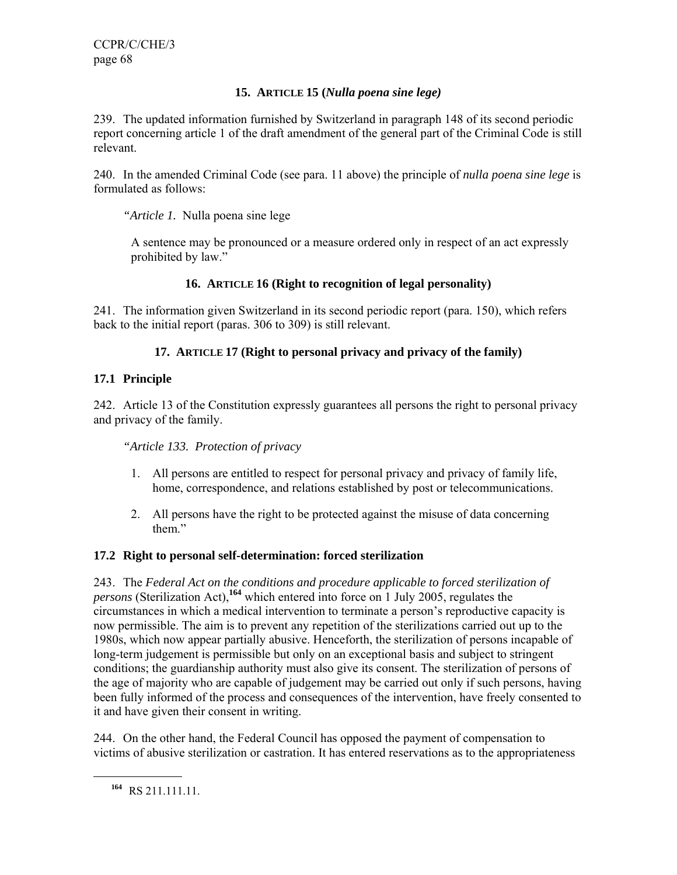# **15. ARTICLE 15 (***Nulla poena sine lege)*

239. The updated information furnished by Switzerland in paragraph 148 of its second periodic report concerning article 1 of the draft amendment of the general part of the Criminal Code is still relevant.

240. In the amended Criminal Code (see para. 11 above) the principle of *nulla poena sine lege* is formulated as follows:

*"Article 1.* Nulla poena sine lege

A sentence may be pronounced or a measure ordered only in respect of an act expressly prohibited by law."

# **16. ARTICLE 16 (Right to recognition of legal personality)**

241. The information given Switzerland in its second periodic report (para. 150), which refers back to the initial report (paras. 306 to 309) is still relevant.

# **17. ARTICLE 17 (Right to personal privacy and privacy of the family)**

### **17.1 Principle**

242. Article 13 of the Constitution expressly guarantees all persons the right to personal privacy and privacy of the family.

*"Article 133. Protection of privacy* 

- 1. All persons are entitled to respect for personal privacy and privacy of family life, home, correspondence, and relations established by post or telecommunications.
- 2. All persons have the right to be protected against the misuse of data concerning them"

### **17.2 Right to personal self-determination: forced sterilization**

243. The *Federal Act on the conditions and procedure applicable to forced sterilization of persons* (Sterilization Act),**<sup>164</sup>** which entered into force on 1 July 2005, regulates the circumstances in which a medical intervention to terminate a person's reproductive capacity is now permissible. The aim is to prevent any repetition of the sterilizations carried out up to the 1980s, which now appear partially abusive. Henceforth, the sterilization of persons incapable of long-term judgement is permissible but only on an exceptional basis and subject to stringent conditions; the guardianship authority must also give its consent. The sterilization of persons of the age of majority who are capable of judgement may be carried out only if such persons, having been fully informed of the process and consequences of the intervention, have freely consented to it and have given their consent in writing.

244. On the other hand, the Federal Council has opposed the payment of compensation to victims of abusive sterilization or castration. It has entered reservations as to the appropriateness

**<sup>164</sup>** RS 211.111.11.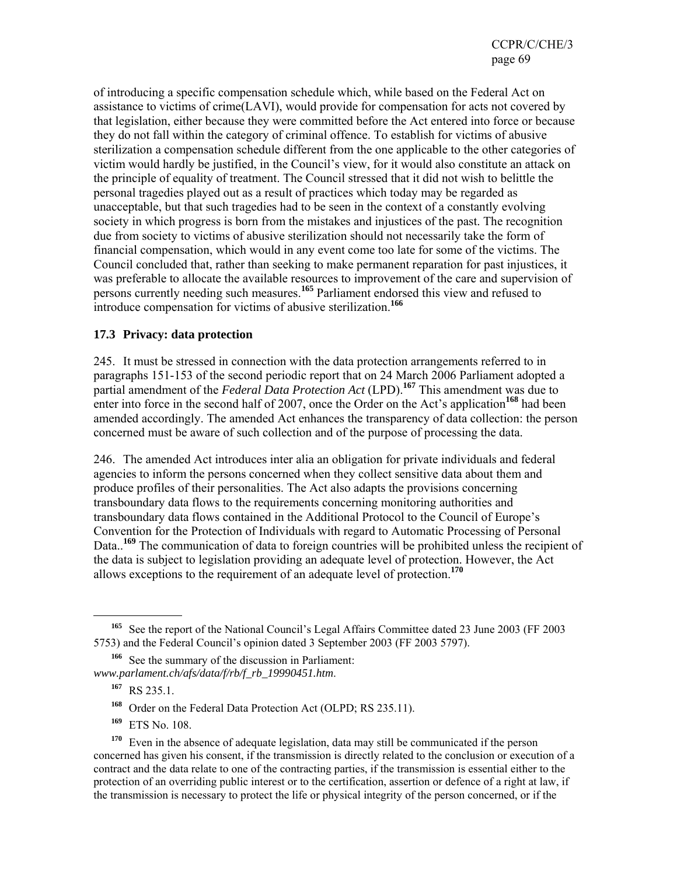of introducing a specific compensation schedule which, while based on the Federal Act on assistance to victims of crime(LAVI), would provide for compensation for acts not covered by that legislation, either because they were committed before the Act entered into force or because they do not fall within the category of criminal offence. To establish for victims of abusive sterilization a compensation schedule different from the one applicable to the other categories of victim would hardly be justified, in the Council's view, for it would also constitute an attack on the principle of equality of treatment. The Council stressed that it did not wish to belittle the personal tragedies played out as a result of practices which today may be regarded as unacceptable, but that such tragedies had to be seen in the context of a constantly evolving society in which progress is born from the mistakes and injustices of the past. The recognition due from society to victims of abusive sterilization should not necessarily take the form of financial compensation, which would in any event come too late for some of the victims. The Council concluded that, rather than seeking to make permanent reparation for past injustices, it was preferable to allocate the available resources to improvement of the care and supervision of persons currently needing such measures.**<sup>165</sup>** Parliament endorsed this view and refused to introduce compensation for victims of abusive sterilization.**<sup>166</sup>**

#### **17.3 Privacy: data protection**

245. It must be stressed in connection with the data protection arrangements referred to in paragraphs 151-153 of the second periodic report that on 24 March 2006 Parliament adopted a partial amendment of the *Federal Data Protection Act* (LPD).<sup>167</sup> This amendment was due to enter into force in the second half of 2007, once the Order on the Act's application<sup>168</sup> had been amended accordingly. The amended Act enhances the transparency of data collection: the person concerned must be aware of such collection and of the purpose of processing the data.

246. The amended Act introduces inter alia an obligation for private individuals and federal agencies to inform the persons concerned when they collect sensitive data about them and produce profiles of their personalities. The Act also adapts the provisions concerning transboundary data flows to the requirements concerning monitoring authorities and transboundary data flows contained in the Additional Protocol to the Council of Europe's Convention for the Protection of Individuals with regard to Automatic Processing of Personal Data..<sup>169</sup> The communication of data to foreign countries will be prohibited unless the recipient of the data is subject to legislation providing an adequate level of protection. However, the Act allows exceptions to the requirement of an adequate level of protection.**<sup>170</sup>**

l

**<sup>169</sup>** ETS No. 108.

**<sup>170</sup>** Even in the absence of adequate legislation, data may still be communicated if the person concerned has given his consent, if the transmission is directly related to the conclusion or execution of a contract and the data relate to one of the contracting parties, if the transmission is essential either to the protection of an overriding public interest or to the certification, assertion or defence of a right at law, if the transmission is necessary to protect the life or physical integrity of the person concerned, or if the

<sup>&</sup>lt;sup>165</sup> See the report of the National Council's Legal Affairs Committee dated 23 June 2003 (FF 2003) 5753) and the Federal Council's opinion dated 3 September 2003 (FF 2003 5797).

**<sup>166</sup>** See the summary of the discussion in Parliament: *www.parlament.ch/afs/data/f/rb/f\_rb\_19990451.htm*.

**<sup>167</sup>** RS 235.1.

**<sup>168</sup>** Order on the Federal Data Protection Act (OLPD; RS 235.11).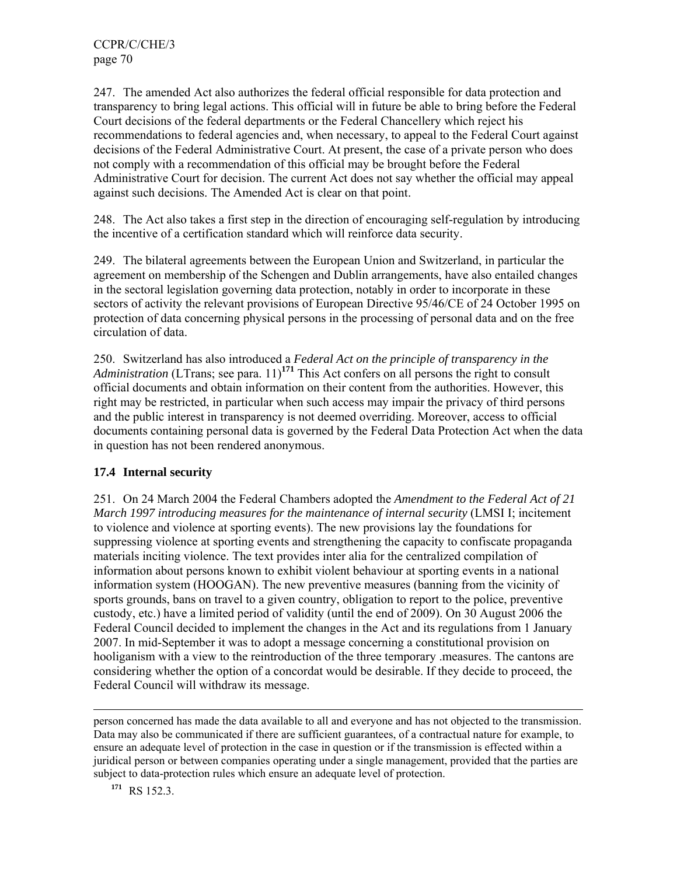247. The amended Act also authorizes the federal official responsible for data protection and transparency to bring legal actions. This official will in future be able to bring before the Federal Court decisions of the federal departments or the Federal Chancellery which reject his recommendations to federal agencies and, when necessary, to appeal to the Federal Court against decisions of the Federal Administrative Court. At present, the case of a private person who does not comply with a recommendation of this official may be brought before the Federal Administrative Court for decision. The current Act does not say whether the official may appeal against such decisions. The Amended Act is clear on that point.

248. The Act also takes a first step in the direction of encouraging self-regulation by introducing the incentive of a certification standard which will reinforce data security.

249. The bilateral agreements between the European Union and Switzerland, in particular the agreement on membership of the Schengen and Dublin arrangements, have also entailed changes in the sectoral legislation governing data protection, notably in order to incorporate in these sectors of activity the relevant provisions of European Directive 95/46/CE of 24 October 1995 on protection of data concerning physical persons in the processing of personal data and on the free circulation of data.

250. Switzerland has also introduced a *Federal Act on the principle of transparency in the Administration* (LTrans; see para. 11)<sup>171</sup> This Act confers on all persons the right to consult official documents and obtain information on their content from the authorities. However, this right may be restricted, in particular when such access may impair the privacy of third persons and the public interest in transparency is not deemed overriding. Moreover, access to official documents containing personal data is governed by the Federal Data Protection Act when the data in question has not been rendered anonymous.

### **17.4 Internal security**

251. On 24 March 2004 the Federal Chambers adopted the *Amendment to the Federal Act of 21 March 1997 introducing measures for the maintenance of internal security* (LMSI I; incitement to violence and violence at sporting events). The new provisions lay the foundations for suppressing violence at sporting events and strengthening the capacity to confiscate propaganda materials inciting violence. The text provides inter alia for the centralized compilation of information about persons known to exhibit violent behaviour at sporting events in a national information system (HOOGAN). The new preventive measures (banning from the vicinity of sports grounds, bans on travel to a given country, obligation to report to the police, preventive custody, etc.) have a limited period of validity (until the end of 2009). On 30 August 2006 the Federal Council decided to implement the changes in the Act and its regulations from 1 January 2007. In mid-September it was to adopt a message concerning a constitutional provision on hooliganism with a view to the reintroduction of the three temporary .measures. The cantons are considering whether the option of a concordat would be desirable. If they decide to proceed, the Federal Council will withdraw its message.

person concerned has made the data available to all and everyone and has not objected to the transmission. Data may also be communicated if there are sufficient guarantees, of a contractual nature for example, to ensure an adequate level of protection in the case in question or if the transmission is effected within a juridical person or between companies operating under a single management, provided that the parties are subject to data-protection rules which ensure an adequate level of protection.

**<sup>171</sup>** RS 152.3.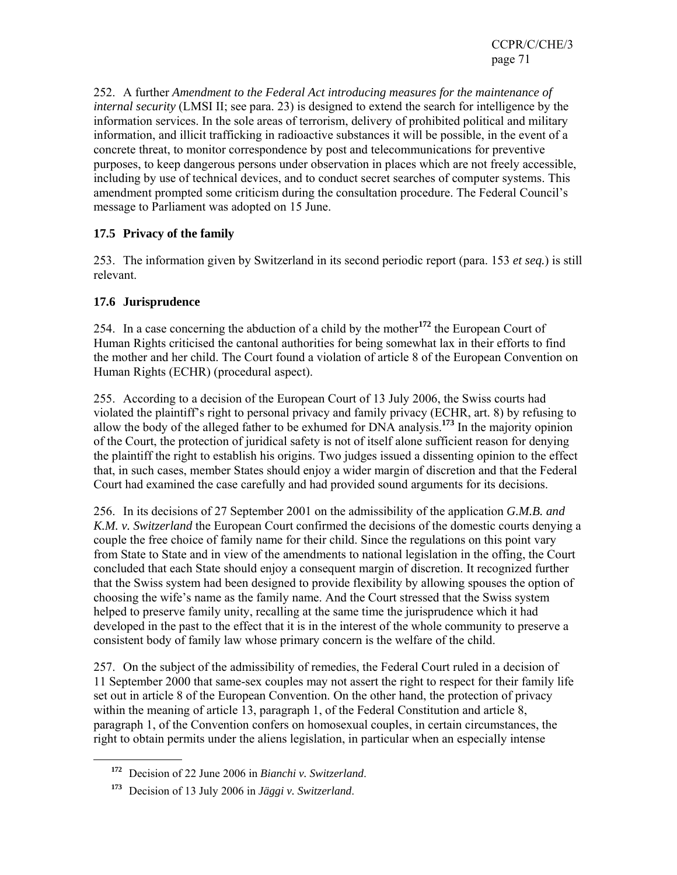252. A further *Amendment to the Federal Act introducing measures for the maintenance of internal security* (LMSI II; see para. 23) is designed to extend the search for intelligence by the information services. In the sole areas of terrorism, delivery of prohibited political and military information, and illicit trafficking in radioactive substances it will be possible, in the event of a concrete threat, to monitor correspondence by post and telecommunications for preventive purposes, to keep dangerous persons under observation in places which are not freely accessible, including by use of technical devices, and to conduct secret searches of computer systems. This amendment prompted some criticism during the consultation procedure. The Federal Council's message to Parliament was adopted on 15 June.

# **17.5 Privacy of the family**

253. The information given by Switzerland in its second periodic report (para. 153 *et seq.*) is still relevant.

### **17.6 Jurisprudence**

l

254. In a case concerning the abduction of a child by the mother**<sup>172</sup>** the European Court of Human Rights criticised the cantonal authorities for being somewhat lax in their efforts to find the mother and her child. The Court found a violation of article 8 of the European Convention on Human Rights (ECHR) (procedural aspect).

255. According to a decision of the European Court of 13 July 2006, the Swiss courts had violated the plaintiff's right to personal privacy and family privacy (ECHR, art. 8) by refusing to allow the body of the alleged father to be exhumed for DNA analysis.**<sup>173</sup>** In the majority opinion of the Court, the protection of juridical safety is not of itself alone sufficient reason for denying the plaintiff the right to establish his origins. Two judges issued a dissenting opinion to the effect that, in such cases, member States should enjoy a wider margin of discretion and that the Federal Court had examined the case carefully and had provided sound arguments for its decisions.

256. In its decisions of 27 September 2001 on the admissibility of the application *G.M.B. and K.M. v. Switzerland* the European Court confirmed the decisions of the domestic courts denying a couple the free choice of family name for their child. Since the regulations on this point vary from State to State and in view of the amendments to national legislation in the offing, the Court concluded that each State should enjoy a consequent margin of discretion. It recognized further that the Swiss system had been designed to provide flexibility by allowing spouses the option of choosing the wife's name as the family name. And the Court stressed that the Swiss system helped to preserve family unity, recalling at the same time the jurisprudence which it had developed in the past to the effect that it is in the interest of the whole community to preserve a consistent body of family law whose primary concern is the welfare of the child.

257. On the subject of the admissibility of remedies, the Federal Court ruled in a decision of 11 September 2000 that same-sex couples may not assert the right to respect for their family life set out in article 8 of the European Convention. On the other hand, the protection of privacy within the meaning of article 13, paragraph 1, of the Federal Constitution and article 8, paragraph 1, of the Convention confers on homosexual couples, in certain circumstances, the right to obtain permits under the aliens legislation, in particular when an especially intense

**<sup>172</sup>** Decision of 22 June 2006 in *Bianchi v. Switzerland*.

**<sup>173</sup>** Decision of 13 July 2006 in *Jäggi v. Switzerland*.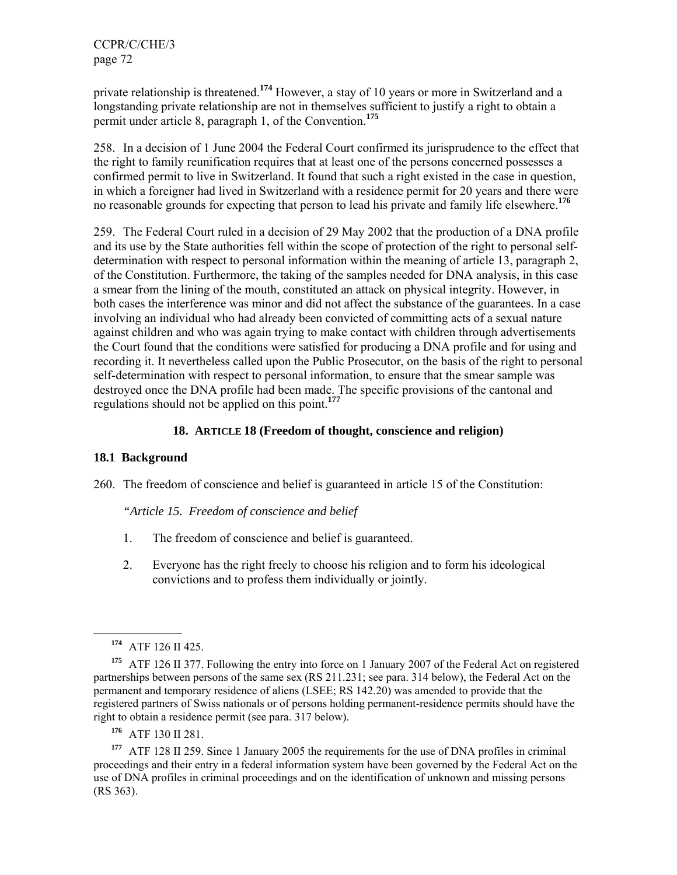private relationship is threatened.**<sup>174</sup>** However, a stay of 10 years or more in Switzerland and a longstanding private relationship are not in themselves sufficient to justify a right to obtain a permit under article 8, paragraph 1, of the Convention.**<sup>175</sup>**

258. In a decision of 1 June 2004 the Federal Court confirmed its jurisprudence to the effect that the right to family reunification requires that at least one of the persons concerned possesses a confirmed permit to live in Switzerland. It found that such a right existed in the case in question, in which a foreigner had lived in Switzerland with a residence permit for 20 years and there were no reasonable grounds for expecting that person to lead his private and family life elsewhere.**<sup>176</sup>**

259. The Federal Court ruled in a decision of 29 May 2002 that the production of a DNA profile and its use by the State authorities fell within the scope of protection of the right to personal selfdetermination with respect to personal information within the meaning of article 13, paragraph 2, of the Constitution. Furthermore, the taking of the samples needed for DNA analysis, in this case a smear from the lining of the mouth, constituted an attack on physical integrity. However, in both cases the interference was minor and did not affect the substance of the guarantees. In a case involving an individual who had already been convicted of committing acts of a sexual nature against children and who was again trying to make contact with children through advertisements the Court found that the conditions were satisfied for producing a DNA profile and for using and recording it. It nevertheless called upon the Public Prosecutor, on the basis of the right to personal self-determination with respect to personal information, to ensure that the smear sample was destroyed once the DNA profile had been made. The specific provisions of the cantonal and regulations should not be applied on this point.**<sup>177</sup>**

### **18. ARTICLE 18 (Freedom of thought, conscience and religion)**

### **18.1 Background**

260. The freedom of conscience and belief is guaranteed in article 15 of the Constitution:

*"Article 15. Freedom of conscience and belief* 

- 1. The freedom of conscience and belief is guaranteed.
- 2. Everyone has the right freely to choose his religion and to form his ideological convictions and to profess them individually or jointly.

l

**<sup>176</sup>** ATF 130 II 281.

**<sup>177</sup>** ATF 128 II 259. Since 1 January 2005 the requirements for the use of DNA profiles in criminal proceedings and their entry in a federal information system have been governed by the Federal Act on the use of DNA profiles in criminal proceedings and on the identification of unknown and missing persons (RS 363).

**<sup>174</sup>** ATF 126 II 425.

**<sup>175</sup>** ATF 126 II 377. Following the entry into force on 1 January 2007 of the Federal Act on registered partnerships between persons of the same sex (RS 211.231; see para. 314 below), the Federal Act on the permanent and temporary residence of aliens (LSEE; RS 142.20) was amended to provide that the registered partners of Swiss nationals or of persons holding permanent-residence permits should have the right to obtain a residence permit (see para. 317 below).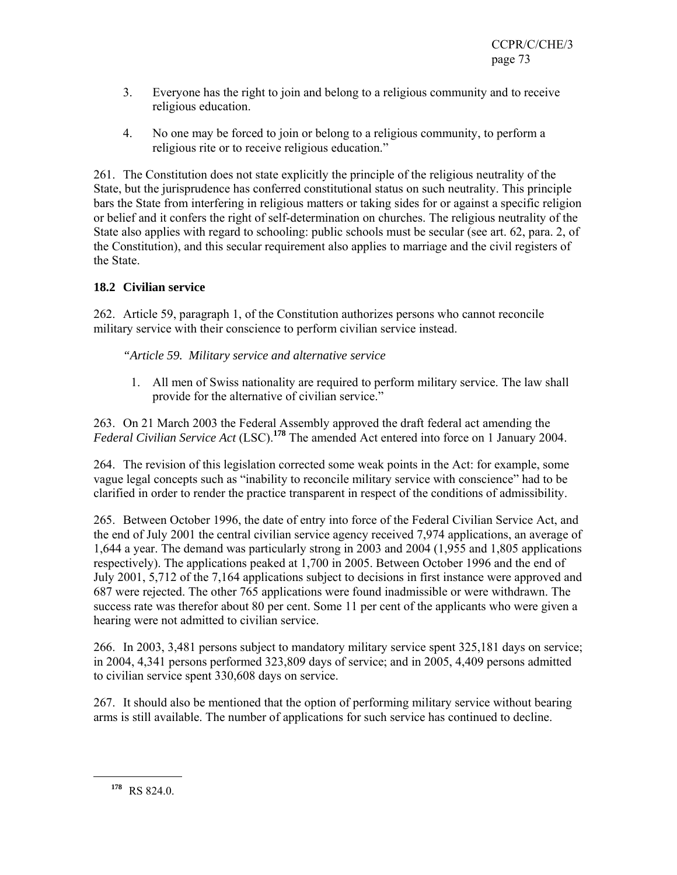- 3. Everyone has the right to join and belong to a religious community and to receive religious education.
- 4. No one may be forced to join or belong to a religious community, to perform a religious rite or to receive religious education."

261. The Constitution does not state explicitly the principle of the religious neutrality of the State, but the jurisprudence has conferred constitutional status on such neutrality. This principle bars the State from interfering in religious matters or taking sides for or against a specific religion or belief and it confers the right of self-determination on churches. The religious neutrality of the State also applies with regard to schooling: public schools must be secular (see art. 62, para. 2, of the Constitution), and this secular requirement also applies to marriage and the civil registers of the State.

# **18.2 Civilian service**

262. Article 59, paragraph 1, of the Constitution authorizes persons who cannot reconcile military service with their conscience to perform civilian service instead.

*"Article 59. Military service and alternative service* 

1. All men of Swiss nationality are required to perform military service. The law shall provide for the alternative of civilian service."

263. On 21 March 2003 the Federal Assembly approved the draft federal act amending the *Federal Civilian Service Act* (LSC).**<sup>178</sup>** The amended Act entered into force on 1 January 2004.

264. The revision of this legislation corrected some weak points in the Act: for example, some vague legal concepts such as "inability to reconcile military service with conscience" had to be clarified in order to render the practice transparent in respect of the conditions of admissibility.

265. Between October 1996, the date of entry into force of the Federal Civilian Service Act, and the end of July 2001 the central civilian service agency received 7,974 applications, an average of 1,644 a year. The demand was particularly strong in 2003 and 2004 (1,955 and 1,805 applications respectively). The applications peaked at 1,700 in 2005. Between October 1996 and the end of July 2001, 5,712 of the 7,164 applications subject to decisions in first instance were approved and 687 were rejected. The other 765 applications were found inadmissible or were withdrawn. The success rate was therefor about 80 per cent. Some 11 per cent of the applicants who were given a hearing were not admitted to civilian service.

266. In 2003, 3,481 persons subject to mandatory military service spent 325,181 days on service; in 2004, 4,341 persons performed 323,809 days of service; and in 2005, 4,409 persons admitted to civilian service spent 330,608 days on service.

267. It should also be mentioned that the option of performing military service without bearing arms is still available. The number of applications for such service has continued to decline.

**<sup>178</sup>** RS 824.0.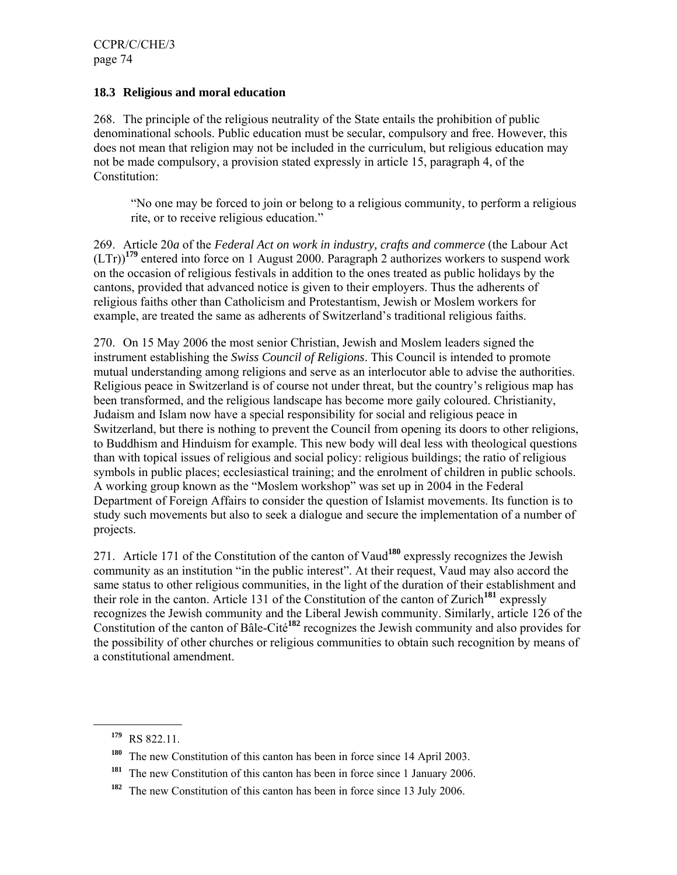### **18.3 Religious and moral education**

268. The principle of the religious neutrality of the State entails the prohibition of public denominational schools. Public education must be secular, compulsory and free. However, this does not mean that religion may not be included in the curriculum, but religious education may not be made compulsory, a provision stated expressly in article 15, paragraph 4, of the Constitution:

"No one may be forced to join or belong to a religious community, to perform a religious rite, or to receive religious education."

269. Article 20*a* of the *Federal Act on work in industry, crafts and commerce* (the Labour Act (LTr))**<sup>179</sup>** entered into force on 1 August 2000. Paragraph 2 authorizes workers to suspend work on the occasion of religious festivals in addition to the ones treated as public holidays by the cantons, provided that advanced notice is given to their employers. Thus the adherents of religious faiths other than Catholicism and Protestantism, Jewish or Moslem workers for example, are treated the same as adherents of Switzerland's traditional religious faiths.

270. On 15 May 2006 the most senior Christian, Jewish and Moslem leaders signed the instrument establishing the *Swiss Council of Religions*. This Council is intended to promote mutual understanding among religions and serve as an interlocutor able to advise the authorities. Religious peace in Switzerland is of course not under threat, but the country's religious map has been transformed, and the religious landscape has become more gaily coloured. Christianity, Judaism and Islam now have a special responsibility for social and religious peace in Switzerland, but there is nothing to prevent the Council from opening its doors to other religions, to Buddhism and Hinduism for example. This new body will deal less with theological questions than with topical issues of religious and social policy: religious buildings; the ratio of religious symbols in public places; ecclesiastical training; and the enrolment of children in public schools. A working group known as the "Moslem workshop" was set up in 2004 in the Federal Department of Foreign Affairs to consider the question of Islamist movements. Its function is to study such movements but also to seek a dialogue and secure the implementation of a number of projects.

271. Article 171 of the Constitution of the canton of Vaud**<sup>180</sup>** expressly recognizes the Jewish community as an institution "in the public interest". At their request, Vaud may also accord the same status to other religious communities, in the light of the duration of their establishment and their role in the canton. Article 131 of the Constitution of the canton of Zurich**<sup>181</sup>** expressly recognizes the Jewish community and the Liberal Jewish community. Similarly, article 126 of the Constitution of the canton of Bâle-Cité**<sup>182</sup>** recognizes the Jewish community and also provides for the possibility of other churches or religious communities to obtain such recognition by means of a constitutional amendment.

**<sup>179</sup>** RS 822.11.

**<sup>180</sup>** The new Constitution of this canton has been in force since 14 April 2003.

<sup>&</sup>lt;sup>181</sup> The new Constitution of this canton has been in force since 1 January 2006.

**<sup>182</sup>** The new Constitution of this canton has been in force since 13 July 2006.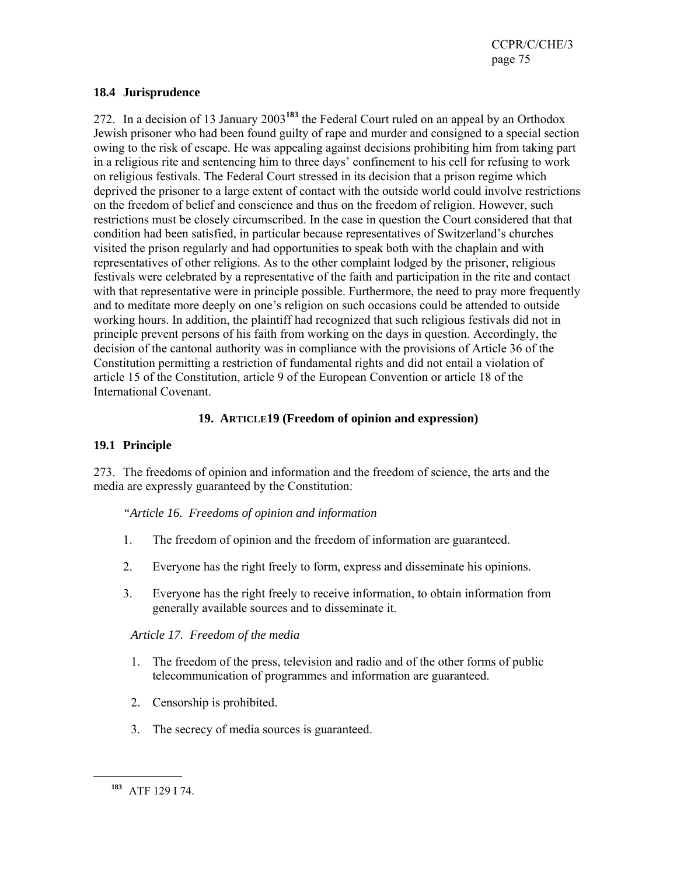### **18.4 Jurisprudence**

272. In a decision of 13 January 2003**<sup>183</sup>** the Federal Court ruled on an appeal by an Orthodox Jewish prisoner who had been found guilty of rape and murder and consigned to a special section owing to the risk of escape. He was appealing against decisions prohibiting him from taking part in a religious rite and sentencing him to three days' confinement to his cell for refusing to work on religious festivals. The Federal Court stressed in its decision that a prison regime which deprived the prisoner to a large extent of contact with the outside world could involve restrictions on the freedom of belief and conscience and thus on the freedom of religion. However, such restrictions must be closely circumscribed. In the case in question the Court considered that that condition had been satisfied, in particular because representatives of Switzerland's churches visited the prison regularly and had opportunities to speak both with the chaplain and with representatives of other religions. As to the other complaint lodged by the prisoner, religious festivals were celebrated by a representative of the faith and participation in the rite and contact with that representative were in principle possible. Furthermore, the need to pray more frequently and to meditate more deeply on one's religion on such occasions could be attended to outside working hours. In addition, the plaintiff had recognized that such religious festivals did not in principle prevent persons of his faith from working on the days in question. Accordingly, the decision of the cantonal authority was in compliance with the provisions of Article 36 of the Constitution permitting a restriction of fundamental rights and did not entail a violation of article 15 of the Constitution, article 9 of the European Convention or article 18 of the International Covenant.

# **19. ARTICLE19 (Freedom of opinion and expression)**

# **19.1 Principle**

273. The freedoms of opinion and information and the freedom of science, the arts and the media are expressly guaranteed by the Constitution:

# *"Article 16. Freedoms of opinion and information*

- 1. The freedom of opinion and the freedom of information are guaranteed.
- 2. Everyone has the right freely to form, express and disseminate his opinions.
- 3. Everyone has the right freely to receive information, to obtain information from generally available sources and to disseminate it.

# *Article 17. Freedom of the media*

- 1. The freedom of the press, television and radio and of the other forms of public telecommunication of programmes and information are guaranteed.
- 2. Censorship is prohibited.
- 3. The secrecy of media sources is guaranteed.

**<sup>183</sup>** ATF 129 I 74.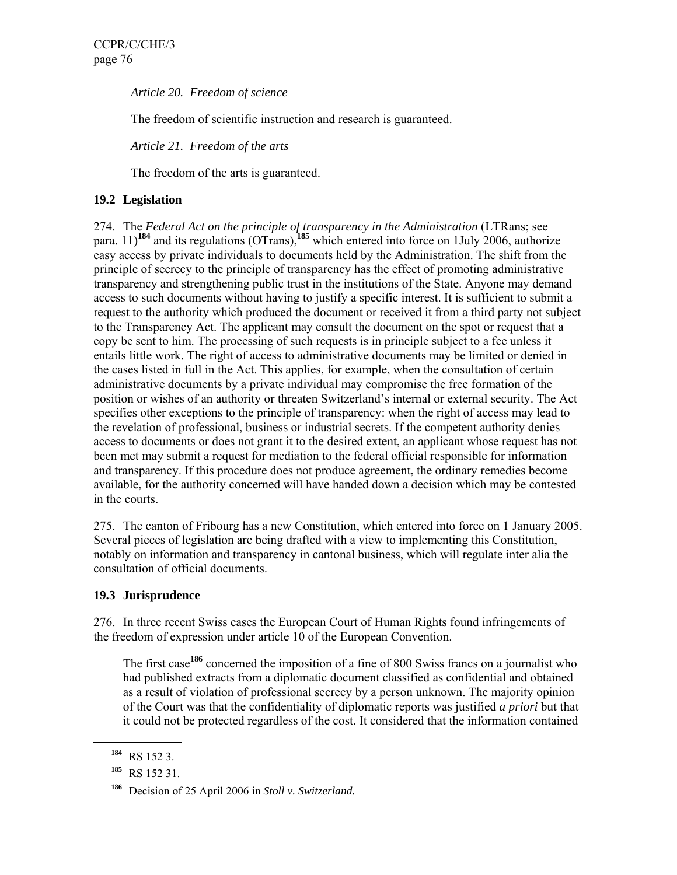*Article 20. Freedom of science* 

The freedom of scientific instruction and research is guaranteed.

*Article 21. Freedom of the arts* 

The freedom of the arts is guaranteed.

# **19.2 Legislation**

274. The *Federal Act on the principle of transparency in the Administration* (LTRans; see para. 11)**<sup>184</sup>** and its regulations (OTrans),**<sup>185</sup>** which entered into force on 1July 2006, authorize easy access by private individuals to documents held by the Administration. The shift from the principle of secrecy to the principle of transparency has the effect of promoting administrative transparency and strengthening public trust in the institutions of the State. Anyone may demand access to such documents without having to justify a specific interest. It is sufficient to submit a request to the authority which produced the document or received it from a third party not subject to the Transparency Act. The applicant may consult the document on the spot or request that a copy be sent to him. The processing of such requests is in principle subject to a fee unless it entails little work. The right of access to administrative documents may be limited or denied in the cases listed in full in the Act. This applies, for example, when the consultation of certain administrative documents by a private individual may compromise the free formation of the position or wishes of an authority or threaten Switzerland's internal or external security. The Act specifies other exceptions to the principle of transparency: when the right of access may lead to the revelation of professional, business or industrial secrets. If the competent authority denies access to documents or does not grant it to the desired extent, an applicant whose request has not been met may submit a request for mediation to the federal official responsible for information and transparency. If this procedure does not produce agreement, the ordinary remedies become available, for the authority concerned will have handed down a decision which may be contested in the courts.

275. The canton of Fribourg has a new Constitution, which entered into force on 1 January 2005. Several pieces of legislation are being drafted with a view to implementing this Constitution, notably on information and transparency in cantonal business, which will regulate inter alia the consultation of official documents.

# **19.3 Jurisprudence**

276. In three recent Swiss cases the European Court of Human Rights found infringements of the freedom of expression under article 10 of the European Convention.

The first case**<sup>186</sup>** concerned the imposition of a fine of 800 Swiss francs on a journalist who had published extracts from a diplomatic document classified as confidential and obtained as a result of violation of professional secrecy by a person unknown. The majority opinion of the Court was that the confidentiality of diplomatic reports was justified *a priori* but that it could not be protected regardless of the cost. It considered that the information contained

**<sup>184</sup>** RS 152 3.

**<sup>185</sup>** RS 152 31.

**<sup>186</sup>** Decision of 25 April 2006 in *Stoll v. Switzerland.*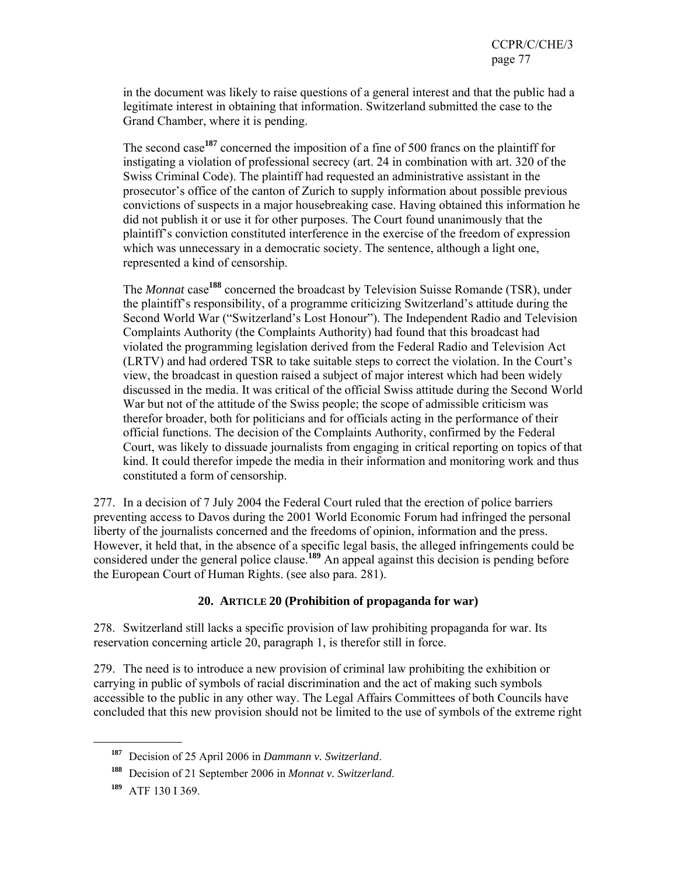in the document was likely to raise questions of a general interest and that the public had a legitimate interest in obtaining that information. Switzerland submitted the case to the Grand Chamber, where it is pending.

The second case**<sup>187</sup>** concerned the imposition of a fine of 500 francs on the plaintiff for instigating a violation of professional secrecy (art. 24 in combination with art. 320 of the Swiss Criminal Code). The plaintiff had requested an administrative assistant in the prosecutor's office of the canton of Zurich to supply information about possible previous convictions of suspects in a major housebreaking case. Having obtained this information he did not publish it or use it for other purposes. The Court found unanimously that the plaintiff's conviction constituted interference in the exercise of the freedom of expression which was unnecessary in a democratic society. The sentence, although a light one, represented a kind of censorship.

The *Monnat* case**<sup>188</sup>** concerned the broadcast by Television Suisse Romande (TSR), under the plaintiff's responsibility, of a programme criticizing Switzerland's attitude during the Second World War ("Switzerland's Lost Honour"). The Independent Radio and Television Complaints Authority (the Complaints Authority) had found that this broadcast had violated the programming legislation derived from the Federal Radio and Television Act (LRTV) and had ordered TSR to take suitable steps to correct the violation. In the Court's view, the broadcast in question raised a subject of major interest which had been widely discussed in the media. It was critical of the official Swiss attitude during the Second World War but not of the attitude of the Swiss people; the scope of admissible criticism was therefor broader, both for politicians and for officials acting in the performance of their official functions. The decision of the Complaints Authority, confirmed by the Federal Court, was likely to dissuade journalists from engaging in critical reporting on topics of that kind. It could therefor impede the media in their information and monitoring work and thus constituted a form of censorship.

277. In a decision of 7 July 2004 the Federal Court ruled that the erection of police barriers preventing access to Davos during the 2001 World Economic Forum had infringed the personal liberty of the journalists concerned and the freedoms of opinion, information and the press. However, it held that, in the absence of a specific legal basis, the alleged infringements could be considered under the general police clause.<sup>189</sup> An appeal against this decision is pending before the European Court of Human Rights. (see also para. 281).

# **20. ARTICLE 20 (Prohibition of propaganda for war)**

278. Switzerland still lacks a specific provision of law prohibiting propaganda for war. Its reservation concerning article 20, paragraph 1, is therefor still in force.

279. The need is to introduce a new provision of criminal law prohibiting the exhibition or carrying in public of symbols of racial discrimination and the act of making such symbols accessible to the public in any other way. The Legal Affairs Committees of both Councils have concluded that this new provision should not be limited to the use of symbols of the extreme right

**<sup>187</sup>** Decision of 25 April 2006 in *Dammann v. Switzerland*.

**<sup>188</sup>** Decision of 21 September 2006 in *Monnat v. Switzerland*.

**<sup>189</sup>** ATF 130 I 369.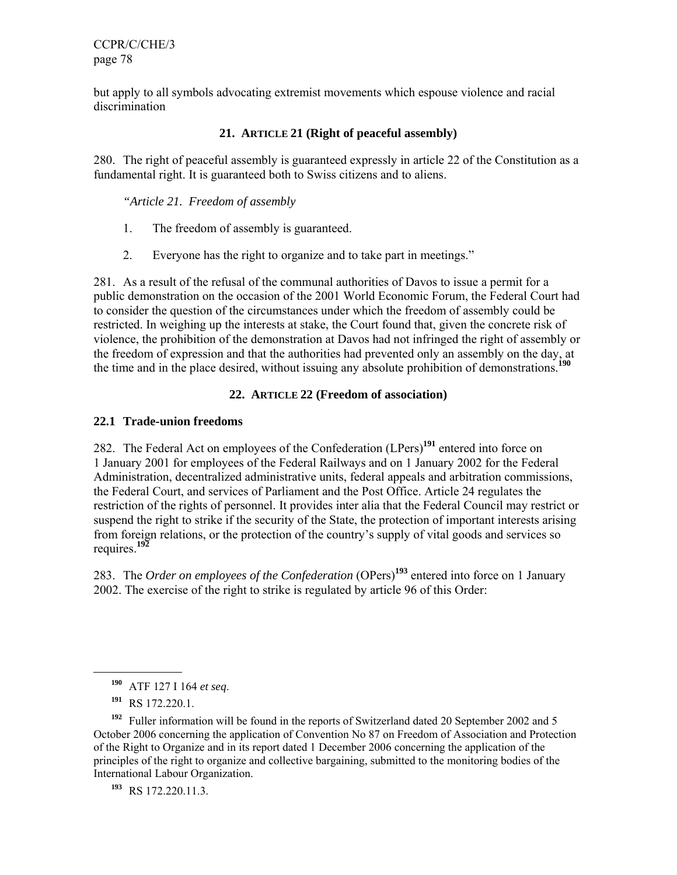but apply to all symbols advocating extremist movements which espouse violence and racial discrimination

# **21. ARTICLE 21 (Right of peaceful assembly)**

280. The right of peaceful assembly is guaranteed expressly in article 22 of the Constitution as a fundamental right. It is guaranteed both to Swiss citizens and to aliens.

*"Article 21. Freedom of assembly* 

- 1. The freedom of assembly is guaranteed.
- 2. Everyone has the right to organize and to take part in meetings."

281. As a result of the refusal of the communal authorities of Davos to issue a permit for a public demonstration on the occasion of the 2001 World Economic Forum, the Federal Court had to consider the question of the circumstances under which the freedom of assembly could be restricted. In weighing up the interests at stake, the Court found that, given the concrete risk of violence, the prohibition of the demonstration at Davos had not infringed the right of assembly or the freedom of expression and that the authorities had prevented only an assembly on the day, at the time and in the place desired, without issuing any absolute prohibition of demonstrations.<sup>1</sup>

### **22. ARTICLE 22 (Freedom of association)**

#### **22.1 Trade-union freedoms**

282. The Federal Act on employees of the Confederation (LPers)**<sup>191</sup>** entered into force on 1 January 2001 for employees of the Federal Railways and on 1 January 2002 for the Federal Administration, decentralized administrative units, federal appeals and arbitration commissions, the Federal Court, and services of Parliament and the Post Office. Article 24 regulates the restriction of the rights of personnel. It provides inter alia that the Federal Council may restrict or suspend the right to strike if the security of the State, the protection of important interests arising from foreign relations, or the protection of the country's supply of vital goods and services so requires.**<sup>192</sup>**

283. The *Order on employees of the Confederation* (OPers)**<sup>193</sup>** entered into force on 1 January 2002. The exercise of the right to strike is regulated by article 96 of this Order:

**<sup>190</sup>** ATF 127 I 164 *et seq*.

**<sup>191</sup>** RS 172.220.1.

**<sup>192</sup>** Fuller information will be found in the reports of Switzerland dated 20 September 2002 and 5 October 2006 concerning the application of Convention No 87 on Freedom of Association and Protection of the Right to Organize and in its report dated 1 December 2006 concerning the application of the principles of the right to organize and collective bargaining, submitted to the monitoring bodies of the International Labour Organization.

**<sup>193</sup>** RS 172.220.11.3.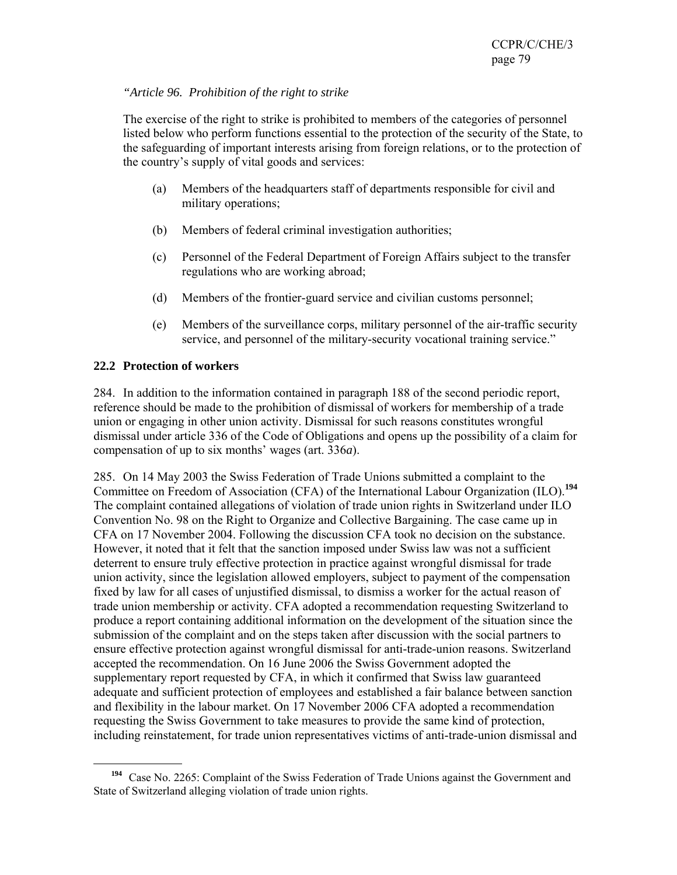### *"Article 96. Prohibition of the right to strike*

The exercise of the right to strike is prohibited to members of the categories of personnel listed below who perform functions essential to the protection of the security of the State, to the safeguarding of important interests arising from foreign relations, or to the protection of the country's supply of vital goods and services:

- (a) Members of the headquarters staff of departments responsible for civil and military operations;
- (b) Members of federal criminal investigation authorities;
- (c) Personnel of the Federal Department of Foreign Affairs subject to the transfer regulations who are working abroad;
- (d) Members of the frontier-guard service and civilian customs personnel;
- (e) Members of the surveillance corps, military personnel of the air-traffic security service, and personnel of the military-security vocational training service."

# **22.2 Protection of workers**

 $\overline{a}$ 

284. In addition to the information contained in paragraph 188 of the second periodic report, reference should be made to the prohibition of dismissal of workers for membership of a trade union or engaging in other union activity. Dismissal for such reasons constitutes wrongful dismissal under article 336 of the Code of Obligations and opens up the possibility of a claim for compensation of up to six months' wages (art. 336*a*).

285. On 14 May 2003 the Swiss Federation of Trade Unions submitted a complaint to the Committee on Freedom of Association (CFA) of the International Labour Organization (ILO).**<sup>194</sup>** The complaint contained allegations of violation of trade union rights in Switzerland under ILO Convention No. 98 on the Right to Organize and Collective Bargaining. The case came up in CFA on 17 November 2004. Following the discussion CFA took no decision on the substance. However, it noted that it felt that the sanction imposed under Swiss law was not a sufficient deterrent to ensure truly effective protection in practice against wrongful dismissal for trade union activity, since the legislation allowed employers, subject to payment of the compensation fixed by law for all cases of unjustified dismissal, to dismiss a worker for the actual reason of trade union membership or activity. CFA adopted a recommendation requesting Switzerland to produce a report containing additional information on the development of the situation since the submission of the complaint and on the steps taken after discussion with the social partners to ensure effective protection against wrongful dismissal for anti-trade-union reasons. Switzerland accepted the recommendation. On 16 June 2006 the Swiss Government adopted the supplementary report requested by CFA, in which it confirmed that Swiss law guaranteed adequate and sufficient protection of employees and established a fair balance between sanction and flexibility in the labour market. On 17 November 2006 CFA adopted a recommendation requesting the Swiss Government to take measures to provide the same kind of protection, including reinstatement, for trade union representatives victims of anti-trade-union dismissal and

**<sup>194</sup>** Case No. 2265: Complaint of the Swiss Federation of Trade Unions against the Government and State of Switzerland alleging violation of trade union rights.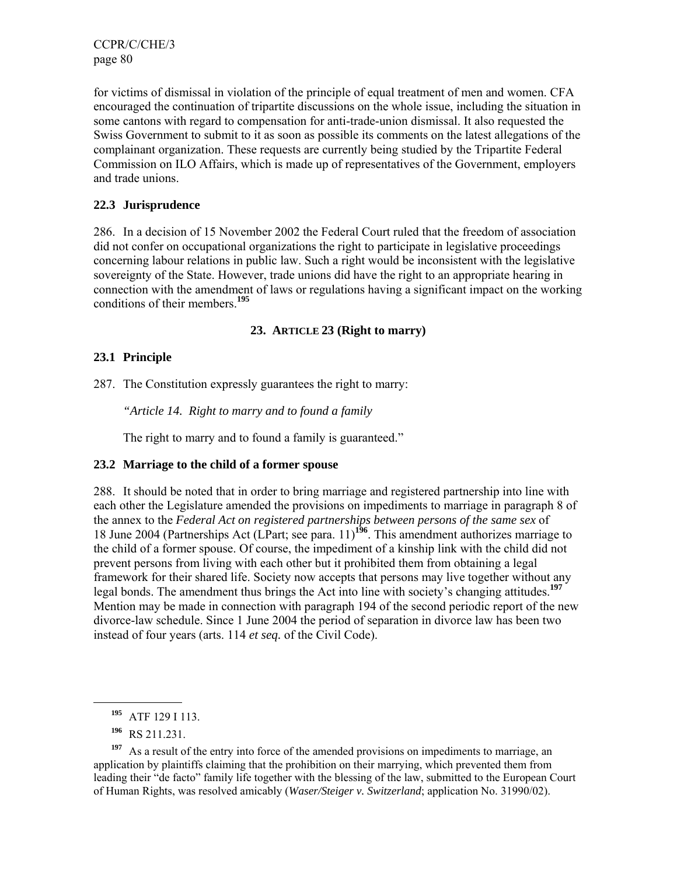for victims of dismissal in violation of the principle of equal treatment of men and women. CFA encouraged the continuation of tripartite discussions on the whole issue, including the situation in some cantons with regard to compensation for anti-trade-union dismissal. It also requested the Swiss Government to submit to it as soon as possible its comments on the latest allegations of the complainant organization. These requests are currently being studied by the Tripartite Federal Commission on ILO Affairs, which is made up of representatives of the Government, employers and trade unions.

### **22.3 Jurisprudence**

286. In a decision of 15 November 2002 the Federal Court ruled that the freedom of association did not confer on occupational organizations the right to participate in legislative proceedings concerning labour relations in public law. Such a right would be inconsistent with the legislative sovereignty of the State. However, trade unions did have the right to an appropriate hearing in connection with the amendment of laws or regulations having a significant impact on the working conditions of their members.**<sup>195</sup>**

#### **23. ARTICLE 23 (Right to marry)**

### **23.1 Principle**

287. The Constitution expressly guarantees the right to marry:

*"Article 14. Right to marry and to found a family* 

The right to marry and to found a family is guaranteed."

#### **23.2 Marriage to the child of a former spouse**

288. It should be noted that in order to bring marriage and registered partnership into line with each other the Legislature amended the provisions on impediments to marriage in paragraph 8 of the annex to the *Federal Act on registered partnerships between persons of the same sex* of 18 June 2004 (Partnerships Act (LPart; see para. 11)**<sup>196</sup>**. This amendment authorizes marriage to the child of a former spouse. Of course, the impediment of a kinship link with the child did not prevent persons from living with each other but it prohibited them from obtaining a legal framework for their shared life. Society now accepts that persons may live together without any legal bonds. The amendment thus brings the Act into line with society's changing attitudes.**<sup>197</sup>** Mention may be made in connection with paragraph 194 of the second periodic report of the new divorce-law schedule. Since 1 June 2004 the period of separation in divorce law has been two instead of four years (arts. 114 *et seq.* of the Civil Code).

**<sup>195</sup>** ATF 129 I 113.

**<sup>196</sup>** RS 211.231.

<sup>&</sup>lt;sup>197</sup> As a result of the entry into force of the amended provisions on impediments to marriage, an application by plaintiffs claiming that the prohibition on their marrying, which prevented them from leading their "de facto" family life together with the blessing of the law, submitted to the European Court of Human Rights, was resolved amicably (*Waser/Steiger v. Switzerland*; application No. 31990/02).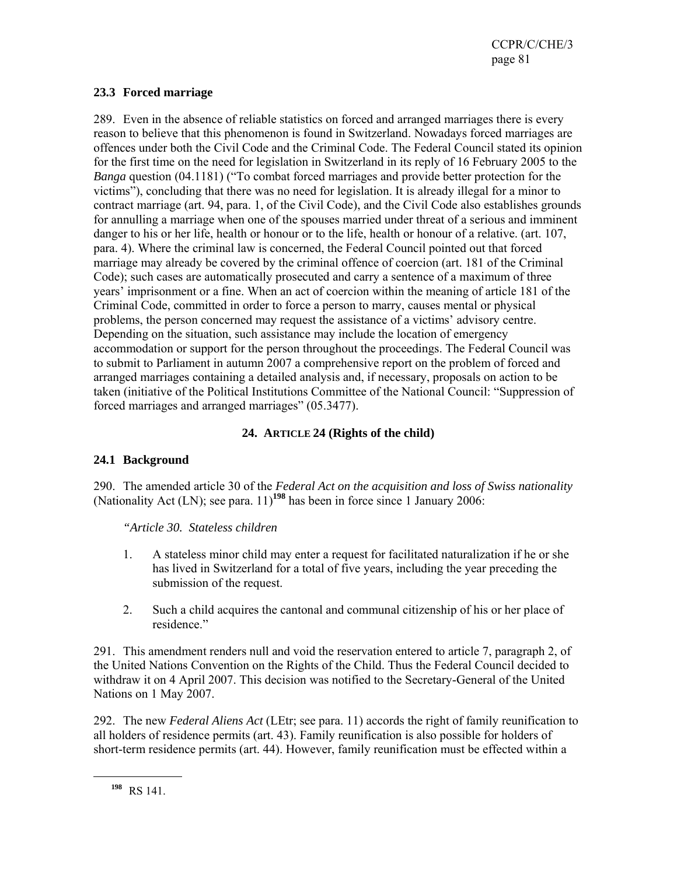### **23.3 Forced marriage**

289. Even in the absence of reliable statistics on forced and arranged marriages there is every reason to believe that this phenomenon is found in Switzerland. Nowadays forced marriages are offences under both the Civil Code and the Criminal Code. The Federal Council stated its opinion for the first time on the need for legislation in Switzerland in its reply of 16 February 2005 to the *Banga* question (04.1181) ("To combat forced marriages and provide better protection for the victims"), concluding that there was no need for legislation. It is already illegal for a minor to contract marriage (art. 94, para. 1, of the Civil Code), and the Civil Code also establishes grounds for annulling a marriage when one of the spouses married under threat of a serious and imminent danger to his or her life, health or honour or to the life, health or honour of a relative. (art. 107, para. 4). Where the criminal law is concerned, the Federal Council pointed out that forced marriage may already be covered by the criminal offence of coercion (art. 181 of the Criminal Code); such cases are automatically prosecuted and carry a sentence of a maximum of three years' imprisonment or a fine. When an act of coercion within the meaning of article 181 of the Criminal Code, committed in order to force a person to marry, causes mental or physical problems, the person concerned may request the assistance of a victims' advisory centre. Depending on the situation, such assistance may include the location of emergency accommodation or support for the person throughout the proceedings. The Federal Council was to submit to Parliament in autumn 2007 a comprehensive report on the problem of forced and arranged marriages containing a detailed analysis and, if necessary, proposals on action to be taken (initiative of the Political Institutions Committee of the National Council: "Suppression of forced marriages and arranged marriages" (05.3477).

# **24. ARTICLE 24 (Rights of the child)**

# **24.1 Background**

290. The amended article 30 of the *Federal Act on the acquisition and loss of Swiss nationality* (Nationality Act (LN); see para. 11)**<sup>198</sup>** has been in force since 1 January 2006:

*"Article 30. Stateless children* 

- 1. A stateless minor child may enter a request for facilitated naturalization if he or she has lived in Switzerland for a total of five years, including the year preceding the submission of the request.
- 2. Such a child acquires the cantonal and communal citizenship of his or her place of residence."

291. This amendment renders null and void the reservation entered to article 7, paragraph 2, of the United Nations Convention on the Rights of the Child. Thus the Federal Council decided to withdraw it on 4 April 2007. This decision was notified to the Secretary-General of the United Nations on 1 May 2007.

292. The new *Federal Aliens Act* (LEtr; see para. 11) accords the right of family reunification to all holders of residence permits (art. 43). Family reunification is also possible for holders of short-term residence permits (art. 44). However, family reunification must be effected within a

**<sup>198</sup>** RS 141.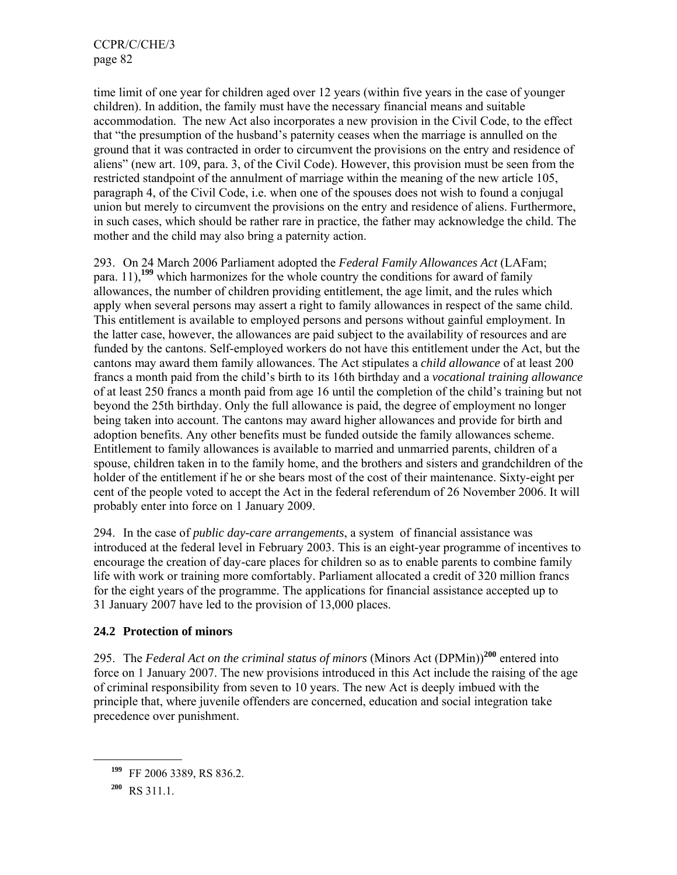time limit of one year for children aged over 12 years (within five years in the case of younger children). In addition, the family must have the necessary financial means and suitable accommodation. The new Act also incorporates a new provision in the Civil Code, to the effect that "the presumption of the husband's paternity ceases when the marriage is annulled on the ground that it was contracted in order to circumvent the provisions on the entry and residence of aliens" (new art. 109, para. 3, of the Civil Code). However, this provision must be seen from the restricted standpoint of the annulment of marriage within the meaning of the new article 105, paragraph 4, of the Civil Code, i.e. when one of the spouses does not wish to found a conjugal union but merely to circumvent the provisions on the entry and residence of aliens. Furthermore, in such cases, which should be rather rare in practice, the father may acknowledge the child. The mother and the child may also bring a paternity action.

293. On 24 March 2006 Parliament adopted the *Federal Family Allowances Act* (LAFam; para. 11),**<sup>199</sup>** which harmonizes for the whole country the conditions for award of family allowances, the number of children providing entitlement, the age limit, and the rules which apply when several persons may assert a right to family allowances in respect of the same child. This entitlement is available to employed persons and persons without gainful employment. In the latter case, however, the allowances are paid subject to the availability of resources and are funded by the cantons. Self-employed workers do not have this entitlement under the Act, but the cantons may award them family allowances. The Act stipulates a *child allowance* of at least 200 francs a month paid from the child's birth to its 16th birthday and a *vocational training allowance* of at least 250 francs a month paid from age 16 until the completion of the child's training but not beyond the 25th birthday. Only the full allowance is paid, the degree of employment no longer being taken into account. The cantons may award higher allowances and provide for birth and adoption benefits. Any other benefits must be funded outside the family allowances scheme. Entitlement to family allowances is available to married and unmarried parents, children of a spouse, children taken in to the family home, and the brothers and sisters and grandchildren of the holder of the entitlement if he or she bears most of the cost of their maintenance. Sixty-eight per cent of the people voted to accept the Act in the federal referendum of 26 November 2006. It will probably enter into force on 1 January 2009.

294. In the case of *public day-care arrangements*, a system of financial assistance was introduced at the federal level in February 2003. This is an eight-year programme of incentives to encourage the creation of day-care places for children so as to enable parents to combine family life with work or training more comfortably. Parliament allocated a credit of 320 million francs for the eight years of the programme. The applications for financial assistance accepted up to 31 January 2007 have led to the provision of 13,000 places.

# **24.2 Protection of minors**

295. The *Federal Act on the criminal status of minors* (Minors Act (DPMin))**<sup>200</sup>** entered into force on 1 January 2007. The new provisions introduced in this Act include the raising of the age of criminal responsibility from seven to 10 years. The new Act is deeply imbued with the principle that, where juvenile offenders are concerned, education and social integration take precedence over punishment.

**<sup>199</sup>** FF 2006 3389, RS 836.2.

**<sup>200</sup>** RS 311.1.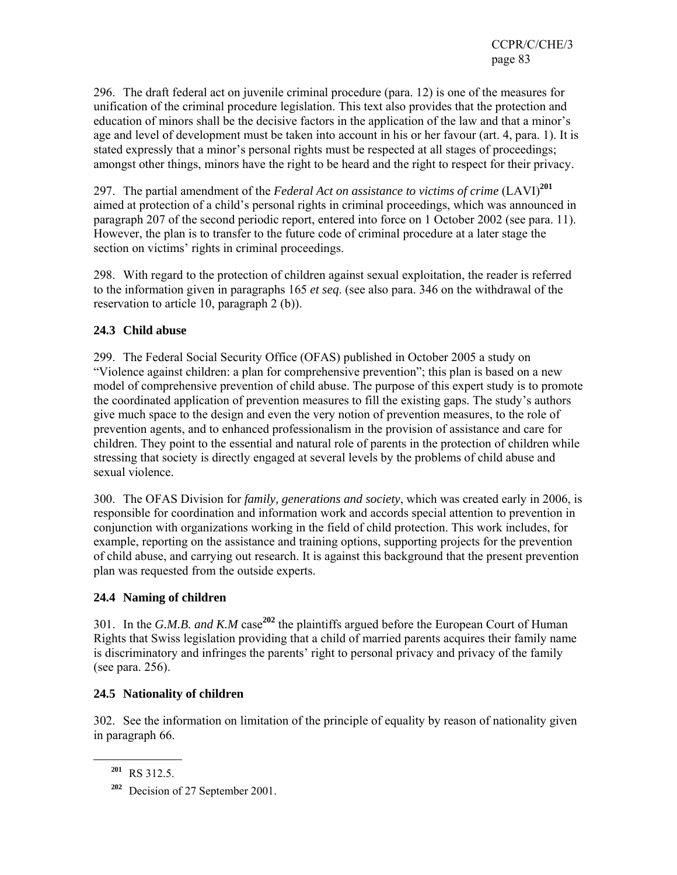296. The draft federal act on juvenile criminal procedure (para. 12) is one of the measures for unification of the criminal procedure legislation. This text also provides that the protection and education of minors shall be the decisive factors in the application of the law and that a minor's age and level of development must be taken into account in his or her favour (art. 4, para. 1). It is stated expressly that a minor's personal rights must be respected at all stages of proceedings; amongst other things, minors have the right to be heard and the right to respect for their privacy.

297. The partial amendment of the *Federal Act on assistance to victims of crime* (LAVI)**<sup>201</sup>** aimed at protection of a child's personal rights in criminal proceedings, which was announced in paragraph 207 of the second periodic report, entered into force on 1 October 2002 (see para. 11). However, the plan is to transfer to the future code of criminal procedure at a later stage the section on victims' rights in criminal proceedings.

298. With regard to the protection of children against sexual exploitation, the reader is referred to the information given in paragraphs 165 *et seq*. (see also para. 346 on the withdrawal of the reservation to article 10, paragraph 2 (b)).

# **24.3 Child abuse**

299. The Federal Social Security Office (OFAS) published in October 2005 a study on "Violence against children: a plan for comprehensive prevention"; this plan is based on a new model of comprehensive prevention of child abuse. The purpose of this expert study is to promote the coordinated application of prevention measures to fill the existing gaps. The study's authors give much space to the design and even the very notion of prevention measures, to the role of prevention agents, and to enhanced professionalism in the provision of assistance and care for children. They point to the essential and natural role of parents in the protection of children while stressing that society is directly engaged at several levels by the problems of child abuse and sexual violence.

300. The OFAS Division for *family, generations and society*, which was created early in 2006, is responsible for coordination and information work and accords special attention to prevention in conjunction with organizations working in the field of child protection. This work includes, for example, reporting on the assistance and training options, supporting projects for the prevention of child abuse, and carrying out research. It is against this background that the present prevention plan was requested from the outside experts.

# **24.4 Naming of children**

301. In the *G.M.B. and K.M* case**<sup>202</sup>** the plaintiffs argued before the European Court of Human Rights that Swiss legislation providing that a child of married parents acquires their family name is discriminatory and infringes the parents' right to personal privacy and privacy of the family (see para. 256).

# **24.5 Nationality of children**

302. See the information on limitation of the principle of equality by reason of nationality given in paragraph 66.

**<sup>201</sup>** RS 312.5.

**<sup>202</sup>** Decision of 27 September 2001.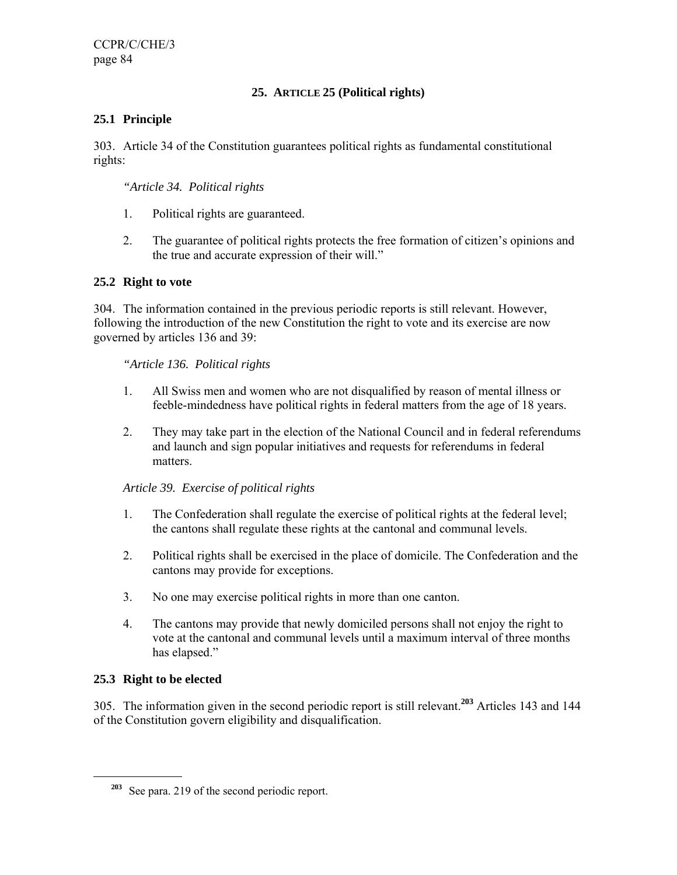# **25. ARTICLE 25 (Political rights)**

# **25.1 Principle**

303. Article 34 of the Constitution guarantees political rights as fundamental constitutional rights:

### *"Article 34. Political rights*

- 1. Political rights are guaranteed.
- 2. The guarantee of political rights protects the free formation of citizen's opinions and the true and accurate expression of their will."

### **25.2 Right to vote**

304. The information contained in the previous periodic reports is still relevant. However, following the introduction of the new Constitution the right to vote and its exercise are now governed by articles 136 and 39:

### *"Article 136. Political rights*

- 1. All Swiss men and women who are not disqualified by reason of mental illness or feeble-mindedness have political rights in federal matters from the age of 18 years.
- 2. They may take part in the election of the National Council and in federal referendums and launch and sign popular initiatives and requests for referendums in federal matters.

# *Article 39. Exercise of political rights*

- 1. The Confederation shall regulate the exercise of political rights at the federal level; the cantons shall regulate these rights at the cantonal and communal levels.
- 2. Political rights shall be exercised in the place of domicile. The Confederation and the cantons may provide for exceptions.
- 3. No one may exercise political rights in more than one canton.
- 4. The cantons may provide that newly domiciled persons shall not enjoy the right to vote at the cantonal and communal levels until a maximum interval of three months has elapsed."

# **25.3 Right to be elected**

 $\overline{a}$ 

305. The information given in the second periodic report is still relevant.**<sup>203</sup>** Articles 143 and 144 of the Constitution govern eligibility and disqualification.

**<sup>203</sup>** See para. 219 of the second periodic report.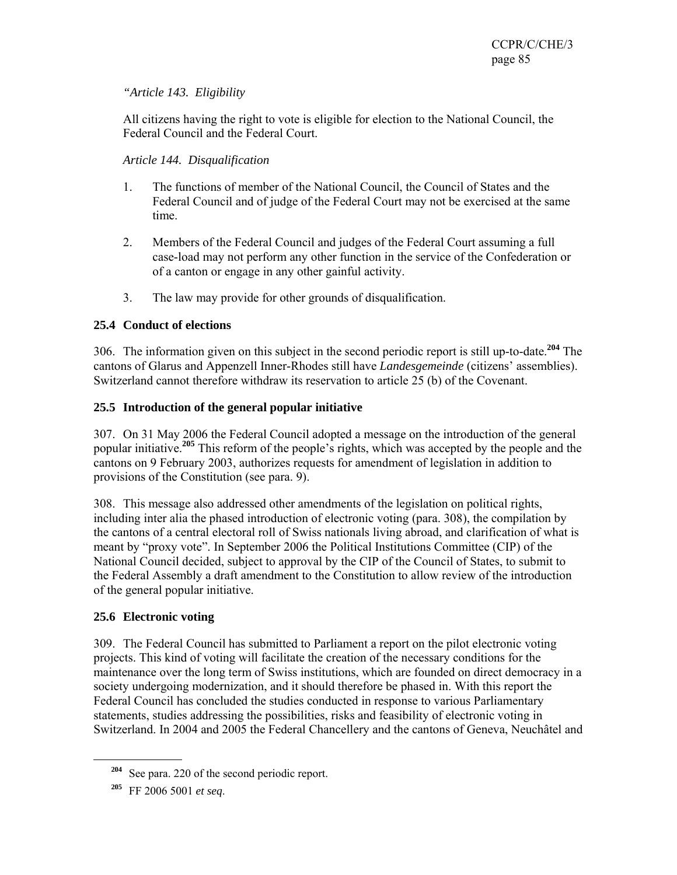# *"Article 143. Eligibility*

All citizens having the right to vote is eligible for election to the National Council, the Federal Council and the Federal Court.

# *Article 144. Disqualification*

- 1. The functions of member of the National Council, the Council of States and the Federal Council and of judge of the Federal Court may not be exercised at the same time.
- 2. Members of the Federal Council and judges of the Federal Court assuming a full case-load may not perform any other function in the service of the Confederation or of a canton or engage in any other gainful activity.
- 3. The law may provide for other grounds of disqualification.

# **25.4 Conduct of elections**

306. The information given on this subject in the second periodic report is still up-to-date.**<sup>204</sup>** The cantons of Glarus and Appenzell Inner-Rhodes still have *Landesgemeinde* (citizens' assemblies). Switzerland cannot therefore withdraw its reservation to article 25 (b) of the Covenant.

# **25.5 Introduction of the general popular initiative**

307. On 31 May 2006 the Federal Council adopted a message on the introduction of the general popular initiative.**<sup>205</sup>** This reform of the people's rights, which was accepted by the people and the cantons on 9 February 2003, authorizes requests for amendment of legislation in addition to provisions of the Constitution (see para. 9).

308. This message also addressed other amendments of the legislation on political rights, including inter alia the phased introduction of electronic voting (para. 308), the compilation by the cantons of a central electoral roll of Swiss nationals living abroad, and clarification of what is meant by "proxy vote". In September 2006 the Political Institutions Committee (CIP) of the National Council decided, subject to approval by the CIP of the Council of States, to submit to the Federal Assembly a draft amendment to the Constitution to allow review of the introduction of the general popular initiative.

# **25.6 Electronic voting**

309. The Federal Council has submitted to Parliament a report on the pilot electronic voting projects. This kind of voting will facilitate the creation of the necessary conditions for the maintenance over the long term of Swiss institutions, which are founded on direct democracy in a society undergoing modernization, and it should therefore be phased in. With this report the Federal Council has concluded the studies conducted in response to various Parliamentary statements, studies addressing the possibilities, risks and feasibility of electronic voting in Switzerland. In 2004 and 2005 the Federal Chancellery and the cantons of Geneva, Neuchâtel and

**<sup>204</sup>** See para. 220 of the second periodic report.

**<sup>205</sup>** FF 2006 5001 *et seq*.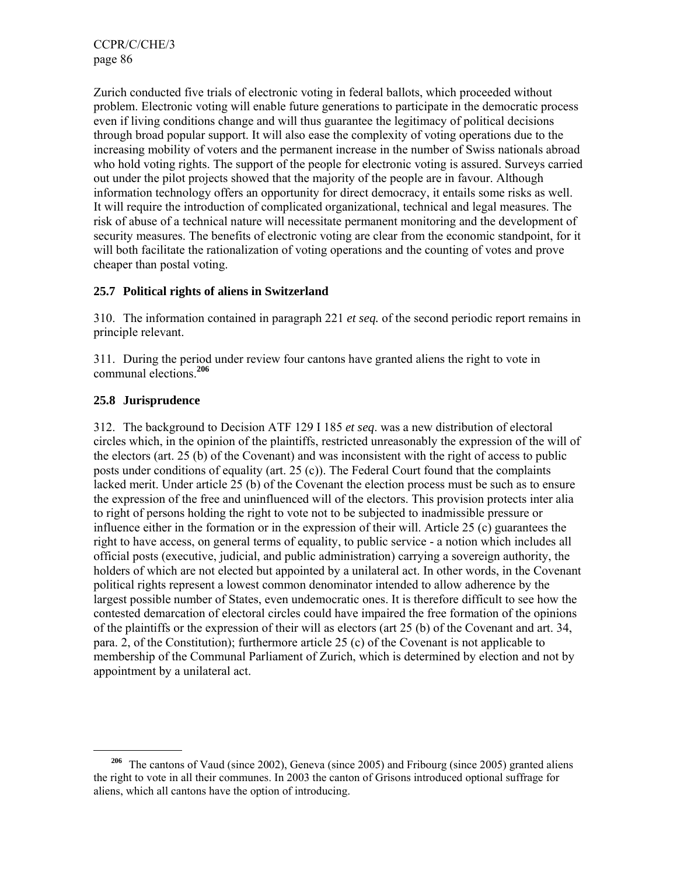Zurich conducted five trials of electronic voting in federal ballots, which proceeded without problem. Electronic voting will enable future generations to participate in the democratic process even if living conditions change and will thus guarantee the legitimacy of political decisions through broad popular support. It will also ease the complexity of voting operations due to the increasing mobility of voters and the permanent increase in the number of Swiss nationals abroad who hold voting rights. The support of the people for electronic voting is assured. Surveys carried out under the pilot projects showed that the majority of the people are in favour. Although information technology offers an opportunity for direct democracy, it entails some risks as well. It will require the introduction of complicated organizational, technical and legal measures. The risk of abuse of a technical nature will necessitate permanent monitoring and the development of security measures. The benefits of electronic voting are clear from the economic standpoint, for it will both facilitate the rationalization of voting operations and the counting of votes and prove cheaper than postal voting.

### **25.7 Political rights of aliens in Switzerland**

310. The information contained in paragraph 221 *et seq.* of the second periodic report remains in principle relevant.

311. During the period under review four cantons have granted aliens the right to vote in communal elections.**<sup>206</sup>**

### **25.8 Jurisprudence**

312. The background to Decision ATF 129 I 185 *et seq*. was a new distribution of electoral circles which, in the opinion of the plaintiffs, restricted unreasonably the expression of the will of the electors (art. 25 (b) of the Covenant) and was inconsistent with the right of access to public posts under conditions of equality (art. 25 (c)). The Federal Court found that the complaints lacked merit. Under article 25 (b) of the Covenant the election process must be such as to ensure the expression of the free and uninfluenced will of the electors. This provision protects inter alia to right of persons holding the right to vote not to be subjected to inadmissible pressure or influence either in the formation or in the expression of their will. Article 25 (c) guarantees the right to have access, on general terms of equality, to public service - a notion which includes all official posts (executive, judicial, and public administration) carrying a sovereign authority, the holders of which are not elected but appointed by a unilateral act. In other words, in the Covenant political rights represent a lowest common denominator intended to allow adherence by the largest possible number of States, even undemocratic ones. It is therefore difficult to see how the contested demarcation of electoral circles could have impaired the free formation of the opinions of the plaintiffs or the expression of their will as electors (art 25 (b) of the Covenant and art. 34, para. 2, of the Constitution); furthermore article 25 (c) of the Covenant is not applicable to membership of the Communal Parliament of Zurich, which is determined by election and not by appointment by a unilateral act.

**<sup>206</sup>** The cantons of Vaud (since 2002), Geneva (since 2005) and Fribourg (since 2005) granted aliens the right to vote in all their communes. In 2003 the canton of Grisons introduced optional suffrage for aliens, which all cantons have the option of introducing.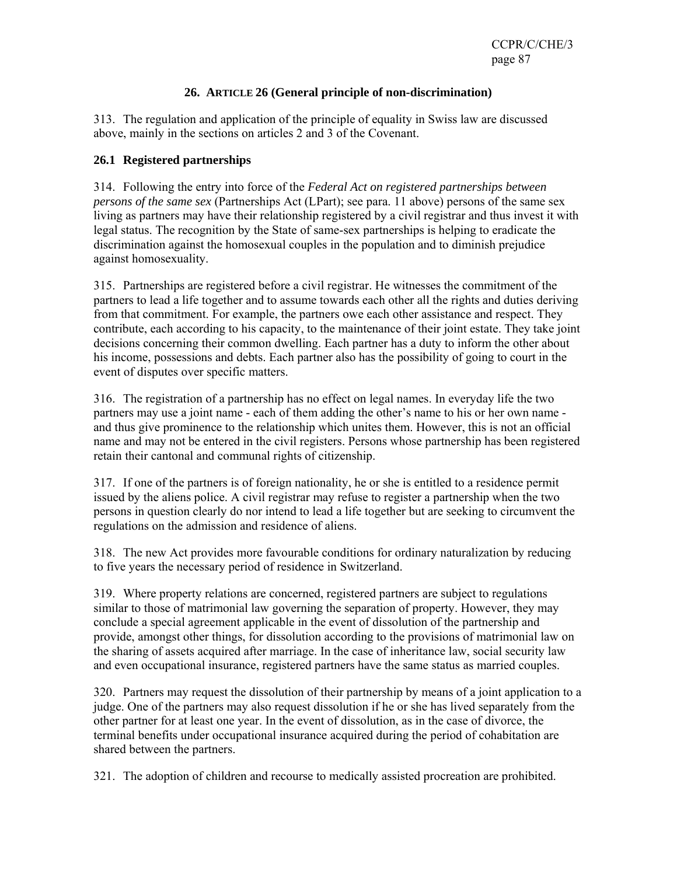# **26. ARTICLE 26 (General principle of non-discrimination)**

313. The regulation and application of the principle of equality in Swiss law are discussed above, mainly in the sections on articles 2 and 3 of the Covenant.

#### **26.1 Registered partnerships**

314. Following the entry into force of the *Federal Act on registered partnerships between persons of the same sex* (Partnerships Act (LPart); see para. 11 above) persons of the same sex living as partners may have their relationship registered by a civil registrar and thus invest it with legal status. The recognition by the State of same-sex partnerships is helping to eradicate the discrimination against the homosexual couples in the population and to diminish prejudice against homosexuality.

315. Partnerships are registered before a civil registrar. He witnesses the commitment of the partners to lead a life together and to assume towards each other all the rights and duties deriving from that commitment. For example, the partners owe each other assistance and respect. They contribute, each according to his capacity, to the maintenance of their joint estate. They take joint decisions concerning their common dwelling. Each partner has a duty to inform the other about his income, possessions and debts. Each partner also has the possibility of going to court in the event of disputes over specific matters.

316. The registration of a partnership has no effect on legal names. In everyday life the two partners may use a joint name - each of them adding the other's name to his or her own name and thus give prominence to the relationship which unites them. However, this is not an official name and may not be entered in the civil registers. Persons whose partnership has been registered retain their cantonal and communal rights of citizenship.

317. If one of the partners is of foreign nationality, he or she is entitled to a residence permit issued by the aliens police. A civil registrar may refuse to register a partnership when the two persons in question clearly do nor intend to lead a life together but are seeking to circumvent the regulations on the admission and residence of aliens.

318. The new Act provides more favourable conditions for ordinary naturalization by reducing to five years the necessary period of residence in Switzerland.

319. Where property relations are concerned, registered partners are subject to regulations similar to those of matrimonial law governing the separation of property. However, they may conclude a special agreement applicable in the event of dissolution of the partnership and provide, amongst other things, for dissolution according to the provisions of matrimonial law on the sharing of assets acquired after marriage. In the case of inheritance law, social security law and even occupational insurance, registered partners have the same status as married couples.

320. Partners may request the dissolution of their partnership by means of a joint application to a judge. One of the partners may also request dissolution if he or she has lived separately from the other partner for at least one year. In the event of dissolution, as in the case of divorce, the terminal benefits under occupational insurance acquired during the period of cohabitation are shared between the partners.

321. The adoption of children and recourse to medically assisted procreation are prohibited.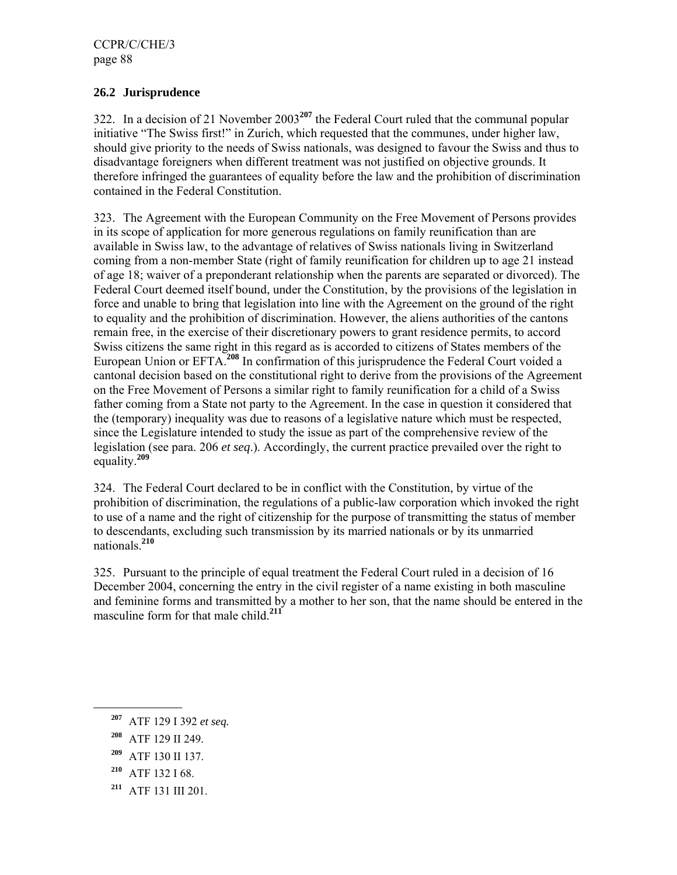# **26.2 Jurisprudence**

322. In a decision of 21 November 2003**<sup>207</sup>** the Federal Court ruled that the communal popular initiative "The Swiss first!" in Zurich, which requested that the communes, under higher law, should give priority to the needs of Swiss nationals, was designed to favour the Swiss and thus to disadvantage foreigners when different treatment was not justified on objective grounds. It therefore infringed the guarantees of equality before the law and the prohibition of discrimination contained in the Federal Constitution.

323. The Agreement with the European Community on the Free Movement of Persons provides in its scope of application for more generous regulations on family reunification than are available in Swiss law, to the advantage of relatives of Swiss nationals living in Switzerland coming from a non-member State (right of family reunification for children up to age 21 instead of age 18; waiver of a preponderant relationship when the parents are separated or divorced). The Federal Court deemed itself bound, under the Constitution, by the provisions of the legislation in force and unable to bring that legislation into line with the Agreement on the ground of the right to equality and the prohibition of discrimination. However, the aliens authorities of the cantons remain free, in the exercise of their discretionary powers to grant residence permits, to accord Swiss citizens the same right in this regard as is accorded to citizens of States members of the European Union or EFTA.**<sup>208</sup>** In confirmation of this jurisprudence the Federal Court voided a cantonal decision based on the constitutional right to derive from the provisions of the Agreement on the Free Movement of Persons a similar right to family reunification for a child of a Swiss father coming from a State not party to the Agreement. In the case in question it considered that the (temporary) inequality was due to reasons of a legislative nature which must be respected, since the Legislature intended to study the issue as part of the comprehensive review of the legislation (see para. 206 *et seq*.). Accordingly, the current practice prevailed over the right to equality.**<sup>209</sup>**

324. The Federal Court declared to be in conflict with the Constitution, by virtue of the prohibition of discrimination, the regulations of a public-law corporation which invoked the right to use of a name and the right of citizenship for the purpose of transmitting the status of member to descendants, excluding such transmission by its married nationals or by its unmarried nationals.**<sup>210</sup>**

325. Pursuant to the principle of equal treatment the Federal Court ruled in a decision of 16 December 2004, concerning the entry in the civil register of a name existing in both masculine and feminine forms and transmitted by a mother to her son, that the name should be entered in the masculine form for that male child.**<sup>211</sup>**

- **<sup>210</sup>** ATF 132 I 68.
- **<sup>211</sup>** ATF 131 III 201.

**<sup>207</sup>** ATF 129 I 392 *et seq.*

**<sup>208</sup>** ATF 129 II 249.

**<sup>209</sup>** ATF 130 II 137.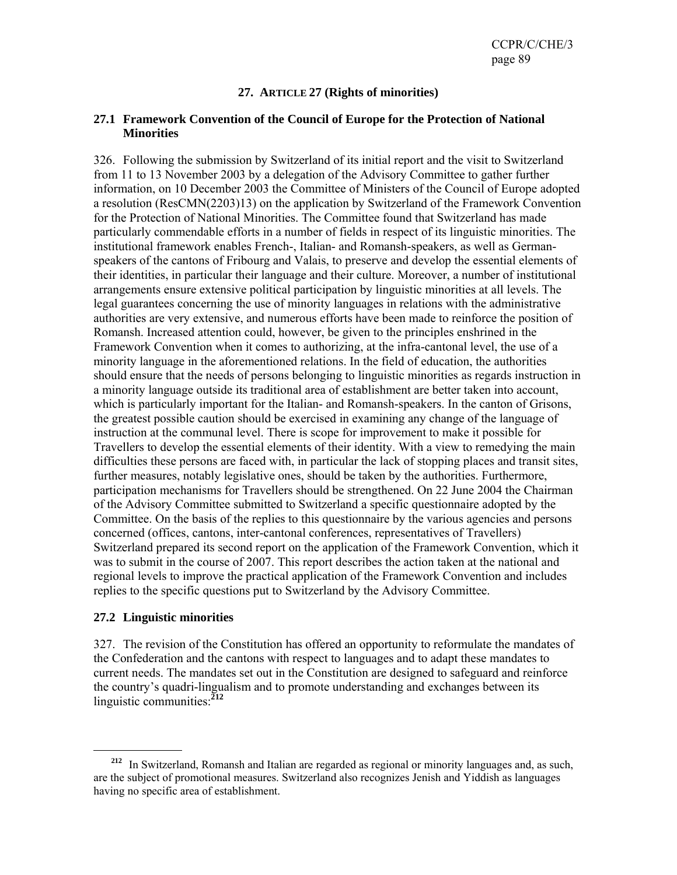### **27. ARTICLE 27 (Rights of minorities)**

#### **27.1 Framework Convention of the Council of Europe for the Protection of National Minorities**

326. Following the submission by Switzerland of its initial report and the visit to Switzerland from 11 to 13 November 2003 by a delegation of the Advisory Committee to gather further information, on 10 December 2003 the Committee of Ministers of the Council of Europe adopted a resolution (ResCMN(2203)13) on the application by Switzerland of the Framework Convention for the Protection of National Minorities. The Committee found that Switzerland has made particularly commendable efforts in a number of fields in respect of its linguistic minorities. The institutional framework enables French-, Italian- and Romansh-speakers, as well as Germanspeakers of the cantons of Fribourg and Valais, to preserve and develop the essential elements of their identities, in particular their language and their culture. Moreover, a number of institutional arrangements ensure extensive political participation by linguistic minorities at all levels. The legal guarantees concerning the use of minority languages in relations with the administrative authorities are very extensive, and numerous efforts have been made to reinforce the position of Romansh. Increased attention could, however, be given to the principles enshrined in the Framework Convention when it comes to authorizing, at the infra-cantonal level, the use of a minority language in the aforementioned relations. In the field of education, the authorities should ensure that the needs of persons belonging to linguistic minorities as regards instruction in a minority language outside its traditional area of establishment are better taken into account, which is particularly important for the Italian- and Romansh-speakers. In the canton of Grisons, the greatest possible caution should be exercised in examining any change of the language of instruction at the communal level. There is scope for improvement to make it possible for Travellers to develop the essential elements of their identity. With a view to remedying the main difficulties these persons are faced with, in particular the lack of stopping places and transit sites, further measures, notably legislative ones, should be taken by the authorities. Furthermore, participation mechanisms for Travellers should be strengthened. On 22 June 2004 the Chairman of the Advisory Committee submitted to Switzerland a specific questionnaire adopted by the Committee. On the basis of the replies to this questionnaire by the various agencies and persons concerned (offices, cantons, inter-cantonal conferences, representatives of Travellers) Switzerland prepared its second report on the application of the Framework Convention, which it was to submit in the course of 2007. This report describes the action taken at the national and regional levels to improve the practical application of the Framework Convention and includes replies to the specific questions put to Switzerland by the Advisory Committee.

### **27.2 Linguistic minorities**

327. The revision of the Constitution has offered an opportunity to reformulate the mandates of the Confederation and the cantons with respect to languages and to adapt these mandates to current needs. The mandates set out in the Constitution are designed to safeguard and reinforce the country's quadri-lingualism and to promote understanding and exchanges between its linguistic communities:**<sup>212</sup>**

**<sup>212</sup>** In Switzerland, Romansh and Italian are regarded as regional or minority languages and, as such, are the subject of promotional measures. Switzerland also recognizes Jenish and Yiddish as languages having no specific area of establishment.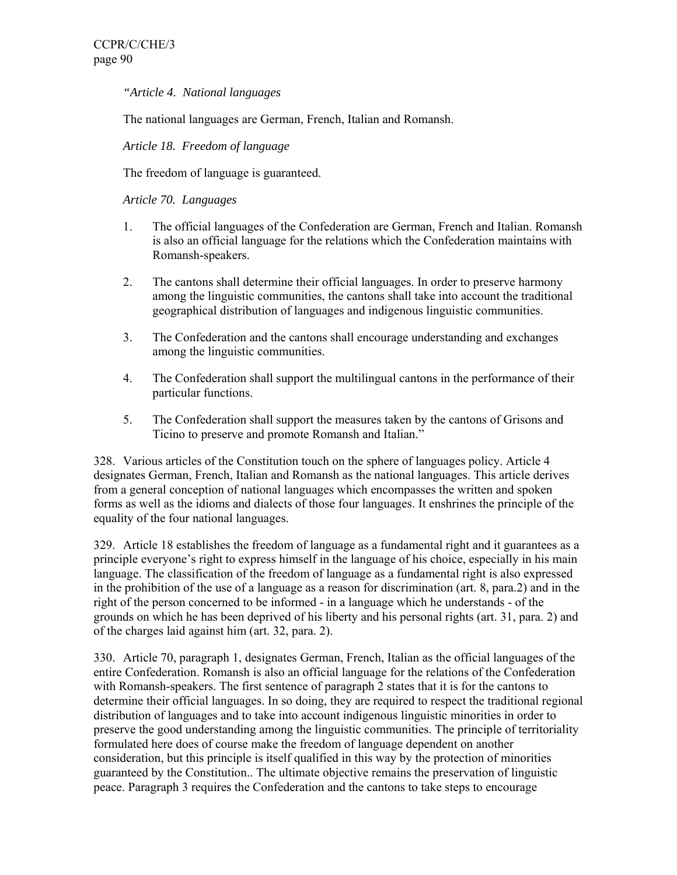*"Article 4. National languages* 

The national languages are German, French, Italian and Romansh.

*Article 18. Freedom of language* 

The freedom of language is guaranteed.

*Article 70. Languages* 

- 1. The official languages of the Confederation are German, French and Italian. Romansh is also an official language for the relations which the Confederation maintains with Romansh-speakers.
- 2. The cantons shall determine their official languages. In order to preserve harmony among the linguistic communities, the cantons shall take into account the traditional geographical distribution of languages and indigenous linguistic communities.
- 3. The Confederation and the cantons shall encourage understanding and exchanges among the linguistic communities.
- 4. The Confederation shall support the multilingual cantons in the performance of their particular functions.
- 5. The Confederation shall support the measures taken by the cantons of Grisons and Ticino to preserve and promote Romansh and Italian."

328. Various articles of the Constitution touch on the sphere of languages policy. Article 4 designates German, French, Italian and Romansh as the national languages. This article derives from a general conception of national languages which encompasses the written and spoken forms as well as the idioms and dialects of those four languages. It enshrines the principle of the equality of the four national languages.

329. Article 18 establishes the freedom of language as a fundamental right and it guarantees as a principle everyone's right to express himself in the language of his choice, especially in his main language. The classification of the freedom of language as a fundamental right is also expressed in the prohibition of the use of a language as a reason for discrimination (art. 8, para.2) and in the right of the person concerned to be informed - in a language which he understands - of the grounds on which he has been deprived of his liberty and his personal rights (art. 31, para. 2) and of the charges laid against him (art. 32, para. 2).

330. Article 70, paragraph 1, designates German, French, Italian as the official languages of the entire Confederation. Romansh is also an official language for the relations of the Confederation with Romansh-speakers. The first sentence of paragraph 2 states that it is for the cantons to determine their official languages. In so doing, they are required to respect the traditional regional distribution of languages and to take into account indigenous linguistic minorities in order to preserve the good understanding among the linguistic communities. The principle of territoriality formulated here does of course make the freedom of language dependent on another consideration, but this principle is itself qualified in this way by the protection of minorities guaranteed by the Constitution.. The ultimate objective remains the preservation of linguistic peace. Paragraph 3 requires the Confederation and the cantons to take steps to encourage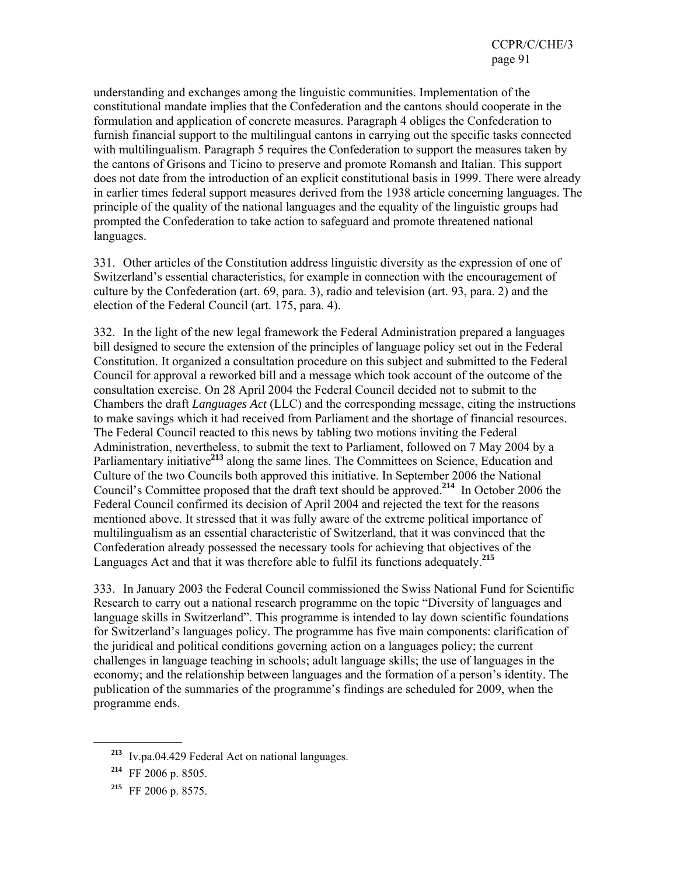understanding and exchanges among the linguistic communities. Implementation of the constitutional mandate implies that the Confederation and the cantons should cooperate in the formulation and application of concrete measures. Paragraph 4 obliges the Confederation to furnish financial support to the multilingual cantons in carrying out the specific tasks connected with multilingualism. Paragraph 5 requires the Confederation to support the measures taken by the cantons of Grisons and Ticino to preserve and promote Romansh and Italian. This support does not date from the introduction of an explicit constitutional basis in 1999. There were already in earlier times federal support measures derived from the 1938 article concerning languages. The principle of the quality of the national languages and the equality of the linguistic groups had prompted the Confederation to take action to safeguard and promote threatened national languages.

331. Other articles of the Constitution address linguistic diversity as the expression of one of Switzerland's essential characteristics, for example in connection with the encouragement of culture by the Confederation (art. 69, para. 3), radio and television (art. 93, para. 2) and the election of the Federal Council (art. 175, para. 4).

332. In the light of the new legal framework the Federal Administration prepared a languages bill designed to secure the extension of the principles of language policy set out in the Federal Constitution. It organized a consultation procedure on this subject and submitted to the Federal Council for approval a reworked bill and a message which took account of the outcome of the consultation exercise. On 28 April 2004 the Federal Council decided not to submit to the Chambers the draft *Languages Act* (LLC) and the corresponding message, citing the instructions to make savings which it had received from Parliament and the shortage of financial resources. The Federal Council reacted to this news by tabling two motions inviting the Federal Administration, nevertheless, to submit the text to Parliament, followed on 7 May 2004 by a Parliamentary initiative<sup>213</sup> along the same lines. The Committees on Science, Education and Culture of the two Councils both approved this initiative. In September 2006 the National Council's Committee proposed that the draft text should be approved.**<sup>214</sup>** In October 2006 the Federal Council confirmed its decision of April 2004 and rejected the text for the reasons mentioned above. It stressed that it was fully aware of the extreme political importance of multilingualism as an essential characteristic of Switzerland, that it was convinced that the Confederation already possessed the necessary tools for achieving that objectives of the Languages Act and that it was therefore able to fulfil its functions adequately.**<sup>215</sup>**

333. In January 2003 the Federal Council commissioned the Swiss National Fund for Scientific Research to carry out a national research programme on the topic "Diversity of languages and language skills in Switzerland". This programme is intended to lay down scientific foundations for Switzerland's languages policy. The programme has five main components: clarification of the juridical and political conditions governing action on a languages policy; the current challenges in language teaching in schools; adult language skills; the use of languages in the economy; and the relationship between languages and the formation of a person's identity. The publication of the summaries of the programme's findings are scheduled for 2009, when the programme ends.

**<sup>213</sup>** Iv.pa.04.429 Federal Act on national languages.

**<sup>214</sup>** FF 2006 p. 8505.

**<sup>215</sup>** FF 2006 p. 8575.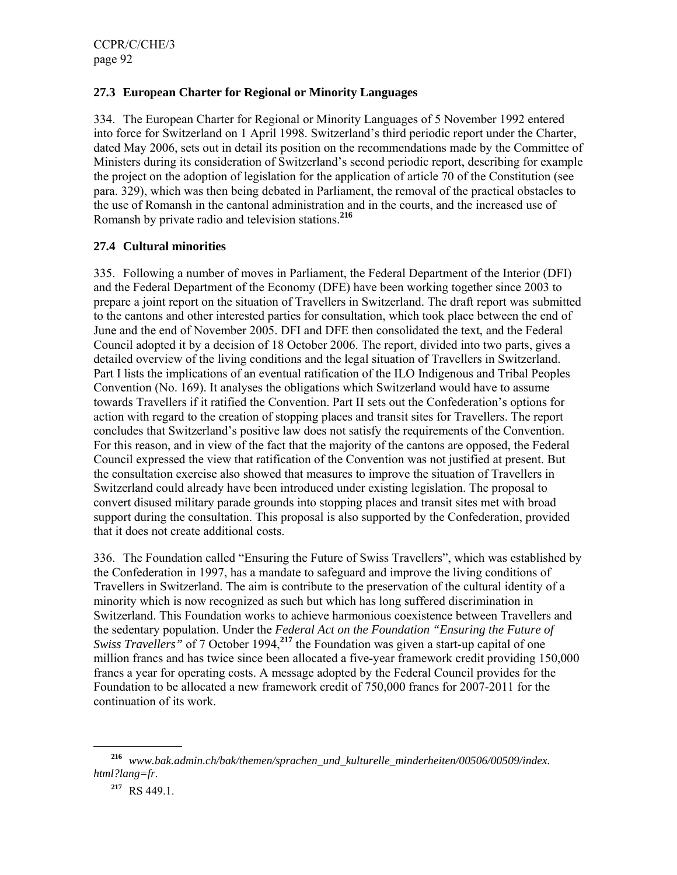# **27.3 European Charter for Regional or Minority Languages**

334. The European Charter for Regional or Minority Languages of 5 November 1992 entered into force for Switzerland on 1 April 1998. Switzerland's third periodic report under the Charter, dated May 2006, sets out in detail its position on the recommendations made by the Committee of Ministers during its consideration of Switzerland's second periodic report, describing for example the project on the adoption of legislation for the application of article 70 of the Constitution (see para. 329), which was then being debated in Parliament, the removal of the practical obstacles to the use of Romansh in the cantonal administration and in the courts, and the increased use of Romansh by private radio and television stations.**<sup>216</sup>**

# **27.4 Cultural minorities**

335. Following a number of moves in Parliament, the Federal Department of the Interior (DFI) and the Federal Department of the Economy (DFE) have been working together since 2003 to prepare a joint report on the situation of Travellers in Switzerland. The draft report was submitted to the cantons and other interested parties for consultation, which took place between the end of June and the end of November 2005. DFI and DFE then consolidated the text, and the Federal Council adopted it by a decision of 18 October 2006. The report, divided into two parts, gives a detailed overview of the living conditions and the legal situation of Travellers in Switzerland. Part I lists the implications of an eventual ratification of the ILO Indigenous and Tribal Peoples Convention (No. 169). It analyses the obligations which Switzerland would have to assume towards Travellers if it ratified the Convention. Part II sets out the Confederation's options for action with regard to the creation of stopping places and transit sites for Travellers. The report concludes that Switzerland's positive law does not satisfy the requirements of the Convention. For this reason, and in view of the fact that the majority of the cantons are opposed, the Federal Council expressed the view that ratification of the Convention was not justified at present. But the consultation exercise also showed that measures to improve the situation of Travellers in Switzerland could already have been introduced under existing legislation. The proposal to convert disused military parade grounds into stopping places and transit sites met with broad support during the consultation. This proposal is also supported by the Confederation, provided that it does not create additional costs.

336. The Foundation called "Ensuring the Future of Swiss Travellers", which was established by the Confederation in 1997, has a mandate to safeguard and improve the living conditions of Travellers in Switzerland. The aim is contribute to the preservation of the cultural identity of a minority which is now recognized as such but which has long suffered discrimination in Switzerland. This Foundation works to achieve harmonious coexistence between Travellers and the sedentary population. Under the *Federal Act on the Foundation "Ensuring the Future of Swiss Travellers"* of 7 October 1994,**<sup>217</sup>** the Foundation was given a start-up capital of one million francs and has twice since been allocated a five-year framework credit providing 150,000 francs a year for operating costs. A message adopted by the Federal Council provides for the Foundation to be allocated a new framework credit of 750,000 francs for 2007-2011 for the continuation of its work.

**<sup>216</sup>** *www.bak.admin.ch/bak/themen/sprachen\_und\_kulturelle\_minderheiten/00506/00509/index. html?lang=fr.*

**<sup>217</sup>** RS 449.1.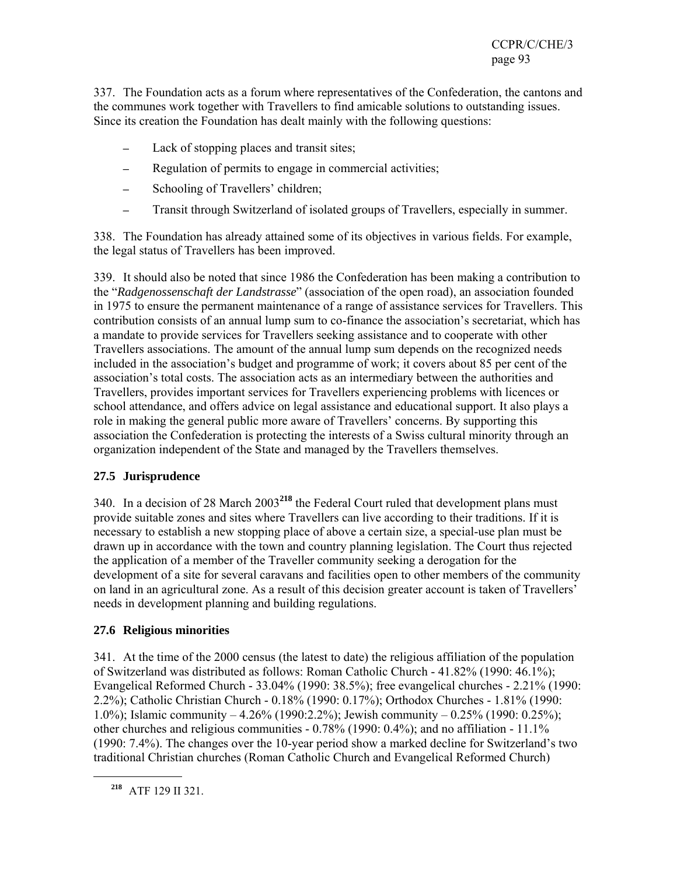337. The Foundation acts as a forum where representatives of the Confederation, the cantons and the communes work together with Travellers to find amicable solutions to outstanding issues. Since its creation the Foundation has dealt mainly with the following questions:

- ─ Lack of stopping places and transit sites;
- Regulation of permits to engage in commercial activities;
- Schooling of Travellers' children;
- ─ Transit through Switzerland of isolated groups of Travellers, especially in summer.

338. The Foundation has already attained some of its objectives in various fields. For example, the legal status of Travellers has been improved.

339. It should also be noted that since 1986 the Confederation has been making a contribution to the "*Radgenossenschaft der Landstrasse*" (association of the open road), an association founded in 1975 to ensure the permanent maintenance of a range of assistance services for Travellers. This contribution consists of an annual lump sum to co-finance the association's secretariat, which has a mandate to provide services for Travellers seeking assistance and to cooperate with other Travellers associations. The amount of the annual lump sum depends on the recognized needs included in the association's budget and programme of work; it covers about 85 per cent of the association's total costs. The association acts as an intermediary between the authorities and Travellers, provides important services for Travellers experiencing problems with licences or school attendance, and offers advice on legal assistance and educational support. It also plays a role in making the general public more aware of Travellers' concerns. By supporting this association the Confederation is protecting the interests of a Swiss cultural minority through an organization independent of the State and managed by the Travellers themselves.

# **27.5 Jurisprudence**

340. In a decision of 28 March 2003**<sup>218</sup>** the Federal Court ruled that development plans must provide suitable zones and sites where Travellers can live according to their traditions. If it is necessary to establish a new stopping place of above a certain size, a special-use plan must be drawn up in accordance with the town and country planning legislation. The Court thus rejected the application of a member of the Traveller community seeking a derogation for the development of a site for several caravans and facilities open to other members of the community on land in an agricultural zone. As a result of this decision greater account is taken of Travellers' needs in development planning and building regulations.

# **27.6 Religious minorities**

341. At the time of the 2000 census (the latest to date) the religious affiliation of the population of Switzerland was distributed as follows: Roman Catholic Church - 41.82% (1990: 46.1%); Evangelical Reformed Church - 33.04% (1990: 38.5%); free evangelical churches - 2.21% (1990: 2.2%); Catholic Christian Church - 0.18% (1990: 0.17%); Orthodox Churches - 1.81% (1990: 1.0%); Islamic community – 4.26% (1990:2.2%); Jewish community – 0.25% (1990: 0.25%); other churches and religious communities - 0.78% (1990: 0.4%); and no affiliation - 11.1% (1990: 7.4%). The changes over the 10-year period show a marked decline for Switzerland's two traditional Christian churches (Roman Catholic Church and Evangelical Reformed Church)

**<sup>218</sup>** ATF 129 II 321.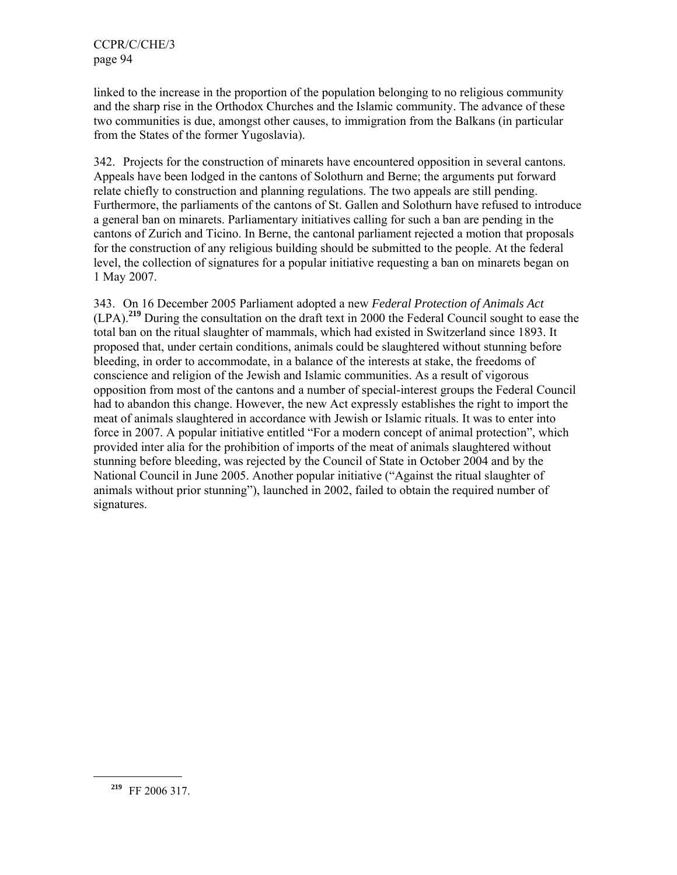linked to the increase in the proportion of the population belonging to no religious community and the sharp rise in the Orthodox Churches and the Islamic community. The advance of these two communities is due, amongst other causes, to immigration from the Balkans (in particular from the States of the former Yugoslavia).

342. Projects for the construction of minarets have encountered opposition in several cantons. Appeals have been lodged in the cantons of Solothurn and Berne; the arguments put forward relate chiefly to construction and planning regulations. The two appeals are still pending. Furthermore, the parliaments of the cantons of St. Gallen and Solothurn have refused to introduce a general ban on minarets. Parliamentary initiatives calling for such a ban are pending in the cantons of Zurich and Ticino. In Berne, the cantonal parliament rejected a motion that proposals for the construction of any religious building should be submitted to the people. At the federal level, the collection of signatures for a popular initiative requesting a ban on minarets began on 1 May 2007.

343. On 16 December 2005 Parliament adopted a new *Federal Protection of Animals Act* (LPA).**<sup>219</sup>** During the consultation on the draft text in 2000 the Federal Council sought to ease the total ban on the ritual slaughter of mammals, which had existed in Switzerland since 1893. It proposed that, under certain conditions, animals could be slaughtered without stunning before bleeding, in order to accommodate, in a balance of the interests at stake, the freedoms of conscience and religion of the Jewish and Islamic communities. As a result of vigorous opposition from most of the cantons and a number of special-interest groups the Federal Council had to abandon this change. However, the new Act expressly establishes the right to import the meat of animals slaughtered in accordance with Jewish or Islamic rituals. It was to enter into force in 2007. A popular initiative entitled "For a modern concept of animal protection", which provided inter alia for the prohibition of imports of the meat of animals slaughtered without stunning before bleeding, was rejected by the Council of State in October 2004 and by the National Council in June 2005. Another popular initiative ("Against the ritual slaughter of animals without prior stunning"), launched in 2002, failed to obtain the required number of signatures.

**<sup>219</sup>** FF 2006 317.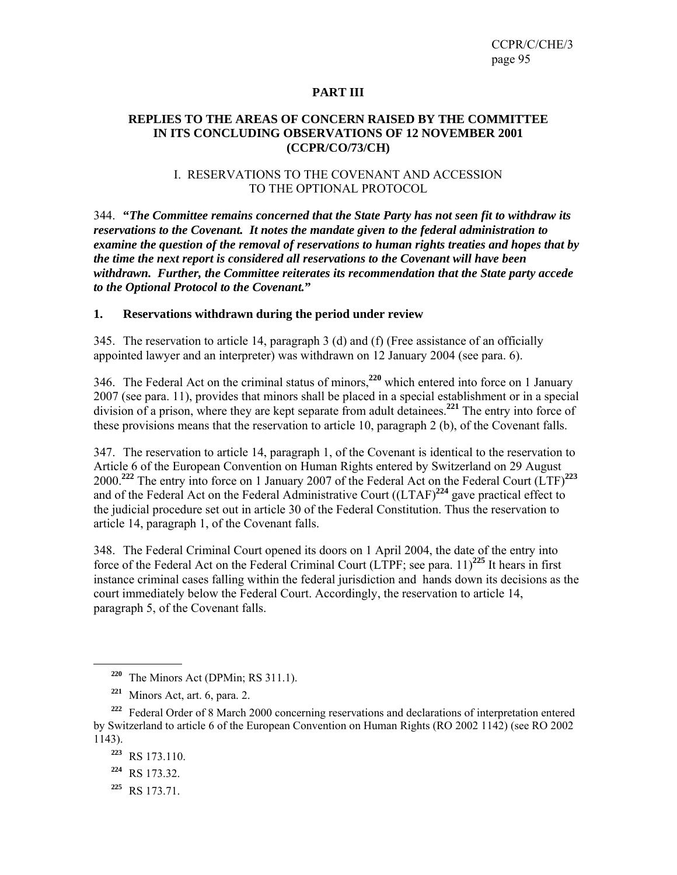#### **PART III**

#### **REPLIES TO THE AREAS OF CONCERN RAISED BY THE COMMITTEE IN ITS CONCLUDING OBSERVATIONS OF 12 NOVEMBER 2001 (CCPR/CO/73/CH)**

#### I. RESERVATIONS TO THE COVENANT AND ACCESSION TO THE OPTIONAL PROTOCOL

344. **"***The Committee remains concerned that the State Party has not seen fit to withdraw its reservations to the Covenant. It notes the mandate given to the federal administration to examine the question of the removal of reservations to human rights treaties and hopes that by the time the next report is considered all reservations to the Covenant will have been withdrawn. Further, the Committee reiterates its recommendation that the State party accede to the Optional Protocol to the Covenant.***"** 

#### **1. Reservations withdrawn during the period under review**

345. The reservation to article 14, paragraph 3 (d) and (f) (Free assistance of an officially appointed lawyer and an interpreter) was withdrawn on 12 January 2004 (see para. 6).

346. The Federal Act on the criminal status of minors,**<sup>220</sup>** which entered into force on 1 January 2007 (see para. 11), provides that minors shall be placed in a special establishment or in a special division of a prison, where they are kept separate from adult detainees.**<sup>221</sup>** The entry into force of these provisions means that the reservation to article 10, paragraph 2 (b), of the Covenant falls.

347. The reservation to article 14, paragraph 1, of the Covenant is identical to the reservation to Article 6 of the European Convention on Human Rights entered by Switzerland on 29 August 2000.**<sup>222</sup>** The entry into force on 1 January 2007 of the Federal Act on the Federal Court (LTF)**<sup>223</sup>** and of the Federal Act on the Federal Administrative Court ((LTAF)**<sup>224</sup>** gave practical effect to the judicial procedure set out in article 30 of the Federal Constitution. Thus the reservation to article 14, paragraph 1, of the Covenant falls.

348. The Federal Criminal Court opened its doors on 1 April 2004, the date of the entry into force of the Federal Act on the Federal Criminal Court (LTPF; see para. 11)**<sup>225</sup>** It hears in first instance criminal cases falling within the federal jurisdiction and hands down its decisions as the court immediately below the Federal Court. Accordingly, the reservation to article 14, paragraph 5, of the Covenant falls.

 $\overline{a}$ 

**<sup>225</sup>** RS 173.71.

**<sup>220</sup>** The Minors Act (DPMin; RS 311.1).

**<sup>221</sup>** Minors Act, art. 6, para. 2.

**<sup>222</sup>** Federal Order of 8 March 2000 concerning reservations and declarations of interpretation entered by Switzerland to article 6 of the European Convention on Human Rights (RO 2002 1142) (see RO 2002 1143).

**<sup>223</sup>** RS 173.110.

**<sup>224</sup>** RS 173.32.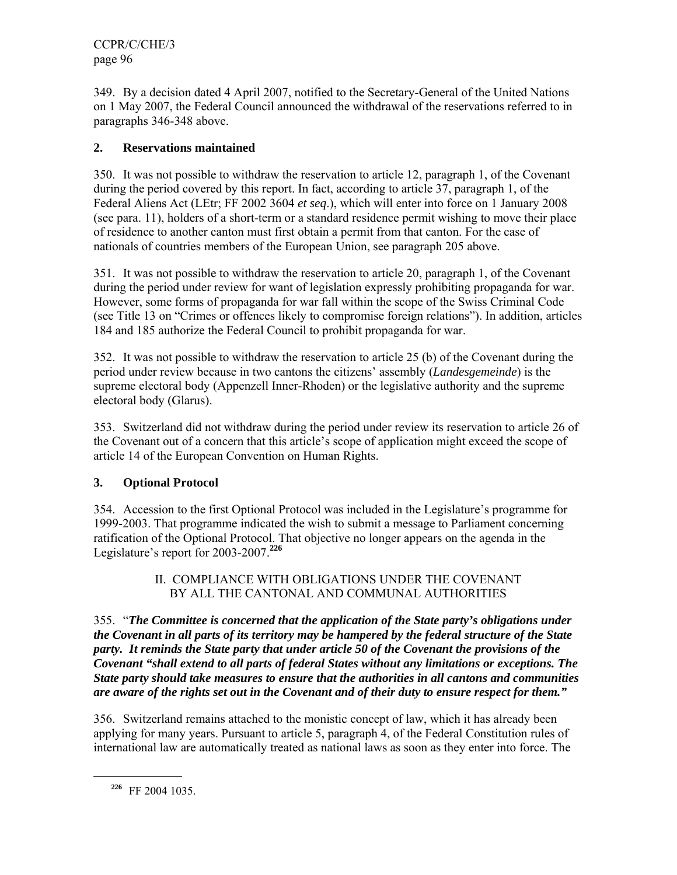349. By a decision dated 4 April 2007, notified to the Secretary-General of the United Nations on 1 May 2007, the Federal Council announced the withdrawal of the reservations referred to in paragraphs 346-348 above.

# **2. Reservations maintained**

350. It was not possible to withdraw the reservation to article 12, paragraph 1, of the Covenant during the period covered by this report. In fact, according to article 37, paragraph 1, of the Federal Aliens Act (LEtr; FF 2002 3604 *et seq*.), which will enter into force on 1 January 2008 (see para. 11), holders of a short-term or a standard residence permit wishing to move their place of residence to another canton must first obtain a permit from that canton. For the case of nationals of countries members of the European Union, see paragraph 205 above.

351. It was not possible to withdraw the reservation to article 20, paragraph 1, of the Covenant during the period under review for want of legislation expressly prohibiting propaganda for war. However, some forms of propaganda for war fall within the scope of the Swiss Criminal Code (see Title 13 on "Crimes or offences likely to compromise foreign relations"). In addition, articles 184 and 185 authorize the Federal Council to prohibit propaganda for war.

352. It was not possible to withdraw the reservation to article 25 (b) of the Covenant during the period under review because in two cantons the citizens' assembly (*Landesgemeinde*) is the supreme electoral body (Appenzell Inner-Rhoden) or the legislative authority and the supreme electoral body (Glarus).

353. Switzerland did not withdraw during the period under review its reservation to article 26 of the Covenant out of a concern that this article's scope of application might exceed the scope of article 14 of the European Convention on Human Rights.

# **3. Optional Protocol**

354. Accession to the first Optional Protocol was included in the Legislature's programme for 1999-2003. That programme indicated the wish to submit a message to Parliament concerning ratification of the Optional Protocol. That objective no longer appears on the agenda in the Legislature's report for 2003-2007.**<sup>226</sup>**

# II. COMPLIANCE WITH OBLIGATIONS UNDER THE COVENANT BY ALL THE CANTONAL AND COMMUNAL AUTHORITIES

355. "*The Committee is concerned that the application of the State party's obligations under the Covenant in all parts of its territory may be hampered by the federal structure of the State party. It reminds the State party that under article 50 of the Covenant the provisions of the Covenant "shall extend to all parts of federal States without any limitations or exceptions. The State party should take measures to ensure that the authorities in all cantons and communities are aware of the rights set out in the Covenant and of their duty to ensure respect for them."* 

356. Switzerland remains attached to the monistic concept of law, which it has already been applying for many years. Pursuant to article 5, paragraph 4, of the Federal Constitution rules of international law are automatically treated as national laws as soon as they enter into force. The

**<sup>226</sup>** FF 2004 1035.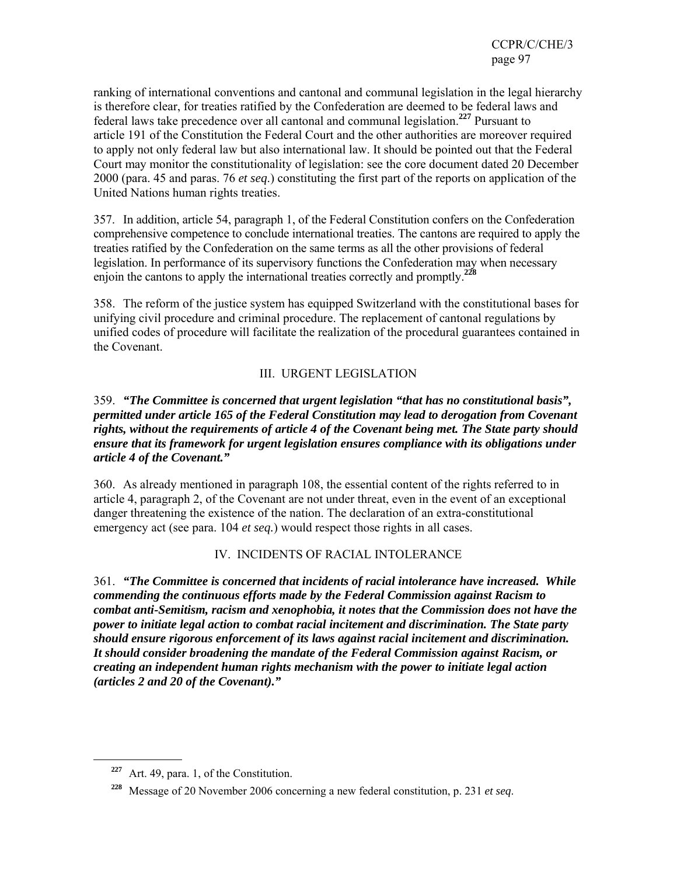ranking of international conventions and cantonal and communal legislation in the legal hierarchy is therefore clear, for treaties ratified by the Confederation are deemed to be federal laws and federal laws take precedence over all cantonal and communal legislation.**<sup>227</sup>** Pursuant to article 191 of the Constitution the Federal Court and the other authorities are moreover required to apply not only federal law but also international law. It should be pointed out that the Federal Court may monitor the constitutionality of legislation: see the core document dated 20 December 2000 (para. 45 and paras. 76 *et seq*.) constituting the first part of the reports on application of the United Nations human rights treaties.

357. In addition, article 54, paragraph 1, of the Federal Constitution confers on the Confederation comprehensive competence to conclude international treaties. The cantons are required to apply the treaties ratified by the Confederation on the same terms as all the other provisions of federal legislation. In performance of its supervisory functions the Confederation may when necessary enjoin the cantons to apply the international treaties correctly and promptly.**<sup>228</sup>**

358. The reform of the justice system has equipped Switzerland with the constitutional bases for unifying civil procedure and criminal procedure. The replacement of cantonal regulations by unified codes of procedure will facilitate the realization of the procedural guarantees contained in the Covenant.

# III. URGENT LEGISLATION

### 359. *"The Committee is concerned that urgent legislation "that has no constitutional basis", permitted under article 165 of the Federal Constitution may lead to derogation from Covenant rights, without the requirements of article 4 of the Covenant being met. The State party should ensure that its framework for urgent legislation ensures compliance with its obligations under article 4 of the Covenant."*

360. As already mentioned in paragraph 108, the essential content of the rights referred to in article 4, paragraph 2, of the Covenant are not under threat, even in the event of an exceptional danger threatening the existence of the nation. The declaration of an extra-constitutional emergency act (see para. 104 *et seq.*) would respect those rights in all cases.

# IV. INCIDENTS OF RACIAL INTOLERANCE

361. *"The Committee is concerned that incidents of racial intolerance have increased. While commending the continuous efforts made by the Federal Commission against Racism to combat anti-Semitism, racism and xenophobia, it notes that the Commission does not have the power to initiate legal action to combat racial incitement and discrimination. The State party should ensure rigorous enforcement of its laws against racial incitement and discrimination. It should consider broadening the mandate of the Federal Commission against Racism, or creating an independent human rights mechanism with the power to initiate legal action (articles 2 and 20 of the Covenant)."* 

**<sup>227</sup>** Art. 49, para. 1, of the Constitution.

**<sup>228</sup>** Message of 20 November 2006 concerning a new federal constitution, p. 231 *et seq*.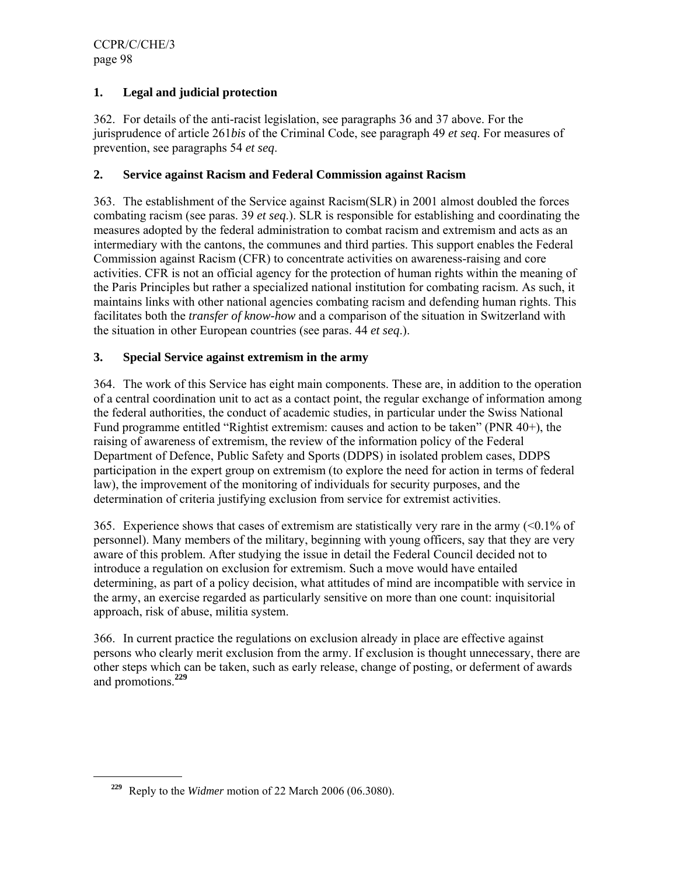# **1. Legal and judicial protection**

362. For details of the anti-racist legislation, see paragraphs 36 and 37 above. For the jurisprudence of article 261*bis* of the Criminal Code, see paragraph 49 *et seq*. For measures of prevention, see paragraphs 54 *et seq*.

# **2. Service against Racism and Federal Commission against Racism**

363. The establishment of the Service against Racism(SLR) in 2001 almost doubled the forces combating racism (see paras. 39 *et seq*.). SLR is responsible for establishing and coordinating the measures adopted by the federal administration to combat racism and extremism and acts as an intermediary with the cantons, the communes and third parties. This support enables the Federal Commission against Racism (CFR) to concentrate activities on awareness-raising and core activities. CFR is not an official agency for the protection of human rights within the meaning of the Paris Principles but rather a specialized national institution for combating racism. As such, it maintains links with other national agencies combating racism and defending human rights. This facilitates both the *transfer of know-how* and a comparison of the situation in Switzerland with the situation in other European countries (see paras. 44 *et seq*.).

# **3. Special Service against extremism in the army**

364. The work of this Service has eight main components. These are, in addition to the operation of a central coordination unit to act as a contact point, the regular exchange of information among the federal authorities, the conduct of academic studies, in particular under the Swiss National Fund programme entitled "Rightist extremism: causes and action to be taken" (PNR 40+), the raising of awareness of extremism, the review of the information policy of the Federal Department of Defence, Public Safety and Sports (DDPS) in isolated problem cases, DDPS participation in the expert group on extremism (to explore the need for action in terms of federal law), the improvement of the monitoring of individuals for security purposes, and the determination of criteria justifying exclusion from service for extremist activities.

365. Experience shows that cases of extremism are statistically very rare in the army  $\leq 0.1\%$  of personnel). Many members of the military, beginning with young officers, say that they are very aware of this problem. After studying the issue in detail the Federal Council decided not to introduce a regulation on exclusion for extremism. Such a move would have entailed determining, as part of a policy decision, what attitudes of mind are incompatible with service in the army, an exercise regarded as particularly sensitive on more than one count: inquisitorial approach, risk of abuse, militia system.

366. In current practice the regulations on exclusion already in place are effective against persons who clearly merit exclusion from the army. If exclusion is thought unnecessary, there are other steps which can be taken, such as early release, change of posting, or deferment of awards and promotions.**<sup>229</sup>**

**<sup>229</sup>** Reply to the *Widmer* motion of 22 March 2006 (06.3080).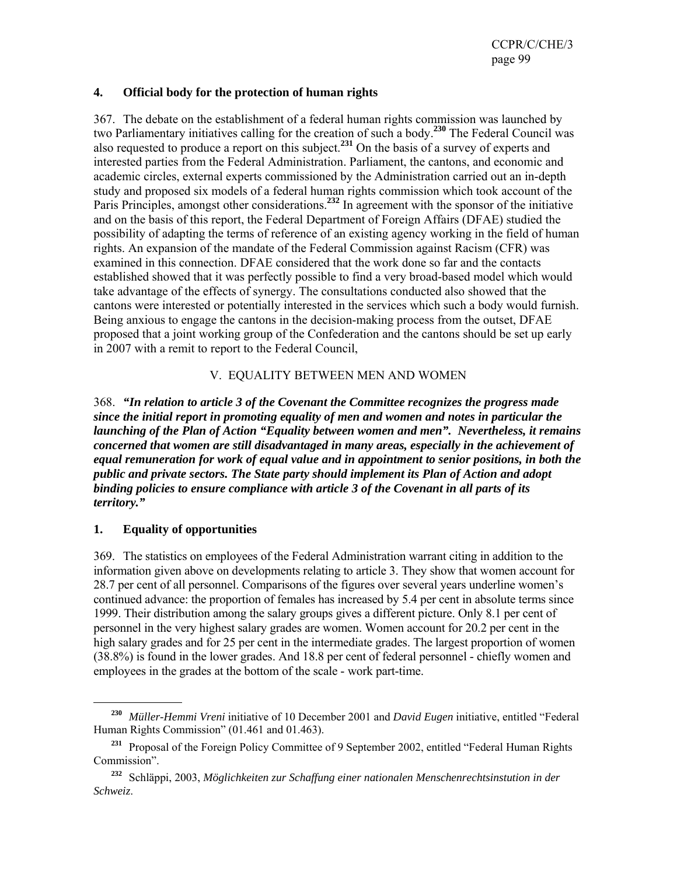### **4. Official body for the protection of human rights**

367. The debate on the establishment of a federal human rights commission was launched by two Parliamentary initiatives calling for the creation of such a body.**<sup>230</sup>** The Federal Council was also requested to produce a report on this subject.**<sup>231</sup>** On the basis of a survey of experts and interested parties from the Federal Administration. Parliament, the cantons, and economic and academic circles, external experts commissioned by the Administration carried out an in-depth study and proposed six models of a federal human rights commission which took account of the Paris Principles, amongst other considerations.**<sup>232</sup>** In agreement with the sponsor of the initiative and on the basis of this report, the Federal Department of Foreign Affairs (DFAE) studied the possibility of adapting the terms of reference of an existing agency working in the field of human rights. An expansion of the mandate of the Federal Commission against Racism (CFR) was examined in this connection. DFAE considered that the work done so far and the contacts established showed that it was perfectly possible to find a very broad-based model which would take advantage of the effects of synergy. The consultations conducted also showed that the cantons were interested or potentially interested in the services which such a body would furnish. Being anxious to engage the cantons in the decision-making process from the outset, DFAE proposed that a joint working group of the Confederation and the cantons should be set up early in 2007 with a remit to report to the Federal Council,

# V. EQUALITY BETWEEN MEN AND WOMEN

368. *"In relation to article 3 of the Covenant the Committee recognizes the progress made since the initial report in promoting equality of men and women and notes in particular the launching of the Plan of Action "Equality between women and men". Nevertheless, it remains concerned that women are still disadvantaged in many areas, especially in the achievement of equal remuneration for work of equal value and in appointment to senior positions, in both the public and private sectors. The State party should implement its Plan of Action and adopt binding policies to ensure compliance with article 3 of the Covenant in all parts of its territory."* 

# **1. Equality of opportunities**

 $\overline{a}$ 

369. The statistics on employees of the Federal Administration warrant citing in addition to the information given above on developments relating to article 3. They show that women account for 28.7 per cent of all personnel. Comparisons of the figures over several years underline women's continued advance: the proportion of females has increased by 5.4 per cent in absolute terms since 1999. Their distribution among the salary groups gives a different picture. Only 8.1 per cent of personnel in the very highest salary grades are women. Women account for 20.2 per cent in the high salary grades and for 25 per cent in the intermediate grades. The largest proportion of women (38.8%) is found in the lower grades. And 18.8 per cent of federal personnel - chiefly women and employees in the grades at the bottom of the scale - work part-time.

**<sup>230</sup>** *Müller-Hemmi Vreni* initiative of 10 December 2001 and *David Eugen* initiative, entitled "Federal Human Rights Commission" (01.461 and 01.463).

<sup>&</sup>lt;sup>231</sup> Proposal of the Foreign Policy Committee of 9 September 2002, entitled "Federal Human Rights" Commission".

**<sup>232</sup>** Schläppi, 2003, *Möglichkeiten zur Schaffung einer nationalen Menschenrechtsinstution in der Schweiz*.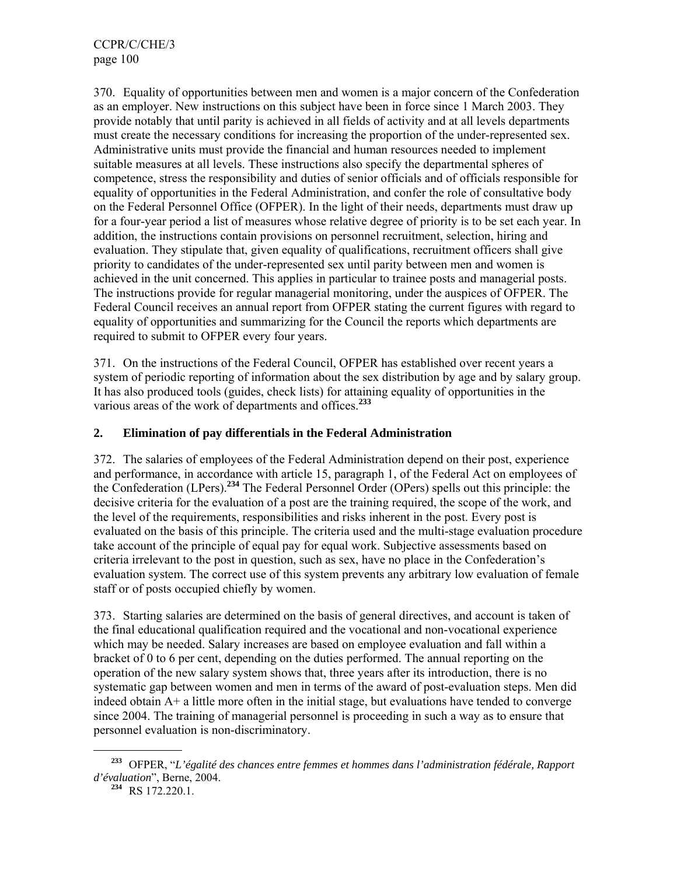370. Equality of opportunities between men and women is a major concern of the Confederation as an employer. New instructions on this subject have been in force since 1 March 2003. They provide notably that until parity is achieved in all fields of activity and at all levels departments must create the necessary conditions for increasing the proportion of the under-represented sex. Administrative units must provide the financial and human resources needed to implement suitable measures at all levels. These instructions also specify the departmental spheres of competence, stress the responsibility and duties of senior officials and of officials responsible for equality of opportunities in the Federal Administration, and confer the role of consultative body on the Federal Personnel Office (OFPER). In the light of their needs, departments must draw up for a four-year period a list of measures whose relative degree of priority is to be set each year. In addition, the instructions contain provisions on personnel recruitment, selection, hiring and evaluation. They stipulate that, given equality of qualifications, recruitment officers shall give priority to candidates of the under-represented sex until parity between men and women is achieved in the unit concerned. This applies in particular to trainee posts and managerial posts. The instructions provide for regular managerial monitoring, under the auspices of OFPER. The Federal Council receives an annual report from OFPER stating the current figures with regard to equality of opportunities and summarizing for the Council the reports which departments are required to submit to OFPER every four years.

371. On the instructions of the Federal Council, OFPER has established over recent years a system of periodic reporting of information about the sex distribution by age and by salary group. It has also produced tools (guides, check lists) for attaining equality of opportunities in the various areas of the work of departments and offices.**<sup>233</sup>**

# **2. Elimination of pay differentials in the Federal Administration**

372. The salaries of employees of the Federal Administration depend on their post, experience and performance, in accordance with article 15, paragraph 1, of the Federal Act on employees of the Confederation (LPers).**<sup>234</sup>** The Federal Personnel Order (OPers) spells out this principle: the decisive criteria for the evaluation of a post are the training required, the scope of the work, and the level of the requirements, responsibilities and risks inherent in the post. Every post is evaluated on the basis of this principle. The criteria used and the multi-stage evaluation procedure take account of the principle of equal pay for equal work. Subjective assessments based on criteria irrelevant to the post in question, such as sex, have no place in the Confederation's evaluation system. The correct use of this system prevents any arbitrary low evaluation of female staff or of posts occupied chiefly by women.

373. Starting salaries are determined on the basis of general directives, and account is taken of the final educational qualification required and the vocational and non-vocational experience which may be needed. Salary increases are based on employee evaluation and fall within a bracket of 0 to 6 per cent, depending on the duties performed. The annual reporting on the operation of the new salary system shows that, three years after its introduction, there is no systematic gap between women and men in terms of the award of post-evaluation steps. Men did indeed obtain A+ a little more often in the initial stage, but evaluations have tended to converge since 2004. The training of managerial personnel is proceeding in such a way as to ensure that personnel evaluation is non-discriminatory.

**<sup>233</sup>** OFPER, "*L'égalité des chances entre femmes et hommes dans l'administration fédérale, Rapport d'évaluation*", Berne, 2004.

**<sup>234</sup>** RS 172.220.1.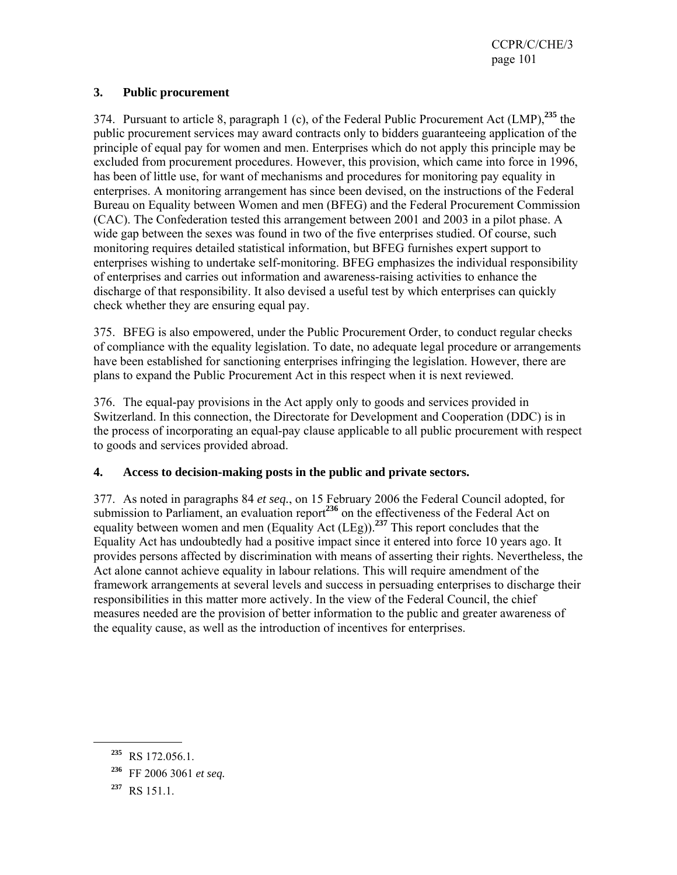### **3. Public procurement**

374. Pursuant to article 8, paragraph 1 (c), of the Federal Public Procurement Act (LMP),**<sup>235</sup>** the public procurement services may award contracts only to bidders guaranteeing application of the principle of equal pay for women and men. Enterprises which do not apply this principle may be excluded from procurement procedures. However, this provision, which came into force in 1996, has been of little use, for want of mechanisms and procedures for monitoring pay equality in enterprises. A monitoring arrangement has since been devised, on the instructions of the Federal Bureau on Equality between Women and men (BFEG) and the Federal Procurement Commission (CAC). The Confederation tested this arrangement between 2001 and 2003 in a pilot phase. A wide gap between the sexes was found in two of the five enterprises studied. Of course, such monitoring requires detailed statistical information, but BFEG furnishes expert support to enterprises wishing to undertake self-monitoring. BFEG emphasizes the individual responsibility of enterprises and carries out information and awareness-raising activities to enhance the discharge of that responsibility. It also devised a useful test by which enterprises can quickly check whether they are ensuring equal pay.

375. BFEG is also empowered, under the Public Procurement Order, to conduct regular checks of compliance with the equality legislation. To date, no adequate legal procedure or arrangements have been established for sanctioning enterprises infringing the legislation. However, there are plans to expand the Public Procurement Act in this respect when it is next reviewed.

376. The equal-pay provisions in the Act apply only to goods and services provided in Switzerland. In this connection, the Directorate for Development and Cooperation (DDC) is in the process of incorporating an equal-pay clause applicable to all public procurement with respect to goods and services provided abroad.

# **4. Access to decision-making posts in the public and private sectors.**

377. As noted in paragraphs 84 *et seq.*, on 15 February 2006 the Federal Council adopted, for submission to Parliament, an evaluation report<sup>236</sup> on the effectiveness of the Federal Act on equality between women and men (Equality Act (LEg)).**<sup>237</sup>** This report concludes that the Equality Act has undoubtedly had a positive impact since it entered into force 10 years ago. It provides persons affected by discrimination with means of asserting their rights. Nevertheless, the Act alone cannot achieve equality in labour relations. This will require amendment of the framework arrangements at several levels and success in persuading enterprises to discharge their responsibilities in this matter more actively. In the view of the Federal Council, the chief measures needed are the provision of better information to the public and greater awareness of the equality cause, as well as the introduction of incentives for enterprises.

**<sup>235</sup>** RS 172.056.1.

**<sup>236</sup>** FF 2006 3061 *et seq.*

**<sup>237</sup>** RS 151.1.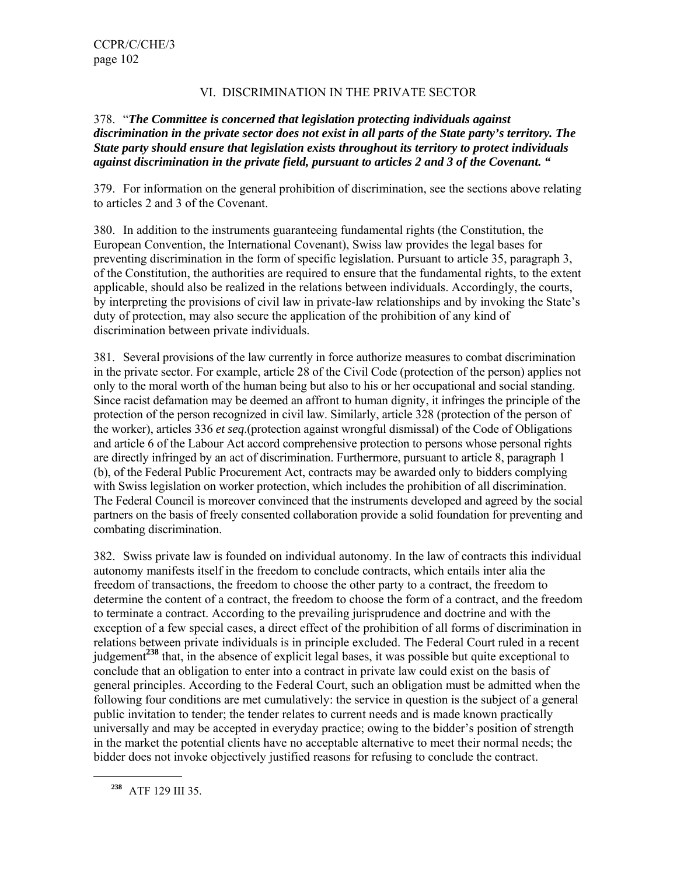### VI. DISCRIMINATION IN THE PRIVATE SECTOR

### 378. "*The Committee is concerned that legislation protecting individuals against discrimination in the private sector does not exist in all parts of the State party's territory. The State party should ensure that legislation exists throughout its territory to protect individuals against discrimination in the private field, pursuant to articles 2 and 3 of the Covenant. "*

379. For information on the general prohibition of discrimination, see the sections above relating to articles 2 and 3 of the Covenant.

380. In addition to the instruments guaranteeing fundamental rights (the Constitution, the European Convention, the International Covenant), Swiss law provides the legal bases for preventing discrimination in the form of specific legislation. Pursuant to article 35, paragraph 3, of the Constitution, the authorities are required to ensure that the fundamental rights, to the extent applicable, should also be realized in the relations between individuals. Accordingly, the courts, by interpreting the provisions of civil law in private-law relationships and by invoking the State's duty of protection, may also secure the application of the prohibition of any kind of discrimination between private individuals.

381. Several provisions of the law currently in force authorize measures to combat discrimination in the private sector. For example, article 28 of the Civil Code (protection of the person) applies not only to the moral worth of the human being but also to his or her occupational and social standing. Since racist defamation may be deemed an affront to human dignity, it infringes the principle of the protection of the person recognized in civil law. Similarly, article 328 (protection of the person of the worker), articles 336 *et seq*.(protection against wrongful dismissal) of the Code of Obligations and article 6 of the Labour Act accord comprehensive protection to persons whose personal rights are directly infringed by an act of discrimination. Furthermore, pursuant to article 8, paragraph 1 (b), of the Federal Public Procurement Act, contracts may be awarded only to bidders complying with Swiss legislation on worker protection, which includes the prohibition of all discrimination. The Federal Council is moreover convinced that the instruments developed and agreed by the social partners on the basis of freely consented collaboration provide a solid foundation for preventing and combating discrimination.

382. Swiss private law is founded on individual autonomy. In the law of contracts this individual autonomy manifests itself in the freedom to conclude contracts, which entails inter alia the freedom of transactions, the freedom to choose the other party to a contract, the freedom to determine the content of a contract, the freedom to choose the form of a contract, and the freedom to terminate a contract. According to the prevailing jurisprudence and doctrine and with the exception of a few special cases, a direct effect of the prohibition of all forms of discrimination in relations between private individuals is in principle excluded. The Federal Court ruled in a recent judgement**<sup>238</sup>** that, in the absence of explicit legal bases, it was possible but quite exceptional to conclude that an obligation to enter into a contract in private law could exist on the basis of general principles. According to the Federal Court, such an obligation must be admitted when the following four conditions are met cumulatively: the service in question is the subject of a general public invitation to tender; the tender relates to current needs and is made known practically universally and may be accepted in everyday practice; owing to the bidder's position of strength in the market the potential clients have no acceptable alternative to meet their normal needs; the bidder does not invoke objectively justified reasons for refusing to conclude the contract.

**<sup>238</sup>** ATF 129 III 35.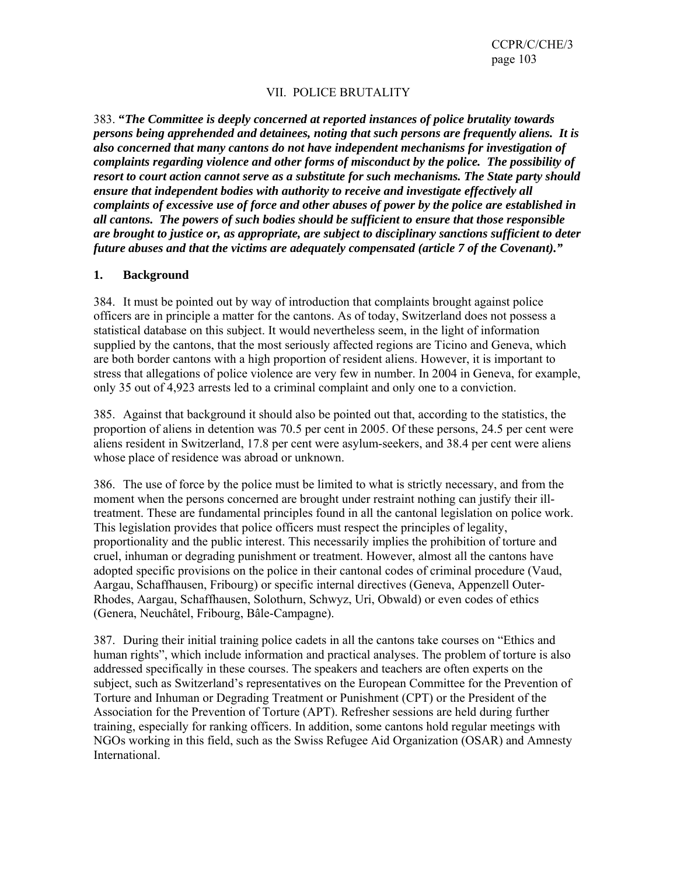### VII. POLICE BRUTALITY

383. **"***The Committee is deeply concerned at reported instances of police brutality towards persons being apprehended and detainees, noting that such persons are frequently aliens. It is also concerned that many cantons do not have independent mechanisms for investigation of complaints regarding violence and other forms of misconduct by the police. The possibility of resort to court action cannot serve as a substitute for such mechanisms. The State party should ensure that independent bodies with authority to receive and investigate effectively all complaints of excessive use of force and other abuses of power by the police are established in all cantons. The powers of such bodies should be sufficient to ensure that those responsible are brought to justice or, as appropriate, are subject to disciplinary sanctions sufficient to deter future abuses and that the victims are adequately compensated (article 7 of the Covenant)."* 

#### **1. Background**

384. It must be pointed out by way of introduction that complaints brought against police officers are in principle a matter for the cantons. As of today, Switzerland does not possess a statistical database on this subject. It would nevertheless seem, in the light of information supplied by the cantons, that the most seriously affected regions are Ticino and Geneva, which are both border cantons with a high proportion of resident aliens. However, it is important to stress that allegations of police violence are very few in number. In 2004 in Geneva, for example, only 35 out of 4,923 arrests led to a criminal complaint and only one to a conviction.

385. Against that background it should also be pointed out that, according to the statistics, the proportion of aliens in detention was 70.5 per cent in 2005. Of these persons, 24.5 per cent were aliens resident in Switzerland, 17.8 per cent were asylum-seekers, and 38.4 per cent were aliens whose place of residence was abroad or unknown.

386. The use of force by the police must be limited to what is strictly necessary, and from the moment when the persons concerned are brought under restraint nothing can justify their illtreatment. These are fundamental principles found in all the cantonal legislation on police work. This legislation provides that police officers must respect the principles of legality, proportionality and the public interest. This necessarily implies the prohibition of torture and cruel, inhuman or degrading punishment or treatment. However, almost all the cantons have adopted specific provisions on the police in their cantonal codes of criminal procedure (Vaud, Aargau, Schaffhausen, Fribourg) or specific internal directives (Geneva, Appenzell Outer-Rhodes, Aargau, Schaffhausen, Solothurn, Schwyz, Uri, Obwald) or even codes of ethics (Genera, Neuchâtel, Fribourg, Bâle-Campagne).

387. During their initial training police cadets in all the cantons take courses on "Ethics and human rights", which include information and practical analyses. The problem of torture is also addressed specifically in these courses. The speakers and teachers are often experts on the subject, such as Switzerland's representatives on the European Committee for the Prevention of Torture and Inhuman or Degrading Treatment or Punishment (CPT) or the President of the Association for the Prevention of Torture (APT). Refresher sessions are held during further training, especially for ranking officers. In addition, some cantons hold regular meetings with NGOs working in this field, such as the Swiss Refugee Aid Organization (OSAR) and Amnesty International.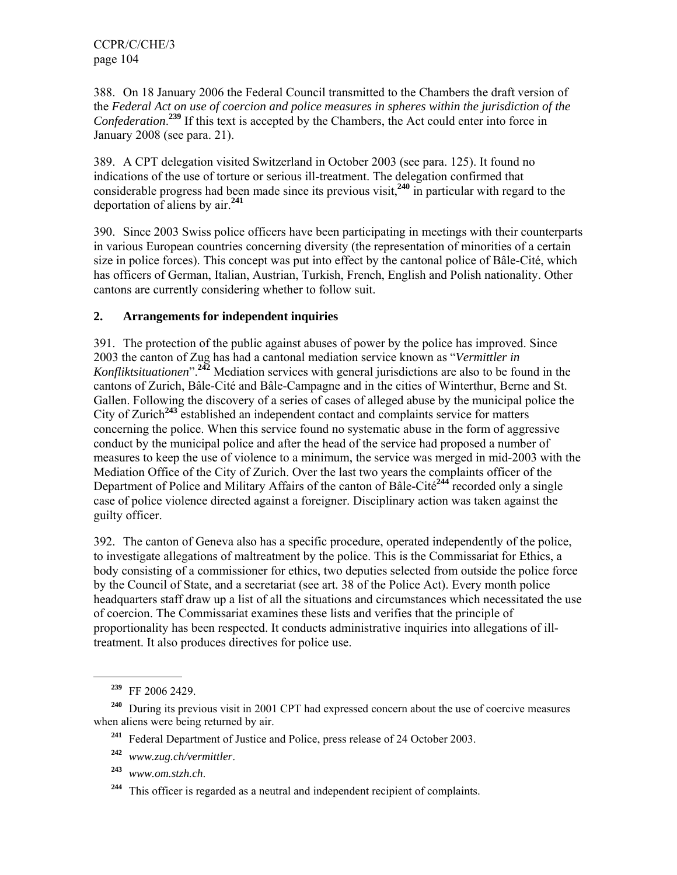388. On 18 January 2006 the Federal Council transmitted to the Chambers the draft version of the *Federal Act on use of coercion and police measures in spheres within the jurisdiction of the*  Confederation.<sup>239</sup> If this text is accepted by the Chambers, the Act could enter into force in January 2008 (see para. 21).

389. A CPT delegation visited Switzerland in October 2003 (see para. 125). It found no indications of the use of torture or serious ill-treatment. The delegation confirmed that considerable progress had been made since its previous visit,**<sup>240</sup>** in particular with regard to the deportation of aliens by air.**<sup>241</sup>**

390. Since 2003 Swiss police officers have been participating in meetings with their counterparts in various European countries concerning diversity (the representation of minorities of a certain size in police forces). This concept was put into effect by the cantonal police of Bâle-Cité, which has officers of German, Italian, Austrian, Turkish, French, English and Polish nationality. Other cantons are currently considering whether to follow suit.

# **2. Arrangements for independent inquiries**

391. The protection of the public against abuses of power by the police has improved. Since 2003 the canton of Zug has had a cantonal mediation service known as "*Vermittler in Konfliktsituationen*".**<sup>242</sup>** Mediation services with general jurisdictions are also to be found in the cantons of Zurich, Bâle-Cité and Bâle-Campagne and in the cities of Winterthur, Berne and St. Gallen. Following the discovery of a series of cases of alleged abuse by the municipal police the City of Zurich**<sup>243</sup>** established an independent contact and complaints service for matters concerning the police. When this service found no systematic abuse in the form of aggressive conduct by the municipal police and after the head of the service had proposed a number of measures to keep the use of violence to a minimum, the service was merged in mid-2003 with the Mediation Office of the City of Zurich. Over the last two years the complaints officer of the Department of Police and Military Affairs of the canton of Bâle-Cité**<sup>244</sup>** recorded only a single case of police violence directed against a foreigner. Disciplinary action was taken against the guilty officer.

392. The canton of Geneva also has a specific procedure, operated independently of the police, to investigate allegations of maltreatment by the police. This is the Commissariat for Ethics, a body consisting of a commissioner for ethics, two deputies selected from outside the police force by the Council of State, and a secretariat (see art. 38 of the Police Act). Every month police headquarters staff draw up a list of all the situations and circumstances which necessitated the use of coercion. The Commissariat examines these lists and verifies that the principle of proportionality has been respected. It conducts administrative inquiries into allegations of illtreatment. It also produces directives for police use.

l

- **<sup>241</sup>** Federal Department of Justice and Police, press release of 24 October 2003.
- **<sup>242</sup>** *www.zug.ch/vermittler*.
- **<sup>243</sup>** *www.om.stzh.ch*.

**<sup>239</sup>** FF 2006 2429.

**<sup>240</sup>** During its previous visit in 2001 CPT had expressed concern about the use of coercive measures when aliens were being returned by air.

**<sup>244</sup>** This officer is regarded as a neutral and independent recipient of complaints.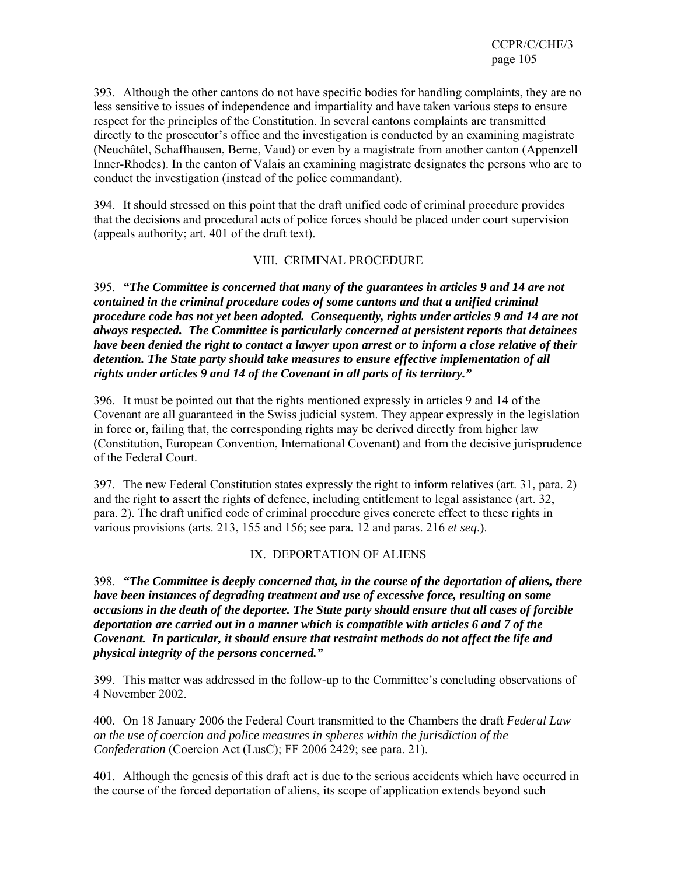393. Although the other cantons do not have specific bodies for handling complaints, they are no less sensitive to issues of independence and impartiality and have taken various steps to ensure respect for the principles of the Constitution. In several cantons complaints are transmitted directly to the prosecutor's office and the investigation is conducted by an examining magistrate (Neuchâtel, Schaffhausen, Berne, Vaud) or even by a magistrate from another canton (Appenzell Inner-Rhodes). In the canton of Valais an examining magistrate designates the persons who are to conduct the investigation (instead of the police commandant).

394. It should stressed on this point that the draft unified code of criminal procedure provides that the decisions and procedural acts of police forces should be placed under court supervision (appeals authority; art. 401 of the draft text).

### VIII. CRIMINAL PROCEDURE

395. *"The Committee is concerned that many of the guarantees in articles 9 and 14 are not contained in the criminal procedure codes of some cantons and that a unified criminal procedure code has not yet been adopted. Consequently, rights under articles 9 and 14 are not always respected. The Committee is particularly concerned at persistent reports that detainees have been denied the right to contact a lawyer upon arrest or to inform a close relative of their detention. The State party should take measures to ensure effective implementation of all rights under articles 9 and 14 of the Covenant in all parts of its territory."*

396. It must be pointed out that the rights mentioned expressly in articles 9 and 14 of the Covenant are all guaranteed in the Swiss judicial system. They appear expressly in the legislation in force or, failing that, the corresponding rights may be derived directly from higher law (Constitution, European Convention, International Covenant) and from the decisive jurisprudence of the Federal Court.

397. The new Federal Constitution states expressly the right to inform relatives (art. 31, para. 2) and the right to assert the rights of defence, including entitlement to legal assistance (art. 32, para. 2). The draft unified code of criminal procedure gives concrete effect to these rights in various provisions (arts. 213, 155 and 156; see para. 12 and paras. 216 *et seq*.).

# IX. DEPORTATION OF ALIENS

398. *"The Committee is deeply concerned that, in the course of the deportation of aliens, there have been instances of degrading treatment and use of excessive force, resulting on some occasions in the death of the deportee. The State party should ensure that all cases of forcible deportation are carried out in a manner which is compatible with articles 6 and 7 of the Covenant. In particular, it should ensure that restraint methods do not affect the life and physical integrity of the persons concerned."*

399. This matter was addressed in the follow-up to the Committee's concluding observations of 4 November 2002.

400. On 18 January 2006 the Federal Court transmitted to the Chambers the draft *Federal Law on the use of coercion and police measures in spheres within the jurisdiction of the Confederation* (Coercion Act (LusC); FF 2006 2429; see para. 21).

401. Although the genesis of this draft act is due to the serious accidents which have occurred in the course of the forced deportation of aliens, its scope of application extends beyond such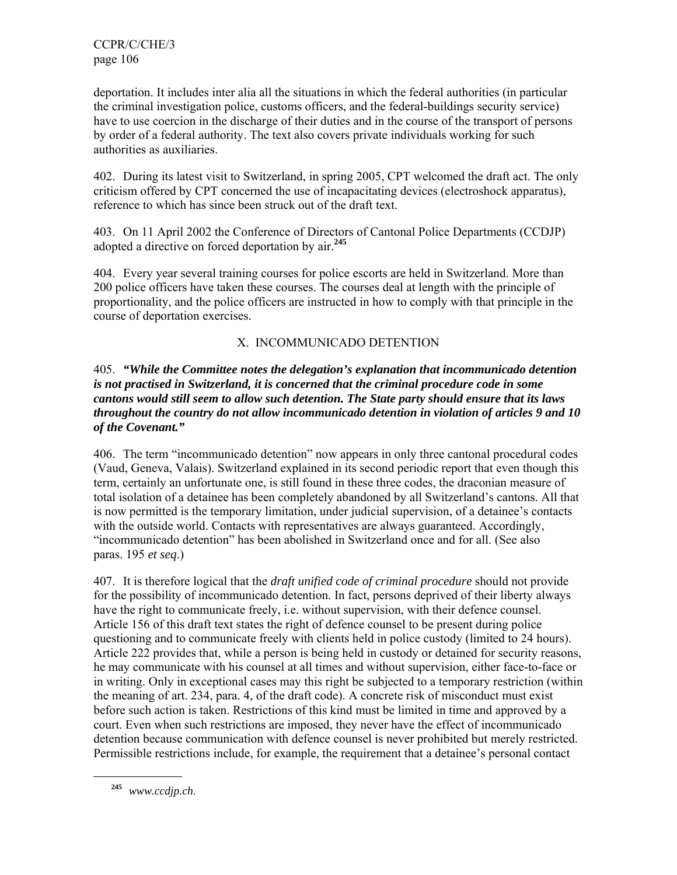deportation. It includes inter alia all the situations in which the federal authorities (in particular the criminal investigation police, customs officers, and the federal-buildings security service) have to use coercion in the discharge of their duties and in the course of the transport of persons by order of a federal authority. The text also covers private individuals working for such authorities as auxiliaries.

402. During its latest visit to Switzerland, in spring 2005, CPT welcomed the draft act. The only criticism offered by CPT concerned the use of incapacitating devices (electroshock apparatus), reference to which has since been struck out of the draft text.

403. On 11 April 2002 the Conference of Directors of Cantonal Police Departments (CCDJP) adopted a directive on forced deportation by air.**<sup>245</sup>**

404. Every year several training courses for police escorts are held in Switzerland. More than 200 police officers have taken these courses. The courses deal at length with the principle of proportionality, and the police officers are instructed in how to comply with that principle in the course of deportation exercises.

# X. INCOMMUNICADO DETENTION

### 405. *"While the Committee notes the delegation's explanation that incommunicado detention is not practised in Switzerland, it is concerned that the criminal procedure code in some cantons would still seem to allow such detention. The State party should ensure that its laws throughout the country do not allow incommunicado detention in violation of articles 9 and 10 of the Covenant."*

406. The term "incommunicado detention" now appears in only three cantonal procedural codes (Vaud, Geneva, Valais). Switzerland explained in its second periodic report that even though this term, certainly an unfortunate one, is still found in these three codes, the draconian measure of total isolation of a detainee has been completely abandoned by all Switzerland's cantons. All that is now permitted is the temporary limitation, under judicial supervision, of a detainee's contacts with the outside world. Contacts with representatives are always guaranteed. Accordingly, "incommunicado detention" has been abolished in Switzerland once and for all. (See also paras. 195 *et seq*.)

407. It is therefore logical that the *draft unified code of criminal procedure* should not provide for the possibility of incommunicado detention. In fact, persons deprived of their liberty always have the right to communicate freely, i.e. without supervision, with their defence counsel. Article 156 of this draft text states the right of defence counsel to be present during police questioning and to communicate freely with clients held in police custody (limited to 24 hours). Article 222 provides that, while a person is being held in custody or detained for security reasons, he may communicate with his counsel at all times and without supervision, either face-to-face or in writing. Only in exceptional cases may this right be subjected to a temporary restriction (within the meaning of art. 234, para. 4, of the draft code). A concrete risk of misconduct must exist before such action is taken. Restrictions of this kind must be limited in time and approved by a court. Even when such restrictions are imposed, they never have the effect of incommunicado detention because communication with defence counsel is never prohibited but merely restricted. Permissible restrictions include, for example, the requirement that a detainee's personal contact

**<sup>245</sup>** *www.ccdjp.ch*.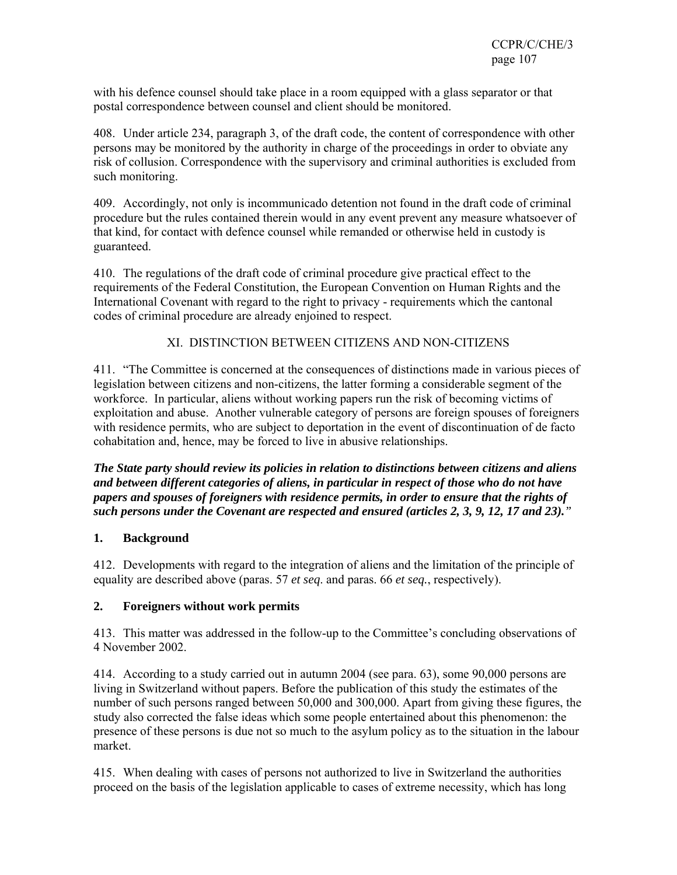with his defence counsel should take place in a room equipped with a glass separator or that postal correspondence between counsel and client should be monitored.

408. Under article 234, paragraph 3, of the draft code, the content of correspondence with other persons may be monitored by the authority in charge of the proceedings in order to obviate any risk of collusion. Correspondence with the supervisory and criminal authorities is excluded from such monitoring.

409. Accordingly, not only is incommunicado detention not found in the draft code of criminal procedure but the rules contained therein would in any event prevent any measure whatsoever of that kind, for contact with defence counsel while remanded or otherwise held in custody is guaranteed.

410. The regulations of the draft code of criminal procedure give practical effect to the requirements of the Federal Constitution, the European Convention on Human Rights and the International Covenant with regard to the right to privacy - requirements which the cantonal codes of criminal procedure are already enjoined to respect.

# XI. DISTINCTION BETWEEN CITIZENS AND NON-CITIZENS

411. "The Committee is concerned at the consequences of distinctions made in various pieces of legislation between citizens and non-citizens, the latter forming a considerable segment of the workforce. In particular, aliens without working papers run the risk of becoming victims of exploitation and abuse. Another vulnerable category of persons are foreign spouses of foreigners with residence permits, who are subject to deportation in the event of discontinuation of de facto cohabitation and, hence, may be forced to live in abusive relationships.

*The State party should review its policies in relation to distinctions between citizens and aliens and between different categories of aliens, in particular in respect of those who do not have papers and spouses of foreigners with residence permits, in order to ensure that the rights of such persons under the Covenant are respected and ensured (articles 2, 3, 9, 12, 17 and 23)."* 

# **1. Background**

412. Developments with regard to the integration of aliens and the limitation of the principle of equality are described above (paras. 57 *et seq*. and paras. 66 *et seq.*, respectively).

# **2. Foreigners without work permits**

413. This matter was addressed in the follow-up to the Committee's concluding observations of 4 November 2002.

414. According to a study carried out in autumn 2004 (see para. 63), some 90,000 persons are living in Switzerland without papers. Before the publication of this study the estimates of the number of such persons ranged between 50,000 and 300,000. Apart from giving these figures, the study also corrected the false ideas which some people entertained about this phenomenon: the presence of these persons is due not so much to the asylum policy as to the situation in the labour market.

415. When dealing with cases of persons not authorized to live in Switzerland the authorities proceed on the basis of the legislation applicable to cases of extreme necessity, which has long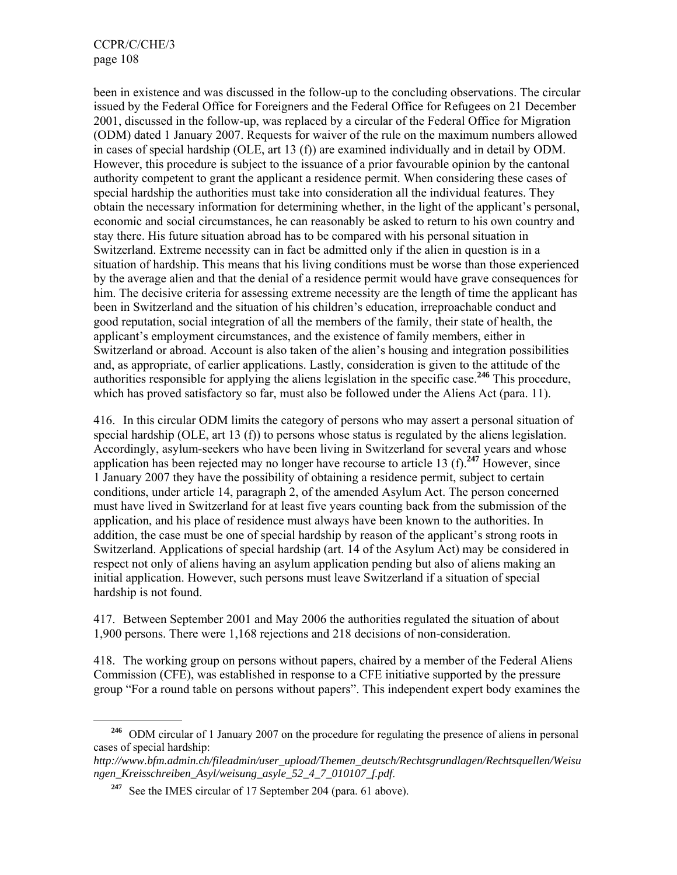$\overline{a}$ 

been in existence and was discussed in the follow-up to the concluding observations. The circular issued by the Federal Office for Foreigners and the Federal Office for Refugees on 21 December 2001, discussed in the follow-up, was replaced by a circular of the Federal Office for Migration (ODM) dated 1 January 2007. Requests for waiver of the rule on the maximum numbers allowed in cases of special hardship (OLE, art 13 (f)) are examined individually and in detail by ODM. However, this procedure is subject to the issuance of a prior favourable opinion by the cantonal authority competent to grant the applicant a residence permit. When considering these cases of special hardship the authorities must take into consideration all the individual features. They obtain the necessary information for determining whether, in the light of the applicant's personal, economic and social circumstances, he can reasonably be asked to return to his own country and stay there. His future situation abroad has to be compared with his personal situation in Switzerland. Extreme necessity can in fact be admitted only if the alien in question is in a situation of hardship. This means that his living conditions must be worse than those experienced by the average alien and that the denial of a residence permit would have grave consequences for him. The decisive criteria for assessing extreme necessity are the length of time the applicant has been in Switzerland and the situation of his children's education, irreproachable conduct and good reputation, social integration of all the members of the family, their state of health, the applicant's employment circumstances, and the existence of family members, either in Switzerland or abroad. Account is also taken of the alien's housing and integration possibilities and, as appropriate, of earlier applications. Lastly, consideration is given to the attitude of the authorities responsible for applying the aliens legislation in the specific case.**<sup>246</sup>** This procedure, which has proved satisfactory so far, must also be followed under the Aliens Act (para. 11).

416. In this circular ODM limits the category of persons who may assert a personal situation of special hardship (OLE, art 13 (f)) to persons whose status is regulated by the aliens legislation. Accordingly, asylum-seekers who have been living in Switzerland for several years and whose application has been rejected may no longer have recourse to article 13 (f).**<sup>247</sup>** However, since 1 January 2007 they have the possibility of obtaining a residence permit, subject to certain conditions, under article 14, paragraph 2, of the amended Asylum Act. The person concerned must have lived in Switzerland for at least five years counting back from the submission of the application, and his place of residence must always have been known to the authorities. In addition, the case must be one of special hardship by reason of the applicant's strong roots in Switzerland. Applications of special hardship (art. 14 of the Asylum Act) may be considered in respect not only of aliens having an asylum application pending but also of aliens making an initial application. However, such persons must leave Switzerland if a situation of special hardship is not found.

417. Between September 2001 and May 2006 the authorities regulated the situation of about 1,900 persons. There were 1,168 rejections and 218 decisions of non-consideration.

418. The working group on persons without papers, chaired by a member of the Federal Aliens Commission (CFE), was established in response to a CFE initiative supported by the pressure group "For a round table on persons without papers". This independent expert body examines the

**<sup>246</sup>** ODM circular of 1 January 2007 on the procedure for regulating the presence of aliens in personal cases of special hardship:

*http://www.bfm.admin.ch/fileadmin/user\_upload/Themen\_deutsch/Rechtsgrundlagen/Rechtsquellen/Weisu ngen\_Kreisschreiben\_Asyl/weisung\_asyle\_52\_4\_7\_010107\_f.pdf*.

<sup>&</sup>lt;sup>247</sup> See the IMES circular of 17 September 204 (para. 61 above).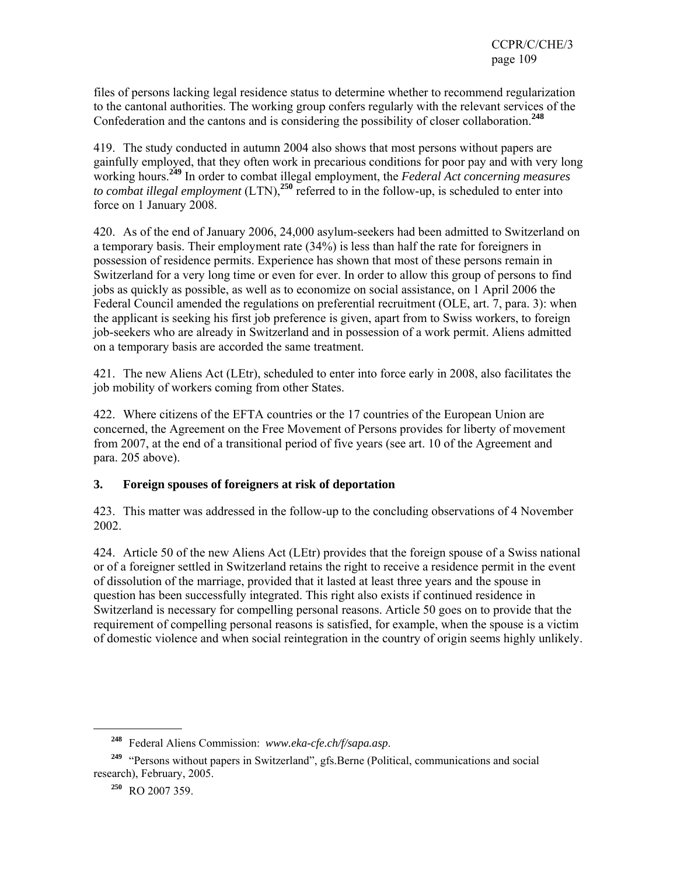files of persons lacking legal residence status to determine whether to recommend regularization to the cantonal authorities. The working group confers regularly with the relevant services of the Confederation and the cantons and is considering the possibility of closer collaboration.**<sup>248</sup>**

419. The study conducted in autumn 2004 also shows that most persons without papers are gainfully employed, that they often work in precarious conditions for poor pay and with very long working hours.**<sup>249</sup>** In order to combat illegal employment, the *Federal Act concerning measures to combat illegal employment* (LTN),**<sup>250</sup>** referred to in the follow-up, is scheduled to enter into force on 1 January 2008.

420. As of the end of January 2006, 24,000 asylum-seekers had been admitted to Switzerland on a temporary basis. Their employment rate (34%) is less than half the rate for foreigners in possession of residence permits. Experience has shown that most of these persons remain in Switzerland for a very long time or even for ever. In order to allow this group of persons to find jobs as quickly as possible, as well as to economize on social assistance, on 1 April 2006 the Federal Council amended the regulations on preferential recruitment (OLE, art. 7, para. 3): when the applicant is seeking his first job preference is given, apart from to Swiss workers, to foreign job-seekers who are already in Switzerland and in possession of a work permit. Aliens admitted on a temporary basis are accorded the same treatment.

421. The new Aliens Act (LEtr), scheduled to enter into force early in 2008, also facilitates the job mobility of workers coming from other States.

422. Where citizens of the EFTA countries or the 17 countries of the European Union are concerned, the Agreement on the Free Movement of Persons provides for liberty of movement from 2007, at the end of a transitional period of five years (see art. 10 of the Agreement and para. 205 above).

#### **3. Foreign spouses of foreigners at risk of deportation**

423. This matter was addressed in the follow-up to the concluding observations of 4 November 2002.

424. Article 50 of the new Aliens Act (LEtr) provides that the foreign spouse of a Swiss national or of a foreigner settled in Switzerland retains the right to receive a residence permit in the event of dissolution of the marriage, provided that it lasted at least three years and the spouse in question has been successfully integrated. This right also exists if continued residence in Switzerland is necessary for compelling personal reasons. Article 50 goes on to provide that the requirement of compelling personal reasons is satisfied, for example, when the spouse is a victim of domestic violence and when social reintegration in the country of origin seems highly unlikely.

l

**<sup>248</sup>** Federal Aliens Commission: *www.eka-cfe.ch/f/sapa.asp*.

**<sup>249</sup>** "Persons without papers in Switzerland", gfs.Berne (Political, communications and social research), February, 2005.

**<sup>250</sup>** RO 2007 359.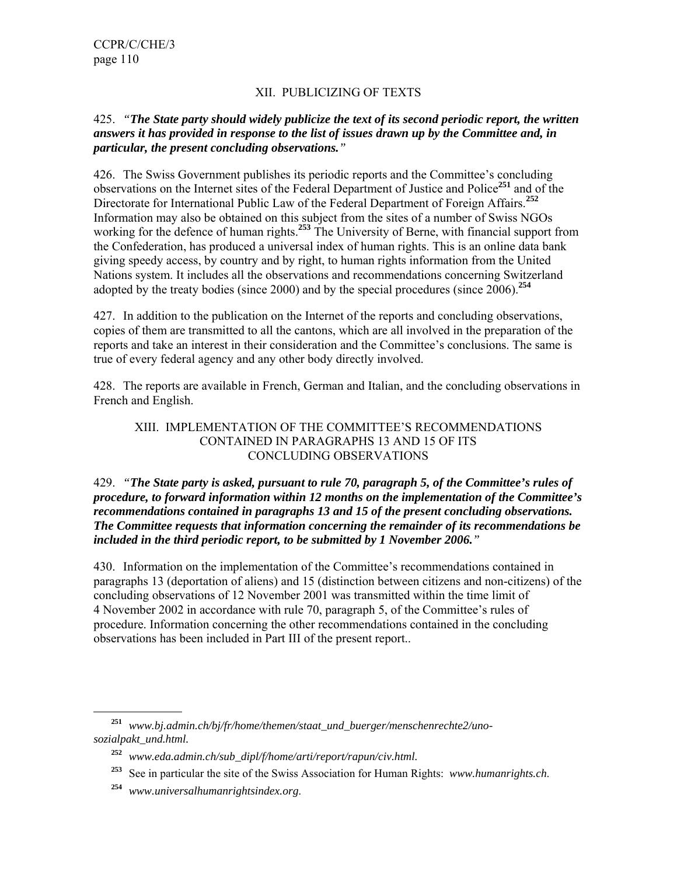### XII. PUBLICIZING OF TEXTS

#### 425. *"The State party should widely publicize the text of its second periodic report, the written answers it has provided in response to the list of issues drawn up by the Committee and, in particular, the present concluding observations."*

426. The Swiss Government publishes its periodic reports and the Committee's concluding observations on the Internet sites of the Federal Department of Justice and Police**<sup>251</sup>** and of the Directorate for International Public Law of the Federal Department of Foreign Affairs.**<sup>252</sup>** Information may also be obtained on this subject from the sites of a number of Swiss NGOs working for the defence of human rights.<sup>253</sup> The University of Berne, with financial support from the Confederation, has produced a universal index of human rights. This is an online data bank giving speedy access, by country and by right, to human rights information from the United Nations system. It includes all the observations and recommendations concerning Switzerland adopted by the treaty bodies (since 2000) and by the special procedures (since 2006).**<sup>254</sup>**

427. In addition to the publication on the Internet of the reports and concluding observations, copies of them are transmitted to all the cantons, which are all involved in the preparation of the reports and take an interest in their consideration and the Committee's conclusions. The same is true of every federal agency and any other body directly involved.

428. The reports are available in French, German and Italian, and the concluding observations in French and English.

#### XIII. IMPLEMENTATION OF THE COMMITTEE'S RECOMMENDATIONS CONTAINED IN PARAGRAPHS 13 AND 15 OF ITS CONCLUDING OBSERVATIONS

#### 429. *"The State party is asked, pursuant to rule 70, paragraph 5, of the Committee's rules of procedure, to forward information within 12 months on the implementation of the Committee's recommendations contained in paragraphs 13 and 15 of the present concluding observations. The Committee requests that information concerning the remainder of its recommendations be included in the third periodic report, to be submitted by 1 November 2006."*

430. Information on the implementation of the Committee's recommendations contained in paragraphs 13 (deportation of aliens) and 15 (distinction between citizens and non-citizens) of the concluding observations of 12 November 2001 was transmitted within the time limit of 4 November 2002 in accordance with rule 70, paragraph 5, of the Committee's rules of procedure. Information concerning the other recommendations contained in the concluding observations has been included in Part III of the present report..

l

**<sup>251</sup>** *www.bj.admin.ch/bj/fr/home/themen/staat\_und\_buerger/menschenrechte2/unosozialpakt\_und.html.* 

**<sup>252</sup>** *www.eda.admin.ch/sub\_dipl/f/home/arti/report/rapun/civ.html.*

**<sup>253</sup>** See in particular the site of the Swiss Association for Human Rights: *www.humanrights.ch*.

**<sup>254</sup>** *www.universalhumanrightsindex.org*.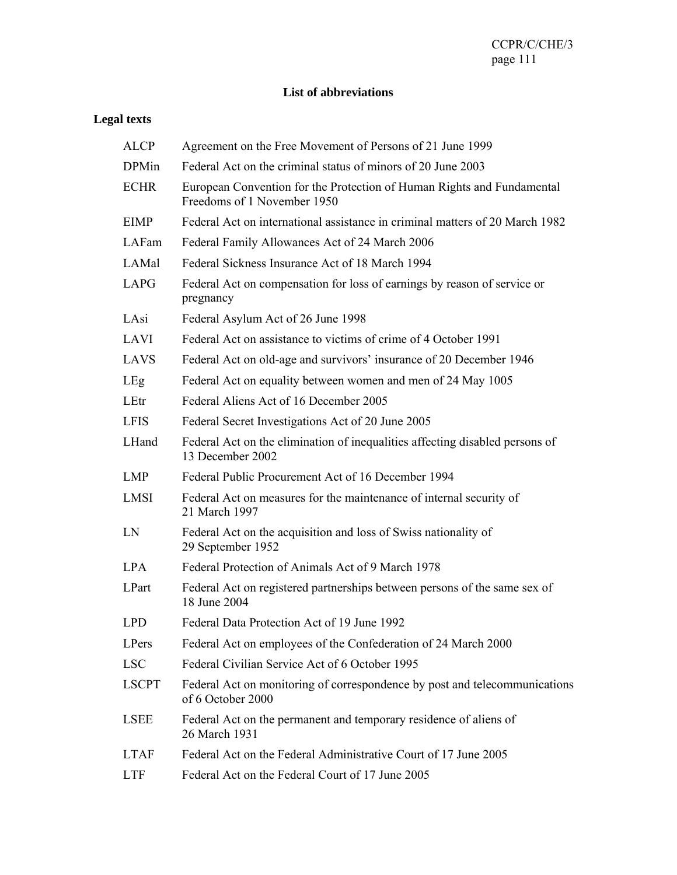### **List of abbreviations**

# **Legal texts**

| <b>ALCP</b>  | Agreement on the Free Movement of Persons of 21 June 1999                                             |
|--------------|-------------------------------------------------------------------------------------------------------|
| <b>DPMin</b> | Federal Act on the criminal status of minors of 20 June 2003                                          |
| <b>ECHR</b>  | European Convention for the Protection of Human Rights and Fundamental<br>Freedoms of 1 November 1950 |
| <b>EIMP</b>  | Federal Act on international assistance in criminal matters of 20 March 1982                          |
| LAFam        | Federal Family Allowances Act of 24 March 2006                                                        |
| LAMal        | Federal Sickness Insurance Act of 18 March 1994                                                       |
| <b>LAPG</b>  | Federal Act on compensation for loss of earnings by reason of service or<br>pregnancy                 |
| LAsi         | Federal Asylum Act of 26 June 1998                                                                    |
| <b>LAVI</b>  | Federal Act on assistance to victims of crime of 4 October 1991                                       |
| <b>LAVS</b>  | Federal Act on old-age and survivors' insurance of 20 December 1946                                   |
| LEg          | Federal Act on equality between women and men of 24 May 1005                                          |
| LEtr         | Federal Aliens Act of 16 December 2005                                                                |
| <b>LFIS</b>  | Federal Secret Investigations Act of 20 June 2005                                                     |
| LHand        | Federal Act on the elimination of inequalities affecting disabled persons of<br>13 December 2002      |
| <b>LMP</b>   | Federal Public Procurement Act of 16 December 1994                                                    |
| <b>LMSI</b>  | Federal Act on measures for the maintenance of internal security of<br>21 March 1997                  |
| LN           | Federal Act on the acquisition and loss of Swiss nationality of<br>29 September 1952                  |
| <b>LPA</b>   | Federal Protection of Animals Act of 9 March 1978                                                     |
| LPart        | Federal Act on registered partnerships between persons of the same sex of<br>18 June 2004             |
| <b>LPD</b>   | Federal Data Protection Act of 19 June 1992                                                           |
| LPers        | Federal Act on employees of the Confederation of 24 March 2000                                        |
| <b>LSC</b>   | Federal Civilian Service Act of 6 October 1995                                                        |
| <b>LSCPT</b> | Federal Act on monitoring of correspondence by post and telecommunications<br>of 6 October 2000       |
| <b>LSEE</b>  | Federal Act on the permanent and temporary residence of aliens of<br>26 March 1931                    |
| <b>LTAF</b>  | Federal Act on the Federal Administrative Court of 17 June 2005                                       |
| <b>LTF</b>   | Federal Act on the Federal Court of 17 June 2005                                                      |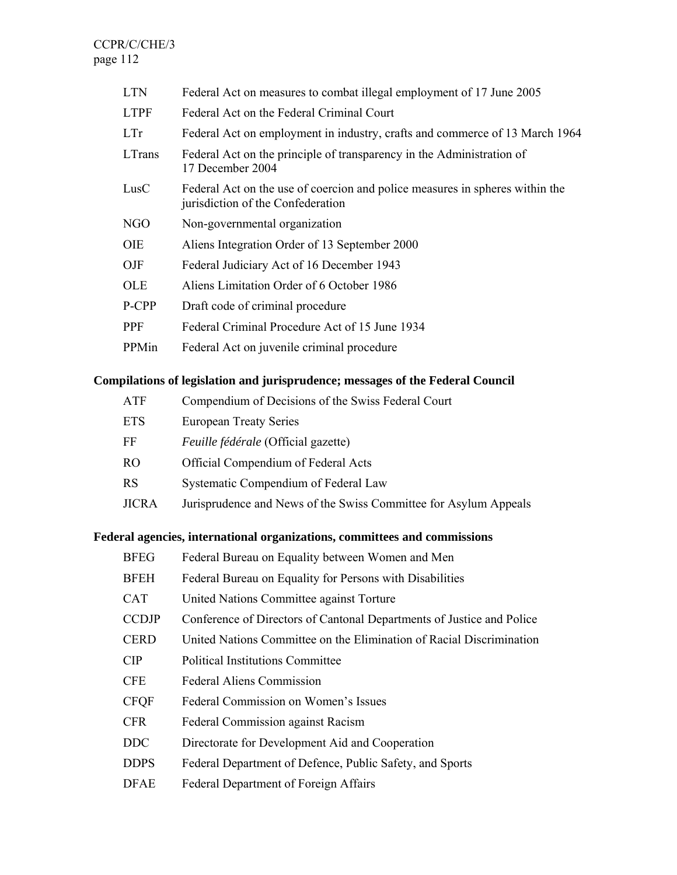CCPR/C/CHE/3 page 112

| <b>LTN</b>  | Federal Act on measures to combat illegal employment of 17 June 2005                                              |
|-------------|-------------------------------------------------------------------------------------------------------------------|
| <b>LTPF</b> | Federal Act on the Federal Criminal Court                                                                         |
| LTr         | Federal Act on employment in industry, crafts and commerce of 13 March 1964                                       |
| LTrans      | Federal Act on the principle of transparency in the Administration of<br>17 December 2004                         |
| LusC        | Federal Act on the use of coercion and police measures in spheres within the<br>jurisdiction of the Confederation |
| NGO         | Non-governmental organization                                                                                     |
| <b>OIE</b>  | Aliens Integration Order of 13 September 2000                                                                     |
| OJF         | Federal Judiciary Act of 16 December 1943                                                                         |
| <b>OLE</b>  | Aliens Limitation Order of 6 October 1986                                                                         |
| P-CPP       | Draft code of criminal procedure                                                                                  |
| PPF         | Federal Criminal Procedure Act of 15 June 1934                                                                    |
| PPMin       | Federal Act on juvenile criminal procedure                                                                        |

## **Compilations of legislation and jurisprudence; messages of the Federal Council**

| ATF       | Compendium of Decisions of the Swiss Federal Court               |
|-----------|------------------------------------------------------------------|
| ETS       | <b>European Treaty Series</b>                                    |
| FF        | Feuille fédérale (Official gazette)                              |
| <b>RO</b> | Official Compendium of Federal Acts                              |
| RS        | Systematic Compendium of Federal Law                             |
| JICRA     | Jurisprudence and News of the Swiss Committee for Asylum Appeals |
|           |                                                                  |

# **Federal agencies, international organizations, committees and commissions**

| <b>BFEG</b>  | Federal Bureau on Equality between Women and Men                      |
|--------------|-----------------------------------------------------------------------|
| BFEH         | Federal Bureau on Equality for Persons with Disabilities              |
| CAT          | United Nations Committee against Torture                              |
| <b>CCDJP</b> | Conference of Directors of Cantonal Departments of Justice and Police |
| <b>CERD</b>  | United Nations Committee on the Elimination of Racial Discrimination  |
| <b>CIP</b>   | <b>Political Institutions Committee</b>                               |
| <b>CFE</b>   | <b>Federal Aliens Commission</b>                                      |
| <b>CFQF</b>  | Federal Commission on Women's Issues                                  |
| <b>CFR</b>   | Federal Commission against Racism                                     |
| <b>DDC</b>   | Directorate for Development Aid and Cooperation                       |
| <b>DDPS</b>  | Federal Department of Defence, Public Safety, and Sports              |
| DFAE         | Federal Department of Foreign Affairs                                 |